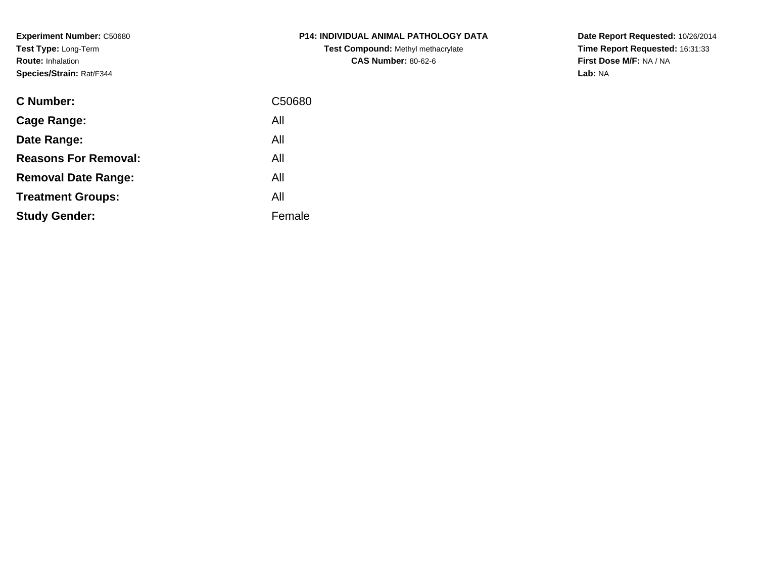**Experiment Number:** C50680**Test Type:** Long-Term**Route:** Inhalation**Species/Strain:** Rat/F344

| <b>P14: INDIVIDUAL ANIMAL PATHOLOGY DATA</b> |
|----------------------------------------------|
| <b>Test Compound: Methyl methacrylate</b>    |
| <b>CAS Number: 80-62-6</b>                   |

| <b>C</b> Number:            | C50680 |
|-----------------------------|--------|
| Cage Range:                 | All    |
| Date Range:                 | All    |
| <b>Reasons For Removal:</b> | All    |
| <b>Removal Date Range:</b>  | All    |
| <b>Treatment Groups:</b>    | All    |
| <b>Study Gender:</b>        | Female |
|                             |        |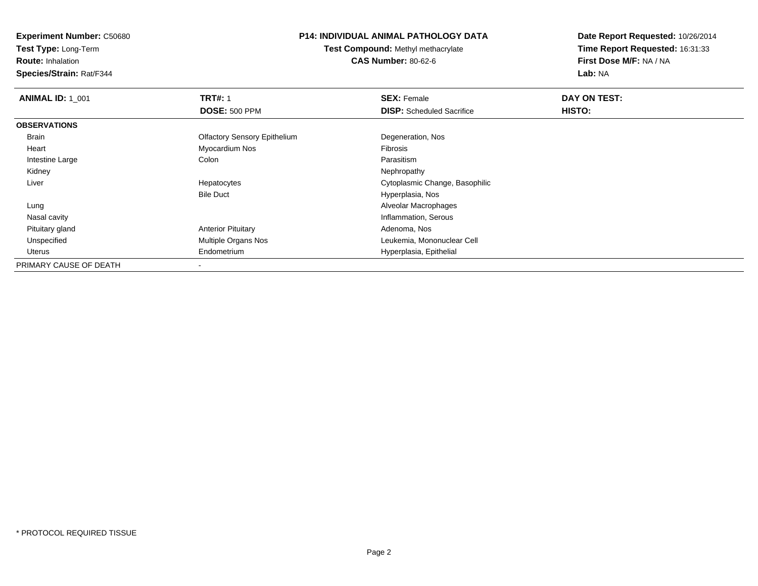**Test Type:** Long-Term

**Route:** Inhalation

**Species/Strain:** Rat/F344

# **P14: INDIVIDUAL ANIMAL PATHOLOGY DATA**

**Test Compound:** Methyl methacrylate**CAS Number:** 80-62-6

| <b>ANIMAL ID: 1 001</b> | <b>TRT#: 1</b>                      | <b>SEX: Female</b>               | DAY ON TEST: |  |
|-------------------------|-------------------------------------|----------------------------------|--------------|--|
|                         | <b>DOSE: 500 PPM</b>                | <b>DISP:</b> Scheduled Sacrifice | HISTO:       |  |
| <b>OBSERVATIONS</b>     |                                     |                                  |              |  |
| Brain                   | <b>Olfactory Sensory Epithelium</b> | Degeneration, Nos                |              |  |
| Heart                   | Myocardium Nos                      | Fibrosis                         |              |  |
| Intestine Large         | Colon                               | Parasitism                       |              |  |
| Kidney                  |                                     | Nephropathy                      |              |  |
| Liver                   | Hepatocytes                         | Cytoplasmic Change, Basophilic   |              |  |
|                         | <b>Bile Duct</b>                    | Hyperplasia, Nos                 |              |  |
| Lung                    |                                     | Alveolar Macrophages             |              |  |
| Nasal cavity            |                                     | Inflammation, Serous             |              |  |
| Pituitary gland         | <b>Anterior Pituitary</b>           | Adenoma, Nos                     |              |  |
| Unspecified             | <b>Multiple Organs Nos</b>          | Leukemia, Mononuclear Cell       |              |  |
| Uterus                  | Endometrium                         | Hyperplasia, Epithelial          |              |  |
| PRIMARY CAUSE OF DEATH  |                                     |                                  |              |  |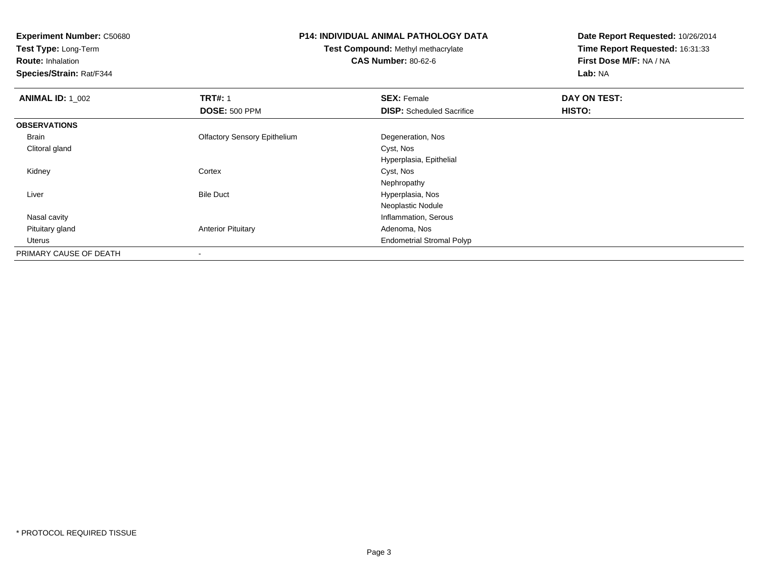**Test Type:** Long-Term

**Route:** Inhalation

**Species/Strain:** Rat/F344

#### **P14: INDIVIDUAL ANIMAL PATHOLOGY DATA**

**Test Compound:** Methyl methacrylate**CAS Number:** 80-62-6

| <b>ANIMAL ID: 1 002</b> | <b>TRT#: 1</b>                      | <b>SEX: Female</b>               | DAY ON TEST: |
|-------------------------|-------------------------------------|----------------------------------|--------------|
|                         | <b>DOSE: 500 PPM</b>                | <b>DISP:</b> Scheduled Sacrifice | HISTO:       |
| <b>OBSERVATIONS</b>     |                                     |                                  |              |
| Brain                   | <b>Olfactory Sensory Epithelium</b> | Degeneration, Nos                |              |
| Clitoral gland          |                                     | Cyst, Nos                        |              |
|                         |                                     | Hyperplasia, Epithelial          |              |
| Kidney                  | Cortex                              | Cyst, Nos                        |              |
|                         |                                     | Nephropathy                      |              |
| Liver                   | <b>Bile Duct</b>                    | Hyperplasia, Nos                 |              |
|                         |                                     | Neoplastic Nodule                |              |
| Nasal cavity            |                                     | Inflammation, Serous             |              |
| Pituitary gland         | <b>Anterior Pituitary</b>           | Adenoma, Nos                     |              |
| Uterus                  |                                     | <b>Endometrial Stromal Polyp</b> |              |
| PRIMARY CAUSE OF DEATH  |                                     |                                  |              |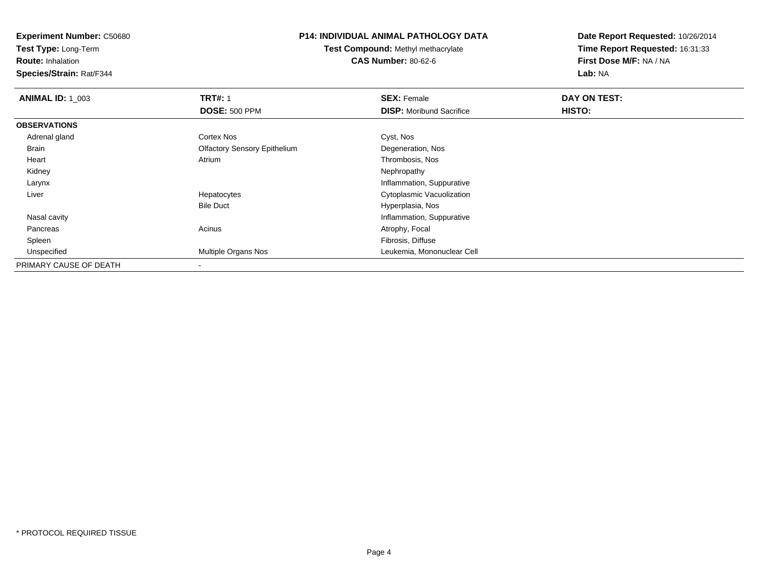**Test Type:** Long-Term

**Route:** Inhalation

**Species/Strain:** Rat/F344

# **P14: INDIVIDUAL ANIMAL PATHOLOGY DATA**

**Test Compound:** Methyl methacrylate**CAS Number:** 80-62-6

| <b>ANIMAL ID: 1_003</b> | <b>TRT#: 1</b>                      | <b>SEX: Female</b>              | DAY ON TEST: |  |
|-------------------------|-------------------------------------|---------------------------------|--------------|--|
|                         | <b>DOSE: 500 PPM</b>                | <b>DISP:</b> Moribund Sacrifice | HISTO:       |  |
| <b>OBSERVATIONS</b>     |                                     |                                 |              |  |
| Adrenal gland           | Cortex Nos                          | Cyst, Nos                       |              |  |
| Brain                   | <b>Olfactory Sensory Epithelium</b> | Degeneration, Nos               |              |  |
| Heart                   | Atrium                              | Thrombosis, Nos                 |              |  |
| Kidney                  |                                     | Nephropathy                     |              |  |
| Larynx                  |                                     | Inflammation, Suppurative       |              |  |
| Liver                   | Hepatocytes                         | Cytoplasmic Vacuolization       |              |  |
|                         | <b>Bile Duct</b>                    | Hyperplasia, Nos                |              |  |
| Nasal cavity            |                                     | Inflammation, Suppurative       |              |  |
| Pancreas                | Acinus                              | Atrophy, Focal                  |              |  |
| Spleen                  |                                     | Fibrosis, Diffuse               |              |  |
| Unspecified             | Multiple Organs Nos                 | Leukemia, Mononuclear Cell      |              |  |
| PRIMARY CAUSE OF DEATH  |                                     |                                 |              |  |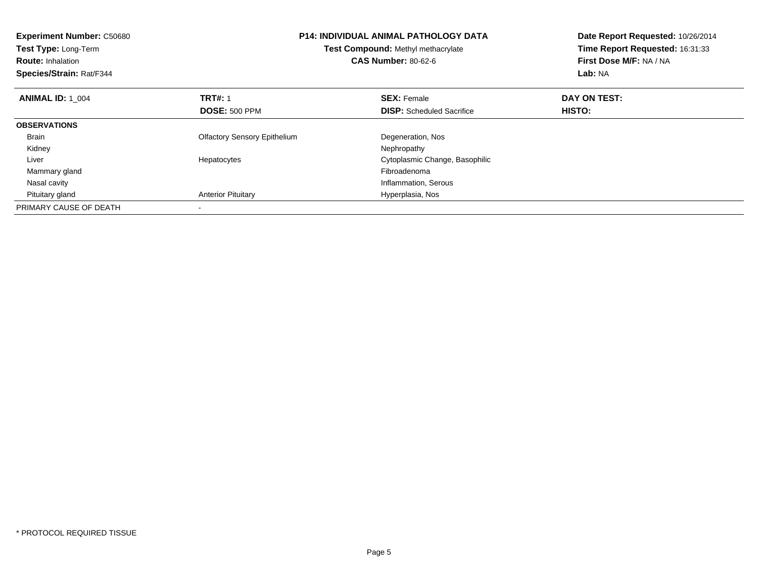| <b>Experiment Number: C50680</b><br><b>Test Type: Long-Term</b><br><b>Route: Inhalation</b><br>Species/Strain: Rat/F344 |                                     | P14: INDIVIDUAL ANIMAL PATHOLOGY DATA<br>Test Compound: Methyl methacrylate<br><b>CAS Number: 80-62-6</b> | Date Report Requested: 10/26/2014<br>Time Report Requested: 16:31:33<br>First Dose M/F: NA / NA<br>Lab: NA |
|-------------------------------------------------------------------------------------------------------------------------|-------------------------------------|-----------------------------------------------------------------------------------------------------------|------------------------------------------------------------------------------------------------------------|
| <b>ANIMAL ID: 1 004</b>                                                                                                 | <b>TRT#: 1</b>                      | <b>SEX: Female</b>                                                                                        | DAY ON TEST:                                                                                               |
|                                                                                                                         | <b>DOSE: 500 PPM</b>                | <b>DISP:</b> Scheduled Sacrifice                                                                          | HISTO:                                                                                                     |
| <b>OBSERVATIONS</b>                                                                                                     |                                     |                                                                                                           |                                                                                                            |
| <b>Brain</b>                                                                                                            | <b>Olfactory Sensory Epithelium</b> | Degeneration, Nos                                                                                         |                                                                                                            |
| Kidney                                                                                                                  |                                     | Nephropathy                                                                                               |                                                                                                            |
| Liver                                                                                                                   | Hepatocytes                         | Cytoplasmic Change, Basophilic                                                                            |                                                                                                            |
| Mammary gland                                                                                                           |                                     | Fibroadenoma                                                                                              |                                                                                                            |
| Nasal cavity                                                                                                            |                                     | Inflammation, Serous                                                                                      |                                                                                                            |
| Pituitary gland                                                                                                         | <b>Anterior Pituitary</b>           | Hyperplasia, Nos                                                                                          |                                                                                                            |
| PRIMARY CAUSE OF DEATH                                                                                                  |                                     |                                                                                                           |                                                                                                            |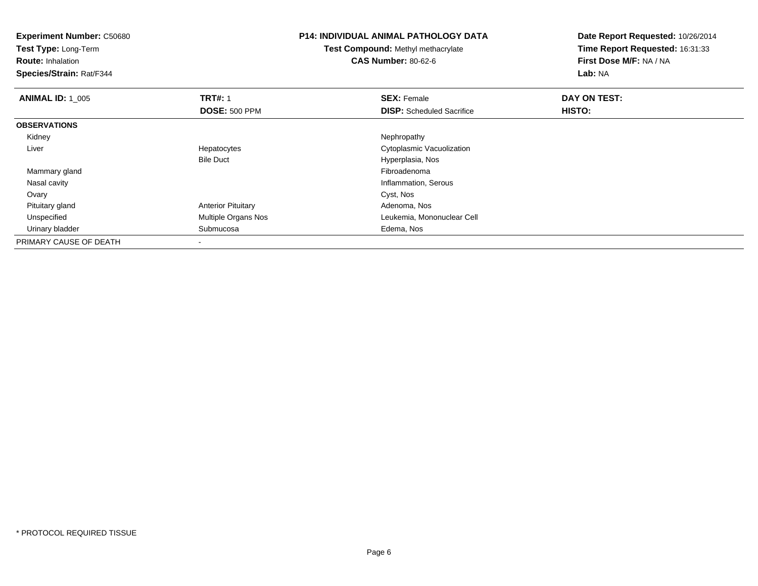**Experiment Number:** C50680**Test Type:** Long-Term**Route:** Inhalation **Species/Strain:** Rat/F344**P14: INDIVIDUAL ANIMAL PATHOLOGY DATATest Compound:** Methyl methacrylate**CAS Number:** 80-62-6**Date Report Requested:** 10/26/2014**Time Report Requested:** 16:31:33**First Dose M/F:** NA / NA**Lab:** NA**ANIMAL ID: 1\_005 TRT#:** 1 **SEX:** Female **DAY ON TEST: DOSE:** 500 PPM**DISP:** Scheduled Sacrifice **HISTO: OBSERVATIONS** Kidneyy the control of the control of the control of the control of the control of the control of the control of the control of the control of the control of the control of the control of the control of the control of the contro Liver Hepatocytes Cytoplasmic VacuolizationBile Duct Hyperplasia, Nos Mammary glandd and the control of the control of the control of the control of the control of the control of the control of the control of the control of the control of the control of the control of the control of the control of the co Nasal cavity Inflammation, Serous Ovaryy and the control of the control of the control of the control of the control of the control of the control of the control of the control of the control of the control of the control of the control of the control of the co Pituitary glandAnterior Pituitary **Adenoma, Nos**<br>
Multiple Organs Nos<br>
Leukemia, Mon UnspecifiedLeukemia, Mononuclear Cell Urinary bladder Submucosa Edema, Nos PRIMARY CAUSE OF DEATH-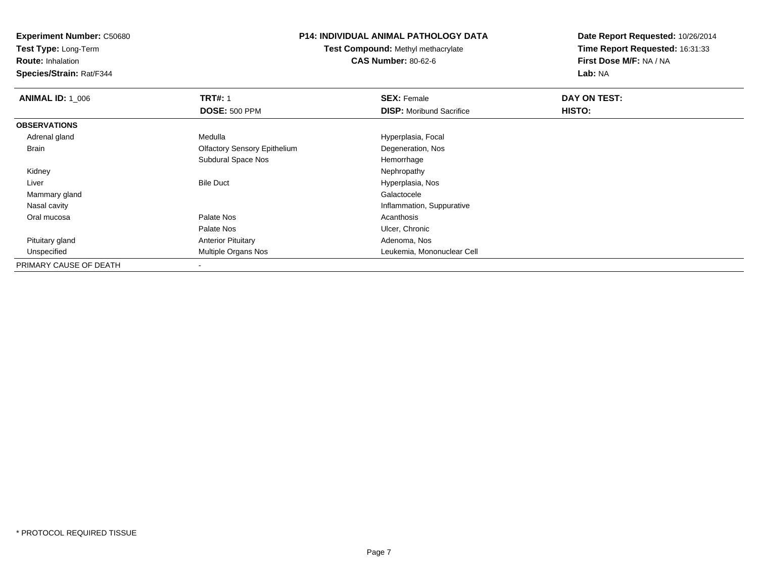**Test Type:** Long-Term

**Route:** Inhalation

**Species/Strain:** Rat/F344

### **P14: INDIVIDUAL ANIMAL PATHOLOGY DATA**

**Test Compound:** Methyl methacrylate**CAS Number:** 80-62-6

| <b>ANIMAL ID: 1 006</b> | <b>TRT#: 1</b>                      | <b>SEX: Female</b>              | DAY ON TEST: |  |
|-------------------------|-------------------------------------|---------------------------------|--------------|--|
|                         | <b>DOSE: 500 PPM</b>                | <b>DISP:</b> Moribund Sacrifice | HISTO:       |  |
| <b>OBSERVATIONS</b>     |                                     |                                 |              |  |
| Adrenal gland           | Medulla                             | Hyperplasia, Focal              |              |  |
| Brain                   | <b>Olfactory Sensory Epithelium</b> | Degeneration, Nos               |              |  |
|                         | Subdural Space Nos                  | Hemorrhage                      |              |  |
| Kidney                  |                                     | Nephropathy                     |              |  |
| Liver                   | <b>Bile Duct</b>                    | Hyperplasia, Nos                |              |  |
| Mammary gland           |                                     | Galactocele                     |              |  |
| Nasal cavity            |                                     | Inflammation, Suppurative       |              |  |
| Oral mucosa             | Palate Nos                          | Acanthosis                      |              |  |
|                         | Palate Nos                          | Ulcer, Chronic                  |              |  |
| Pituitary gland         | <b>Anterior Pituitary</b>           | Adenoma, Nos                    |              |  |
| Unspecified             | Multiple Organs Nos                 | Leukemia, Mononuclear Cell      |              |  |
| PRIMARY CAUSE OF DEATH  | $\,$                                |                                 |              |  |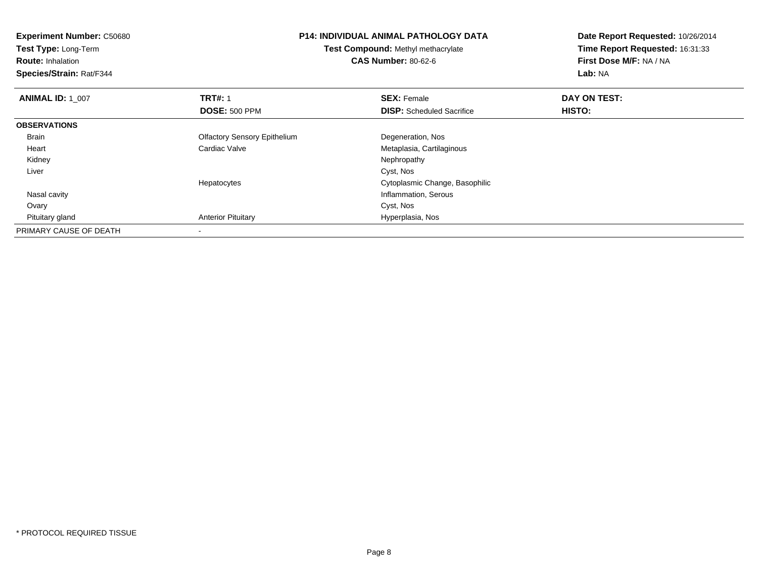| <b>Experiment Number: C50680</b> | <b>P14: INDIVIDUAL ANIMAL PATHOLOGY DATA</b><br>Test Compound: Methyl methacrylate |                                  | Date Report Requested: 10/26/2014 |
|----------------------------------|------------------------------------------------------------------------------------|----------------------------------|-----------------------------------|
| Test Type: Long-Term             |                                                                                    |                                  | Time Report Requested: 16:31:33   |
| <b>Route: Inhalation</b>         |                                                                                    | <b>CAS Number: 80-62-6</b>       | First Dose M/F: NA / NA           |
| Species/Strain: Rat/F344         |                                                                                    |                                  | Lab: NA                           |
| <b>ANIMAL ID: 1 007</b>          | <b>TRT#: 1</b>                                                                     | <b>SEX: Female</b>               | DAY ON TEST:                      |
|                                  | <b>DOSE: 500 PPM</b>                                                               | <b>DISP:</b> Scheduled Sacrifice | HISTO:                            |
| <b>OBSERVATIONS</b>              |                                                                                    |                                  |                                   |
| <b>Brain</b>                     | <b>Olfactory Sensory Epithelium</b>                                                | Degeneration, Nos                |                                   |
| Heart                            | Cardiac Valve                                                                      | Metaplasia, Cartilaginous        |                                   |
| Kidney                           |                                                                                    | Nephropathy                      |                                   |
| Liver                            |                                                                                    | Cyst, Nos                        |                                   |
|                                  | Hepatocytes                                                                        | Cytoplasmic Change, Basophilic   |                                   |
| Nasal cavity                     |                                                                                    | Inflammation, Serous             |                                   |
| Ovary                            |                                                                                    | Cyst, Nos                        |                                   |
| Pituitary gland                  | <b>Anterior Pituitary</b>                                                          | Hyperplasia, Nos                 |                                   |
| PRIMARY CAUSE OF DEATH           |                                                                                    |                                  |                                   |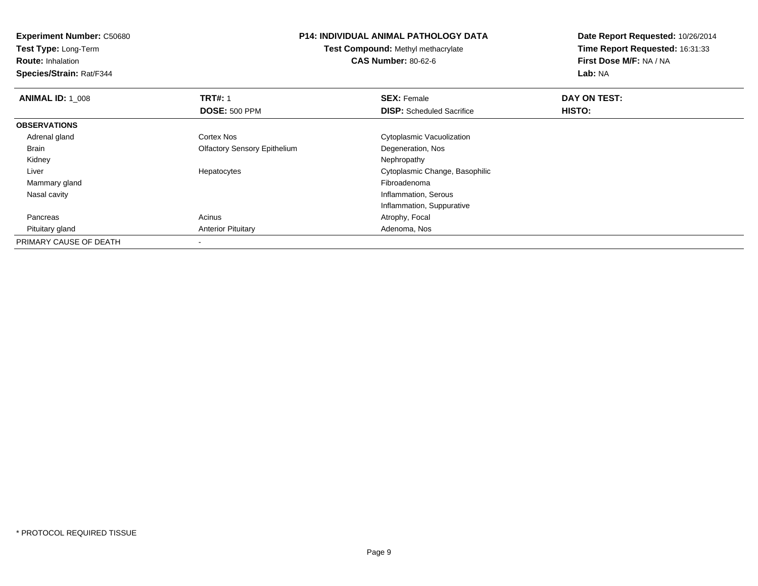**Experiment Number:** C50680**Test Type:** Long-Term**Route:** Inhalation **Species/Strain:** Rat/F344**P14: INDIVIDUAL ANIMAL PATHOLOGY DATATest Compound:** Methyl methacrylate**CAS Number:** 80-62-6**Date Report Requested:** 10/26/2014**Time Report Requested:** 16:31:33**First Dose M/F:** NA / NA**Lab:** NA**ANIMAL ID: 1\_008 REX:** Female **DAY ON TEST: CONSIST: SEX:** Female **DAY ON TEST: DOSE:** 500 PPM**DISP:** Scheduled Sacrifice **HISTO: OBSERVATIONS** Adrenal glandCortex Nos **Cytoplasmic Vacuolization**  Brain Olfactory Sensory EpitheliumDegeneration, Nos<br>Nephropathy Kidneyy the control of the control of the control of the control of the control of the control of the control of the control of the control of the control of the control of the control of the control of the control of the contro Liver Hepatocytes Cytoplasmic Change, Basophilic Mammary glandd and the control of the control of the control of the control of the control of the control of the control of the control of the control of the control of the control of the control of the control of the control of the co Nasal cavity Inflammation, Serous Inflammation, Suppurative PancreasAcinus **Acinus** Atrophy, Focal Pituitary glandAnterior Pituitary **Adenoma, Nos** Adenoma, Nos PRIMARY CAUSE OF DEATH-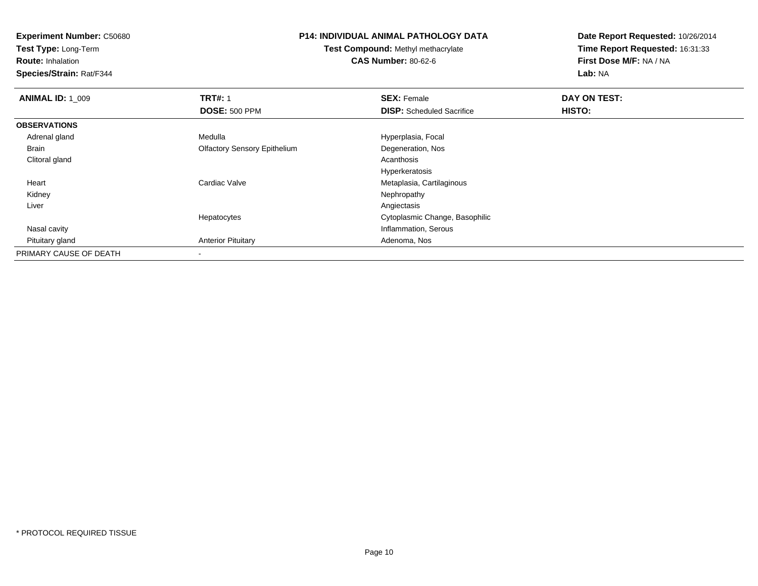**Test Type:** Long-Term

**Route:** Inhalation

**Species/Strain:** Rat/F344

### **P14: INDIVIDUAL ANIMAL PATHOLOGY DATA**

**Test Compound:** Methyl methacrylate**CAS Number:** 80-62-6

| <b>ANIMAL ID: 1 009</b> | <b>TRT#: 1</b>                      | <b>SEX: Female</b>               | DAY ON TEST: |  |
|-------------------------|-------------------------------------|----------------------------------|--------------|--|
|                         | <b>DOSE: 500 PPM</b>                | <b>DISP:</b> Scheduled Sacrifice | HISTO:       |  |
| <b>OBSERVATIONS</b>     |                                     |                                  |              |  |
| Adrenal gland           | Medulla                             | Hyperplasia, Focal               |              |  |
| Brain                   | <b>Olfactory Sensory Epithelium</b> | Degeneration, Nos                |              |  |
| Clitoral gland          |                                     | Acanthosis                       |              |  |
|                         |                                     | Hyperkeratosis                   |              |  |
| Heart                   | Cardiac Valve                       | Metaplasia, Cartilaginous        |              |  |
| Kidney                  |                                     | Nephropathy                      |              |  |
| Liver                   |                                     | Angiectasis                      |              |  |
|                         | Hepatocytes                         | Cytoplasmic Change, Basophilic   |              |  |
| Nasal cavity            |                                     | Inflammation, Serous             |              |  |
| Pituitary gland         | <b>Anterior Pituitary</b>           | Adenoma, Nos                     |              |  |
| PRIMARY CAUSE OF DEATH  |                                     |                                  |              |  |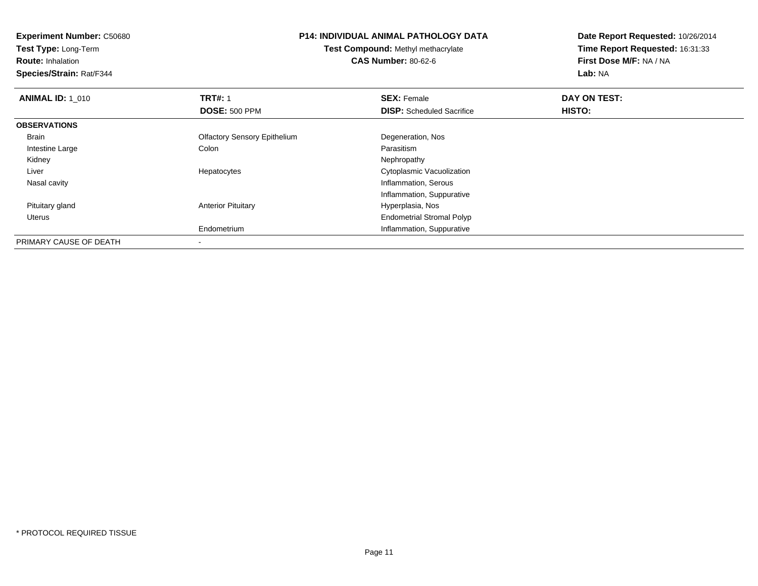**Experiment Number:** C50680**Test Type:** Long-Term**Route:** Inhalation **Species/Strain:** Rat/F344**P14: INDIVIDUAL ANIMAL PATHOLOGY DATATest Compound:** Methyl methacrylate**CAS Number:** 80-62-6**Date Report Requested:** 10/26/2014**Time Report Requested:** 16:31:33**First Dose M/F:** NA / NA**Lab:** NA**ANIMAL ID: 1\_010 C TRT#:** 1 **SEX:** Female **DAY ON TEST: DOSE:** 500 PPM**DISP:** Scheduled Sacrifice **HISTO: OBSERVATIONS** Brain Olfactory Sensory EpitheliumDegeneration, Nos<br>Parasitism Intestine Largee and the Colon Colon Colon Colon and the Parasitism Nephropathy Kidneyy the control of the control of the control of the control of the control of the control of the control of the control of the control of the control of the control of the control of the control of the control of the contro Liver Hepatocytes Cytoplasmic Vacuolization Nasal cavity Inflammation, Serous Inflammation, Suppurative Pituitary glandAnterior Pituitary **Material Executive Contracts** Hyperplasia, Nos Uterus Endometrial Stromal Polypm<br> **Inflammation, Suppurative** Endometrium

PRIMARY CAUSE OF DEATH-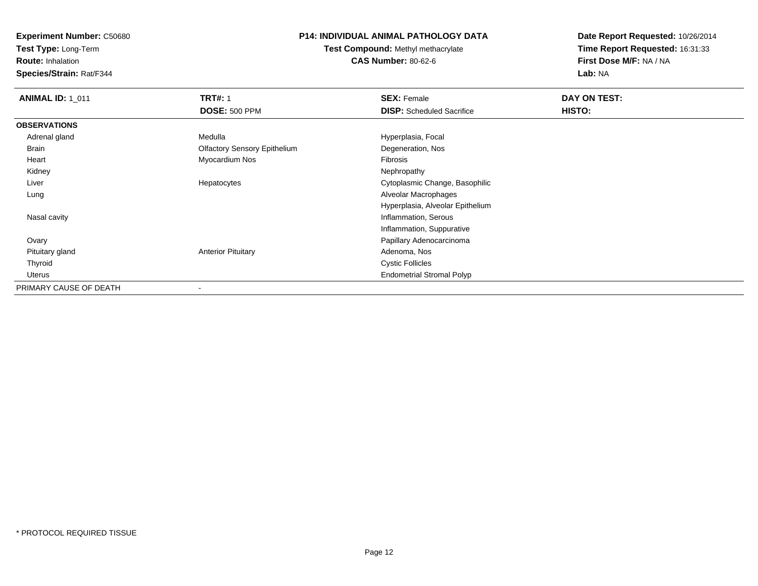**Test Type:** Long-Term

**Route:** Inhalation

**Species/Strain:** Rat/F344

# **P14: INDIVIDUAL ANIMAL PATHOLOGY DATA**

**Test Compound:** Methyl methacrylate**CAS Number:** 80-62-6

| <b>ANIMAL ID: 1_011</b> | <b>TRT#: 1</b>                      | <b>SEX: Female</b>               | DAY ON TEST: |  |
|-------------------------|-------------------------------------|----------------------------------|--------------|--|
|                         | <b>DOSE: 500 PPM</b>                | <b>DISP:</b> Scheduled Sacrifice | HISTO:       |  |
| <b>OBSERVATIONS</b>     |                                     |                                  |              |  |
| Adrenal gland           | Medulla                             | Hyperplasia, Focal               |              |  |
| Brain                   | <b>Olfactory Sensory Epithelium</b> | Degeneration, Nos                |              |  |
| Heart                   | Myocardium Nos                      | Fibrosis                         |              |  |
| Kidney                  |                                     | Nephropathy                      |              |  |
| Liver                   | Hepatocytes                         | Cytoplasmic Change, Basophilic   |              |  |
| Lung                    |                                     | Alveolar Macrophages             |              |  |
|                         |                                     | Hyperplasia, Alveolar Epithelium |              |  |
| Nasal cavity            |                                     | Inflammation, Serous             |              |  |
|                         |                                     | Inflammation, Suppurative        |              |  |
| Ovary                   |                                     | Papillary Adenocarcinoma         |              |  |
| Pituitary gland         | <b>Anterior Pituitary</b>           | Adenoma, Nos                     |              |  |
| Thyroid                 |                                     | <b>Cystic Follicles</b>          |              |  |
| Uterus                  |                                     | <b>Endometrial Stromal Polyp</b> |              |  |
| PRIMARY CAUSE OF DEATH  |                                     |                                  |              |  |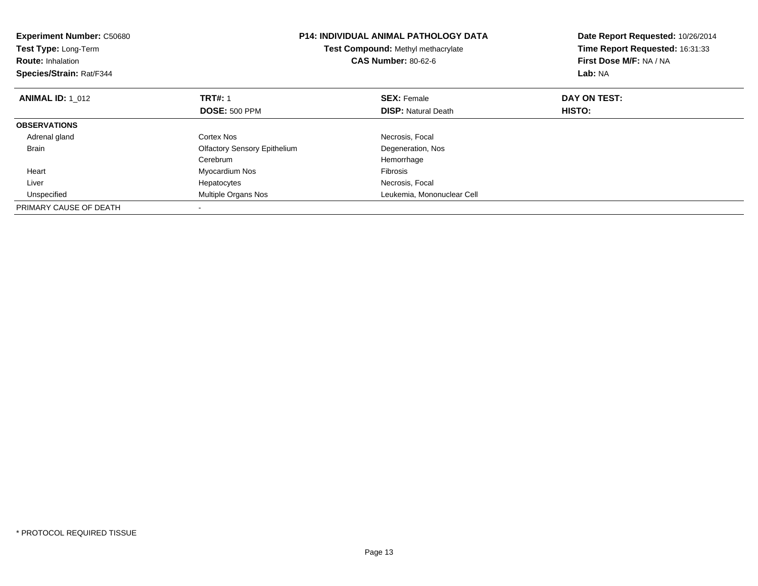| <b>Experiment Number: C50680</b><br><b>Test Type: Long-Term</b><br><b>Route: Inhalation</b><br>Species/Strain: Rat/F344 |                                     | <b>P14: INDIVIDUAL ANIMAL PATHOLOGY DATA</b><br>Test Compound: Methyl methacrylate<br><b>CAS Number: 80-62-6</b> | Date Report Requested: 10/26/2014<br>Time Report Requested: 16:31:33<br>First Dose M/F: NA / NA<br>Lab: NA |
|-------------------------------------------------------------------------------------------------------------------------|-------------------------------------|------------------------------------------------------------------------------------------------------------------|------------------------------------------------------------------------------------------------------------|
| <b>ANIMAL ID: 1 012</b>                                                                                                 | <b>TRT#: 1</b>                      | <b>SEX: Female</b>                                                                                               | DAY ON TEST:                                                                                               |
|                                                                                                                         | <b>DOSE: 500 PPM</b>                | <b>DISP:</b> Natural Death                                                                                       | <b>HISTO:</b>                                                                                              |
| <b>OBSERVATIONS</b>                                                                                                     |                                     |                                                                                                                  |                                                                                                            |
| Adrenal gland                                                                                                           | Cortex Nos                          | Necrosis, Focal                                                                                                  |                                                                                                            |
| <b>Brain</b>                                                                                                            | <b>Olfactory Sensory Epithelium</b> | Degeneration, Nos                                                                                                |                                                                                                            |
|                                                                                                                         | Cerebrum                            | Hemorrhage                                                                                                       |                                                                                                            |
| Heart                                                                                                                   | Myocardium Nos                      | <b>Fibrosis</b>                                                                                                  |                                                                                                            |
| Liver                                                                                                                   | Hepatocytes                         | Necrosis, Focal                                                                                                  |                                                                                                            |
| Unspecified                                                                                                             | Multiple Organs Nos                 | Leukemia, Mononuclear Cell                                                                                       |                                                                                                            |
| PRIMARY CAUSE OF DEATH                                                                                                  |                                     |                                                                                                                  |                                                                                                            |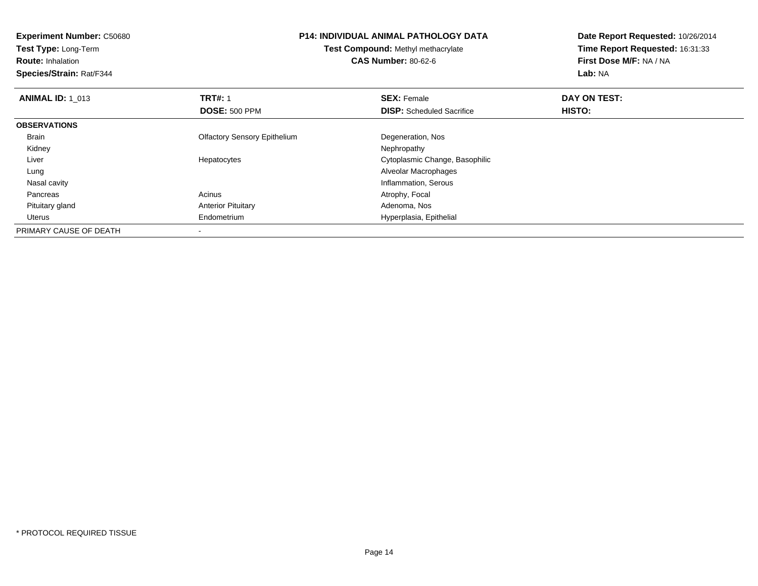| <b>Experiment Number: C50680</b> | <b>P14: INDIVIDUAL ANIMAL PATHOLOGY DATA</b> |                                    | Date Report Requested: 10/26/2014 |
|----------------------------------|----------------------------------------------|------------------------------------|-----------------------------------|
| Test Type: Long-Term             |                                              | Test Compound: Methyl methacrylate | Time Report Requested: 16:31:33   |
| <b>Route: Inhalation</b>         |                                              | <b>CAS Number: 80-62-6</b>         | First Dose M/F: NA / NA           |
| Species/Strain: Rat/F344         |                                              |                                    | Lab: NA                           |
| <b>ANIMAL ID: 1 013</b>          | <b>TRT#: 1</b>                               | <b>SEX: Female</b>                 | DAY ON TEST:                      |
|                                  | <b>DOSE: 500 PPM</b>                         | <b>DISP:</b> Scheduled Sacrifice   | HISTO:                            |
| <b>OBSERVATIONS</b>              |                                              |                                    |                                   |
| Brain                            | <b>Olfactory Sensory Epithelium</b>          | Degeneration, Nos                  |                                   |
| Kidney                           |                                              | Nephropathy                        |                                   |
| Liver                            | Hepatocytes                                  | Cytoplasmic Change, Basophilic     |                                   |
| Lung                             |                                              | Alveolar Macrophages               |                                   |
| Nasal cavity                     |                                              | Inflammation, Serous               |                                   |
| Pancreas                         | Acinus                                       | Atrophy, Focal                     |                                   |
| Pituitary gland                  | <b>Anterior Pituitary</b>                    | Adenoma, Nos                       |                                   |
| Uterus                           | Endometrium                                  | Hyperplasia, Epithelial            |                                   |
| PRIMARY CAUSE OF DEATH           |                                              |                                    |                                   |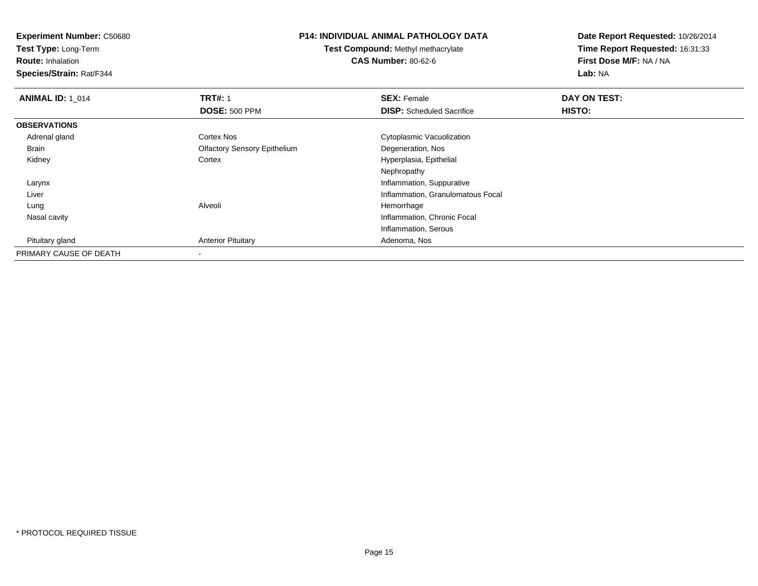**Experiment Number:** C50680**Test Type:** Long-Term**Route:** Inhalation **Species/Strain:** Rat/F344**P14: INDIVIDUAL ANIMAL PATHOLOGY DATATest Compound:** Methyl methacrylate**CAS Number:** 80-62-6**Date Report Requested:** 10/26/2014**Time Report Requested:** 16:31:33**First Dose M/F:** NA / NA**Lab:** NA**ANIMAL ID: 1\_014 TRT#:** 1 **SEX:** Female **DAY ON TEST: DOSE:** 500 PPM**DISP:** Scheduled Sacrifice **HISTO: OBSERVATIONS** Adrenal glandCortex Nos **Cytoplasmic Vacuolization**  Brain Olfactory Sensory Epithelium Degeneration, Nos KidneyHyperplasia, Epithelial Nephropathy**Inflammation, Suppurative**  Larynx Inflammation, Granulomatous Focal Liver Lung Alveoli Hemorrhage Nasal cavity Inflammation, Chronic Focal Inflammation, Serous Pituitary glandAnterior Pituitary **Adenoma, Nos** Adenoma, Nos PRIMARY CAUSE OF DEATH-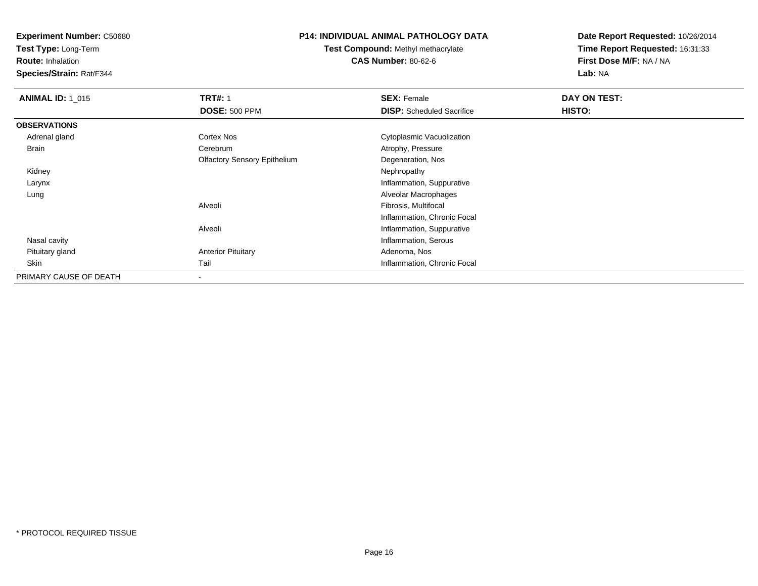**Test Type:** Long-Term

**Route:** Inhalation

**Species/Strain:** Rat/F344

# **P14: INDIVIDUAL ANIMAL PATHOLOGY DATA**

**Test Compound:** Methyl methacrylate**CAS Number:** 80-62-6

| <b>ANIMAL ID: 1_015</b> | <b>TRT#: 1</b>                      | <b>SEX: Female</b>               | DAY ON TEST: |  |
|-------------------------|-------------------------------------|----------------------------------|--------------|--|
|                         | <b>DOSE: 500 PPM</b>                | <b>DISP:</b> Scheduled Sacrifice | HISTO:       |  |
| <b>OBSERVATIONS</b>     |                                     |                                  |              |  |
| Adrenal gland           | Cortex Nos                          | Cytoplasmic Vacuolization        |              |  |
| <b>Brain</b>            | Cerebrum                            | Atrophy, Pressure                |              |  |
|                         | <b>Olfactory Sensory Epithelium</b> | Degeneration, Nos                |              |  |
| Kidney                  |                                     | Nephropathy                      |              |  |
| Larynx                  |                                     | Inflammation, Suppurative        |              |  |
| Lung                    |                                     | Alveolar Macrophages             |              |  |
|                         | Alveoli                             | Fibrosis, Multifocal             |              |  |
|                         |                                     | Inflammation, Chronic Focal      |              |  |
|                         | Alveoli                             | Inflammation, Suppurative        |              |  |
| Nasal cavity            |                                     | Inflammation, Serous             |              |  |
| Pituitary gland         | <b>Anterior Pituitary</b>           | Adenoma, Nos                     |              |  |
| Skin                    | Tail                                | Inflammation, Chronic Focal      |              |  |
| PRIMARY CAUSE OF DEATH  |                                     |                                  |              |  |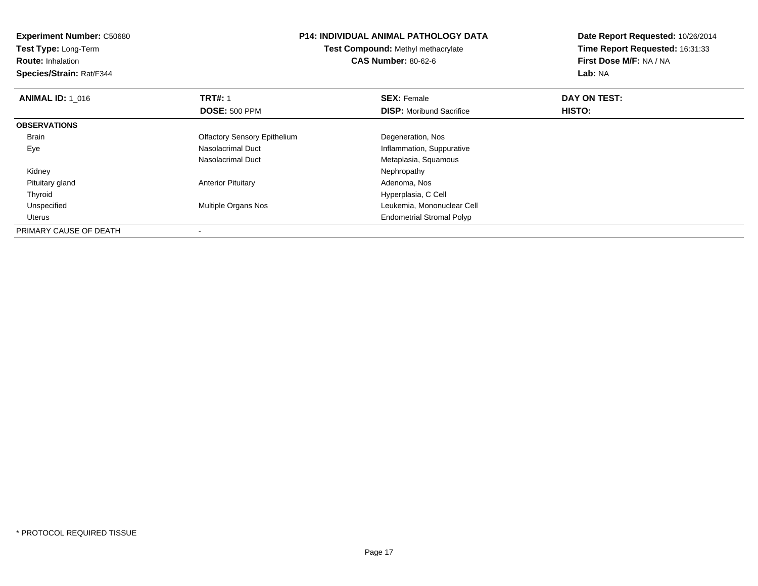| <b>Experiment Number: C50680</b> | <b>P14: INDIVIDUAL ANIMAL PATHOLOGY DATA</b><br>Test Compound: Methyl methacrylate |                                  | Date Report Requested: 10/26/2014 |
|----------------------------------|------------------------------------------------------------------------------------|----------------------------------|-----------------------------------|
| Test Type: Long-Term             |                                                                                    |                                  | Time Report Requested: 16:31:33   |
| <b>Route: Inhalation</b>         |                                                                                    | <b>CAS Number: 80-62-6</b>       | First Dose M/F: NA / NA           |
| Species/Strain: Rat/F344         |                                                                                    |                                  | Lab: NA                           |
| <b>ANIMAL ID: 1 016</b>          | <b>TRT#: 1</b>                                                                     | <b>SEX: Female</b>               | DAY ON TEST:                      |
|                                  | <b>DOSE: 500 PPM</b>                                                               | <b>DISP:</b> Moribund Sacrifice  | HISTO:                            |
| <b>OBSERVATIONS</b>              |                                                                                    |                                  |                                   |
| Brain                            | <b>Olfactory Sensory Epithelium</b>                                                | Degeneration, Nos                |                                   |
| Eye                              | Nasolacrimal Duct                                                                  | Inflammation, Suppurative        |                                   |
|                                  | Nasolacrimal Duct                                                                  | Metaplasia, Squamous             |                                   |
| Kidney                           |                                                                                    | Nephropathy                      |                                   |
| Pituitary gland                  | <b>Anterior Pituitary</b>                                                          | Adenoma, Nos                     |                                   |
| Thyroid                          |                                                                                    | Hyperplasia, C Cell              |                                   |
| Unspecified                      | Multiple Organs Nos                                                                | Leukemia, Mononuclear Cell       |                                   |
| Uterus                           |                                                                                    | <b>Endometrial Stromal Polyp</b> |                                   |
| PRIMARY CAUSE OF DEATH           |                                                                                    |                                  |                                   |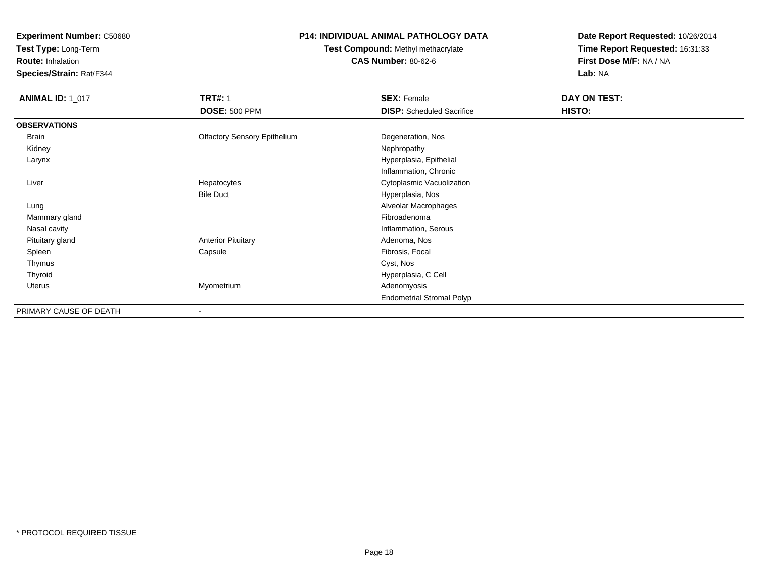**Test Type:** Long-Term

**Route:** Inhalation

**Species/Strain:** Rat/F344

# **P14: INDIVIDUAL ANIMAL PATHOLOGY DATA**

# **Test Compound:** Methyl methacrylate**CAS Number:** 80-62-6

| <b>ANIMAL ID: 1_017</b> | <b>TRT#: 1</b>                      | <b>SEX: Female</b>               | DAY ON TEST: |
|-------------------------|-------------------------------------|----------------------------------|--------------|
|                         | <b>DOSE: 500 PPM</b>                | <b>DISP:</b> Scheduled Sacrifice | HISTO:       |
| <b>OBSERVATIONS</b>     |                                     |                                  |              |
| <b>Brain</b>            | <b>Olfactory Sensory Epithelium</b> | Degeneration, Nos                |              |
| Kidney                  |                                     | Nephropathy                      |              |
| Larynx                  |                                     | Hyperplasia, Epithelial          |              |
|                         |                                     | Inflammation, Chronic            |              |
| Liver                   | Hepatocytes                         | Cytoplasmic Vacuolization        |              |
|                         | <b>Bile Duct</b>                    | Hyperplasia, Nos                 |              |
| Lung                    |                                     | Alveolar Macrophages             |              |
| Mammary gland           |                                     | Fibroadenoma                     |              |
| Nasal cavity            |                                     | Inflammation, Serous             |              |
| Pituitary gland         | <b>Anterior Pituitary</b>           | Adenoma, Nos                     |              |
| Spleen                  | Capsule                             | Fibrosis, Focal                  |              |
| Thymus                  |                                     | Cyst, Nos                        |              |
| Thyroid                 |                                     | Hyperplasia, C Cell              |              |
| Uterus                  | Myometrium                          | Adenomyosis                      |              |
|                         |                                     | <b>Endometrial Stromal Polyp</b> |              |
| PRIMARY CAUSE OF DEATH  | $\overline{\phantom{a}}$            |                                  |              |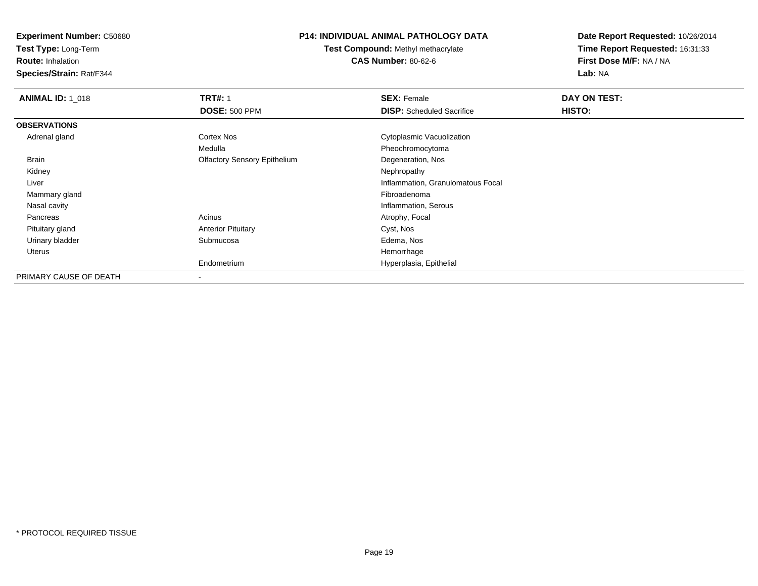**Test Type:** Long-Term

**Route:** Inhalation

**Species/Strain:** Rat/F344

### **P14: INDIVIDUAL ANIMAL PATHOLOGY DATA**

**Test Compound:** Methyl methacrylate**CAS Number:** 80-62-6

| <b>ANIMAL ID: 1 018</b> | <b>TRT#: 1</b>                      | <b>SEX: Female</b>                | DAY ON TEST: |  |
|-------------------------|-------------------------------------|-----------------------------------|--------------|--|
|                         | <b>DOSE: 500 PPM</b>                | <b>DISP:</b> Scheduled Sacrifice  | HISTO:       |  |
| <b>OBSERVATIONS</b>     |                                     |                                   |              |  |
| Adrenal gland           | Cortex Nos                          | Cytoplasmic Vacuolization         |              |  |
|                         | Medulla                             | Pheochromocytoma                  |              |  |
| Brain                   | <b>Olfactory Sensory Epithelium</b> | Degeneration, Nos                 |              |  |
| Kidney                  |                                     | Nephropathy                       |              |  |
| Liver                   |                                     | Inflammation, Granulomatous Focal |              |  |
| Mammary gland           |                                     | Fibroadenoma                      |              |  |
| Nasal cavity            |                                     | Inflammation, Serous              |              |  |
| Pancreas                | Acinus                              | Atrophy, Focal                    |              |  |
| Pituitary gland         | <b>Anterior Pituitary</b>           | Cyst, Nos                         |              |  |
| Urinary bladder         | Submucosa                           | Edema, Nos                        |              |  |
| Uterus                  |                                     | Hemorrhage                        |              |  |
|                         | Endometrium                         | Hyperplasia, Epithelial           |              |  |
| PRIMARY CAUSE OF DEATH  |                                     |                                   |              |  |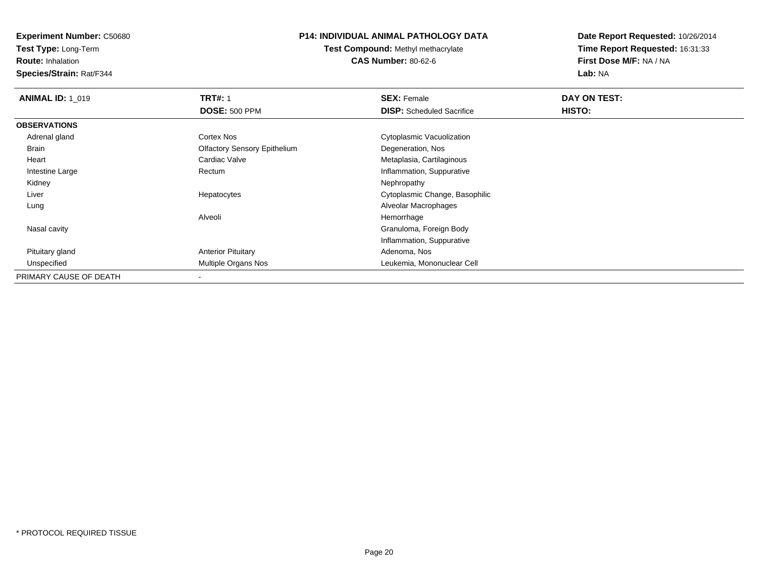**Test Type:** Long-Term

**Route:** Inhalation

**Species/Strain:** Rat/F344

# **P14: INDIVIDUAL ANIMAL PATHOLOGY DATA**

**Test Compound:** Methyl methacrylate**CAS Number:** 80-62-6

| <b>ANIMAL ID: 1 019</b> | <b>TRT#: 1</b>                      | <b>SEX: Female</b>               | DAY ON TEST: |  |
|-------------------------|-------------------------------------|----------------------------------|--------------|--|
|                         | <b>DOSE: 500 PPM</b>                | <b>DISP:</b> Scheduled Sacrifice | HISTO:       |  |
| <b>OBSERVATIONS</b>     |                                     |                                  |              |  |
| Adrenal gland           | Cortex Nos                          | Cytoplasmic Vacuolization        |              |  |
| Brain                   | <b>Olfactory Sensory Epithelium</b> | Degeneration, Nos                |              |  |
| Heart                   | Cardiac Valve                       | Metaplasia, Cartilaginous        |              |  |
| Intestine Large         | Rectum                              | Inflammation, Suppurative        |              |  |
| Kidney                  |                                     | Nephropathy                      |              |  |
| Liver                   | Hepatocytes                         | Cytoplasmic Change, Basophilic   |              |  |
| Lung                    |                                     | Alveolar Macrophages             |              |  |
|                         | Alveoli                             | Hemorrhage                       |              |  |
| Nasal cavity            |                                     | Granuloma, Foreign Body          |              |  |
|                         |                                     | Inflammation, Suppurative        |              |  |
| Pituitary gland         | <b>Anterior Pituitary</b>           | Adenoma, Nos                     |              |  |
| Unspecified             | Multiple Organs Nos                 | Leukemia, Mononuclear Cell       |              |  |
| PRIMARY CAUSE OF DEATH  |                                     |                                  |              |  |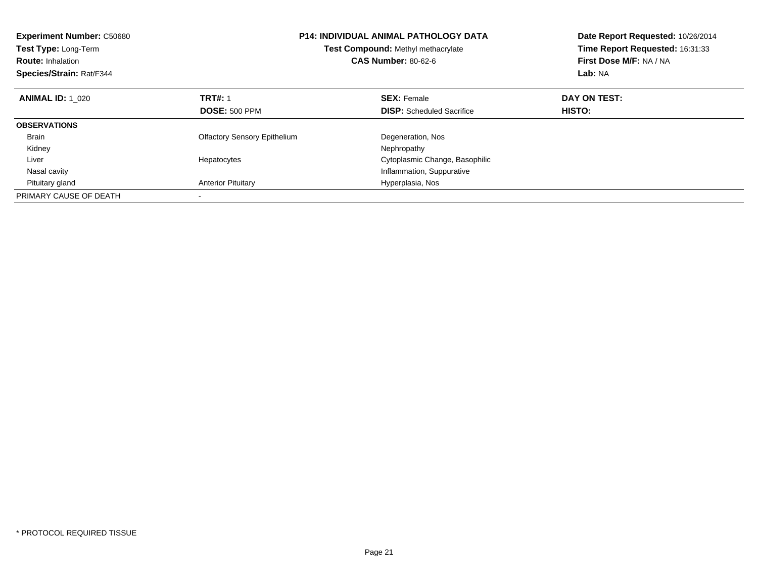| <b>Experiment Number: C50680</b><br>Test Type: Long-Term<br><b>Route: Inhalation</b><br>Species/Strain: Rat/F344 |                                     | <b>P14: INDIVIDUAL ANIMAL PATHOLOGY DATA</b><br>Test Compound: Methyl methacrylate<br><b>CAS Number: 80-62-6</b> | Date Report Requested: 10/26/2014<br>Time Report Requested: 16:31:33<br>First Dose M/F: NA / NA<br><b>Lab: NA</b> |
|------------------------------------------------------------------------------------------------------------------|-------------------------------------|------------------------------------------------------------------------------------------------------------------|-------------------------------------------------------------------------------------------------------------------|
| <b>ANIMAL ID: 1_020</b>                                                                                          | <b>TRT#: 1</b>                      | <b>SEX: Female</b>                                                                                               | DAY ON TEST:                                                                                                      |
|                                                                                                                  | <b>DOSE: 500 PPM</b>                | <b>DISP:</b> Scheduled Sacrifice                                                                                 | HISTO:                                                                                                            |
| <b>OBSERVATIONS</b>                                                                                              |                                     |                                                                                                                  |                                                                                                                   |
| <b>Brain</b>                                                                                                     | <b>Olfactory Sensory Epithelium</b> | Degeneration, Nos                                                                                                |                                                                                                                   |
| Kidney                                                                                                           |                                     | Nephropathy                                                                                                      |                                                                                                                   |
| Liver                                                                                                            | Hepatocytes                         | Cytoplasmic Change, Basophilic                                                                                   |                                                                                                                   |
| Nasal cavity                                                                                                     |                                     | Inflammation, Suppurative                                                                                        |                                                                                                                   |
| Pituitary gland                                                                                                  | <b>Anterior Pituitary</b>           | Hyperplasia, Nos                                                                                                 |                                                                                                                   |
| PRIMARY CAUSE OF DEATH                                                                                           |                                     |                                                                                                                  |                                                                                                                   |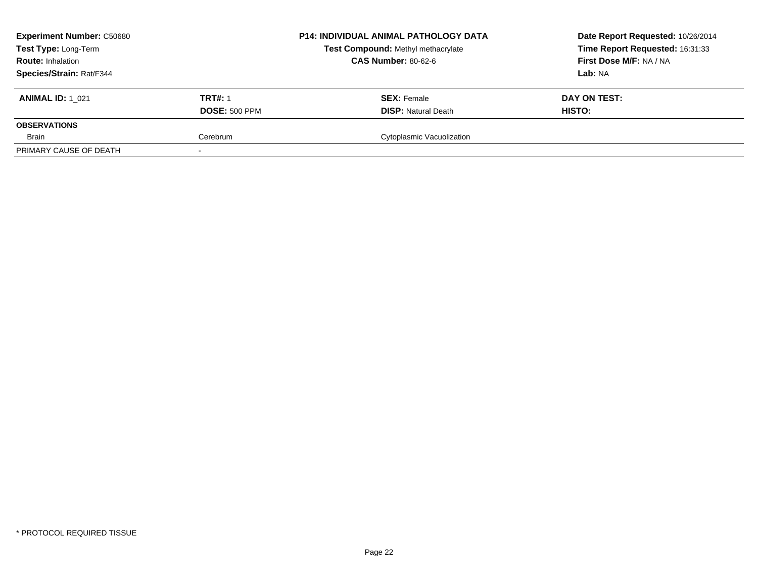| <b>Experiment Number: C50680</b><br>Test Type: Long-Term<br><b>Route: Inhalation</b> |                      | <b>P14: INDIVIDUAL ANIMAL PATHOLOGY DATA</b> | Date Report Requested: 10/26/2014 |  |
|--------------------------------------------------------------------------------------|----------------------|----------------------------------------------|-----------------------------------|--|
|                                                                                      |                      | Test Compound: Methyl methacrylate           | Time Report Requested: 16:31:33   |  |
|                                                                                      |                      | <b>CAS Number: 80-62-6</b>                   | First Dose M/F: NA / NA           |  |
| <b>Species/Strain: Rat/F344</b>                                                      |                      |                                              | Lab: NA                           |  |
| <b>ANIMAL ID: 1 021</b>                                                              | <b>TRT#: 1</b>       | <b>SEX: Female</b>                           | DAY ON TEST:                      |  |
|                                                                                      | <b>DOSE: 500 PPM</b> | <b>DISP: Natural Death</b>                   | HISTO:                            |  |
| <b>OBSERVATIONS</b>                                                                  |                      |                                              |                                   |  |
| Brain                                                                                | Cerebrum             | Cytoplasmic Vacuolization                    |                                   |  |
| PRIMARY CAUSE OF DEATH                                                               |                      |                                              |                                   |  |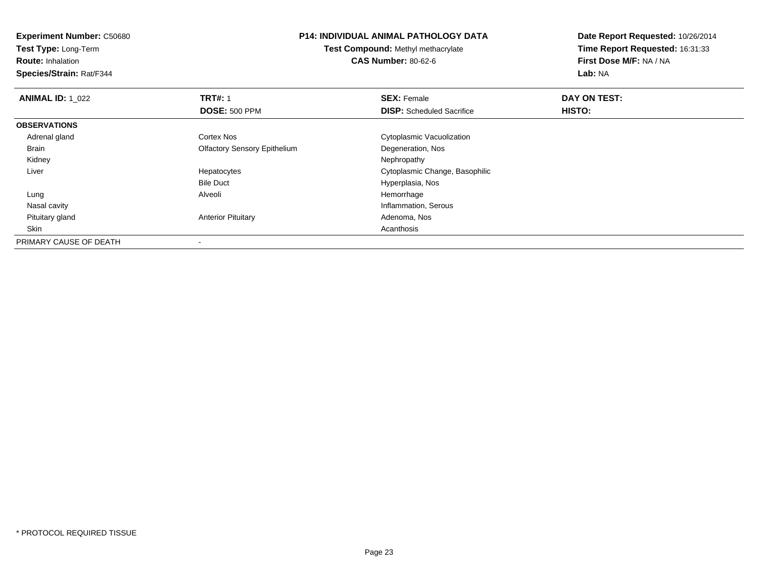**Experiment Number:** C50680**Test Type:** Long-Term**Route:** Inhalation **Species/Strain:** Rat/F344**P14: INDIVIDUAL ANIMAL PATHOLOGY DATATest Compound:** Methyl methacrylate**CAS Number:** 80-62-6**Date Report Requested:** 10/26/2014**Time Report Requested:** 16:31:33**First Dose M/F:** NA / NA**Lab:** NA**ANIMAL ID: 1\_022 TRT#:** 1 **SEX:** Female **DAY ON TEST: DOSE:** 500 PPM**DISP:** Scheduled Sacrifice **HISTO: OBSERVATIONS** Adrenal glandCortex Nos **Cytoplasmic Vacuolization**  Brain Olfactory Sensory EpitheliumDegeneration, Nos<br>Nephropathy Kidneyy the control of the control of the control of the control of the control of the control of the control of the control of the control of the control of the control of the control of the control of the control of the contro Liver Hepatocytes Cytoplasmic Change, Basophilic Bile Duct Hyperplasia, Nos Lung Alveoli Hemorrhage Nasal cavity Inflammation, Serous Pituitary glandAnterior Pituitary **Adenoma, Nos** Adenoma, Nos Skinn and a control of the control of the control of the control of the control of the control of the control of the control of the control of the control of the control of the control of the control of the control of the cont PRIMARY CAUSE OF DEATH-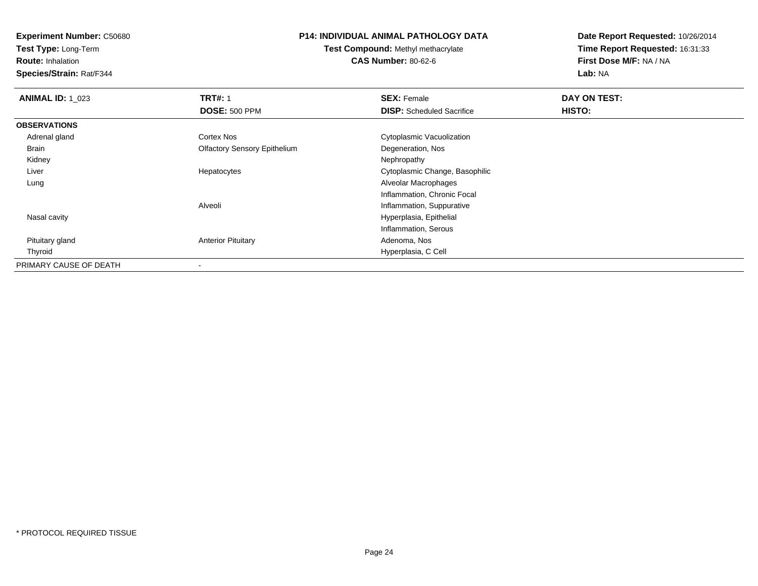**Test Type:** Long-Term

**Route:** Inhalation

**Species/Strain:** Rat/F344

### **P14: INDIVIDUAL ANIMAL PATHOLOGY DATA**

**Test Compound:** Methyl methacrylate**CAS Number:** 80-62-6

| <b>ANIMAL ID: 1_023</b> | <b>TRT#: 1</b>                      | <b>SEX: Female</b>               | DAY ON TEST: |
|-------------------------|-------------------------------------|----------------------------------|--------------|
|                         | <b>DOSE: 500 PPM</b>                | <b>DISP:</b> Scheduled Sacrifice | HISTO:       |
| <b>OBSERVATIONS</b>     |                                     |                                  |              |
| Adrenal gland           | Cortex Nos                          | Cytoplasmic Vacuolization        |              |
| Brain                   | <b>Olfactory Sensory Epithelium</b> | Degeneration, Nos                |              |
| Kidney                  |                                     | Nephropathy                      |              |
| Liver                   | Hepatocytes                         | Cytoplasmic Change, Basophilic   |              |
| Lung                    |                                     | Alveolar Macrophages             |              |
|                         |                                     | Inflammation, Chronic Focal      |              |
|                         | Alveoli                             | Inflammation, Suppurative        |              |
| Nasal cavity            |                                     | Hyperplasia, Epithelial          |              |
|                         |                                     | Inflammation, Serous             |              |
| Pituitary gland         | <b>Anterior Pituitary</b>           | Adenoma, Nos                     |              |
| Thyroid                 |                                     | Hyperplasia, C Cell              |              |
| PRIMARY CAUSE OF DEATH  |                                     |                                  |              |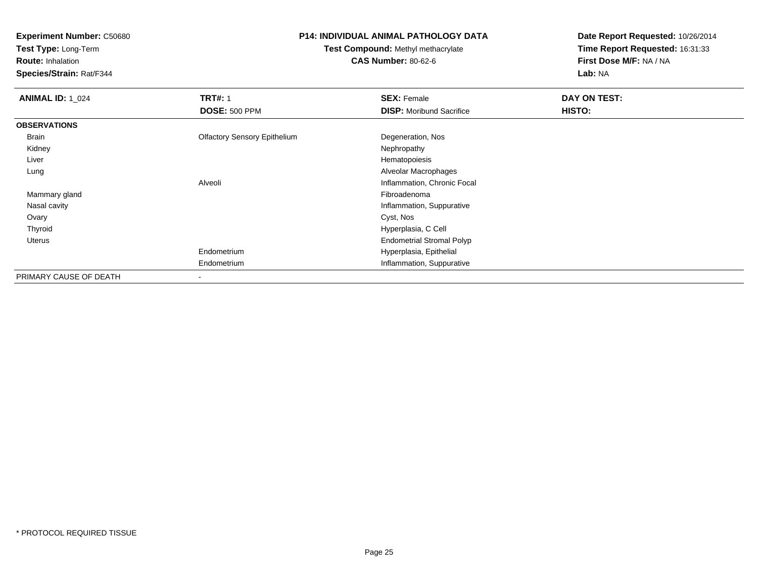**Test Type:** Long-Term

**Route:** Inhalation

**Species/Strain:** Rat/F344

# **P14: INDIVIDUAL ANIMAL PATHOLOGY DATA**

**Test Compound:** Methyl methacrylate**CAS Number:** 80-62-6

| <b>ANIMAL ID: 1_024</b> | <b>TRT#: 1</b>                      | <b>SEX: Female</b>               | DAY ON TEST: |
|-------------------------|-------------------------------------|----------------------------------|--------------|
|                         | <b>DOSE: 500 PPM</b>                | <b>DISP:</b> Moribund Sacrifice  | HISTO:       |
| <b>OBSERVATIONS</b>     |                                     |                                  |              |
| Brain                   | <b>Olfactory Sensory Epithelium</b> | Degeneration, Nos                |              |
| Kidney                  |                                     | Nephropathy                      |              |
| Liver                   |                                     | Hematopoiesis                    |              |
| Lung                    |                                     | Alveolar Macrophages             |              |
|                         | Alveoli                             | Inflammation, Chronic Focal      |              |
| Mammary gland           |                                     | Fibroadenoma                     |              |
| Nasal cavity            |                                     | Inflammation, Suppurative        |              |
| Ovary                   |                                     | Cyst, Nos                        |              |
| Thyroid                 |                                     | Hyperplasia, C Cell              |              |
| Uterus                  |                                     | <b>Endometrial Stromal Polyp</b> |              |
|                         | Endometrium                         | Hyperplasia, Epithelial          |              |
|                         | Endometrium                         | Inflammation, Suppurative        |              |
| PRIMARY CAUSE OF DEATH  |                                     |                                  |              |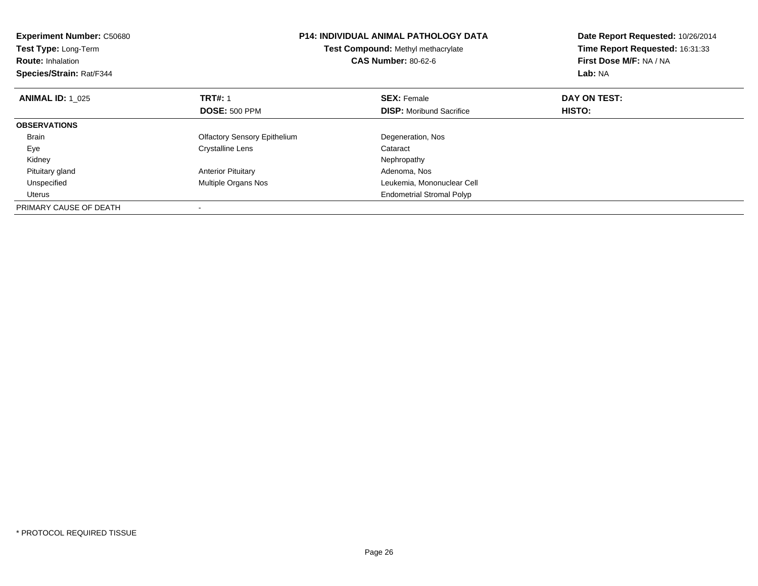| <b>Experiment Number: C50680</b><br>Test Type: Long-Term<br><b>Route: Inhalation</b><br>Species/Strain: Rat/F344 |                                     | <b>P14: INDIVIDUAL ANIMAL PATHOLOGY DATA</b><br><b>Test Compound: Methyl methacrylate</b><br><b>CAS Number: 80-62-6</b> | Date Report Requested: 10/26/2014<br>Time Report Requested: 16:31:33<br>First Dose M/F: NA / NA<br>Lab: NA |
|------------------------------------------------------------------------------------------------------------------|-------------------------------------|-------------------------------------------------------------------------------------------------------------------------|------------------------------------------------------------------------------------------------------------|
| <b>ANIMAL ID: 1 025</b>                                                                                          | <b>TRT#: 1</b>                      | <b>SEX: Female</b>                                                                                                      | DAY ON TEST:                                                                                               |
|                                                                                                                  | <b>DOSE: 500 PPM</b>                | <b>DISP:</b> Moribund Sacrifice                                                                                         | <b>HISTO:</b>                                                                                              |
| <b>OBSERVATIONS</b>                                                                                              |                                     |                                                                                                                         |                                                                                                            |
| <b>Brain</b>                                                                                                     | <b>Olfactory Sensory Epithelium</b> | Degeneration, Nos                                                                                                       |                                                                                                            |
| Eye                                                                                                              | Crystalline Lens                    | Cataract                                                                                                                |                                                                                                            |
| Kidney                                                                                                           |                                     | Nephropathy                                                                                                             |                                                                                                            |
| Pituitary gland                                                                                                  | <b>Anterior Pituitary</b>           | Adenoma, Nos                                                                                                            |                                                                                                            |
| Unspecified                                                                                                      | Multiple Organs Nos                 | Leukemia, Mononuclear Cell                                                                                              |                                                                                                            |
| Uterus                                                                                                           |                                     | <b>Endometrial Stromal Polyp</b>                                                                                        |                                                                                                            |
| PRIMARY CAUSE OF DEATH                                                                                           |                                     |                                                                                                                         |                                                                                                            |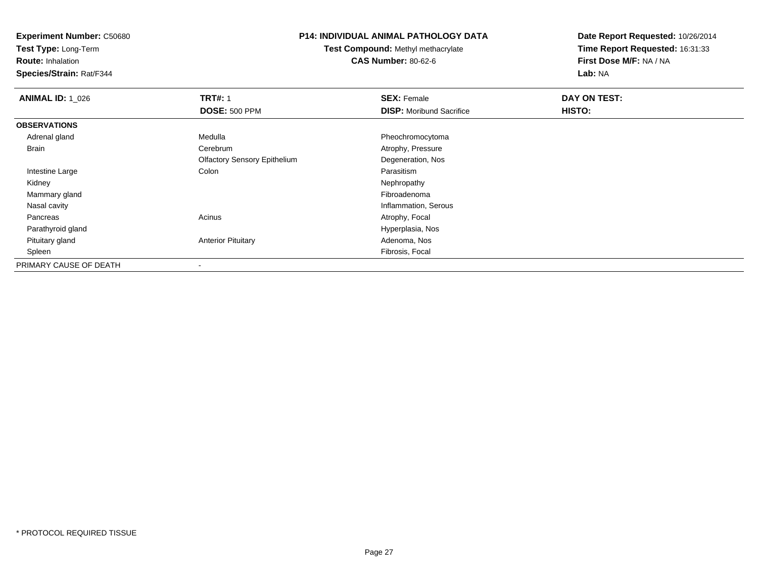**Test Type:** Long-Term

**Route:** Inhalation

**Species/Strain:** Rat/F344

# **P14: INDIVIDUAL ANIMAL PATHOLOGY DATA**

**Test Compound:** Methyl methacrylate**CAS Number:** 80-62-6

| <b>ANIMAL ID: 1 026</b> | <b>TRT#: 1</b>                      | <b>SEX: Female</b>              | DAY ON TEST: |  |
|-------------------------|-------------------------------------|---------------------------------|--------------|--|
|                         | <b>DOSE: 500 PPM</b>                | <b>DISP:</b> Moribund Sacrifice | HISTO:       |  |
| <b>OBSERVATIONS</b>     |                                     |                                 |              |  |
| Adrenal gland           | Medulla                             | Pheochromocytoma                |              |  |
| Brain                   | Cerebrum                            | Atrophy, Pressure               |              |  |
|                         | <b>Olfactory Sensory Epithelium</b> | Degeneration, Nos               |              |  |
| Intestine Large         | Colon                               | Parasitism                      |              |  |
| Kidney                  |                                     | Nephropathy                     |              |  |
| Mammary gland           |                                     | Fibroadenoma                    |              |  |
| Nasal cavity            |                                     | Inflammation, Serous            |              |  |
| Pancreas                | Acinus                              | Atrophy, Focal                  |              |  |
| Parathyroid gland       |                                     | Hyperplasia, Nos                |              |  |
| Pituitary gland         | <b>Anterior Pituitary</b>           | Adenoma, Nos                    |              |  |
| Spleen                  |                                     | Fibrosis, Focal                 |              |  |
| PRIMARY CAUSE OF DEATH  | $\,$ $\,$                           |                                 |              |  |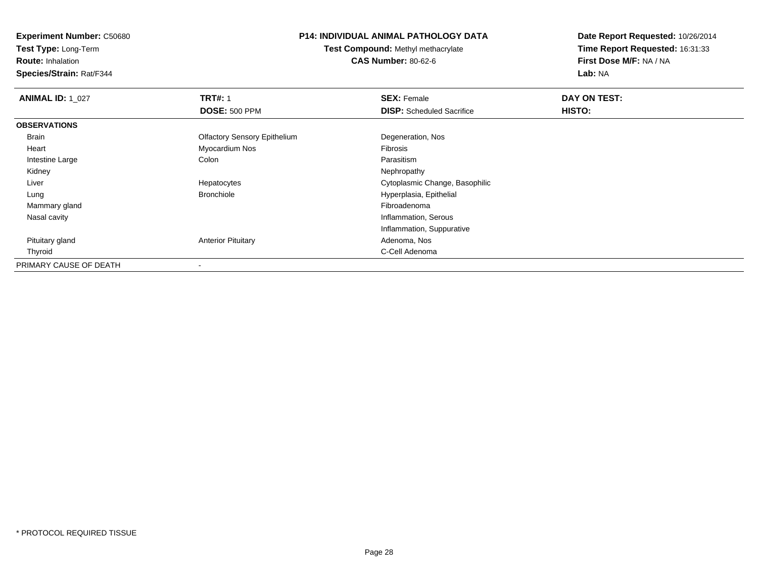**Test Type:** Long-Term

**Route:** Inhalation

**Species/Strain:** Rat/F344

# **P14: INDIVIDUAL ANIMAL PATHOLOGY DATA**

**Test Compound:** Methyl methacrylate**CAS Number:** 80-62-6

| <b>ANIMAL ID: 1_027</b> | <b>TRT#: 1</b>                      | <b>SEX: Female</b>               | DAY ON TEST: |  |
|-------------------------|-------------------------------------|----------------------------------|--------------|--|
|                         | <b>DOSE: 500 PPM</b>                | <b>DISP:</b> Scheduled Sacrifice | HISTO:       |  |
| <b>OBSERVATIONS</b>     |                                     |                                  |              |  |
| Brain                   | <b>Olfactory Sensory Epithelium</b> | Degeneration, Nos                |              |  |
| Heart                   | Myocardium Nos                      | Fibrosis                         |              |  |
| Intestine Large         | Colon                               | Parasitism                       |              |  |
| Kidney                  |                                     | Nephropathy                      |              |  |
| Liver                   | Hepatocytes                         | Cytoplasmic Change, Basophilic   |              |  |
| Lung                    | Bronchiole                          | Hyperplasia, Epithelial          |              |  |
| Mammary gland           |                                     | Fibroadenoma                     |              |  |
| Nasal cavity            |                                     | Inflammation, Serous             |              |  |
|                         |                                     | Inflammation, Suppurative        |              |  |
| Pituitary gland         | <b>Anterior Pituitary</b>           | Adenoma, Nos                     |              |  |
| Thyroid                 |                                     | C-Cell Adenoma                   |              |  |
| PRIMARY CAUSE OF DEATH  |                                     |                                  |              |  |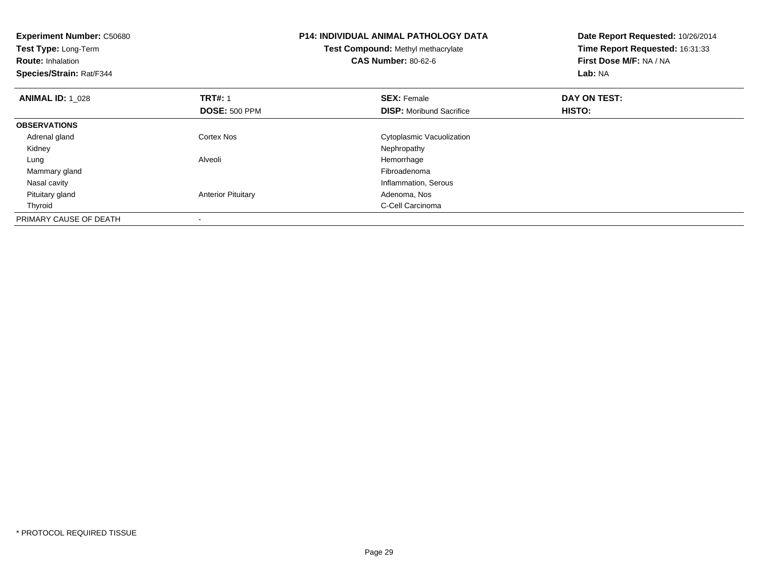| <b>Experiment Number: C50680</b><br>Test Type: Long-Term<br><b>Route: Inhalation</b><br>Species/Strain: Rat/F344 |                           | <b>P14: INDIVIDUAL ANIMAL PATHOLOGY DATA</b><br>Test Compound: Methyl methacrylate<br><b>CAS Number: 80-62-6</b> | Date Report Requested: 10/26/2014<br>Time Report Requested: 16:31:33<br>First Dose M/F: NA / NA<br>Lab: NA |
|------------------------------------------------------------------------------------------------------------------|---------------------------|------------------------------------------------------------------------------------------------------------------|------------------------------------------------------------------------------------------------------------|
| <b>ANIMAL ID: 1 028</b>                                                                                          | <b>TRT#: 1</b>            | <b>SEX: Female</b>                                                                                               | DAY ON TEST:                                                                                               |
|                                                                                                                  | <b>DOSE: 500 PPM</b>      | <b>DISP:</b> Moribund Sacrifice                                                                                  | HISTO:                                                                                                     |
| <b>OBSERVATIONS</b>                                                                                              |                           |                                                                                                                  |                                                                                                            |
| Adrenal gland                                                                                                    | Cortex Nos                | Cytoplasmic Vacuolization                                                                                        |                                                                                                            |
| Kidney                                                                                                           |                           | Nephropathy                                                                                                      |                                                                                                            |
| Lung                                                                                                             | Alveoli                   | Hemorrhage                                                                                                       |                                                                                                            |
| Mammary gland                                                                                                    |                           | Fibroadenoma                                                                                                     |                                                                                                            |
| Nasal cavity                                                                                                     |                           | Inflammation, Serous                                                                                             |                                                                                                            |
| Pituitary gland                                                                                                  | <b>Anterior Pituitary</b> | Adenoma, Nos                                                                                                     |                                                                                                            |
| Thyroid                                                                                                          |                           | C-Cell Carcinoma                                                                                                 |                                                                                                            |
| PRIMARY CAUSE OF DEATH                                                                                           |                           |                                                                                                                  |                                                                                                            |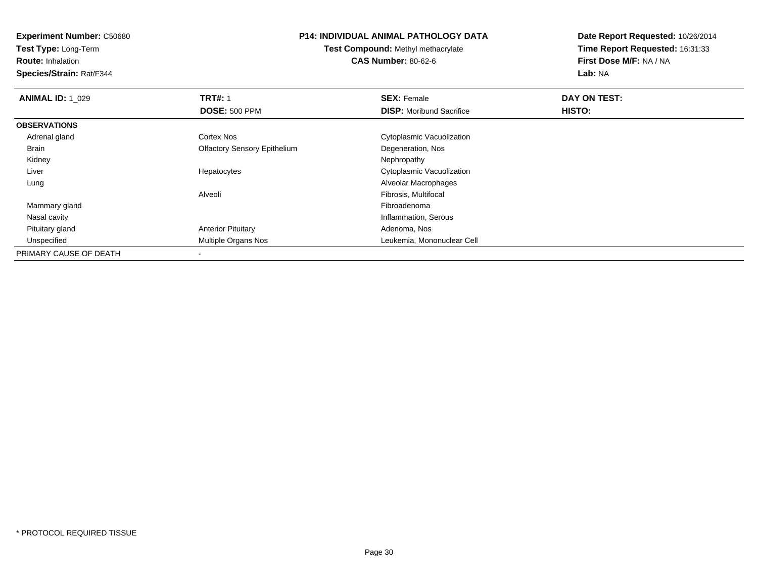**Test Type:** Long-Term

**Route:** Inhalation

**Species/Strain:** Rat/F344

### **P14: INDIVIDUAL ANIMAL PATHOLOGY DATA**

**Test Compound:** Methyl methacrylate**CAS Number:** 80-62-6

| <b>ANIMAL ID: 1 029</b> | <b>TRT#: 1</b>                      | <b>SEX: Female</b>              | DAY ON TEST: |  |
|-------------------------|-------------------------------------|---------------------------------|--------------|--|
|                         | <b>DOSE: 500 PPM</b>                | <b>DISP:</b> Moribund Sacrifice | HISTO:       |  |
| <b>OBSERVATIONS</b>     |                                     |                                 |              |  |
| Adrenal gland           | Cortex Nos                          | Cytoplasmic Vacuolization       |              |  |
| Brain                   | <b>Olfactory Sensory Epithelium</b> | Degeneration, Nos               |              |  |
| Kidney                  |                                     | Nephropathy                     |              |  |
| Liver                   | Hepatocytes                         | Cytoplasmic Vacuolization       |              |  |
| Lung                    |                                     | Alveolar Macrophages            |              |  |
|                         | Alveoli                             | Fibrosis, Multifocal            |              |  |
| Mammary gland           |                                     | Fibroadenoma                    |              |  |
| Nasal cavity            |                                     | Inflammation, Serous            |              |  |
| Pituitary gland         | <b>Anterior Pituitary</b>           | Adenoma, Nos                    |              |  |
| Unspecified             | Multiple Organs Nos                 | Leukemia, Mononuclear Cell      |              |  |
| PRIMARY CAUSE OF DEATH  |                                     |                                 |              |  |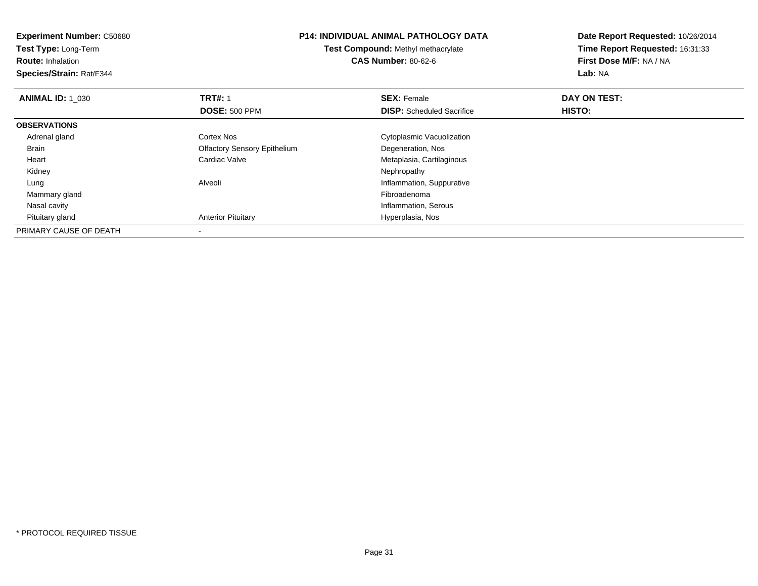| <b>Experiment Number: C50680</b> |                                     | <b>P14: INDIVIDUAL ANIMAL PATHOLOGY DATA</b> | Date Report Requested: 10/26/2014                          |  |
|----------------------------------|-------------------------------------|----------------------------------------------|------------------------------------------------------------|--|
| Test Type: Long-Term             |                                     | Test Compound: Methyl methacrylate           | Time Report Requested: 16:31:33<br>First Dose M/F: NA / NA |  |
| <b>Route: Inhalation</b>         |                                     | <b>CAS Number: 80-62-6</b>                   |                                                            |  |
| Species/Strain: Rat/F344         |                                     |                                              | Lab: NA                                                    |  |
| <b>ANIMAL ID: 1 030</b>          | <b>TRT#: 1</b>                      | <b>SEX: Female</b>                           | DAY ON TEST:                                               |  |
|                                  | <b>DOSE: 500 PPM</b>                | <b>DISP:</b> Scheduled Sacrifice             | HISTO:                                                     |  |
| <b>OBSERVATIONS</b>              |                                     |                                              |                                                            |  |
| Adrenal gland                    | Cortex Nos                          | Cytoplasmic Vacuolization                    |                                                            |  |
| Brain                            | <b>Olfactory Sensory Epithelium</b> | Degeneration, Nos                            |                                                            |  |
| Heart                            | Cardiac Valve                       | Metaplasia, Cartilaginous                    |                                                            |  |
| Kidney                           |                                     | Nephropathy                                  |                                                            |  |
| Lung                             | Alveoli                             | Inflammation, Suppurative                    |                                                            |  |
| Mammary gland                    |                                     | Fibroadenoma                                 |                                                            |  |
| Nasal cavity                     |                                     | Inflammation, Serous                         |                                                            |  |
| Pituitary gland                  | <b>Anterior Pituitary</b>           | Hyperplasia, Nos                             |                                                            |  |
| PRIMARY CAUSE OF DEATH           |                                     |                                              |                                                            |  |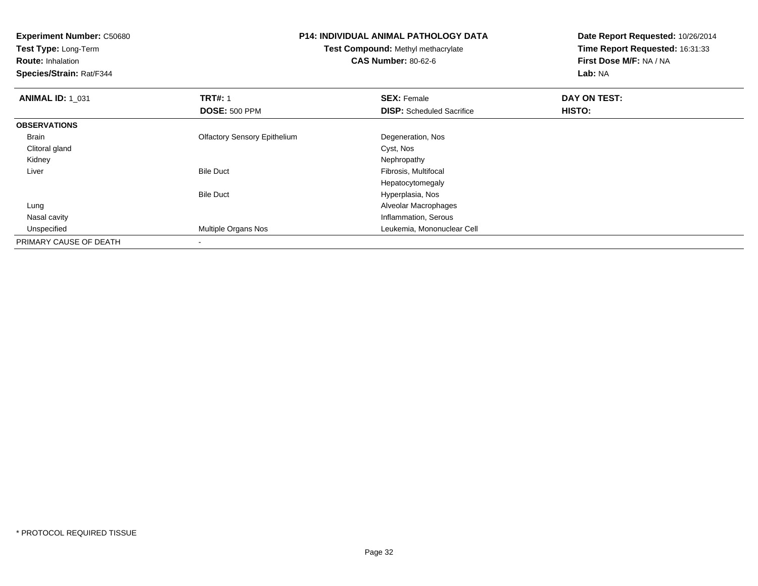| <b>Experiment Number: C50680</b><br>Test Type: Long-Term<br><b>Route: Inhalation</b><br>Species/Strain: Rat/F344 | <b>P14: INDIVIDUAL ANIMAL PATHOLOGY DATA</b><br>Test Compound: Methyl methacrylate<br><b>CAS Number: 80-62-6</b> |                                  | Date Report Requested: 10/26/2014<br>Time Report Requested: 16:31:33<br>First Dose M/F: NA / NA<br>Lab: NA |  |
|------------------------------------------------------------------------------------------------------------------|------------------------------------------------------------------------------------------------------------------|----------------------------------|------------------------------------------------------------------------------------------------------------|--|
| <b>ANIMAL ID: 1_031</b>                                                                                          | <b>TRT#: 1</b>                                                                                                   | <b>SEX: Female</b>               | DAY ON TEST:                                                                                               |  |
|                                                                                                                  | <b>DOSE: 500 PPM</b>                                                                                             | <b>DISP:</b> Scheduled Sacrifice | HISTO:                                                                                                     |  |
| <b>OBSERVATIONS</b>                                                                                              |                                                                                                                  |                                  |                                                                                                            |  |
| Brain                                                                                                            | <b>Olfactory Sensory Epithelium</b>                                                                              | Degeneration, Nos                |                                                                                                            |  |
| Clitoral gland                                                                                                   |                                                                                                                  | Cyst, Nos                        |                                                                                                            |  |
| Kidney                                                                                                           |                                                                                                                  | Nephropathy                      |                                                                                                            |  |
| Liver                                                                                                            | <b>Bile Duct</b>                                                                                                 | Fibrosis, Multifocal             |                                                                                                            |  |
|                                                                                                                  |                                                                                                                  | Hepatocytomegaly                 |                                                                                                            |  |
|                                                                                                                  | <b>Bile Duct</b>                                                                                                 | Hyperplasia, Nos                 |                                                                                                            |  |
| Lung                                                                                                             |                                                                                                                  | Alveolar Macrophages             |                                                                                                            |  |
| Nasal cavity                                                                                                     |                                                                                                                  | Inflammation, Serous             |                                                                                                            |  |
| Unspecified                                                                                                      | Multiple Organs Nos                                                                                              | Leukemia, Mononuclear Cell       |                                                                                                            |  |
| PRIMARY CAUSE OF DEATH                                                                                           |                                                                                                                  |                                  |                                                                                                            |  |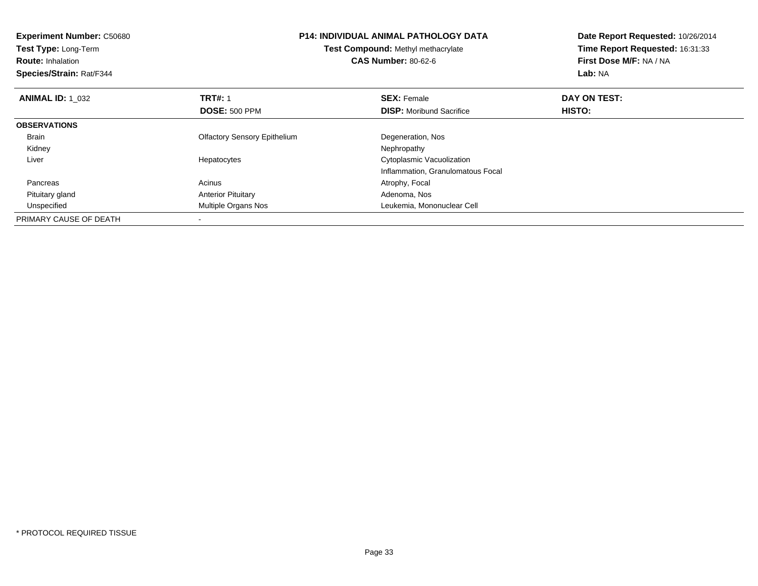| <b>Experiment Number: C50680</b><br>Test Type: Long-Term<br><b>Route: Inhalation</b><br>Species/Strain: Rat/F344 | <b>P14: INDIVIDUAL ANIMAL PATHOLOGY DATA</b><br>Test Compound: Methyl methacrylate<br><b>CAS Number: 80-62-6</b> |                                   | Date Report Requested: 10/26/2014<br>Time Report Requested: 16:31:33<br>First Dose M/F: NA / NA<br>Lab: NA |  |
|------------------------------------------------------------------------------------------------------------------|------------------------------------------------------------------------------------------------------------------|-----------------------------------|------------------------------------------------------------------------------------------------------------|--|
| <b>ANIMAL ID: 1 032</b>                                                                                          | <b>TRT#: 1</b>                                                                                                   | <b>SEX: Female</b>                | DAY ON TEST:                                                                                               |  |
|                                                                                                                  | <b>DOSE: 500 PPM</b>                                                                                             | <b>DISP:</b> Moribund Sacrifice   | HISTO:                                                                                                     |  |
| <b>OBSERVATIONS</b>                                                                                              |                                                                                                                  |                                   |                                                                                                            |  |
| Brain                                                                                                            | <b>Olfactory Sensory Epithelium</b>                                                                              | Degeneration, Nos                 |                                                                                                            |  |
| Kidney                                                                                                           |                                                                                                                  | Nephropathy                       |                                                                                                            |  |
| Liver                                                                                                            | Hepatocytes                                                                                                      | Cytoplasmic Vacuolization         |                                                                                                            |  |
|                                                                                                                  |                                                                                                                  | Inflammation, Granulomatous Focal |                                                                                                            |  |
| Pancreas                                                                                                         | Acinus                                                                                                           | Atrophy, Focal                    |                                                                                                            |  |
| Pituitary gland                                                                                                  | <b>Anterior Pituitary</b>                                                                                        | Adenoma, Nos                      |                                                                                                            |  |
| Unspecified                                                                                                      | <b>Multiple Organs Nos</b>                                                                                       | Leukemia, Mononuclear Cell        |                                                                                                            |  |
| PRIMARY CAUSE OF DEATH                                                                                           |                                                                                                                  |                                   |                                                                                                            |  |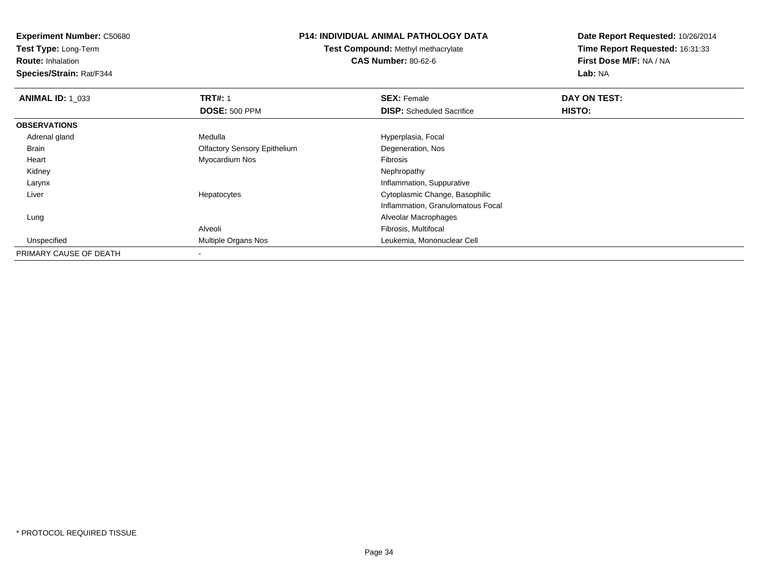**Experiment Number:** C50680**Test Type:** Long-Term**Route:** Inhalation **Species/Strain:** Rat/F344**P14: INDIVIDUAL ANIMAL PATHOLOGY DATATest Compound:** Methyl methacrylate**CAS Number:** 80-62-6**Date Report Requested:** 10/26/2014**Time Report Requested:** 16:31:33**First Dose M/F:** NA / NA**Lab:** NA**ANIMAL ID: 1\_033 TRT#:** 1 **SEX:** Female **DAY ON TEST: DOSE:** 500 PPM**DISP:** Scheduled Sacrifice **HISTO: OBSERVATIONS** Adrenal glandMedulla **Manuel Accord Medulla** Hyperplasia, Focal Brain Olfactory Sensory Epithelium Degeneration, Nos Heart Myocardium Nos Fibrosis Kidneyy the control of the control of the control of the control of the control of the control of the control of the control of the control of the control of the control of the control of the control of the control of the contro Larynx Inflammation, Suppuratives Cytoplasmic Change, Basophilic Liver HepatocytesInflammation, Granulomatous Focal Lung Alveolar Macrophages Alveoli Fibrosis, Multifocal Unspecified Multiple Organs Nos Leukemia, Mononuclear Cell PRIMARY CAUSE OF DEATH

-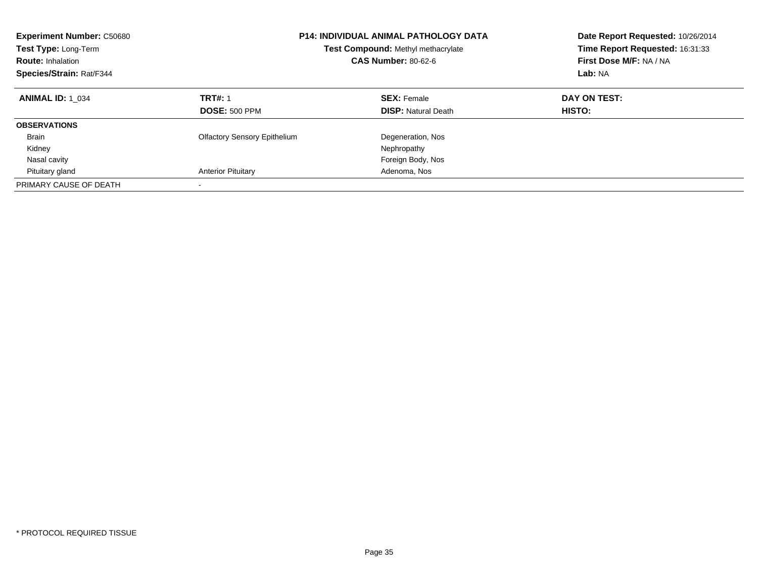| <b>Experiment Number: C50680</b><br><b>Test Type: Long-Term</b><br><b>Route: Inhalation</b><br>Species/Strain: Rat/F344 | <b>P14: INDIVIDUAL ANIMAL PATHOLOGY DATA</b><br>Test Compound: Methyl methacrylate<br><b>CAS Number: 80-62-6</b> |                                                  | Date Report Requested: 10/26/2014<br>Time Report Requested: 16:31:33<br>First Dose M/F: NA / NA<br>Lab: NA |  |
|-------------------------------------------------------------------------------------------------------------------------|------------------------------------------------------------------------------------------------------------------|--------------------------------------------------|------------------------------------------------------------------------------------------------------------|--|
| <b>ANIMAL ID: 1 034</b>                                                                                                 | <b>TRT#: 1</b><br><b>DOSE: 500 PPM</b>                                                                           | <b>SEX: Female</b><br><b>DISP: Natural Death</b> | DAY ON TEST:<br>HISTO:                                                                                     |  |
| <b>OBSERVATIONS</b>                                                                                                     |                                                                                                                  |                                                  |                                                                                                            |  |
| <b>Brain</b>                                                                                                            | <b>Olfactory Sensory Epithelium</b>                                                                              | Degeneration, Nos                                |                                                                                                            |  |
| Kidney                                                                                                                  |                                                                                                                  | Nephropathy                                      |                                                                                                            |  |
| Nasal cavity                                                                                                            |                                                                                                                  | Foreign Body, Nos                                |                                                                                                            |  |
| Pituitary gland                                                                                                         | <b>Anterior Pituitary</b>                                                                                        | Adenoma, Nos                                     |                                                                                                            |  |
| PRIMARY CAUSE OF DEATH                                                                                                  |                                                                                                                  |                                                  |                                                                                                            |  |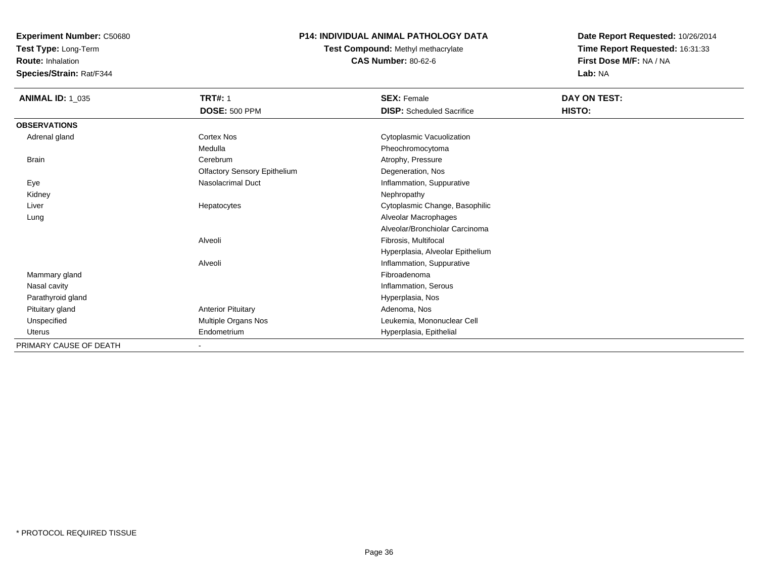**Test Type:** Long-Term

**Route:** Inhalation

**Species/Strain:** Rat/F344

# **P14: INDIVIDUAL ANIMAL PATHOLOGY DATA**

**Test Compound:** Methyl methacrylate**CAS Number:** 80-62-6

| <b>ANIMAL ID: 1_035</b> | <b>TRT#: 1</b><br><b>DOSE: 500 PPM</b> | <b>SEX: Female</b><br><b>DISP:</b> Scheduled Sacrifice | DAY ON TEST:<br>HISTO: |
|-------------------------|----------------------------------------|--------------------------------------------------------|------------------------|
| <b>OBSERVATIONS</b>     |                                        |                                                        |                        |
| Adrenal gland           | Cortex Nos                             | Cytoplasmic Vacuolization                              |                        |
|                         | Medulla                                | Pheochromocytoma                                       |                        |
| Brain                   | Cerebrum                               | Atrophy, Pressure                                      |                        |
|                         | <b>Olfactory Sensory Epithelium</b>    | Degeneration, Nos                                      |                        |
| Eye                     | <b>Nasolacrimal Duct</b>               | Inflammation, Suppurative                              |                        |
| Kidney                  |                                        | Nephropathy                                            |                        |
| Liver                   | Hepatocytes                            | Cytoplasmic Change, Basophilic                         |                        |
| Lung                    |                                        | Alveolar Macrophages                                   |                        |
|                         |                                        | Alveolar/Bronchiolar Carcinoma                         |                        |
|                         | Alveoli                                | Fibrosis, Multifocal                                   |                        |
|                         |                                        | Hyperplasia, Alveolar Epithelium                       |                        |
|                         | Alveoli                                | Inflammation, Suppurative                              |                        |
| Mammary gland           |                                        | Fibroadenoma                                           |                        |
| Nasal cavity            |                                        | Inflammation, Serous                                   |                        |
| Parathyroid gland       |                                        | Hyperplasia, Nos                                       |                        |
| Pituitary gland         | <b>Anterior Pituitary</b>              | Adenoma, Nos                                           |                        |
| Unspecified             | Multiple Organs Nos                    | Leukemia, Mononuclear Cell                             |                        |
| <b>Uterus</b>           | Endometrium                            | Hyperplasia, Epithelial                                |                        |
| PRIMARY CAUSE OF DEATH  |                                        |                                                        |                        |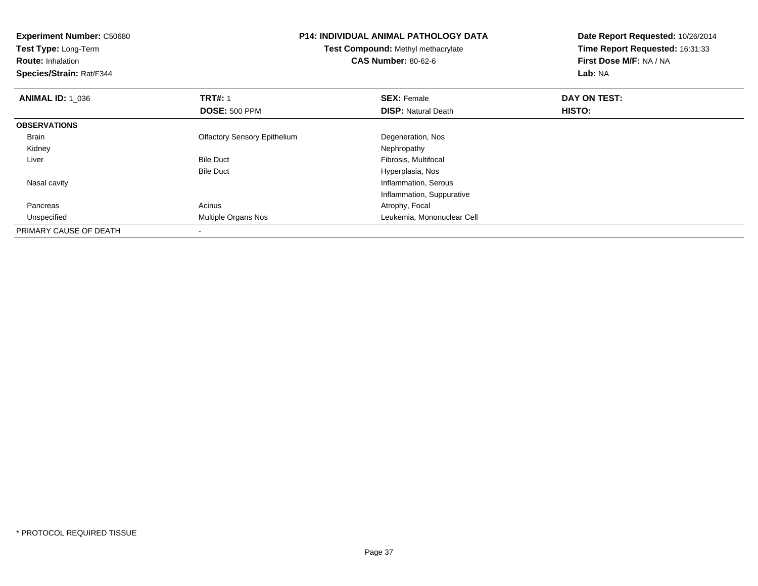| <b>Experiment Number: C50680</b><br>Test Type: Long-Term<br><b>Route: Inhalation</b><br>Species/Strain: Rat/F344 | <b>P14: INDIVIDUAL ANIMAL PATHOLOGY DATA</b><br><b>Test Compound: Methyl methacrylate</b><br><b>CAS Number: 80-62-6</b> |                            | Date Report Requested: 10/26/2014<br>Time Report Requested: 16:31:33<br>First Dose M/F: NA / NA<br>Lab: NA |  |
|------------------------------------------------------------------------------------------------------------------|-------------------------------------------------------------------------------------------------------------------------|----------------------------|------------------------------------------------------------------------------------------------------------|--|
| <b>ANIMAL ID: 1 036</b>                                                                                          | <b>TRT#: 1</b>                                                                                                          | <b>SEX: Female</b>         | DAY ON TEST:                                                                                               |  |
|                                                                                                                  | <b>DOSE: 500 PPM</b>                                                                                                    | <b>DISP:</b> Natural Death | <b>HISTO:</b>                                                                                              |  |
| <b>OBSERVATIONS</b>                                                                                              |                                                                                                                         |                            |                                                                                                            |  |
| Brain                                                                                                            | <b>Olfactory Sensory Epithelium</b>                                                                                     | Degeneration, Nos          |                                                                                                            |  |
| Kidney                                                                                                           |                                                                                                                         | Nephropathy                |                                                                                                            |  |
| Liver                                                                                                            | <b>Bile Duct</b>                                                                                                        | Fibrosis, Multifocal       |                                                                                                            |  |
|                                                                                                                  | <b>Bile Duct</b>                                                                                                        | Hyperplasia, Nos           |                                                                                                            |  |
| Nasal cavity                                                                                                     |                                                                                                                         | Inflammation, Serous       |                                                                                                            |  |
|                                                                                                                  |                                                                                                                         | Inflammation, Suppurative  |                                                                                                            |  |
| Pancreas                                                                                                         | Acinus                                                                                                                  | Atrophy, Focal             |                                                                                                            |  |
| Unspecified                                                                                                      | Multiple Organs Nos                                                                                                     | Leukemia, Mononuclear Cell |                                                                                                            |  |
| PRIMARY CAUSE OF DEATH                                                                                           |                                                                                                                         |                            |                                                                                                            |  |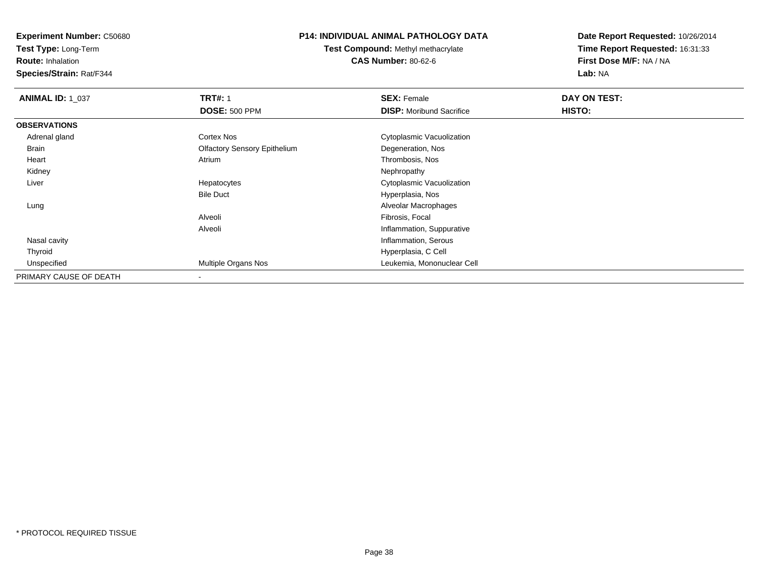**Test Type:** Long-Term

**Route:** Inhalation

**Species/Strain:** Rat/F344

# **P14: INDIVIDUAL ANIMAL PATHOLOGY DATA**

**Test Compound:** Methyl methacrylate**CAS Number:** 80-62-6

| <b>ANIMAL ID: 1 037</b> | <b>TRT#: 1</b>                      | <b>SEX: Female</b>              | DAY ON TEST: |  |
|-------------------------|-------------------------------------|---------------------------------|--------------|--|
|                         | <b>DOSE: 500 PPM</b>                | <b>DISP:</b> Moribund Sacrifice | HISTO:       |  |
| <b>OBSERVATIONS</b>     |                                     |                                 |              |  |
| Adrenal gland           | Cortex Nos                          | Cytoplasmic Vacuolization       |              |  |
| <b>Brain</b>            | <b>Olfactory Sensory Epithelium</b> | Degeneration, Nos               |              |  |
| Heart                   | Atrium                              | Thrombosis, Nos                 |              |  |
| Kidney                  |                                     | Nephropathy                     |              |  |
| Liver                   | Hepatocytes                         | Cytoplasmic Vacuolization       |              |  |
|                         | <b>Bile Duct</b>                    | Hyperplasia, Nos                |              |  |
| Lung                    |                                     | Alveolar Macrophages            |              |  |
|                         | Alveoli                             | Fibrosis, Focal                 |              |  |
|                         | Alveoli                             | Inflammation, Suppurative       |              |  |
| Nasal cavity            |                                     | Inflammation, Serous            |              |  |
| Thyroid                 |                                     | Hyperplasia, C Cell             |              |  |
| Unspecified             | Multiple Organs Nos                 | Leukemia, Mononuclear Cell      |              |  |
| PRIMARY CAUSE OF DEATH  |                                     |                                 |              |  |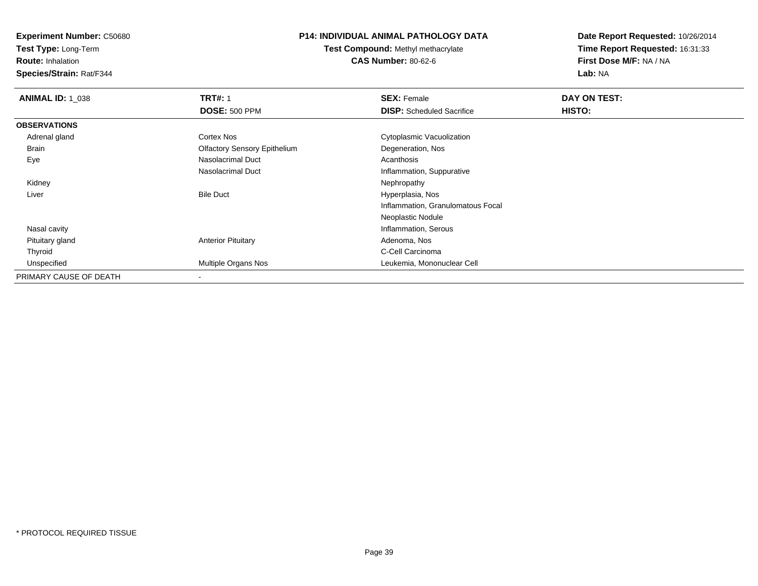**Test Type:** Long-Term

**Route:** Inhalation

**Species/Strain:** Rat/F344

# **P14: INDIVIDUAL ANIMAL PATHOLOGY DATA**

**Test Compound:** Methyl methacrylate**CAS Number:** 80-62-6

| <b>ANIMAL ID: 1_038</b> | <b>TRT#: 1</b>                      | <b>SEX: Female</b>                | DAY ON TEST: |  |
|-------------------------|-------------------------------------|-----------------------------------|--------------|--|
|                         | <b>DOSE: 500 PPM</b>                | <b>DISP:</b> Scheduled Sacrifice  | HISTO:       |  |
| <b>OBSERVATIONS</b>     |                                     |                                   |              |  |
| Adrenal gland           | Cortex Nos                          | Cytoplasmic Vacuolization         |              |  |
| Brain                   | <b>Olfactory Sensory Epithelium</b> | Degeneration, Nos                 |              |  |
| Eye                     | Nasolacrimal Duct                   | Acanthosis                        |              |  |
|                         | Nasolacrimal Duct                   | Inflammation, Suppurative         |              |  |
| Kidney                  |                                     | Nephropathy                       |              |  |
| Liver                   | <b>Bile Duct</b>                    | Hyperplasia, Nos                  |              |  |
|                         |                                     | Inflammation, Granulomatous Focal |              |  |
|                         |                                     | Neoplastic Nodule                 |              |  |
| Nasal cavity            |                                     | Inflammation, Serous              |              |  |
| Pituitary gland         | <b>Anterior Pituitary</b>           | Adenoma, Nos                      |              |  |
| Thyroid                 |                                     | C-Cell Carcinoma                  |              |  |
| Unspecified             | <b>Multiple Organs Nos</b>          | Leukemia, Mononuclear Cell        |              |  |
| PRIMARY CAUSE OF DEATH  |                                     |                                   |              |  |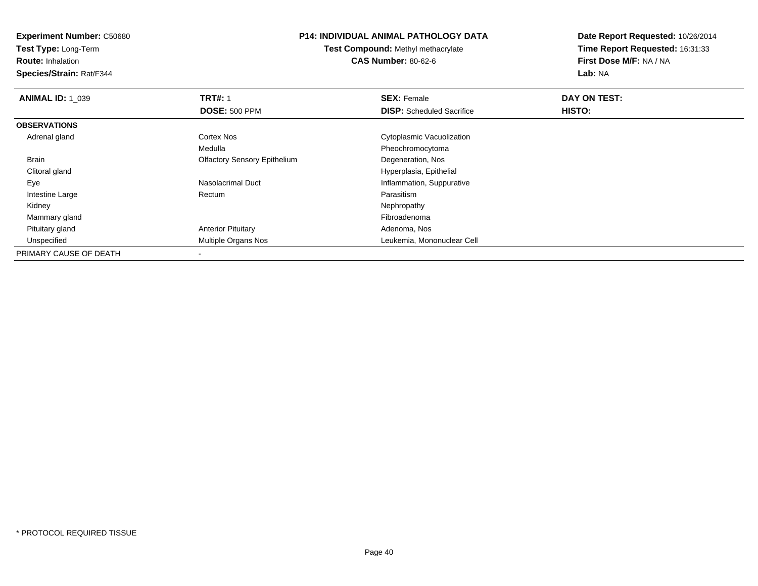**Test Type:** Long-Term

**Route:** Inhalation

**Species/Strain:** Rat/F344

## **P14: INDIVIDUAL ANIMAL PATHOLOGY DATA**

**Test Compound:** Methyl methacrylate**CAS Number:** 80-62-6

| <b>ANIMAL ID: 1 039</b> | <b>TRT#: 1</b>                      | <b>SEX: Female</b>               | DAY ON TEST: |  |
|-------------------------|-------------------------------------|----------------------------------|--------------|--|
|                         | <b>DOSE: 500 PPM</b>                | <b>DISP:</b> Scheduled Sacrifice | HISTO:       |  |
| <b>OBSERVATIONS</b>     |                                     |                                  |              |  |
| Adrenal gland           | <b>Cortex Nos</b>                   | Cytoplasmic Vacuolization        |              |  |
|                         | Medulla                             | Pheochromocytoma                 |              |  |
| Brain                   | <b>Olfactory Sensory Epithelium</b> | Degeneration, Nos                |              |  |
| Clitoral gland          |                                     | Hyperplasia, Epithelial          |              |  |
| Eye                     | Nasolacrimal Duct                   | Inflammation, Suppurative        |              |  |
| Intestine Large         | Rectum                              | Parasitism                       |              |  |
| Kidney                  |                                     | Nephropathy                      |              |  |
| Mammary gland           |                                     | Fibroadenoma                     |              |  |
| Pituitary gland         | <b>Anterior Pituitary</b>           | Adenoma, Nos                     |              |  |
| Unspecified             | Multiple Organs Nos                 | Leukemia, Mononuclear Cell       |              |  |
| PRIMARY CAUSE OF DEATH  |                                     |                                  |              |  |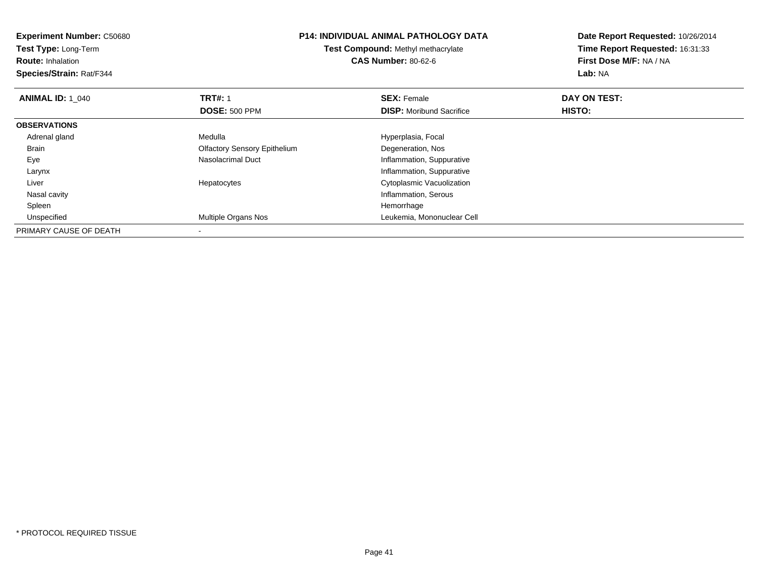| <b>Experiment Number: C50680</b><br>Test Type: Long-Term<br><b>Route: Inhalation</b><br>Species/Strain: Rat/F344 |                                     | <b>P14: INDIVIDUAL ANIMAL PATHOLOGY DATA</b><br><b>Test Compound: Methyl methacrylate</b><br><b>CAS Number: 80-62-6</b> | Date Report Requested: 10/26/2014<br>Time Report Requested: 16:31:33<br>First Dose M/F: NA / NA<br>Lab: NA |
|------------------------------------------------------------------------------------------------------------------|-------------------------------------|-------------------------------------------------------------------------------------------------------------------------|------------------------------------------------------------------------------------------------------------|
| <b>ANIMAL ID: 1 040</b>                                                                                          | <b>TRT#: 1</b>                      | <b>SEX: Female</b>                                                                                                      | DAY ON TEST:                                                                                               |
|                                                                                                                  | <b>DOSE: 500 PPM</b>                | <b>DISP:</b> Moribund Sacrifice                                                                                         | <b>HISTO:</b>                                                                                              |
| <b>OBSERVATIONS</b>                                                                                              |                                     |                                                                                                                         |                                                                                                            |
| Adrenal gland                                                                                                    | Medulla                             | Hyperplasia, Focal                                                                                                      |                                                                                                            |
| <b>Brain</b>                                                                                                     | <b>Olfactory Sensory Epithelium</b> | Degeneration, Nos                                                                                                       |                                                                                                            |
| Eye                                                                                                              | Nasolacrimal Duct                   | Inflammation, Suppurative                                                                                               |                                                                                                            |
| Larynx                                                                                                           |                                     | Inflammation, Suppurative                                                                                               |                                                                                                            |
| Liver                                                                                                            | Hepatocytes                         | Cytoplasmic Vacuolization                                                                                               |                                                                                                            |
| Nasal cavity                                                                                                     |                                     | Inflammation, Serous                                                                                                    |                                                                                                            |
| Spleen                                                                                                           |                                     | Hemorrhage                                                                                                              |                                                                                                            |
| Unspecified                                                                                                      | Multiple Organs Nos                 | Leukemia, Mononuclear Cell                                                                                              |                                                                                                            |
| PRIMARY CAUSE OF DEATH                                                                                           |                                     |                                                                                                                         |                                                                                                            |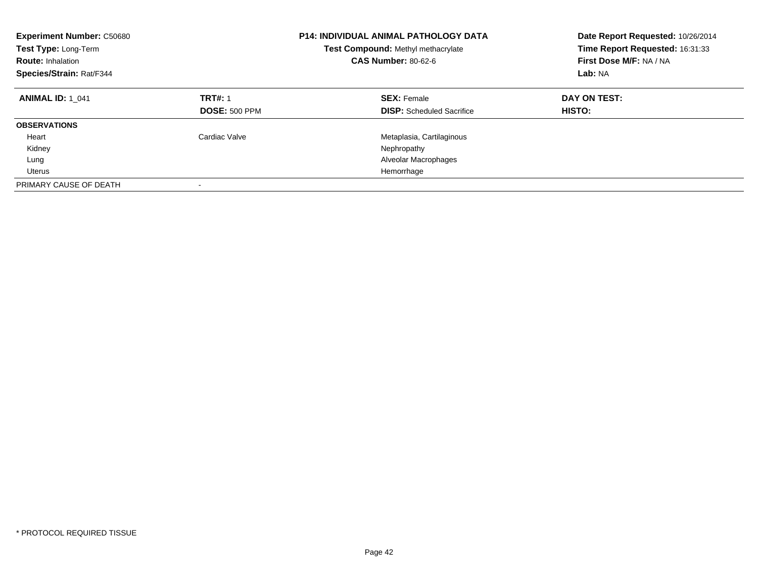| <b>Experiment Number: C50680</b><br>Test Type: Long-Term<br><b>Route: Inhalation</b><br>Species/Strain: Rat/F344 |                                        | <b>P14: INDIVIDUAL ANIMAL PATHOLOGY DATA</b><br>Test Compound: Methyl methacrylate<br><b>CAS Number: 80-62-6</b> | Date Report Requested: 10/26/2014<br>Time Report Requested: 16:31:33<br>First Dose M/F: NA / NA<br>Lab: NA |
|------------------------------------------------------------------------------------------------------------------|----------------------------------------|------------------------------------------------------------------------------------------------------------------|------------------------------------------------------------------------------------------------------------|
| <b>ANIMAL ID: 1 041</b>                                                                                          | <b>TRT#: 1</b><br><b>DOSE: 500 PPM</b> | <b>SEX: Female</b><br><b>DISP:</b> Scheduled Sacrifice                                                           | DAY ON TEST:<br>HISTO:                                                                                     |
| <b>OBSERVATIONS</b>                                                                                              |                                        |                                                                                                                  |                                                                                                            |
| Heart                                                                                                            | Cardiac Valve                          | Metaplasia, Cartilaginous                                                                                        |                                                                                                            |
| Kidney                                                                                                           |                                        | Nephropathy                                                                                                      |                                                                                                            |
| Lung                                                                                                             |                                        | Alveolar Macrophages                                                                                             |                                                                                                            |
| Uterus                                                                                                           |                                        | Hemorrhage                                                                                                       |                                                                                                            |
| PRIMARY CAUSE OF DEATH                                                                                           |                                        |                                                                                                                  |                                                                                                            |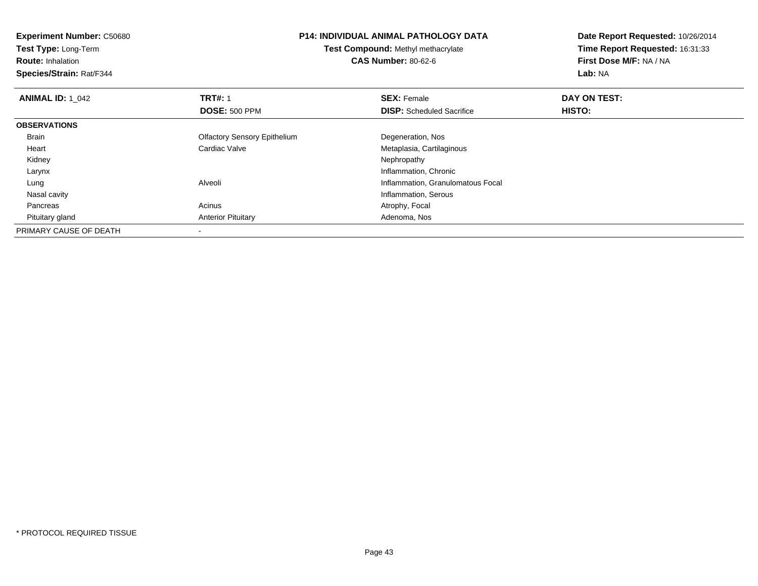| <b>Experiment Number: C50680</b> | <b>P14: INDIVIDUAL ANIMAL PATHOLOGY DATA</b><br>Test Compound: Methyl methacrylate |                                   | Date Report Requested: 10/26/2014 |
|----------------------------------|------------------------------------------------------------------------------------|-----------------------------------|-----------------------------------|
| Test Type: Long-Term             |                                                                                    |                                   | Time Report Requested: 16:31:33   |
| <b>Route: Inhalation</b>         |                                                                                    | <b>CAS Number: 80-62-6</b>        | First Dose M/F: NA / NA           |
| Species/Strain: Rat/F344         |                                                                                    |                                   | Lab: NA                           |
| <b>ANIMAL ID: 1 042</b>          | <b>TRT#: 1</b>                                                                     | <b>SEX: Female</b>                | DAY ON TEST:                      |
|                                  | <b>DOSE: 500 PPM</b>                                                               | <b>DISP:</b> Scheduled Sacrifice  | HISTO:                            |
| <b>OBSERVATIONS</b>              |                                                                                    |                                   |                                   |
| Brain                            | <b>Olfactory Sensory Epithelium</b>                                                | Degeneration, Nos                 |                                   |
| Heart                            | Cardiac Valve                                                                      | Metaplasia, Cartilaginous         |                                   |
| Kidney                           |                                                                                    | Nephropathy                       |                                   |
| Larynx                           |                                                                                    | Inflammation, Chronic             |                                   |
| Lung                             | Alveoli                                                                            | Inflammation, Granulomatous Focal |                                   |
| Nasal cavity                     |                                                                                    | Inflammation, Serous              |                                   |
| Pancreas                         | Acinus                                                                             | Atrophy, Focal                    |                                   |
| Pituitary gland                  | <b>Anterior Pituitary</b>                                                          | Adenoma, Nos                      |                                   |
| PRIMARY CAUSE OF DEATH           |                                                                                    |                                   |                                   |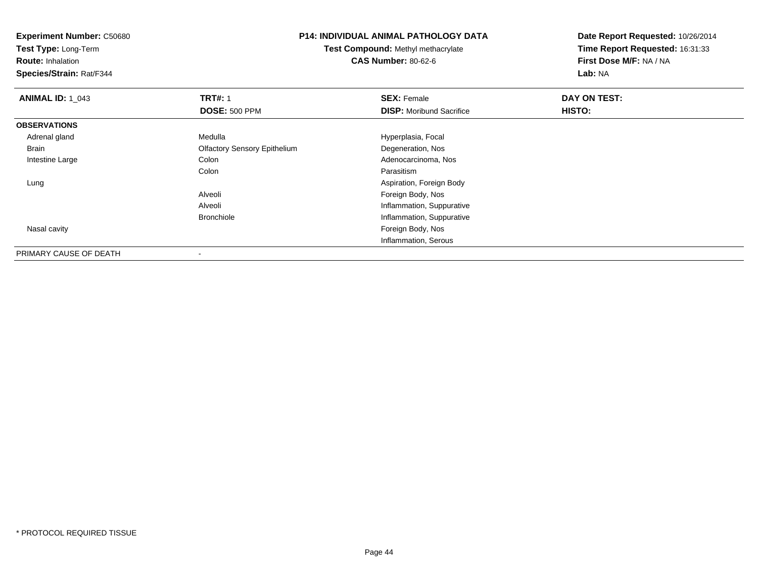**Experiment Number:** C50680**Test Type:** Long-Term**Route:** Inhalation **Species/Strain:** Rat/F344**P14: INDIVIDUAL ANIMAL PATHOLOGY DATATest Compound:** Methyl methacrylate**CAS Number:** 80-62-6**Date Report Requested:** 10/26/2014**Time Report Requested:** 16:31:33**First Dose M/F:** NA / NA**Lab:** NA**ANIMAL ID: 1\_043 TRT#:** 1 **SEX:** Female **DAY ON TEST: DOSE:** 500 PPM**DISP:** Moribund Sacrifice **HISTO: OBSERVATIONS** Adrenal glandMedulla **Manuel Accord Medulla** Hyperplasia, Focal Brain Olfactory Sensory Epithelium Degeneration, Nos Intestine LargeAdenocarcinoma, Nos Colon Parasitismg and the state of the state of the state of the state of the state of the Spiration, Foreign Body of the state of the state of the state of the state of the state of the state of the state of the state of the state of the LungAlveoli Foreign Body, Nos**Inflammation, Suppurative** Alveolie and the state of the state of the Inflammation, Suppurative Bronchiole Nasal cavity Foreign Body, Nos Inflammation, Serous

PRIMARY CAUSE OF DEATH-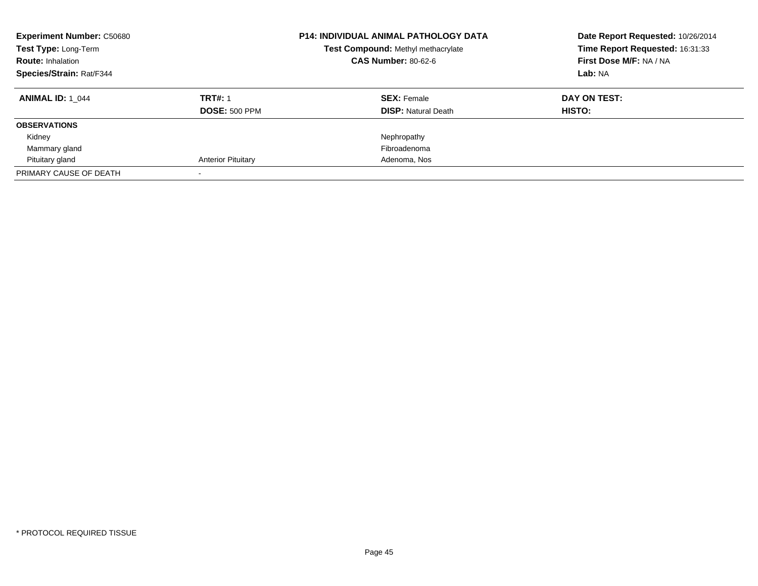| <b>Experiment Number: C50680</b><br>Test Type: Long-Term<br><b>Route: Inhalation</b><br><b>Species/Strain: Rat/F344</b> |                                        | <b>P14: INDIVIDUAL ANIMAL PATHOLOGY DATA</b><br>Date Report Requested: 10/26/2014<br>Time Report Requested: 16:31:33<br>Test Compound: Methyl methacrylate<br><b>CAS Number: 80-62-6</b><br>First Dose M/F: NA / NA<br>Lab: NA |                        |
|-------------------------------------------------------------------------------------------------------------------------|----------------------------------------|--------------------------------------------------------------------------------------------------------------------------------------------------------------------------------------------------------------------------------|------------------------|
| <b>ANIMAL ID: 1 044</b>                                                                                                 | <b>TRT#: 1</b><br><b>DOSE: 500 PPM</b> | <b>SEX: Female</b><br><b>DISP: Natural Death</b>                                                                                                                                                                               | DAY ON TEST:<br>HISTO: |
| <b>OBSERVATIONS</b><br>Kidney<br>Mammary gland<br>Pituitary gland                                                       | <b>Anterior Pituitary</b>              | Nephropathy<br>Fibroadenoma<br>Adenoma, Nos                                                                                                                                                                                    |                        |
| PRIMARY CAUSE OF DEATH                                                                                                  |                                        |                                                                                                                                                                                                                                |                        |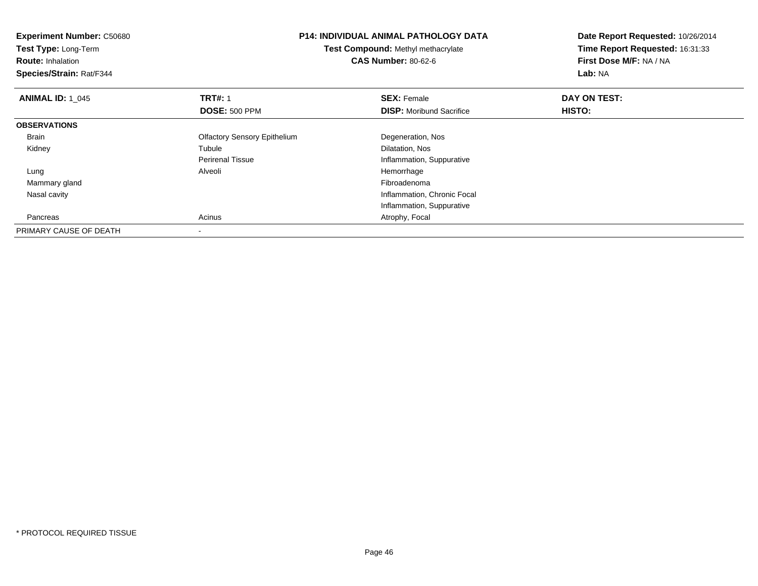| <b>Experiment Number: C50680</b> | <b>P14: INDIVIDUAL ANIMAL PATHOLOGY DATA</b><br>Test Compound: Methyl methacrylate |                                 | Date Report Requested: 10/26/2014 |
|----------------------------------|------------------------------------------------------------------------------------|---------------------------------|-----------------------------------|
| Test Type: Long-Term             |                                                                                    |                                 | Time Report Requested: 16:31:33   |
| <b>Route: Inhalation</b>         |                                                                                    | <b>CAS Number: 80-62-6</b>      | First Dose M/F: NA / NA           |
| Species/Strain: Rat/F344         |                                                                                    |                                 | Lab: NA                           |
| <b>ANIMAL ID: 1 045</b>          | <b>TRT#: 1</b>                                                                     | <b>SEX: Female</b>              | DAY ON TEST:                      |
|                                  | <b>DOSE: 500 PPM</b>                                                               | <b>DISP:</b> Moribund Sacrifice | <b>HISTO:</b>                     |
| <b>OBSERVATIONS</b>              |                                                                                    |                                 |                                   |
| <b>Brain</b>                     | <b>Olfactory Sensory Epithelium</b>                                                | Degeneration, Nos               |                                   |
| Kidney                           | Tubule                                                                             | Dilatation, Nos                 |                                   |
|                                  | <b>Perirenal Tissue</b>                                                            | Inflammation, Suppurative       |                                   |
| Lung                             | Alveoli                                                                            | Hemorrhage                      |                                   |
| Mammary gland                    |                                                                                    | Fibroadenoma                    |                                   |
| Nasal cavity                     |                                                                                    | Inflammation, Chronic Focal     |                                   |
|                                  |                                                                                    | Inflammation, Suppurative       |                                   |
| Pancreas                         | Acinus                                                                             | Atrophy, Focal                  |                                   |
| PRIMARY CAUSE OF DEATH           |                                                                                    |                                 |                                   |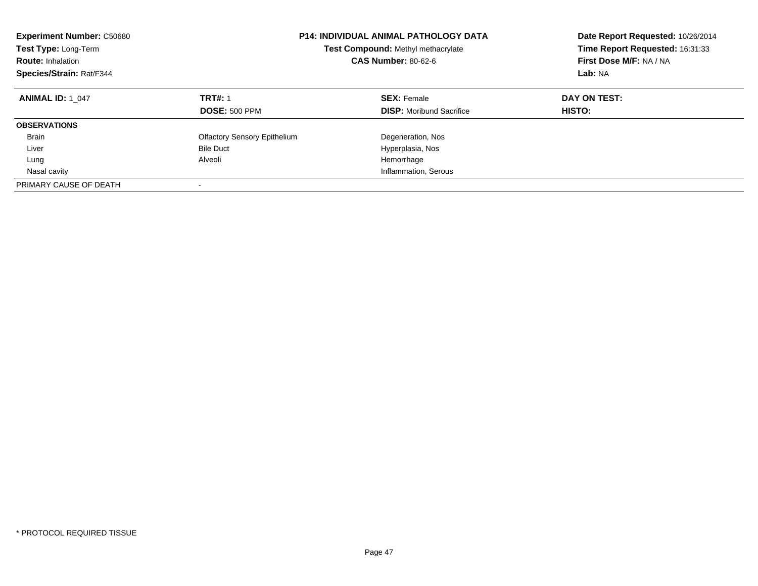| <b>Experiment Number: C50680</b><br>Test Type: Long-Term<br><b>Route: Inhalation</b><br>Species/Strain: Rat/F344 |                                        | <b>P14: INDIVIDUAL ANIMAL PATHOLOGY DATA</b><br>Test Compound: Methyl methacrylate<br><b>CAS Number: 80-62-6</b> | Date Report Requested: 10/26/2014<br>Time Report Requested: 16:31:33<br>First Dose M/F: NA / NA<br>Lab: NA |
|------------------------------------------------------------------------------------------------------------------|----------------------------------------|------------------------------------------------------------------------------------------------------------------|------------------------------------------------------------------------------------------------------------|
| <b>ANIMAL ID: 1 047</b>                                                                                          | <b>TRT#: 1</b><br><b>DOSE: 500 PPM</b> | <b>SEX: Female</b><br><b>DISP:</b> Moribund Sacrifice                                                            | DAY ON TEST:<br>HISTO:                                                                                     |
| <b>OBSERVATIONS</b>                                                                                              |                                        |                                                                                                                  |                                                                                                            |
| <b>Brain</b>                                                                                                     | <b>Olfactory Sensory Epithelium</b>    | Degeneration, Nos                                                                                                |                                                                                                            |
| Liver                                                                                                            | <b>Bile Duct</b>                       | Hyperplasia, Nos                                                                                                 |                                                                                                            |
| Lung                                                                                                             | Alveoli                                | Hemorrhage                                                                                                       |                                                                                                            |
| Nasal cavity                                                                                                     |                                        | Inflammation, Serous                                                                                             |                                                                                                            |
| PRIMARY CAUSE OF DEATH                                                                                           |                                        |                                                                                                                  |                                                                                                            |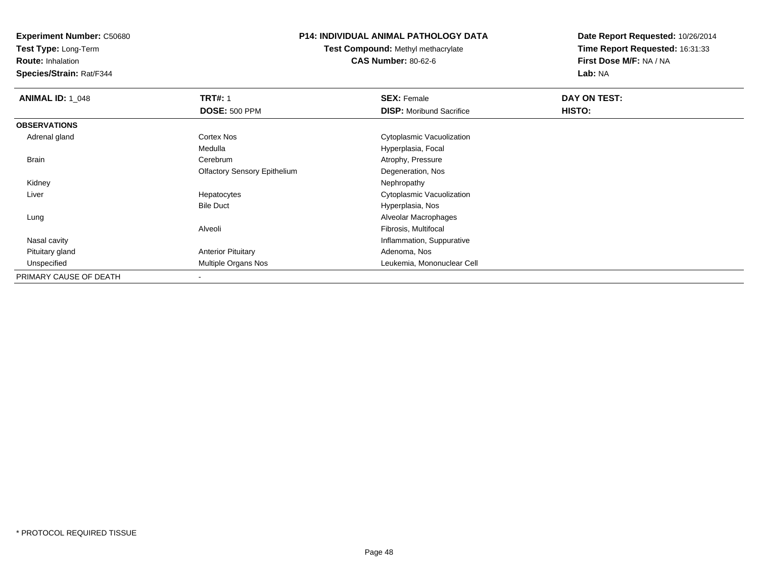**Test Type:** Long-Term

**Route:** Inhalation

**Species/Strain:** Rat/F344

### **P14: INDIVIDUAL ANIMAL PATHOLOGY DATA**

**Test Compound:** Methyl methacrylate**CAS Number:** 80-62-6

| <b>ANIMAL ID: 1 048</b> | <b>TRT#: 1</b>                      | <b>SEX: Female</b>              | DAY ON TEST: |  |
|-------------------------|-------------------------------------|---------------------------------|--------------|--|
|                         | <b>DOSE: 500 PPM</b>                | <b>DISP:</b> Moribund Sacrifice | HISTO:       |  |
| <b>OBSERVATIONS</b>     |                                     |                                 |              |  |
| Adrenal gland           | Cortex Nos                          | Cytoplasmic Vacuolization       |              |  |
|                         | Medulla                             | Hyperplasia, Focal              |              |  |
| Brain                   | Cerebrum                            | Atrophy, Pressure               |              |  |
|                         | <b>Olfactory Sensory Epithelium</b> | Degeneration, Nos               |              |  |
| Kidney                  |                                     | Nephropathy                     |              |  |
| Liver                   | Hepatocytes                         | Cytoplasmic Vacuolization       |              |  |
|                         | <b>Bile Duct</b>                    | Hyperplasia, Nos                |              |  |
| Lung                    |                                     | Alveolar Macrophages            |              |  |
|                         | Alveoli                             | Fibrosis, Multifocal            |              |  |
| Nasal cavity            |                                     | Inflammation, Suppurative       |              |  |
| Pituitary gland         | <b>Anterior Pituitary</b>           | Adenoma, Nos                    |              |  |
| Unspecified             | Multiple Organs Nos                 | Leukemia, Mononuclear Cell      |              |  |
| PRIMARY CAUSE OF DEATH  | $\overline{\phantom{a}}$            |                                 |              |  |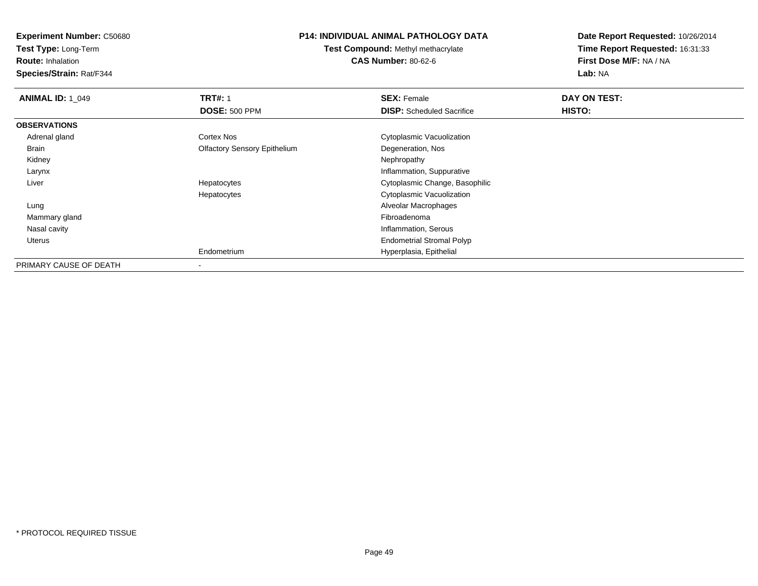**Test Type:** Long-Term

**Route:** Inhalation

**Species/Strain:** Rat/F344

### **P14: INDIVIDUAL ANIMAL PATHOLOGY DATA**

**Test Compound:** Methyl methacrylate**CAS Number:** 80-62-6

| <b>ANIMAL ID: 1 049</b> | <b>TRT#: 1</b>                      | <b>SEX: Female</b>               | DAY ON TEST: |  |
|-------------------------|-------------------------------------|----------------------------------|--------------|--|
|                         | <b>DOSE: 500 PPM</b>                | <b>DISP:</b> Scheduled Sacrifice | HISTO:       |  |
| <b>OBSERVATIONS</b>     |                                     |                                  |              |  |
| Adrenal gland           | Cortex Nos                          | Cytoplasmic Vacuolization        |              |  |
| Brain                   | <b>Olfactory Sensory Epithelium</b> | Degeneration, Nos                |              |  |
| Kidney                  |                                     | Nephropathy                      |              |  |
| Larynx                  |                                     | Inflammation, Suppurative        |              |  |
| Liver                   | Hepatocytes                         | Cytoplasmic Change, Basophilic   |              |  |
|                         | Hepatocytes                         | Cytoplasmic Vacuolization        |              |  |
| Lung                    |                                     | Alveolar Macrophages             |              |  |
| Mammary gland           |                                     | Fibroadenoma                     |              |  |
| Nasal cavity            |                                     | Inflammation, Serous             |              |  |
| Uterus                  |                                     | <b>Endometrial Stromal Polyp</b> |              |  |
|                         | Endometrium                         | Hyperplasia, Epithelial          |              |  |
| PRIMARY CAUSE OF DEATH  |                                     |                                  |              |  |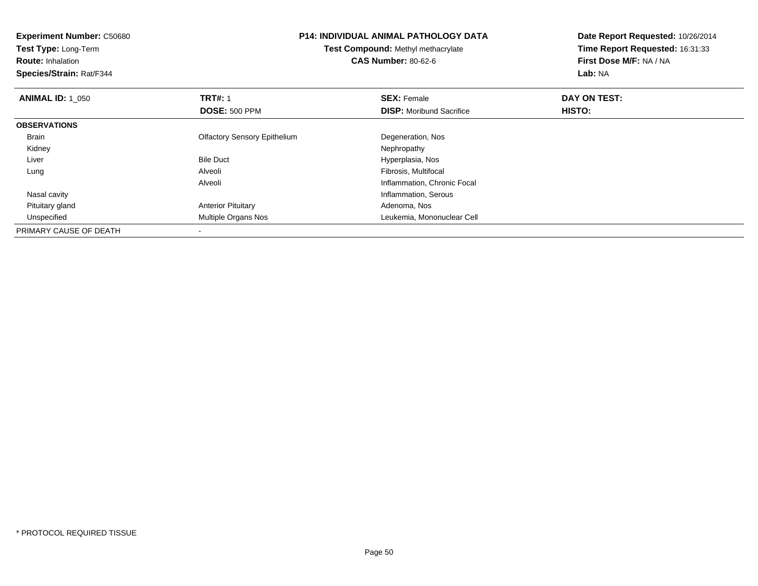| <b>Experiment Number: C50680</b><br>Test Type: Long-Term<br><b>Route: Inhalation</b><br>Species/Strain: Rat/F344 | <b>P14: INDIVIDUAL ANIMAL PATHOLOGY DATA</b><br><b>Test Compound: Methyl methacrylate</b><br><b>CAS Number: 80-62-6</b> |                                 | Date Report Requested: 10/26/2014<br>Time Report Requested: 16:31:33<br>First Dose M/F: NA / NA<br>Lab: NA |
|------------------------------------------------------------------------------------------------------------------|-------------------------------------------------------------------------------------------------------------------------|---------------------------------|------------------------------------------------------------------------------------------------------------|
| <b>ANIMAL ID: 1 050</b>                                                                                          | <b>TRT#: 1</b>                                                                                                          | <b>SEX: Female</b>              | DAY ON TEST:                                                                                               |
|                                                                                                                  | <b>DOSE: 500 PPM</b>                                                                                                    | <b>DISP:</b> Moribund Sacrifice | <b>HISTO:</b>                                                                                              |
| <b>OBSERVATIONS</b>                                                                                              |                                                                                                                         |                                 |                                                                                                            |
| <b>Brain</b>                                                                                                     | <b>Olfactory Sensory Epithelium</b>                                                                                     | Degeneration, Nos               |                                                                                                            |
| Kidney                                                                                                           |                                                                                                                         | Nephropathy                     |                                                                                                            |
| Liver                                                                                                            | <b>Bile Duct</b>                                                                                                        | Hyperplasia, Nos                |                                                                                                            |
| Lung                                                                                                             | Alveoli                                                                                                                 | Fibrosis, Multifocal            |                                                                                                            |
|                                                                                                                  | Alveoli                                                                                                                 | Inflammation, Chronic Focal     |                                                                                                            |
| Nasal cavity                                                                                                     |                                                                                                                         | Inflammation, Serous            |                                                                                                            |
| Pituitary gland                                                                                                  | <b>Anterior Pituitary</b>                                                                                               | Adenoma, Nos                    |                                                                                                            |
| Unspecified                                                                                                      | Multiple Organs Nos                                                                                                     | Leukemia, Mononuclear Cell      |                                                                                                            |
| PRIMARY CAUSE OF DEATH                                                                                           |                                                                                                                         |                                 |                                                                                                            |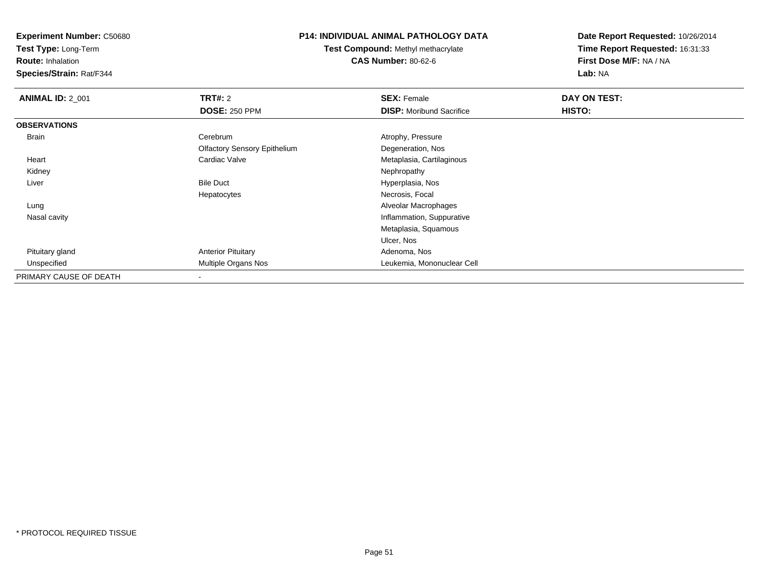**Test Type:** Long-Term

**Route:** Inhalation

**Species/Strain:** Rat/F344

## **P14: INDIVIDUAL ANIMAL PATHOLOGY DATA**

**Test Compound:** Methyl methacrylate**CAS Number:** 80-62-6

| <b>ANIMAL ID: 2 001</b> | <b>TRT#: 2</b>                      | <b>SEX: Female</b>              | DAY ON TEST: |  |
|-------------------------|-------------------------------------|---------------------------------|--------------|--|
|                         | <b>DOSE: 250 PPM</b>                | <b>DISP:</b> Moribund Sacrifice | HISTO:       |  |
| <b>OBSERVATIONS</b>     |                                     |                                 |              |  |
| Brain                   | Cerebrum                            | Atrophy, Pressure               |              |  |
|                         | <b>Olfactory Sensory Epithelium</b> | Degeneration, Nos               |              |  |
| Heart                   | Cardiac Valve                       | Metaplasia, Cartilaginous       |              |  |
| Kidney                  |                                     | Nephropathy                     |              |  |
| Liver                   | <b>Bile Duct</b>                    | Hyperplasia, Nos                |              |  |
|                         | Hepatocytes                         | Necrosis, Focal                 |              |  |
| Lung                    |                                     | Alveolar Macrophages            |              |  |
| Nasal cavity            |                                     | Inflammation, Suppurative       |              |  |
|                         |                                     | Metaplasia, Squamous            |              |  |
|                         |                                     | Ulcer, Nos                      |              |  |
| Pituitary gland         | <b>Anterior Pituitary</b>           | Adenoma, Nos                    |              |  |
| Unspecified             | <b>Multiple Organs Nos</b>          | Leukemia, Mononuclear Cell      |              |  |
| PRIMARY CAUSE OF DEATH  |                                     |                                 |              |  |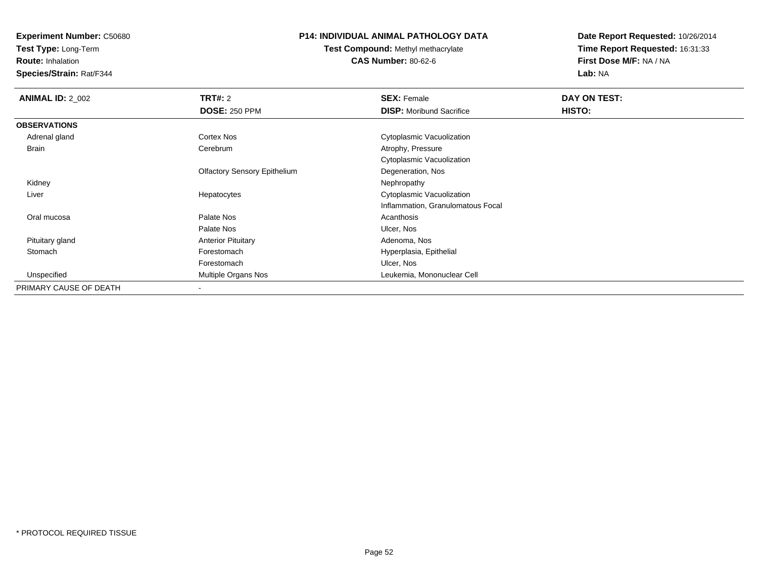**Test Type:** Long-Term

**Route:** Inhalation

**Species/Strain:** Rat/F344

# **P14: INDIVIDUAL ANIMAL PATHOLOGY DATA**

**Test Compound:** Methyl methacrylate**CAS Number:** 80-62-6

| <b>ANIMAL ID: 2_002</b> | <b>TRT#: 2</b>                      | <b>SEX: Female</b>                | DAY ON TEST: |  |
|-------------------------|-------------------------------------|-----------------------------------|--------------|--|
|                         | <b>DOSE: 250 PPM</b>                | <b>DISP:</b> Moribund Sacrifice   | HISTO:       |  |
| <b>OBSERVATIONS</b>     |                                     |                                   |              |  |
| Adrenal gland           | Cortex Nos                          | Cytoplasmic Vacuolization         |              |  |
| Brain                   | Cerebrum                            | Atrophy, Pressure                 |              |  |
|                         |                                     | Cytoplasmic Vacuolization         |              |  |
|                         | <b>Olfactory Sensory Epithelium</b> | Degeneration, Nos                 |              |  |
| Kidney                  |                                     | Nephropathy                       |              |  |
| Liver                   | Hepatocytes                         | Cytoplasmic Vacuolization         |              |  |
|                         |                                     | Inflammation, Granulomatous Focal |              |  |
| Oral mucosa             | Palate Nos                          | Acanthosis                        |              |  |
|                         | Palate Nos                          | Ulcer, Nos                        |              |  |
| Pituitary gland         | <b>Anterior Pituitary</b>           | Adenoma, Nos                      |              |  |
| Stomach                 | Forestomach                         | Hyperplasia, Epithelial           |              |  |
|                         | Forestomach                         | Ulcer, Nos                        |              |  |
| Unspecified             | Multiple Organs Nos                 | Leukemia, Mononuclear Cell        |              |  |
| PRIMARY CAUSE OF DEATH  |                                     |                                   |              |  |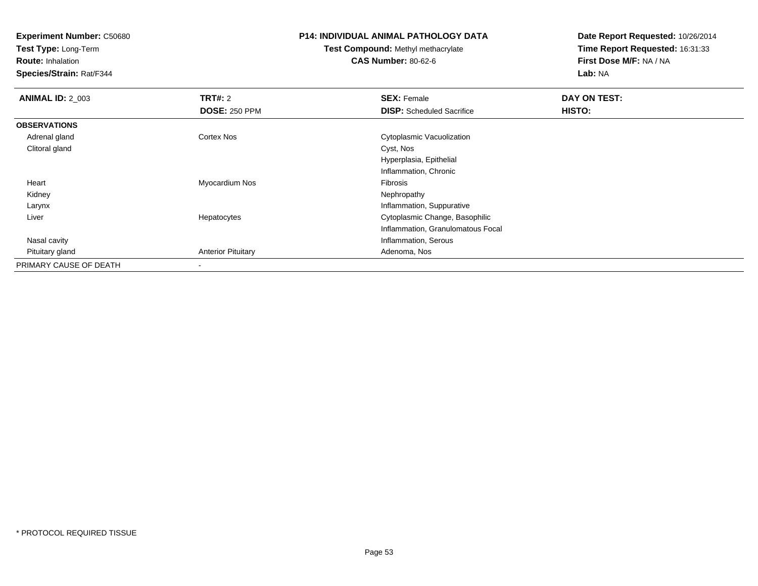**Test Type:** Long-Term

**Route:** Inhalation

**Species/Strain:** Rat/F344

#### **P14: INDIVIDUAL ANIMAL PATHOLOGY DATA**

# **Test Compound:** Methyl methacrylate**CAS Number:** 80-62-6

| <b>ANIMAL ID: 2_003</b> | <b>TRT#: 2</b>            | <b>SEX: Female</b>                | DAY ON TEST: |  |
|-------------------------|---------------------------|-----------------------------------|--------------|--|
|                         | <b>DOSE: 250 PPM</b>      | <b>DISP:</b> Scheduled Sacrifice  | HISTO:       |  |
| <b>OBSERVATIONS</b>     |                           |                                   |              |  |
| Adrenal gland           | Cortex Nos                | Cytoplasmic Vacuolization         |              |  |
| Clitoral gland          |                           | Cyst, Nos                         |              |  |
|                         |                           | Hyperplasia, Epithelial           |              |  |
|                         |                           | Inflammation, Chronic             |              |  |
| Heart                   | Myocardium Nos            | Fibrosis                          |              |  |
| Kidney                  |                           | Nephropathy                       |              |  |
| Larynx                  |                           | Inflammation, Suppurative         |              |  |
| Liver                   | Hepatocytes               | Cytoplasmic Change, Basophilic    |              |  |
|                         |                           | Inflammation, Granulomatous Focal |              |  |
| Nasal cavity            |                           | Inflammation, Serous              |              |  |
| Pituitary gland         | <b>Anterior Pituitary</b> | Adenoma, Nos                      |              |  |
| PRIMARY CAUSE OF DEATH  |                           |                                   |              |  |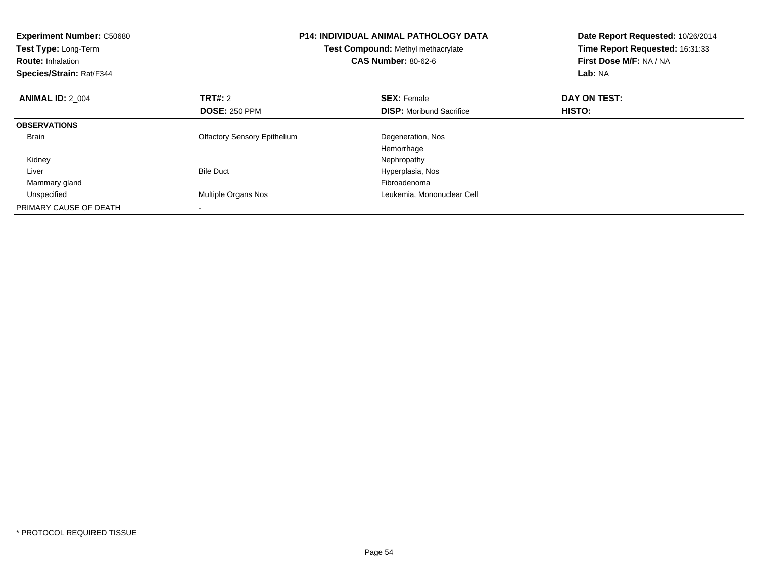| <b>Experiment Number: C50680</b><br>Test Type: Long-Term<br><b>Route: Inhalation</b><br>Species/Strain: Rat/F344 |                                     | <b>P14: INDIVIDUAL ANIMAL PATHOLOGY DATA</b><br>Test Compound: Methyl methacrylate<br><b>CAS Number: 80-62-6</b> | Date Report Requested: 10/26/2014<br>Time Report Requested: 16:31:33<br>First Dose M/F: NA / NA<br>Lab: NA |
|------------------------------------------------------------------------------------------------------------------|-------------------------------------|------------------------------------------------------------------------------------------------------------------|------------------------------------------------------------------------------------------------------------|
| <b>ANIMAL ID: 2 004</b>                                                                                          | <b>TRT#:</b> 2                      | <b>SEX: Female</b>                                                                                               | DAY ON TEST:                                                                                               |
|                                                                                                                  | <b>DOSE: 250 PPM</b>                | <b>DISP:</b> Moribund Sacrifice                                                                                  | <b>HISTO:</b>                                                                                              |
| <b>OBSERVATIONS</b>                                                                                              |                                     |                                                                                                                  |                                                                                                            |
| <b>Brain</b>                                                                                                     | <b>Olfactory Sensory Epithelium</b> | Degeneration, Nos                                                                                                |                                                                                                            |
|                                                                                                                  |                                     | Hemorrhage                                                                                                       |                                                                                                            |
| Kidney                                                                                                           |                                     | Nephropathy                                                                                                      |                                                                                                            |
| Liver                                                                                                            | <b>Bile Duct</b>                    | Hyperplasia, Nos                                                                                                 |                                                                                                            |
| Mammary gland                                                                                                    |                                     | Fibroadenoma                                                                                                     |                                                                                                            |
| Unspecified                                                                                                      | Multiple Organs Nos                 | Leukemia, Mononuclear Cell                                                                                       |                                                                                                            |
| PRIMARY CAUSE OF DEATH                                                                                           |                                     |                                                                                                                  |                                                                                                            |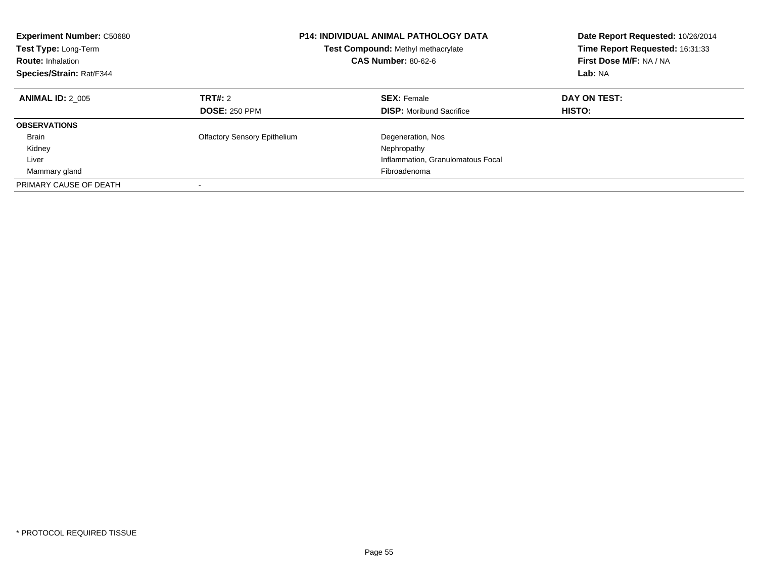| <b>Experiment Number: C50680</b><br>Test Type: Long-Term<br><b>Route: Inhalation</b><br>Species/Strain: Rat/F344 | <b>P14: INDIVIDUAL ANIMAL PATHOLOGY DATA</b><br>Test Compound: Methyl methacrylate<br><b>CAS Number: 80-62-6</b> |                                                       | Date Report Requested: 10/26/2014<br>Time Report Requested: 16:31:33<br>First Dose M/F: NA / NA<br>Lab: NA |
|------------------------------------------------------------------------------------------------------------------|------------------------------------------------------------------------------------------------------------------|-------------------------------------------------------|------------------------------------------------------------------------------------------------------------|
| <b>ANIMAL ID: 2 005</b>                                                                                          | <b>TRT#: 2</b><br><b>DOSE: 250 PPM</b>                                                                           | <b>SEX: Female</b><br><b>DISP:</b> Moribund Sacrifice | DAY ON TEST:<br>HISTO:                                                                                     |
|                                                                                                                  |                                                                                                                  |                                                       |                                                                                                            |
| <b>OBSERVATIONS</b>                                                                                              |                                                                                                                  |                                                       |                                                                                                            |
| <b>Brain</b>                                                                                                     | <b>Olfactory Sensory Epithelium</b>                                                                              | Degeneration, Nos                                     |                                                                                                            |
| Kidney                                                                                                           |                                                                                                                  | Nephropathy                                           |                                                                                                            |
| Liver                                                                                                            |                                                                                                                  | Inflammation, Granulomatous Focal                     |                                                                                                            |
| Mammary gland                                                                                                    |                                                                                                                  | Fibroadenoma                                          |                                                                                                            |
| PRIMARY CAUSE OF DEATH                                                                                           |                                                                                                                  |                                                       |                                                                                                            |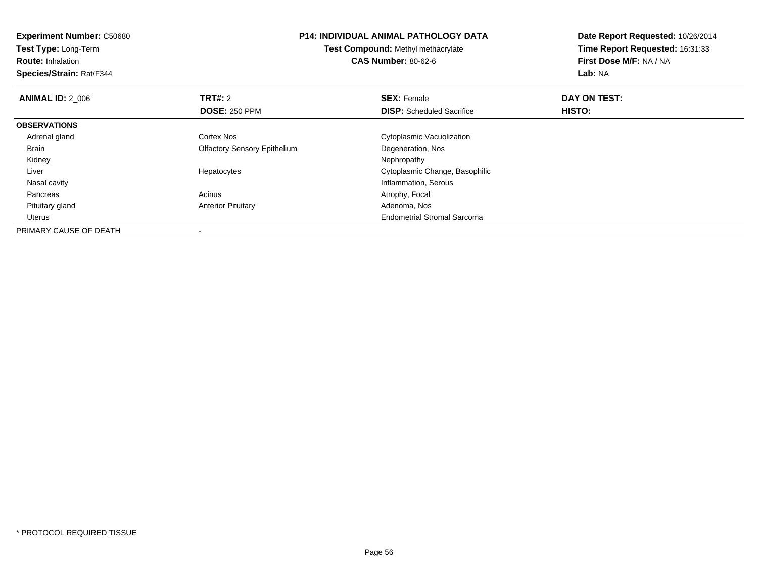| <b>Experiment Number: C50680</b><br><b>Test Type: Long-Term</b><br><b>Route: Inhalation</b><br>Species/Strain: Rat/F344 | <b>P14: INDIVIDUAL ANIMAL PATHOLOGY DATA</b><br><b>Test Compound: Methyl methacrylate</b><br><b>CAS Number: 80-62-6</b> |                                    | Date Report Requested: 10/26/2014<br>Time Report Requested: 16:31:33<br>First Dose M/F: NA / NA<br>Lab: NA |
|-------------------------------------------------------------------------------------------------------------------------|-------------------------------------------------------------------------------------------------------------------------|------------------------------------|------------------------------------------------------------------------------------------------------------|
| <b>ANIMAL ID: 2 006</b>                                                                                                 | TRT#: 2                                                                                                                 | <b>SEX: Female</b>                 | DAY ON TEST:                                                                                               |
|                                                                                                                         | <b>DOSE: 250 PPM</b>                                                                                                    | <b>DISP:</b> Scheduled Sacrifice   | <b>HISTO:</b>                                                                                              |
| <b>OBSERVATIONS</b>                                                                                                     |                                                                                                                         |                                    |                                                                                                            |
| Adrenal gland                                                                                                           | <b>Cortex Nos</b>                                                                                                       | Cytoplasmic Vacuolization          |                                                                                                            |
| Brain                                                                                                                   | <b>Olfactory Sensory Epithelium</b>                                                                                     | Degeneration, Nos                  |                                                                                                            |
| Kidney                                                                                                                  |                                                                                                                         | Nephropathy                        |                                                                                                            |
| Liver                                                                                                                   | Hepatocytes                                                                                                             | Cytoplasmic Change, Basophilic     |                                                                                                            |
| Nasal cavity                                                                                                            |                                                                                                                         | Inflammation, Serous               |                                                                                                            |
| Pancreas                                                                                                                | Acinus                                                                                                                  | Atrophy, Focal                     |                                                                                                            |
| Pituitary gland                                                                                                         | <b>Anterior Pituitary</b>                                                                                               | Adenoma, Nos                       |                                                                                                            |
| Uterus                                                                                                                  |                                                                                                                         | <b>Endometrial Stromal Sarcoma</b> |                                                                                                            |
| PRIMARY CAUSE OF DEATH                                                                                                  |                                                                                                                         |                                    |                                                                                                            |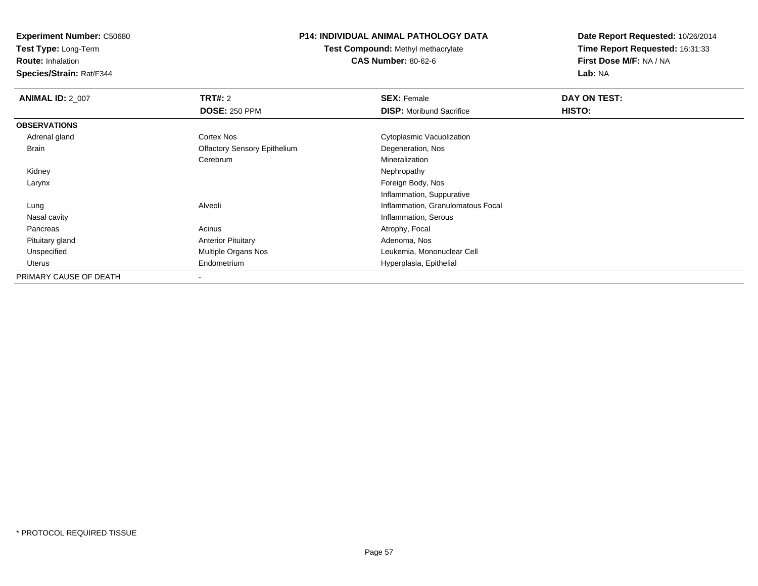**Test Type:** Long-Term

**Route:** Inhalation

**Species/Strain:** Rat/F344

# **P14: INDIVIDUAL ANIMAL PATHOLOGY DATA**

**Test Compound:** Methyl methacrylate**CAS Number:** 80-62-6

| <b>ANIMAL ID: 2 007</b> | TRT#: 2                             | <b>SEX: Female</b>                | DAY ON TEST: |  |
|-------------------------|-------------------------------------|-----------------------------------|--------------|--|
|                         | <b>DOSE: 250 PPM</b>                | <b>DISP:</b> Moribund Sacrifice   | HISTO:       |  |
| <b>OBSERVATIONS</b>     |                                     |                                   |              |  |
| Adrenal gland           | Cortex Nos                          | Cytoplasmic Vacuolization         |              |  |
| Brain                   | <b>Olfactory Sensory Epithelium</b> | Degeneration, Nos                 |              |  |
|                         | Cerebrum                            | Mineralization                    |              |  |
| Kidney                  |                                     | Nephropathy                       |              |  |
| Larynx                  |                                     | Foreign Body, Nos                 |              |  |
|                         |                                     | Inflammation, Suppurative         |              |  |
| Lung                    | Alveoli                             | Inflammation, Granulomatous Focal |              |  |
| Nasal cavity            |                                     | Inflammation, Serous              |              |  |
| Pancreas                | Acinus                              | Atrophy, Focal                    |              |  |
| Pituitary gland         | <b>Anterior Pituitary</b>           | Adenoma, Nos                      |              |  |
| Unspecified             | Multiple Organs Nos                 | Leukemia, Mononuclear Cell        |              |  |
| Uterus                  | Endometrium                         | Hyperplasia, Epithelial           |              |  |
| PRIMARY CAUSE OF DEATH  | $\overline{\phantom{a}}$            |                                   |              |  |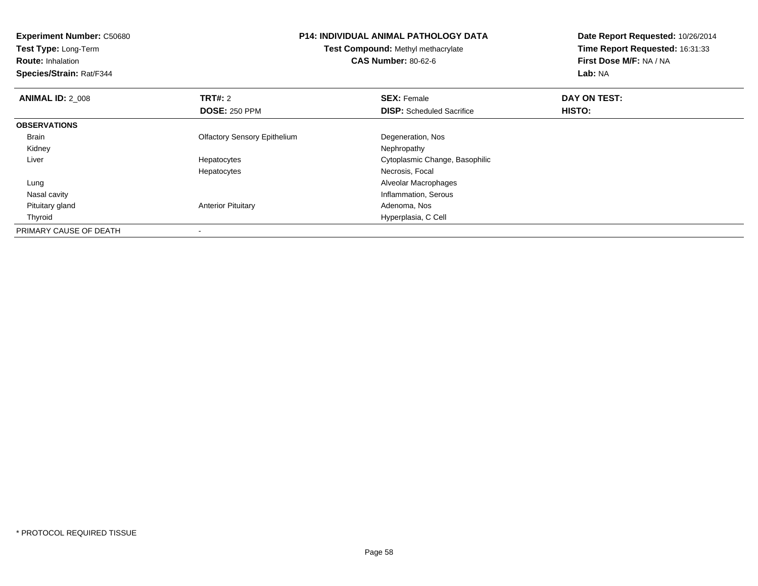| <b>Experiment Number: C50680</b><br>Test Type: Long-Term<br><b>Route: Inhalation</b><br>Species/Strain: Rat/F344 | <b>P14: INDIVIDUAL ANIMAL PATHOLOGY DATA</b><br><b>Test Compound: Methyl methacrylate</b><br><b>CAS Number: 80-62-6</b> |                                  | Date Report Requested: 10/26/2014<br>Time Report Requested: 16:31:33<br>First Dose M/F: NA / NA<br>Lab: NA |
|------------------------------------------------------------------------------------------------------------------|-------------------------------------------------------------------------------------------------------------------------|----------------------------------|------------------------------------------------------------------------------------------------------------|
| <b>ANIMAL ID: 2 008</b>                                                                                          | TRT#: 2                                                                                                                 | <b>SEX: Female</b>               | DAY ON TEST:                                                                                               |
|                                                                                                                  | <b>DOSE: 250 PPM</b>                                                                                                    | <b>DISP:</b> Scheduled Sacrifice | <b>HISTO:</b>                                                                                              |
| <b>OBSERVATIONS</b>                                                                                              |                                                                                                                         |                                  |                                                                                                            |
| <b>Brain</b>                                                                                                     | <b>Olfactory Sensory Epithelium</b>                                                                                     | Degeneration, Nos                |                                                                                                            |
| Kidney                                                                                                           |                                                                                                                         | Nephropathy                      |                                                                                                            |
| Liver                                                                                                            | Hepatocytes                                                                                                             | Cytoplasmic Change, Basophilic   |                                                                                                            |
|                                                                                                                  | Hepatocytes                                                                                                             | Necrosis, Focal                  |                                                                                                            |
| Lung                                                                                                             |                                                                                                                         | Alveolar Macrophages             |                                                                                                            |
| Nasal cavity                                                                                                     |                                                                                                                         | Inflammation, Serous             |                                                                                                            |
| Pituitary gland                                                                                                  | <b>Anterior Pituitary</b>                                                                                               | Adenoma, Nos                     |                                                                                                            |
| Thyroid                                                                                                          |                                                                                                                         | Hyperplasia, C Cell              |                                                                                                            |
| PRIMARY CAUSE OF DEATH                                                                                           |                                                                                                                         |                                  |                                                                                                            |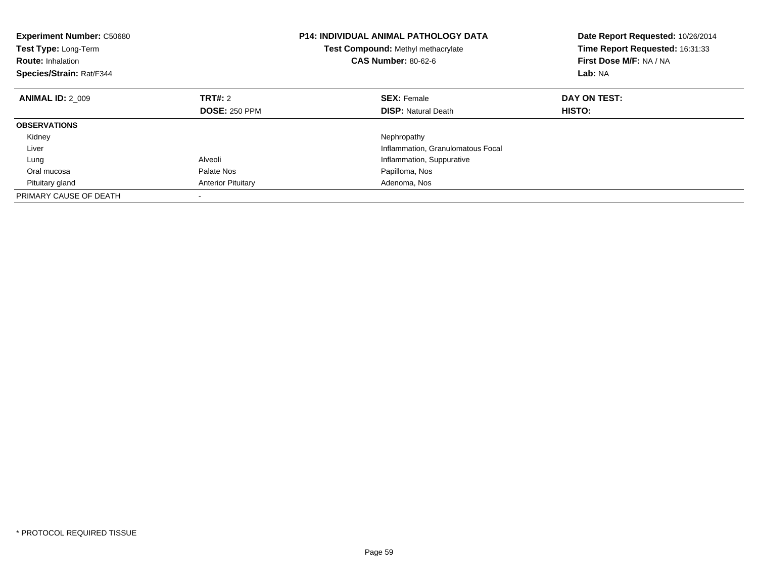| <b>Experiment Number: C50680</b><br>Test Type: Long-Term<br><b>Route: Inhalation</b><br>Species/Strain: Rat/F344 |                           | P14: INDIVIDUAL ANIMAL PATHOLOGY DATA<br>Test Compound: Methyl methacrylate<br><b>CAS Number: 80-62-6</b> | Date Report Requested: 10/26/2014<br>Time Report Requested: 16:31:33<br>First Dose M/F: NA / NA<br>Lab: NA |
|------------------------------------------------------------------------------------------------------------------|---------------------------|-----------------------------------------------------------------------------------------------------------|------------------------------------------------------------------------------------------------------------|
| <b>ANIMAL ID: 2 009</b>                                                                                          | TRT#: 2                   | <b>SEX: Female</b>                                                                                        | DAY ON TEST:                                                                                               |
|                                                                                                                  | <b>DOSE: 250 PPM</b>      | <b>DISP: Natural Death</b>                                                                                | HISTO:                                                                                                     |
| <b>OBSERVATIONS</b>                                                                                              |                           |                                                                                                           |                                                                                                            |
| Kidney                                                                                                           |                           | Nephropathy                                                                                               |                                                                                                            |
| Liver                                                                                                            |                           | Inflammation, Granulomatous Focal                                                                         |                                                                                                            |
| Lung                                                                                                             | Alveoli                   | Inflammation, Suppurative                                                                                 |                                                                                                            |
| Oral mucosa                                                                                                      | Palate Nos                | Papilloma, Nos                                                                                            |                                                                                                            |
| Pituitary gland                                                                                                  | <b>Anterior Pituitary</b> | Adenoma, Nos                                                                                              |                                                                                                            |
| PRIMARY CAUSE OF DEATH                                                                                           |                           |                                                                                                           |                                                                                                            |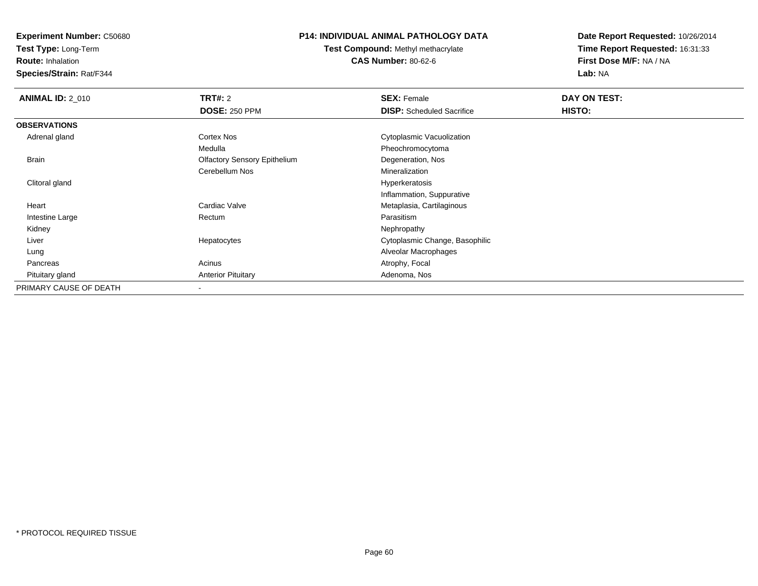**Test Type:** Long-Term

**Route:** Inhalation

**Species/Strain:** Rat/F344

## **P14: INDIVIDUAL ANIMAL PATHOLOGY DATA**

**Test Compound:** Methyl methacrylate**CAS Number:** 80-62-6

| <b>ANIMAL ID: 2_010</b> | TRT#: 2                             | <b>SEX: Female</b>               | DAY ON TEST: |  |
|-------------------------|-------------------------------------|----------------------------------|--------------|--|
|                         | <b>DOSE: 250 PPM</b>                | <b>DISP:</b> Scheduled Sacrifice | HISTO:       |  |
| <b>OBSERVATIONS</b>     |                                     |                                  |              |  |
| Adrenal gland           | <b>Cortex Nos</b>                   | Cytoplasmic Vacuolization        |              |  |
|                         | Medulla                             | Pheochromocytoma                 |              |  |
| Brain                   | <b>Olfactory Sensory Epithelium</b> | Degeneration, Nos                |              |  |
|                         | Cerebellum Nos                      | Mineralization                   |              |  |
| Clitoral gland          |                                     | Hyperkeratosis                   |              |  |
|                         |                                     | Inflammation, Suppurative        |              |  |
| Heart                   | Cardiac Valve                       | Metaplasia, Cartilaginous        |              |  |
| Intestine Large         | Rectum                              | Parasitism                       |              |  |
| Kidney                  |                                     | Nephropathy                      |              |  |
| Liver                   | Hepatocytes                         | Cytoplasmic Change, Basophilic   |              |  |
| Lung                    |                                     | Alveolar Macrophages             |              |  |
| Pancreas                | Acinus                              | Atrophy, Focal                   |              |  |
| Pituitary gland         | <b>Anterior Pituitary</b>           | Adenoma, Nos                     |              |  |
| PRIMARY CAUSE OF DEATH  |                                     |                                  |              |  |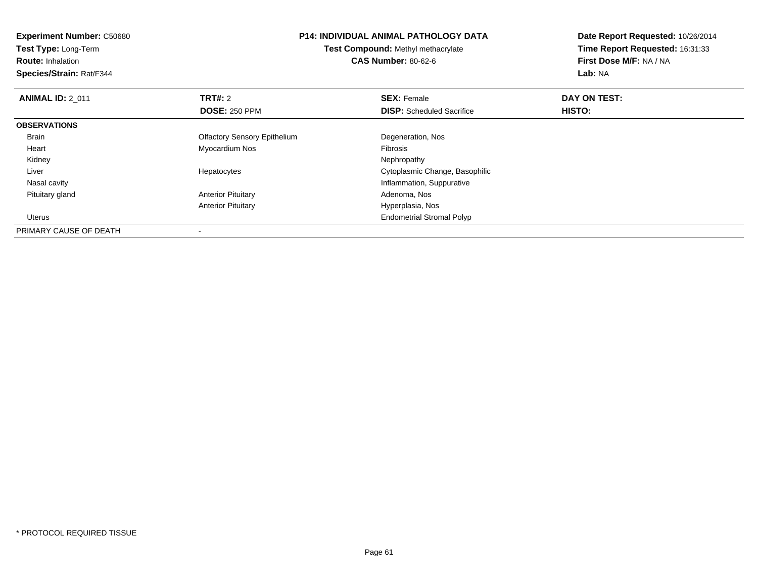| <b>Experiment Number: C50680</b> | <b>P14: INDIVIDUAL ANIMAL PATHOLOGY DATA</b><br>Test Compound: Methyl methacrylate |                                  | Date Report Requested: 10/26/2014 |
|----------------------------------|------------------------------------------------------------------------------------|----------------------------------|-----------------------------------|
| Test Type: Long-Term             |                                                                                    |                                  | Time Report Requested: 16:31:33   |
| <b>Route: Inhalation</b>         |                                                                                    | <b>CAS Number: 80-62-6</b>       | First Dose M/F: NA / NA           |
| Species/Strain: Rat/F344         |                                                                                    |                                  | Lab: NA                           |
| <b>ANIMAL ID: 2 011</b>          | TRT#: 2                                                                            | <b>SEX: Female</b>               | DAY ON TEST:                      |
|                                  | <b>DOSE: 250 PPM</b>                                                               | <b>DISP:</b> Scheduled Sacrifice | <b>HISTO:</b>                     |
| <b>OBSERVATIONS</b>              |                                                                                    |                                  |                                   |
| <b>Brain</b>                     | <b>Olfactory Sensory Epithelium</b>                                                | Degeneration, Nos                |                                   |
| Heart                            | Myocardium Nos                                                                     | <b>Fibrosis</b>                  |                                   |
| Kidney                           |                                                                                    | Nephropathy                      |                                   |
| Liver                            | Hepatocytes                                                                        | Cytoplasmic Change, Basophilic   |                                   |
| Nasal cavity                     |                                                                                    | Inflammation, Suppurative        |                                   |
| Pituitary gland                  | <b>Anterior Pituitary</b>                                                          | Adenoma, Nos                     |                                   |
|                                  | <b>Anterior Pituitary</b>                                                          | Hyperplasia, Nos                 |                                   |
| Uterus                           |                                                                                    | <b>Endometrial Stromal Polyp</b> |                                   |
| PRIMARY CAUSE OF DEATH           |                                                                                    |                                  |                                   |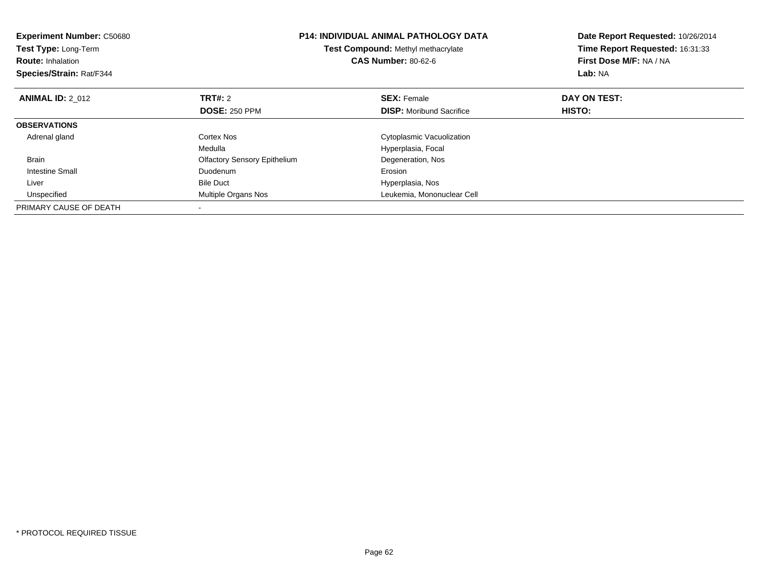| <b>Experiment Number: C50680</b><br><b>Test Type: Long-Term</b><br><b>Route: Inhalation</b><br>Species/Strain: Rat/F344 |                                     | <b>P14: INDIVIDUAL ANIMAL PATHOLOGY DATA</b><br>Date Report Requested: 10/26/2014<br>Time Report Requested: 16:31:33<br>Test Compound: Methyl methacrylate<br><b>CAS Number: 80-62-6</b><br>First Dose M/F: NA / NA<br>Lab: NA |               |
|-------------------------------------------------------------------------------------------------------------------------|-------------------------------------|--------------------------------------------------------------------------------------------------------------------------------------------------------------------------------------------------------------------------------|---------------|
| <b>ANIMAL ID: 2 012</b>                                                                                                 | <b>TRT#: 2</b>                      | <b>SEX: Female</b>                                                                                                                                                                                                             | DAY ON TEST:  |
|                                                                                                                         | <b>DOSE: 250 PPM</b>                | <b>DISP:</b> Moribund Sacrifice                                                                                                                                                                                                | <b>HISTO:</b> |
| <b>OBSERVATIONS</b>                                                                                                     |                                     |                                                                                                                                                                                                                                |               |
| Adrenal gland                                                                                                           | Cortex Nos                          | Cytoplasmic Vacuolization                                                                                                                                                                                                      |               |
|                                                                                                                         | Medulla                             | Hyperplasia, Focal                                                                                                                                                                                                             |               |
| <b>Brain</b>                                                                                                            | <b>Olfactory Sensory Epithelium</b> | Degeneration, Nos                                                                                                                                                                                                              |               |
| <b>Intestine Small</b>                                                                                                  | Duodenum                            | Erosion                                                                                                                                                                                                                        |               |
| Liver                                                                                                                   | <b>Bile Duct</b>                    | Hyperplasia, Nos                                                                                                                                                                                                               |               |
| Unspecified                                                                                                             | Multiple Organs Nos                 | Leukemia, Mononuclear Cell                                                                                                                                                                                                     |               |
| PRIMARY CAUSE OF DEATH                                                                                                  |                                     |                                                                                                                                                                                                                                |               |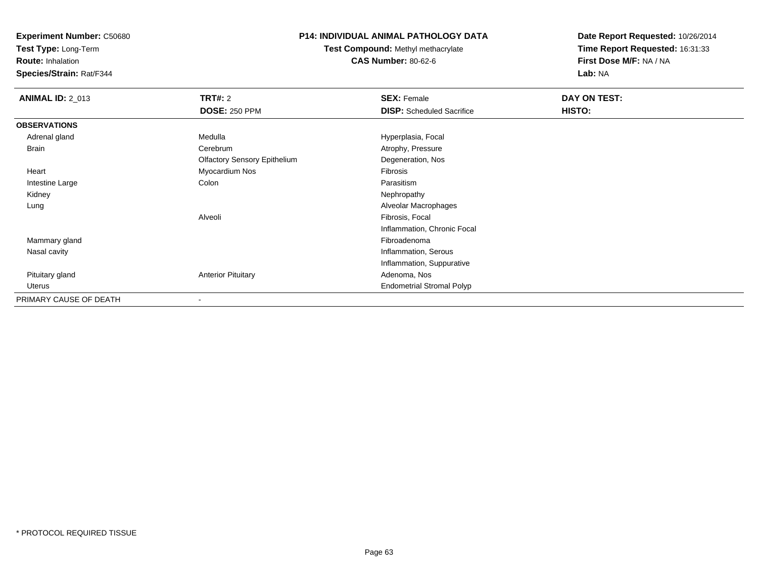**Test Type:** Long-Term

**Route:** Inhalation

**Species/Strain:** Rat/F344

# **P14: INDIVIDUAL ANIMAL PATHOLOGY DATA**

**Test Compound:** Methyl methacrylate**CAS Number:** 80-62-6

| <b>ANIMAL ID: 2_013</b> | <b>TRT#: 2</b>                      | <b>SEX: Female</b>               | DAY ON TEST: |  |
|-------------------------|-------------------------------------|----------------------------------|--------------|--|
|                         | <b>DOSE: 250 PPM</b>                | <b>DISP:</b> Scheduled Sacrifice | HISTO:       |  |
| <b>OBSERVATIONS</b>     |                                     |                                  |              |  |
| Adrenal gland           | Medulla                             | Hyperplasia, Focal               |              |  |
| Brain                   | Cerebrum                            | Atrophy, Pressure                |              |  |
|                         | <b>Olfactory Sensory Epithelium</b> | Degeneration, Nos                |              |  |
| Heart                   | Myocardium Nos                      | Fibrosis                         |              |  |
| Intestine Large         | Colon                               | Parasitism                       |              |  |
| Kidney                  |                                     | Nephropathy                      |              |  |
| Lung                    |                                     | Alveolar Macrophages             |              |  |
|                         | Alveoli                             | Fibrosis, Focal                  |              |  |
|                         |                                     | Inflammation, Chronic Focal      |              |  |
| Mammary gland           |                                     | Fibroadenoma                     |              |  |
| Nasal cavity            |                                     | Inflammation, Serous             |              |  |
|                         |                                     | Inflammation, Suppurative        |              |  |
| Pituitary gland         | <b>Anterior Pituitary</b>           | Adenoma, Nos                     |              |  |
| Uterus                  |                                     | <b>Endometrial Stromal Polyp</b> |              |  |
| PRIMARY CAUSE OF DEATH  | $\blacksquare$                      |                                  |              |  |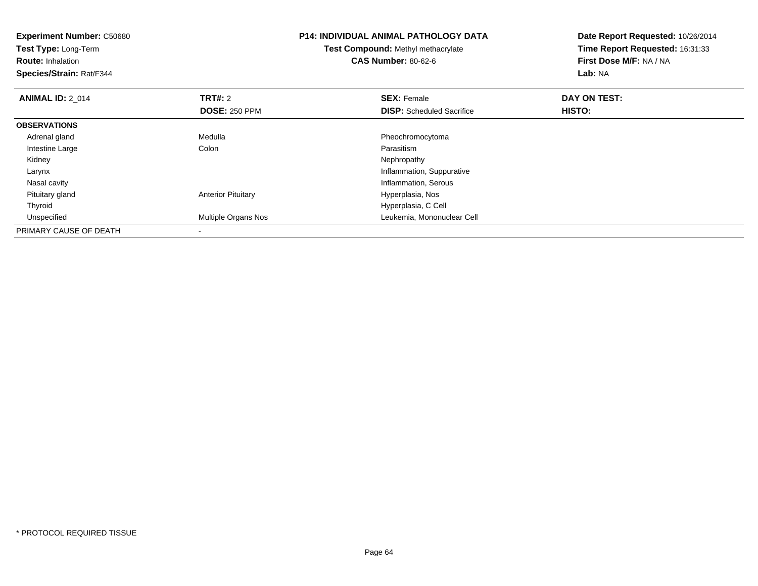| <b>Experiment Number: C50680</b><br>Test Type: Long-Term<br><b>Route: Inhalation</b><br>Species/Strain: Rat/F344 |                           | <b>P14: INDIVIDUAL ANIMAL PATHOLOGY DATA</b><br><b>Test Compound: Methyl methacrylate</b><br><b>CAS Number: 80-62-6</b> | Date Report Requested: 10/26/2014<br>Time Report Requested: 16:31:33<br>First Dose M/F: NA / NA<br>Lab: NA |
|------------------------------------------------------------------------------------------------------------------|---------------------------|-------------------------------------------------------------------------------------------------------------------------|------------------------------------------------------------------------------------------------------------|
| <b>ANIMAL ID: 2 014</b>                                                                                          | <b>TRT#: 2</b>            | <b>SEX: Female</b>                                                                                                      | DAY ON TEST:                                                                                               |
|                                                                                                                  | <b>DOSE: 250 PPM</b>      | <b>DISP:</b> Scheduled Sacrifice                                                                                        | HISTO:                                                                                                     |
| <b>OBSERVATIONS</b>                                                                                              |                           |                                                                                                                         |                                                                                                            |
| Adrenal gland                                                                                                    | Medulla                   | Pheochromocytoma                                                                                                        |                                                                                                            |
| Intestine Large                                                                                                  | Colon                     | Parasitism                                                                                                              |                                                                                                            |
| Kidney                                                                                                           |                           | Nephropathy                                                                                                             |                                                                                                            |
| Larynx                                                                                                           |                           | Inflammation, Suppurative                                                                                               |                                                                                                            |
| Nasal cavity                                                                                                     |                           | Inflammation, Serous                                                                                                    |                                                                                                            |
| Pituitary gland                                                                                                  | <b>Anterior Pituitary</b> | Hyperplasia, Nos                                                                                                        |                                                                                                            |
| Thyroid                                                                                                          |                           | Hyperplasia, C Cell                                                                                                     |                                                                                                            |
| Unspecified                                                                                                      | Multiple Organs Nos       | Leukemia, Mononuclear Cell                                                                                              |                                                                                                            |
| PRIMARY CAUSE OF DEATH                                                                                           |                           |                                                                                                                         |                                                                                                            |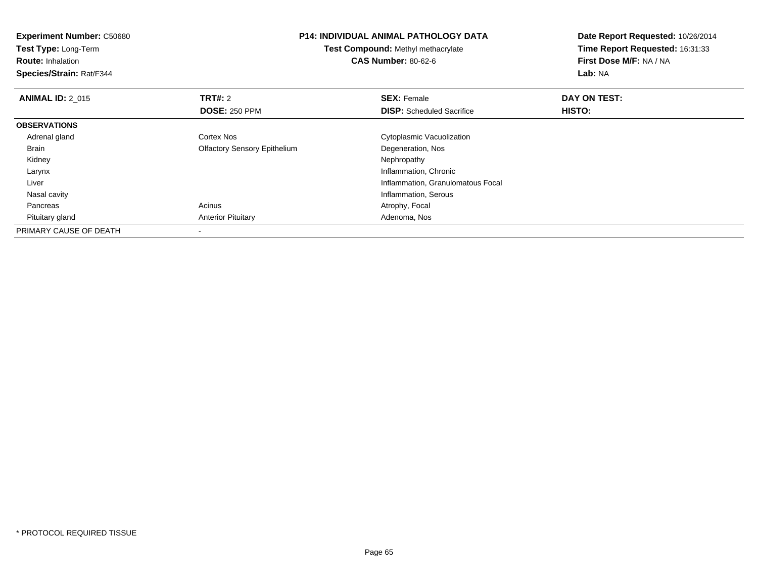| <b>Experiment Number: C50680</b><br>Test Type: Long-Term<br><b>Route: Inhalation</b><br>Species/Strain: Rat/F344 |                                     | <b>P14: INDIVIDUAL ANIMAL PATHOLOGY DATA</b><br><b>Test Compound: Methyl methacrylate</b><br><b>CAS Number: 80-62-6</b> | Date Report Requested: 10/26/2014<br>Time Report Requested: 16:31:33<br>First Dose M/F: NA / NA<br>Lab: NA |
|------------------------------------------------------------------------------------------------------------------|-------------------------------------|-------------------------------------------------------------------------------------------------------------------------|------------------------------------------------------------------------------------------------------------|
| <b>ANIMAL ID: 2 015</b>                                                                                          | <b>TRT#: 2</b>                      | <b>SEX: Female</b>                                                                                                      | DAY ON TEST:                                                                                               |
|                                                                                                                  | <b>DOSE: 250 PPM</b>                | <b>DISP:</b> Scheduled Sacrifice                                                                                        | HISTO:                                                                                                     |
| <b>OBSERVATIONS</b>                                                                                              |                                     |                                                                                                                         |                                                                                                            |
| Adrenal gland                                                                                                    | <b>Cortex Nos</b>                   | Cytoplasmic Vacuolization                                                                                               |                                                                                                            |
| Brain                                                                                                            | <b>Olfactory Sensory Epithelium</b> | Degeneration, Nos                                                                                                       |                                                                                                            |
| Kidney                                                                                                           |                                     | Nephropathy                                                                                                             |                                                                                                            |
| Larynx                                                                                                           |                                     | Inflammation, Chronic                                                                                                   |                                                                                                            |
| Liver                                                                                                            |                                     | Inflammation, Granulomatous Focal                                                                                       |                                                                                                            |
| Nasal cavity                                                                                                     |                                     | Inflammation, Serous                                                                                                    |                                                                                                            |
| Pancreas                                                                                                         | Acinus                              | Atrophy, Focal                                                                                                          |                                                                                                            |
| Pituitary gland                                                                                                  | <b>Anterior Pituitary</b>           | Adenoma, Nos                                                                                                            |                                                                                                            |
| PRIMARY CAUSE OF DEATH                                                                                           |                                     |                                                                                                                         |                                                                                                            |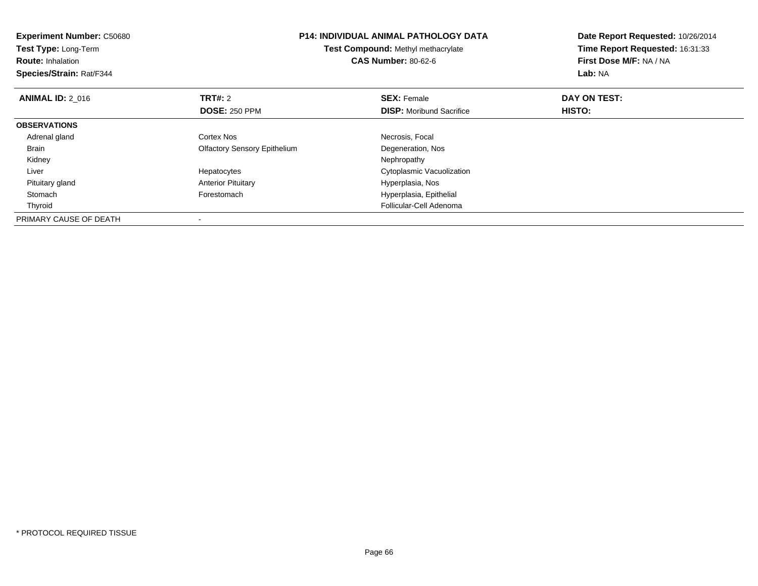| <b>Experiment Number: C50680</b><br>Test Type: Long-Term<br><b>Route: Inhalation</b><br>Species/Strain: Rat/F344 |                                        | <b>P14: INDIVIDUAL ANIMAL PATHOLOGY DATA</b><br>Test Compound: Methyl methacrylate<br><b>CAS Number: 80-62-6</b> | Date Report Requested: 10/26/2014<br>Time Report Requested: 16:31:33<br>First Dose M/F: NA / NA<br>Lab: NA |
|------------------------------------------------------------------------------------------------------------------|----------------------------------------|------------------------------------------------------------------------------------------------------------------|------------------------------------------------------------------------------------------------------------|
| <b>ANIMAL ID: 2_016</b>                                                                                          | <b>TRT#:</b> 2<br><b>DOSE: 250 PPM</b> | <b>SEX: Female</b><br><b>DISP:</b> Moribund Sacrifice                                                            | DAY ON TEST:<br>HISTO:                                                                                     |
| <b>OBSERVATIONS</b>                                                                                              |                                        |                                                                                                                  |                                                                                                            |
| Adrenal gland                                                                                                    | Cortex Nos                             | Necrosis, Focal                                                                                                  |                                                                                                            |
| <b>Brain</b>                                                                                                     | <b>Olfactory Sensory Epithelium</b>    | Degeneration, Nos                                                                                                |                                                                                                            |
| Kidney                                                                                                           |                                        | Nephropathy                                                                                                      |                                                                                                            |
| Liver                                                                                                            | Hepatocytes                            | Cytoplasmic Vacuolization                                                                                        |                                                                                                            |
| Pituitary gland                                                                                                  | <b>Anterior Pituitary</b>              | Hyperplasia, Nos                                                                                                 |                                                                                                            |
| Stomach                                                                                                          | Forestomach                            | Hyperplasia, Epithelial                                                                                          |                                                                                                            |
| Thyroid                                                                                                          |                                        | Follicular-Cell Adenoma                                                                                          |                                                                                                            |
| PRIMARY CAUSE OF DEATH                                                                                           |                                        |                                                                                                                  |                                                                                                            |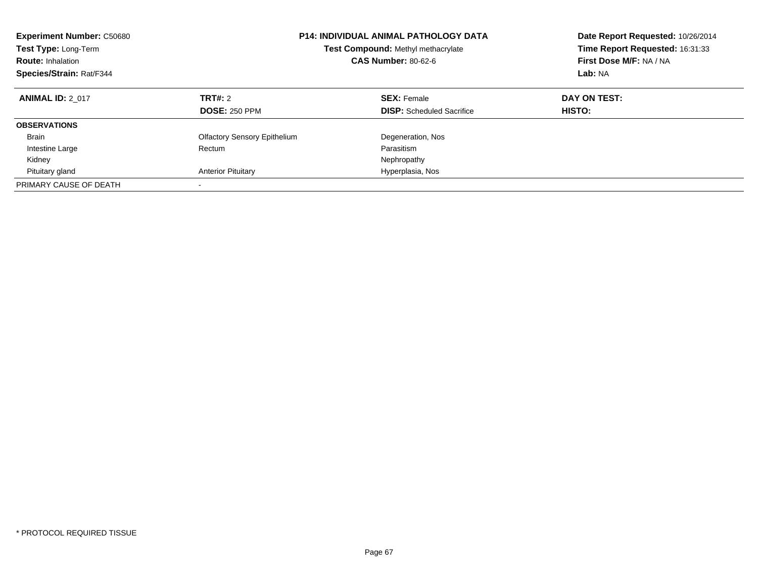| <b>Experiment Number: C50680</b><br>Test Type: Long-Term<br><b>Route: Inhalation</b><br>Species/Strain: Rat/F344 |                                     | <b>P14: INDIVIDUAL ANIMAL PATHOLOGY DATA</b><br>Test Compound: Methyl methacrylate<br><b>CAS Number: 80-62-6</b> | Date Report Requested: 10/26/2014<br>Time Report Requested: 16:31:33<br>First Dose M/F: NA / NA<br>Lab: NA |
|------------------------------------------------------------------------------------------------------------------|-------------------------------------|------------------------------------------------------------------------------------------------------------------|------------------------------------------------------------------------------------------------------------|
| <b>ANIMAL ID: 2 017</b>                                                                                          | <b>TRT#: 2</b>                      | <b>SEX: Female</b>                                                                                               | DAY ON TEST:                                                                                               |
|                                                                                                                  | <b>DOSE: 250 PPM</b>                | <b>DISP:</b> Scheduled Sacrifice                                                                                 | <b>HISTO:</b>                                                                                              |
| <b>OBSERVATIONS</b>                                                                                              |                                     |                                                                                                                  |                                                                                                            |
| <b>Brain</b>                                                                                                     | <b>Olfactory Sensory Epithelium</b> | Degeneration, Nos                                                                                                |                                                                                                            |
| Intestine Large                                                                                                  | Rectum                              | Parasitism                                                                                                       |                                                                                                            |
| Kidney                                                                                                           |                                     | Nephropathy                                                                                                      |                                                                                                            |
| Pituitary gland                                                                                                  | <b>Anterior Pituitary</b>           | Hyperplasia, Nos                                                                                                 |                                                                                                            |
| PRIMARY CAUSE OF DEATH                                                                                           | -                                   |                                                                                                                  |                                                                                                            |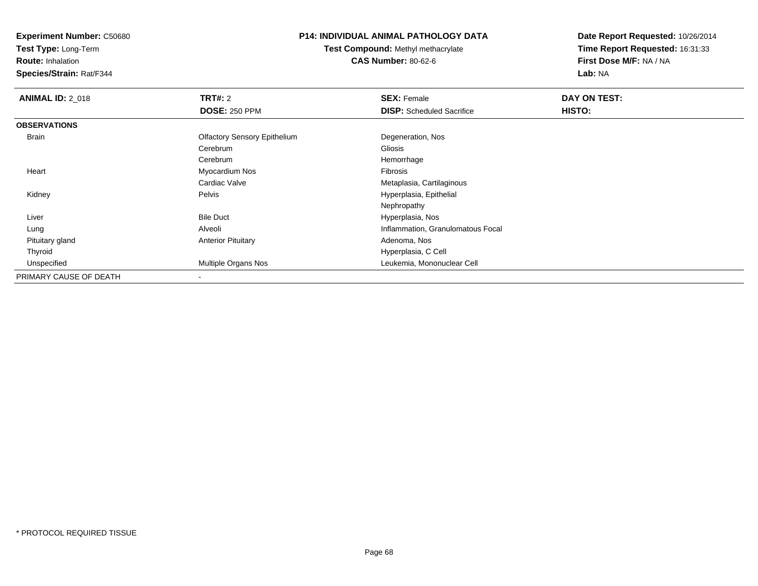**Test Type:** Long-Term

**Route:** Inhalation

**Species/Strain:** Rat/F344

### **P14: INDIVIDUAL ANIMAL PATHOLOGY DATA**

**Test Compound:** Methyl methacrylate**CAS Number:** 80-62-6

| <b>ANIMAL ID: 2 018</b> | TRT#: 2                             | <b>SEX: Female</b>                | DAY ON TEST: |
|-------------------------|-------------------------------------|-----------------------------------|--------------|
|                         | <b>DOSE: 250 PPM</b>                | <b>DISP:</b> Scheduled Sacrifice  | HISTO:       |
| <b>OBSERVATIONS</b>     |                                     |                                   |              |
| Brain                   | <b>Olfactory Sensory Epithelium</b> | Degeneration, Nos                 |              |
|                         | Cerebrum                            | Gliosis                           |              |
|                         | Cerebrum                            | Hemorrhage                        |              |
| Heart                   | Myocardium Nos                      | Fibrosis                          |              |
|                         | Cardiac Valve                       | Metaplasia, Cartilaginous         |              |
| Kidney                  | Pelvis                              | Hyperplasia, Epithelial           |              |
|                         |                                     | Nephropathy                       |              |
| Liver                   | <b>Bile Duct</b>                    | Hyperplasia, Nos                  |              |
| Lung                    | Alveoli                             | Inflammation, Granulomatous Focal |              |
| Pituitary gland         | <b>Anterior Pituitary</b>           | Adenoma, Nos                      |              |
| Thyroid                 |                                     | Hyperplasia, C Cell               |              |
| Unspecified             | Multiple Organs Nos                 | Leukemia, Mononuclear Cell        |              |
| PRIMARY CAUSE OF DEATH  | $\overline{\phantom{a}}$            |                                   |              |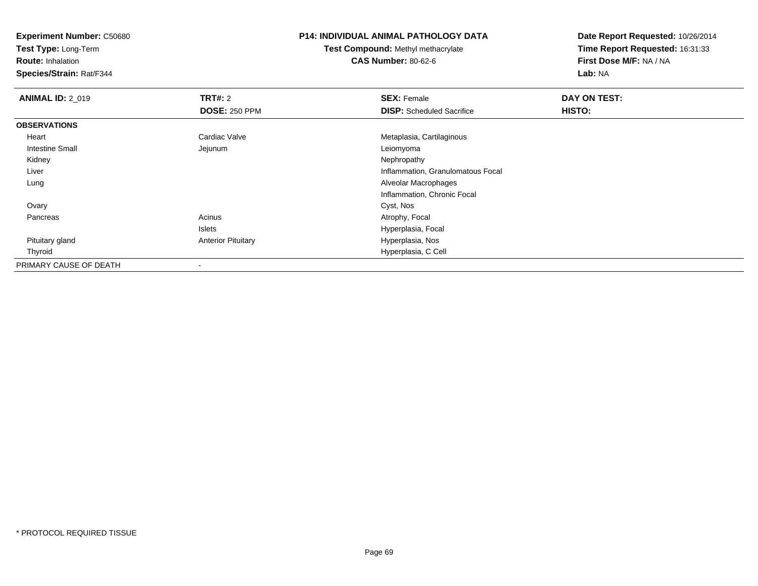**Test Type:** Long-Term

**Route:** Inhalation

**Species/Strain:** Rat/F344

### **P14: INDIVIDUAL ANIMAL PATHOLOGY DATA**

**Test Compound:** Methyl methacrylate**CAS Number:** 80-62-6

| <b>ANIMAL ID: 2 019</b> | TRT#: 2                   | <b>SEX: Female</b>                | DAY ON TEST: |  |
|-------------------------|---------------------------|-----------------------------------|--------------|--|
|                         | <b>DOSE: 250 PPM</b>      | <b>DISP:</b> Scheduled Sacrifice  | HISTO:       |  |
| <b>OBSERVATIONS</b>     |                           |                                   |              |  |
| Heart                   | Cardiac Valve             | Metaplasia, Cartilaginous         |              |  |
| <b>Intestine Small</b>  | Jejunum                   | Leiomyoma                         |              |  |
| Kidney                  |                           | Nephropathy                       |              |  |
| Liver                   |                           | Inflammation, Granulomatous Focal |              |  |
| Lung                    |                           | Alveolar Macrophages              |              |  |
|                         |                           | Inflammation, Chronic Focal       |              |  |
| Ovary                   |                           | Cyst, Nos                         |              |  |
| Pancreas                | Acinus                    | Atrophy, Focal                    |              |  |
|                         | Islets                    | Hyperplasia, Focal                |              |  |
| Pituitary gland         | <b>Anterior Pituitary</b> | Hyperplasia, Nos                  |              |  |
| Thyroid                 |                           | Hyperplasia, C Cell               |              |  |
| PRIMARY CAUSE OF DEATH  |                           |                                   |              |  |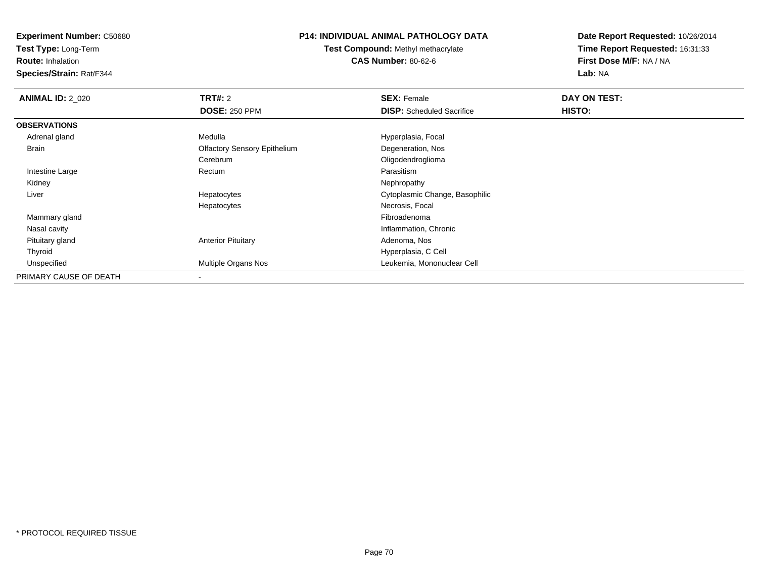**Test Type:** Long-Term

**Route:** Inhalation

**Species/Strain:** Rat/F344

### **P14: INDIVIDUAL ANIMAL PATHOLOGY DATA**

**Test Compound:** Methyl methacrylate**CAS Number:** 80-62-6

| <b>ANIMAL ID: 2_020</b> | TRT#: 2                             | <b>SEX: Female</b>               | DAY ON TEST: |  |
|-------------------------|-------------------------------------|----------------------------------|--------------|--|
|                         | <b>DOSE: 250 PPM</b>                | <b>DISP:</b> Scheduled Sacrifice | HISTO:       |  |
| <b>OBSERVATIONS</b>     |                                     |                                  |              |  |
| Adrenal gland           | Medulla                             | Hyperplasia, Focal               |              |  |
| Brain                   | <b>Olfactory Sensory Epithelium</b> | Degeneration, Nos                |              |  |
|                         | Cerebrum                            | Oligodendroglioma                |              |  |
| Intestine Large         | Rectum                              | Parasitism                       |              |  |
| Kidney                  |                                     | Nephropathy                      |              |  |
| Liver                   | Hepatocytes                         | Cytoplasmic Change, Basophilic   |              |  |
|                         | Hepatocytes                         | Necrosis, Focal                  |              |  |
| Mammary gland           |                                     | Fibroadenoma                     |              |  |
| Nasal cavity            |                                     | Inflammation, Chronic            |              |  |
| Pituitary gland         | <b>Anterior Pituitary</b>           | Adenoma, Nos                     |              |  |
| Thyroid                 |                                     | Hyperplasia, C Cell              |              |  |
| Unspecified             | Multiple Organs Nos                 | Leukemia, Mononuclear Cell       |              |  |
| PRIMARY CAUSE OF DEATH  |                                     |                                  |              |  |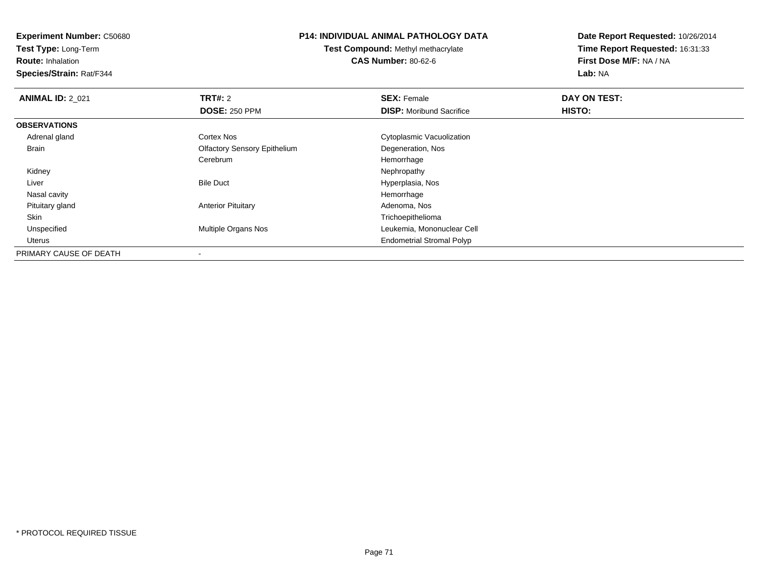**Experiment Number:** C50680**Test Type:** Long-Term**Route:** Inhalation **Species/Strain:** Rat/F344**P14: INDIVIDUAL ANIMAL PATHOLOGY DATATest Compound:** Methyl methacrylate**CAS Number:** 80-62-6**Date Report Requested:** 10/26/2014**Time Report Requested:** 16:31:33**First Dose M/F:** NA / NA**Lab:** NA**ANIMAL ID: 2 021 TRT#:** 2 **SEX:** Female **DAY ON TEST: DOSE:** 250 PPM**DISP:** Moribund Sacrifice **HISTO: OBSERVATIONS** Adrenal glandCortex Nos **Cytoplasmic Vacuolization**  Brain Olfactory Sensory Epithelium Degeneration, Nos CerebrumHemorrhage<br>Nephropathy Kidneyy the control of the control of the control of the control of the control of the control of the control of the control of the control of the control of the control of the control of the control of the control of the contro LiverBile Duct **Hyperplasia**, Nos Nasal cavityy the control of the control of the control of the control of the control of the control of the control of the control of the control of the control of the control of the control of the control of the control of the contro Adenoma, Nos Pituitary glandAnterior Pituitary Skin Trichoepithelioma UnspecifiedMultiple Organs Nos **Multiple Organs Nos** Leukemia, Mononuclear Cell Uterus Endometrial Stromal PolypPRIMARY CAUSE OF DEATH-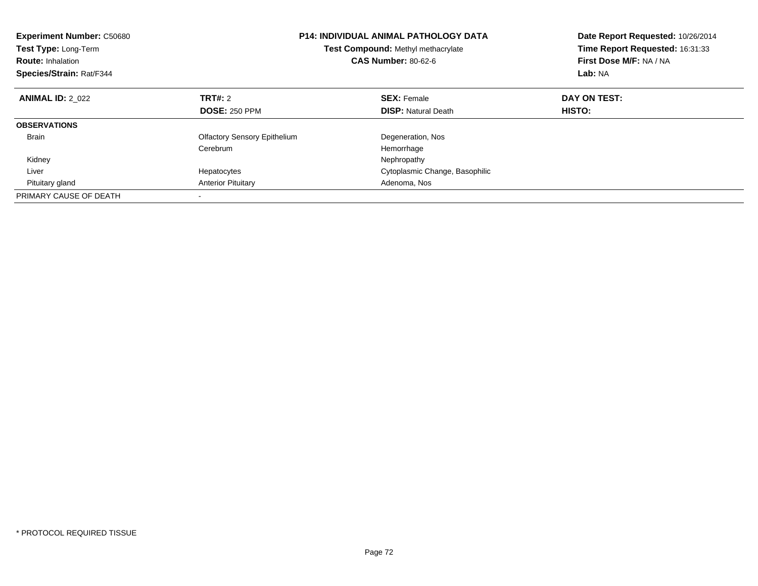| <b>Experiment Number: C50680</b><br><b>Test Type: Long-Term</b><br><b>Route: Inhalation</b><br>Species/Strain: Rat/F344 |                                     | <b>P14: INDIVIDUAL ANIMAL PATHOLOGY DATA</b><br>Test Compound: Methyl methacrylate<br><b>CAS Number: 80-62-6</b> | Date Report Requested: 10/26/2014<br>Time Report Requested: 16:31:33<br>First Dose M/F: NA / NA<br>Lab: NA |
|-------------------------------------------------------------------------------------------------------------------------|-------------------------------------|------------------------------------------------------------------------------------------------------------------|------------------------------------------------------------------------------------------------------------|
| <b>ANIMAL ID: 2 022</b>                                                                                                 | TRT#: 2                             | <b>SEX: Female</b>                                                                                               | DAY ON TEST:                                                                                               |
|                                                                                                                         | <b>DOSE: 250 PPM</b>                | <b>DISP: Natural Death</b>                                                                                       | HISTO:                                                                                                     |
| <b>OBSERVATIONS</b>                                                                                                     |                                     |                                                                                                                  |                                                                                                            |
| <b>Brain</b>                                                                                                            | <b>Olfactory Sensory Epithelium</b> | Degeneration, Nos                                                                                                |                                                                                                            |
|                                                                                                                         | Cerebrum                            | Hemorrhage                                                                                                       |                                                                                                            |
| Kidney                                                                                                                  |                                     | Nephropathy                                                                                                      |                                                                                                            |
| Liver                                                                                                                   | Hepatocytes                         | Cytoplasmic Change, Basophilic                                                                                   |                                                                                                            |
| Pituitary gland                                                                                                         | <b>Anterior Pituitary</b>           | Adenoma, Nos                                                                                                     |                                                                                                            |
| PRIMARY CAUSE OF DEATH                                                                                                  |                                     |                                                                                                                  |                                                                                                            |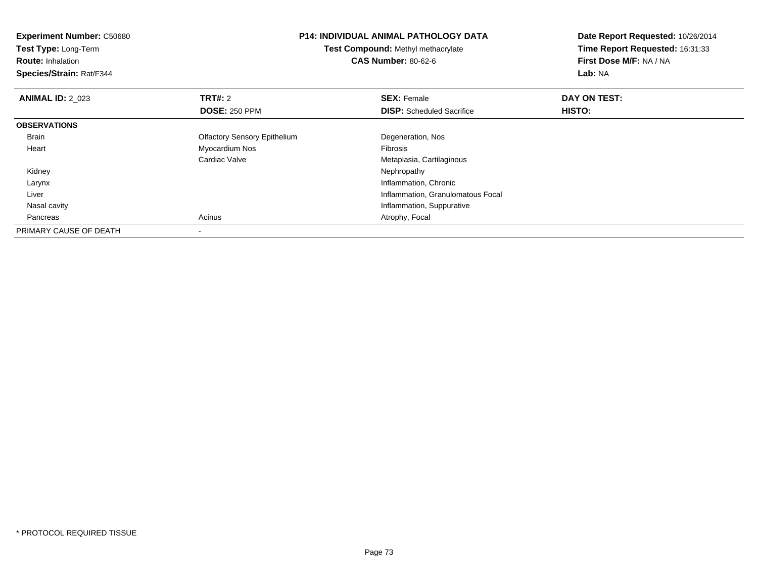| <b>Experiment Number: C50680</b> | <b>P14: INDIVIDUAL ANIMAL PATHOLOGY DATA</b><br>Test Compound: Methyl methacrylate |                                   | Date Report Requested: 10/26/2014 |
|----------------------------------|------------------------------------------------------------------------------------|-----------------------------------|-----------------------------------|
| Test Type: Long-Term             |                                                                                    |                                   | Time Report Requested: 16:31:33   |
| <b>Route: Inhalation</b>         |                                                                                    | <b>CAS Number: 80-62-6</b>        | First Dose M/F: NA / NA           |
| Species/Strain: Rat/F344         |                                                                                    |                                   | Lab: NA                           |
| <b>ANIMAL ID: 2 023</b>          | <b>TRT#: 2</b>                                                                     | <b>SEX: Female</b>                | DAY ON TEST:                      |
|                                  | <b>DOSE: 250 PPM</b>                                                               | <b>DISP:</b> Scheduled Sacrifice  | HISTO:                            |
| <b>OBSERVATIONS</b>              |                                                                                    |                                   |                                   |
| <b>Brain</b>                     | <b>Olfactory Sensory Epithelium</b>                                                | Degeneration, Nos                 |                                   |
| Heart                            | Myocardium Nos                                                                     | <b>Fibrosis</b>                   |                                   |
|                                  | Cardiac Valve                                                                      | Metaplasia, Cartilaginous         |                                   |
| Kidney                           |                                                                                    | Nephropathy                       |                                   |
| Larynx                           |                                                                                    | Inflammation, Chronic             |                                   |
| Liver                            |                                                                                    | Inflammation, Granulomatous Focal |                                   |
| Nasal cavity                     |                                                                                    | Inflammation, Suppurative         |                                   |
| Pancreas                         | Acinus                                                                             | Atrophy, Focal                    |                                   |
| PRIMARY CAUSE OF DEATH           |                                                                                    |                                   |                                   |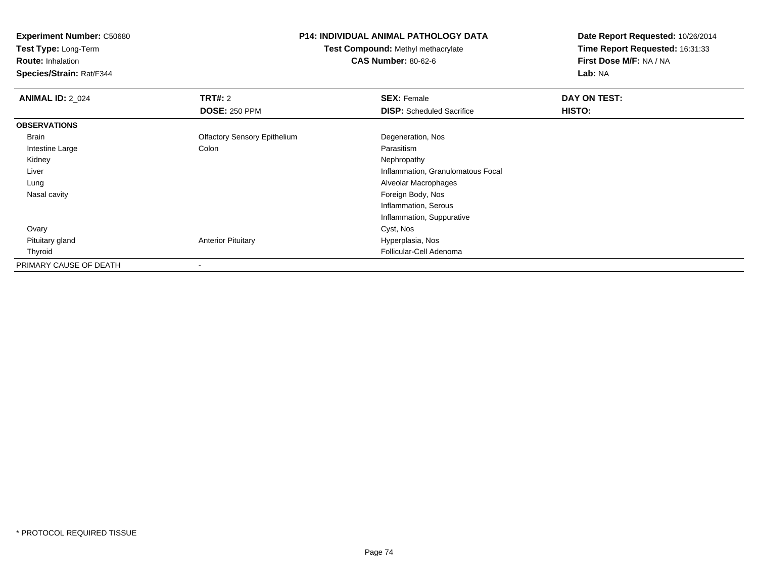**Test Type:** Long-Term

**Route:** Inhalation

**Species/Strain:** Rat/F344

## **P14: INDIVIDUAL ANIMAL PATHOLOGY DATA**

**Test Compound:** Methyl methacrylate**CAS Number:** 80-62-6

| <b>ANIMAL ID: 2_024</b> | TRT#: 2                             | <b>SEX: Female</b>                | DAY ON TEST: |  |
|-------------------------|-------------------------------------|-----------------------------------|--------------|--|
|                         | <b>DOSE: 250 PPM</b>                | <b>DISP:</b> Scheduled Sacrifice  | HISTO:       |  |
| <b>OBSERVATIONS</b>     |                                     |                                   |              |  |
| Brain                   | <b>Olfactory Sensory Epithelium</b> | Degeneration, Nos                 |              |  |
| Intestine Large         | Colon                               | Parasitism                        |              |  |
| Kidney                  |                                     | Nephropathy                       |              |  |
| Liver                   |                                     | Inflammation, Granulomatous Focal |              |  |
| Lung                    |                                     | Alveolar Macrophages              |              |  |
| Nasal cavity            |                                     | Foreign Body, Nos                 |              |  |
|                         |                                     | Inflammation, Serous              |              |  |
|                         |                                     | Inflammation, Suppurative         |              |  |
| Ovary                   |                                     | Cyst, Nos                         |              |  |
| Pituitary gland         | <b>Anterior Pituitary</b>           | Hyperplasia, Nos                  |              |  |
| Thyroid                 |                                     | Follicular-Cell Adenoma           |              |  |
| PRIMARY CAUSE OF DEATH  |                                     |                                   |              |  |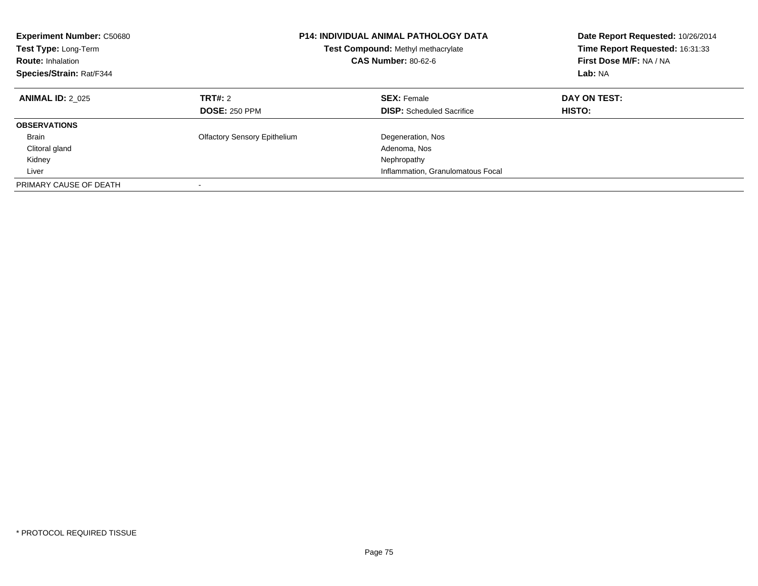| <b>Experiment Number: C50680</b><br>Test Type: Long-Term<br><b>Route: Inhalation</b><br>Species/Strain: Rat/F344 | <b>P14: INDIVIDUAL ANIMAL PATHOLOGY DATA</b><br>Test Compound: Methyl methacrylate<br><b>CAS Number: 80-62-6</b> |                                                        |                               |  | Date Report Requested: 10/26/2014<br>Time Report Requested: 16:31:33<br>First Dose M/F: NA / NA<br>Lab: NA |
|------------------------------------------------------------------------------------------------------------------|------------------------------------------------------------------------------------------------------------------|--------------------------------------------------------|-------------------------------|--|------------------------------------------------------------------------------------------------------------|
| <b>ANIMAL ID: 2 025</b>                                                                                          | TRT#: 2<br><b>DOSE: 250 PPM</b>                                                                                  | <b>SEX: Female</b><br><b>DISP:</b> Scheduled Sacrifice | DAY ON TEST:<br><b>HISTO:</b> |  |                                                                                                            |
|                                                                                                                  |                                                                                                                  |                                                        |                               |  |                                                                                                            |
| <b>OBSERVATIONS</b>                                                                                              |                                                                                                                  |                                                        |                               |  |                                                                                                            |
| <b>Brain</b>                                                                                                     | <b>Olfactory Sensory Epithelium</b>                                                                              | Degeneration, Nos                                      |                               |  |                                                                                                            |
| Clitoral gland                                                                                                   |                                                                                                                  | Adenoma, Nos                                           |                               |  |                                                                                                            |
| Kidney                                                                                                           |                                                                                                                  | Nephropathy                                            |                               |  |                                                                                                            |
| Liver                                                                                                            |                                                                                                                  | Inflammation, Granulomatous Focal                      |                               |  |                                                                                                            |
| PRIMARY CAUSE OF DEATH                                                                                           |                                                                                                                  |                                                        |                               |  |                                                                                                            |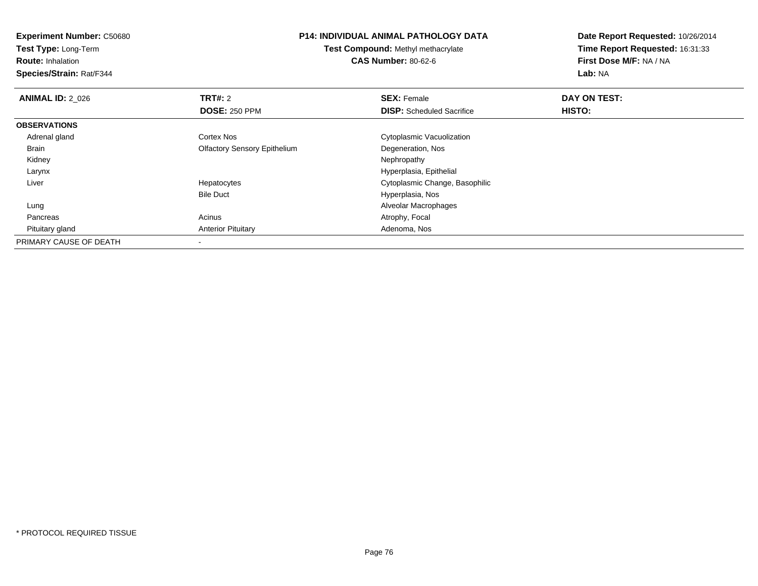**Experiment Number:** C50680**Test Type:** Long-Term**Route:** Inhalation **Species/Strain:** Rat/F344**P14: INDIVIDUAL ANIMAL PATHOLOGY DATATest Compound:** Methyl methacrylate**CAS Number:** 80-62-6**Date Report Requested:** 10/26/2014**Time Report Requested:** 16:31:33**First Dose M/F:** NA / NA**Lab:** NA**ANIMAL ID: 2 026 6 DAY ON TEST: TRT#:** 2 **SEX:** Female **SEX:** Female **DOSE:** 250 PPM**DISP:** Scheduled Sacrifice **HISTO: OBSERVATIONS** Adrenal glandCortex Nos **Cytoplasmic Vacuolization**  Brain Olfactory Sensory EpitheliumDegeneration, Nos<br>Nephropathy Kidneyy the control of the control of the control of the control of the control of the control of the control of the control of the control of the control of the control of the control of the control of the control of the contro Larynx Hyperplasia, Epithelial Liver Hepatocytes Cytoplasmic Change, Basophilic Bile Duct Hyperplasia, Nos Alveolar Macrophages Lung PancreasAcinus **Acinus** Atrophy, Focal Pituitary glandAnterior Pituitary **Adenoma, Nos** Adenoma, Nos PRIMARY CAUSE OF DEATH-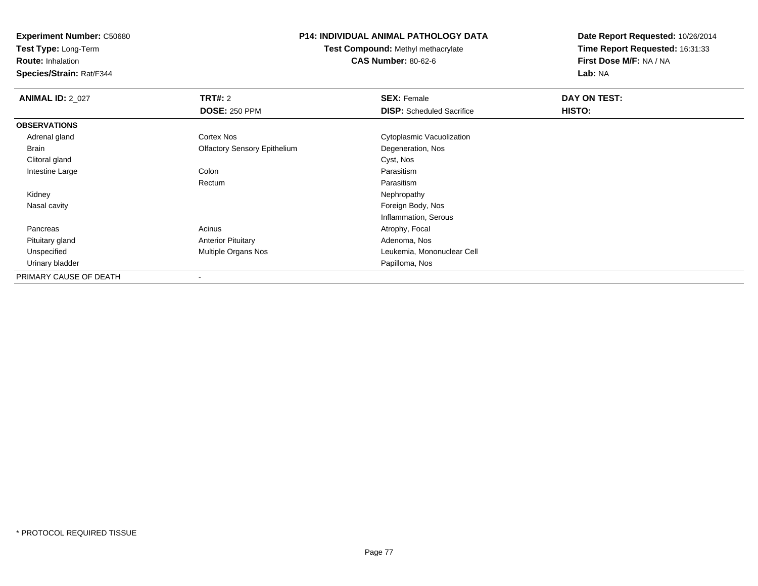**Test Type:** Long-Term

**Route:** Inhalation

**Species/Strain:** Rat/F344

## **P14: INDIVIDUAL ANIMAL PATHOLOGY DATA**

**Test Compound:** Methyl methacrylate**CAS Number:** 80-62-6

| <b>ANIMAL ID: 2 027</b> | TRT#: 2                             | <b>SEX: Female</b>               | DAY ON TEST: |  |
|-------------------------|-------------------------------------|----------------------------------|--------------|--|
|                         | <b>DOSE: 250 PPM</b>                | <b>DISP:</b> Scheduled Sacrifice | HISTO:       |  |
| <b>OBSERVATIONS</b>     |                                     |                                  |              |  |
| Adrenal gland           | Cortex Nos                          | Cytoplasmic Vacuolization        |              |  |
| Brain                   | <b>Olfactory Sensory Epithelium</b> | Degeneration, Nos                |              |  |
| Clitoral gland          |                                     | Cyst, Nos                        |              |  |
| Intestine Large         | Colon                               | Parasitism                       |              |  |
|                         | Rectum                              | Parasitism                       |              |  |
| Kidney                  |                                     | Nephropathy                      |              |  |
| Nasal cavity            |                                     | Foreign Body, Nos                |              |  |
|                         |                                     | Inflammation, Serous             |              |  |
| Pancreas                | Acinus                              | Atrophy, Focal                   |              |  |
| Pituitary gland         | <b>Anterior Pituitary</b>           | Adenoma, Nos                     |              |  |
| Unspecified             | Multiple Organs Nos                 | Leukemia, Mononuclear Cell       |              |  |
| Urinary bladder         |                                     | Papilloma, Nos                   |              |  |
| PRIMARY CAUSE OF DEATH  | $\overline{\phantom{a}}$            |                                  |              |  |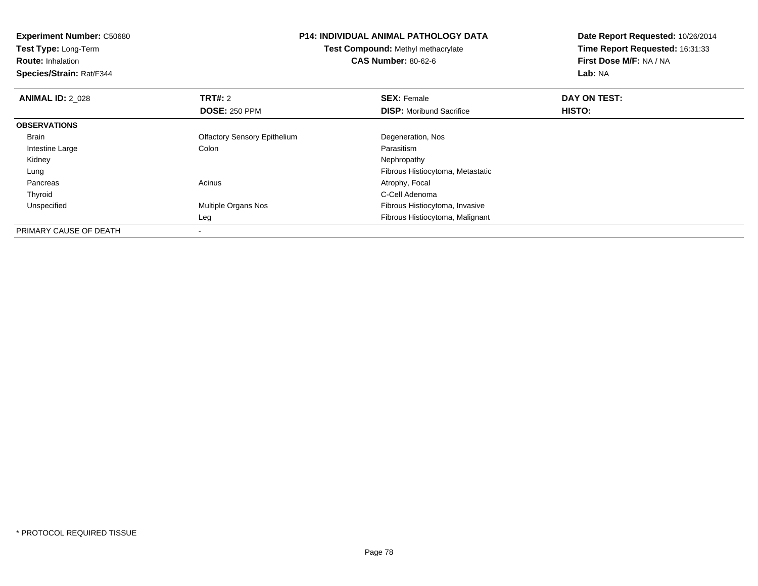**Experiment Number:** C50680**Test Type:** Long-Term**Route:** Inhalation **Species/Strain:** Rat/F344**P14: INDIVIDUAL ANIMAL PATHOLOGY DATATest Compound:** Methyl methacrylate**CAS Number:** 80-62-6**Date Report Requested:** 10/26/2014**Time Report Requested:** 16:31:33**First Dose M/F:** NA / NA**Lab:** NA**ANIMAL ID: 2 028 REX:** Female **DAY ON TEST: CONSIST: SEX:** Female **DAY ON TEST: DOSE:** 250 PPM**DISP:** Moribund Sacrifice **HISTO: OBSERVATIONS** Brain Olfactory Sensory EpitheliumDegeneration, Nos<br>Parasitism Intestine Largee and the Colon Colon Colon Colon and the Parasitism Nephropathy Kidneyy the control of the control of the control of the control of the control of the control of the control of the control of the control of the control of the control of the control of the control of the control of the contro LungFibrous Histiocytoma, Metastatic<br>Acinus Actrophy, Focal PancreasAtrophy, Focal Thyroidd C-Cell Adenoma and the control of the control of the control of the control of the control of the control of the control of the control of the control of the control of the control of the control of the control of the co UnspecifiedMultiple Organs Nos **Fibrous Histiocytoma**, Invasive Leg Fibrous Histiocytoma, Malignant PRIMARY CAUSE OF DEATH-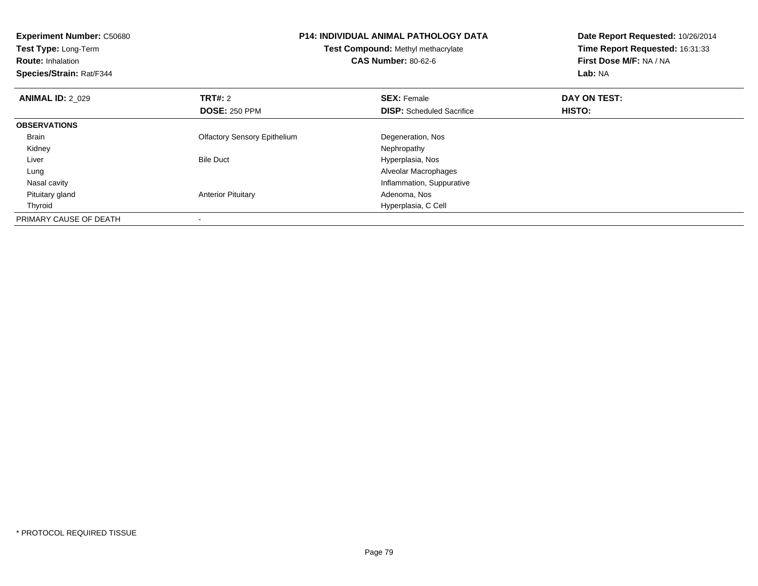| <b>Experiment Number: C50680</b><br>Test Type: Long-Term<br><b>Route: Inhalation</b><br>Species/Strain: Rat/F344 |                                        | <b>P14: INDIVIDUAL ANIMAL PATHOLOGY DATA</b><br>Test Compound: Methyl methacrylate<br><b>CAS Number: 80-62-6</b> | Date Report Requested: 10/26/2014<br>Time Report Requested: 16:31:33<br>First Dose M/F: NA / NA<br>Lab: NA |
|------------------------------------------------------------------------------------------------------------------|----------------------------------------|------------------------------------------------------------------------------------------------------------------|------------------------------------------------------------------------------------------------------------|
| <b>ANIMAL ID: 2_029</b>                                                                                          | <b>TRT#:</b> 2<br><b>DOSE: 250 PPM</b> | <b>SEX: Female</b><br><b>DISP:</b> Scheduled Sacrifice                                                           | DAY ON TEST:<br>HISTO:                                                                                     |
| <b>OBSERVATIONS</b>                                                                                              |                                        |                                                                                                                  |                                                                                                            |
| <b>Brain</b>                                                                                                     | <b>Olfactory Sensory Epithelium</b>    | Degeneration, Nos                                                                                                |                                                                                                            |
| Kidney                                                                                                           |                                        | Nephropathy                                                                                                      |                                                                                                            |
| Liver                                                                                                            | <b>Bile Duct</b>                       | Hyperplasia, Nos                                                                                                 |                                                                                                            |
| Lung                                                                                                             |                                        | Alveolar Macrophages                                                                                             |                                                                                                            |
| Nasal cavity                                                                                                     |                                        | Inflammation, Suppurative                                                                                        |                                                                                                            |
| Pituitary gland                                                                                                  | <b>Anterior Pituitary</b>              | Adenoma, Nos                                                                                                     |                                                                                                            |
| Thyroid                                                                                                          |                                        | Hyperplasia, C Cell                                                                                              |                                                                                                            |
| PRIMARY CAUSE OF DEATH                                                                                           |                                        |                                                                                                                  |                                                                                                            |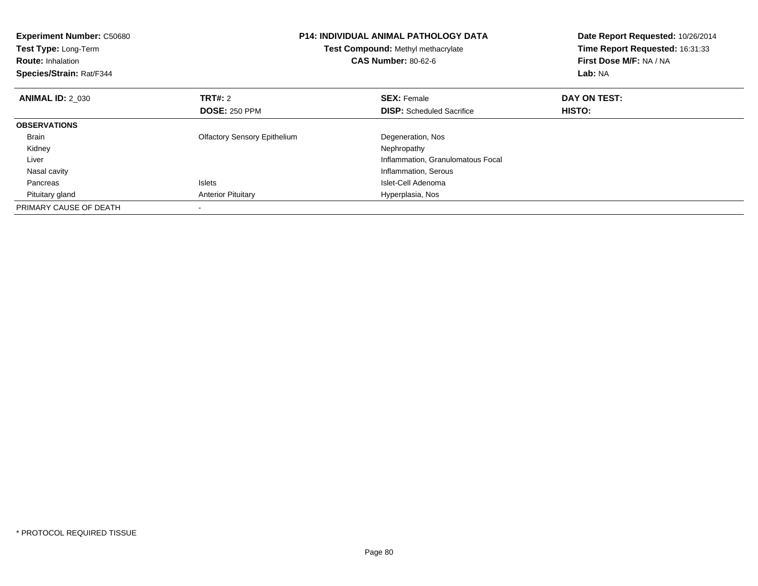| <b>Experiment Number: C50680</b><br>Test Type: Long-Term<br><b>Route: Inhalation</b><br>Species/Strain: Rat/F344 |                                     | <b>P14: INDIVIDUAL ANIMAL PATHOLOGY DATA</b><br><b>Test Compound: Methyl methacrylate</b><br><b>CAS Number: 80-62-6</b> | Date Report Requested: 10/26/2014<br>Time Report Requested: 16:31:33<br>First Dose M/F: NA / NA<br>Lab: NA |
|------------------------------------------------------------------------------------------------------------------|-------------------------------------|-------------------------------------------------------------------------------------------------------------------------|------------------------------------------------------------------------------------------------------------|
| <b>ANIMAL ID: 2 030</b>                                                                                          | TRT#: 2                             | <b>SEX: Female</b>                                                                                                      | DAY ON TEST:                                                                                               |
|                                                                                                                  | <b>DOSE: 250 PPM</b>                | <b>DISP:</b> Scheduled Sacrifice                                                                                        | <b>HISTO:</b>                                                                                              |
| <b>OBSERVATIONS</b>                                                                                              |                                     |                                                                                                                         |                                                                                                            |
| Brain                                                                                                            | <b>Olfactory Sensory Epithelium</b> | Degeneration, Nos                                                                                                       |                                                                                                            |
| Kidney                                                                                                           |                                     | Nephropathy                                                                                                             |                                                                                                            |
| Liver                                                                                                            |                                     | Inflammation, Granulomatous Focal                                                                                       |                                                                                                            |
| Nasal cavity                                                                                                     |                                     | Inflammation, Serous                                                                                                    |                                                                                                            |
| Pancreas                                                                                                         | <b>Islets</b>                       | Islet-Cell Adenoma                                                                                                      |                                                                                                            |
| Pituitary gland                                                                                                  | <b>Anterior Pituitary</b>           | Hyperplasia, Nos                                                                                                        |                                                                                                            |
| PRIMARY CAUSE OF DEATH                                                                                           |                                     |                                                                                                                         |                                                                                                            |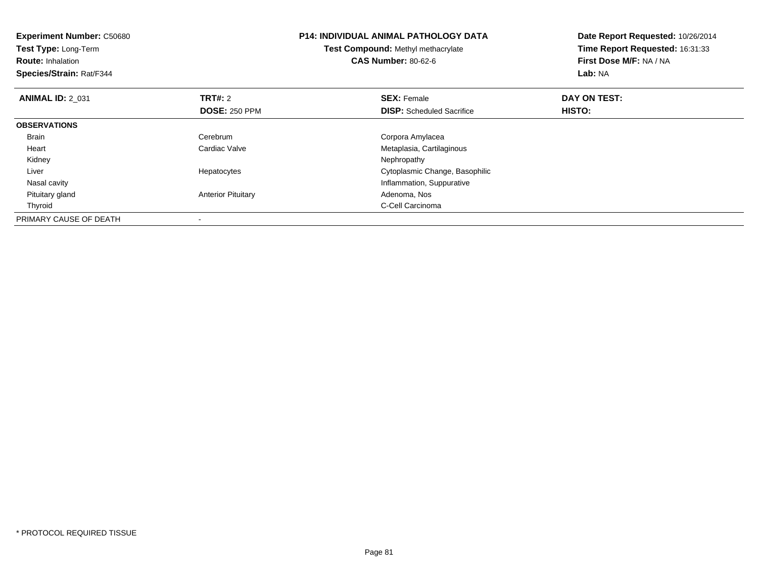| <b>Experiment Number: C50680</b><br>Test Type: Long-Term<br><b>Route: Inhalation</b><br>Species/Strain: Rat/F344 |                                        | <b>P14: INDIVIDUAL ANIMAL PATHOLOGY DATA</b><br>Test Compound: Methyl methacrylate<br><b>CAS Number: 80-62-6</b> | Date Report Requested: 10/26/2014<br>Time Report Requested: 16:31:33<br>First Dose M/F: NA / NA<br>Lab: NA |  |
|------------------------------------------------------------------------------------------------------------------|----------------------------------------|------------------------------------------------------------------------------------------------------------------|------------------------------------------------------------------------------------------------------------|--|
| <b>ANIMAL ID: 2 031</b>                                                                                          | <b>TRT#: 2</b><br><b>DOSE: 250 PPM</b> | <b>SEX: Female</b><br><b>DISP:</b> Scheduled Sacrifice                                                           | DAY ON TEST:<br>HISTO:                                                                                     |  |
| <b>OBSERVATIONS</b>                                                                                              |                                        |                                                                                                                  |                                                                                                            |  |
| Brain                                                                                                            | Cerebrum                               | Corpora Amylacea                                                                                                 |                                                                                                            |  |
| Heart                                                                                                            | Cardiac Valve                          | Metaplasia, Cartilaginous                                                                                        |                                                                                                            |  |
| Kidney                                                                                                           |                                        | Nephropathy                                                                                                      |                                                                                                            |  |
| Liver                                                                                                            | Hepatocytes                            | Cytoplasmic Change, Basophilic                                                                                   |                                                                                                            |  |
| Nasal cavity                                                                                                     |                                        | Inflammation, Suppurative                                                                                        |                                                                                                            |  |
| Pituitary gland                                                                                                  | <b>Anterior Pituitary</b>              | Adenoma, Nos                                                                                                     |                                                                                                            |  |
| Thyroid                                                                                                          |                                        | C-Cell Carcinoma                                                                                                 |                                                                                                            |  |
| PRIMARY CAUSE OF DEATH                                                                                           |                                        |                                                                                                                  |                                                                                                            |  |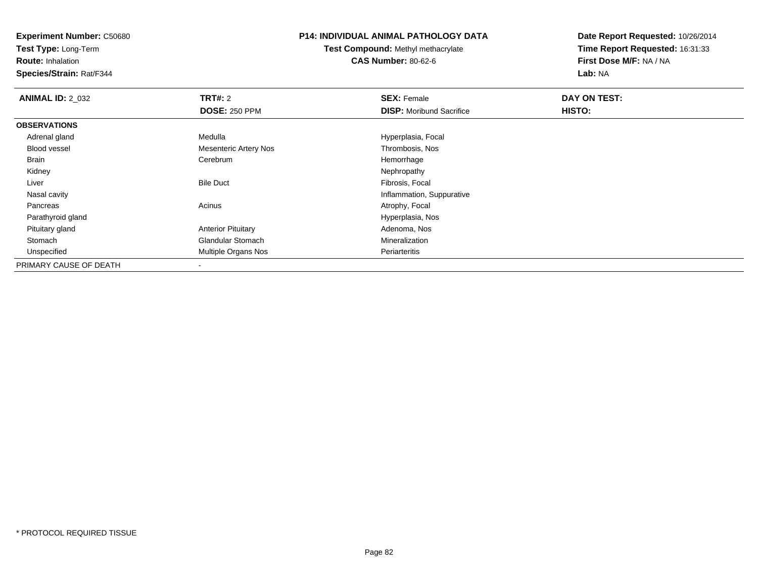**Test Type:** Long-Term

**Route:** Inhalation

**Species/Strain:** Rat/F344

## **P14: INDIVIDUAL ANIMAL PATHOLOGY DATA**

**Test Compound:** Methyl methacrylate**CAS Number:** 80-62-6

| <b>ANIMAL ID: 2_032</b> | TRT#: 2                      | <b>SEX: Female</b>              | DAY ON TEST: |  |
|-------------------------|------------------------------|---------------------------------|--------------|--|
|                         | <b>DOSE: 250 PPM</b>         | <b>DISP:</b> Moribund Sacrifice | HISTO:       |  |
| <b>OBSERVATIONS</b>     |                              |                                 |              |  |
| Adrenal gland           | Medulla                      | Hyperplasia, Focal              |              |  |
| <b>Blood vessel</b>     | <b>Mesenteric Artery Nos</b> | Thrombosis, Nos                 |              |  |
| Brain                   | Cerebrum                     | Hemorrhage                      |              |  |
| Kidney                  |                              | Nephropathy                     |              |  |
| Liver                   | <b>Bile Duct</b>             | Fibrosis, Focal                 |              |  |
| Nasal cavity            |                              | Inflammation, Suppurative       |              |  |
| Pancreas                | Acinus                       | Atrophy, Focal                  |              |  |
| Parathyroid gland       |                              | Hyperplasia, Nos                |              |  |
| Pituitary gland         | <b>Anterior Pituitary</b>    | Adenoma, Nos                    |              |  |
| Stomach                 | <b>Glandular Stomach</b>     | Mineralization                  |              |  |
| Unspecified             | Multiple Organs Nos          | Periarteritis                   |              |  |
| PRIMARY CAUSE OF DEATH  |                              |                                 |              |  |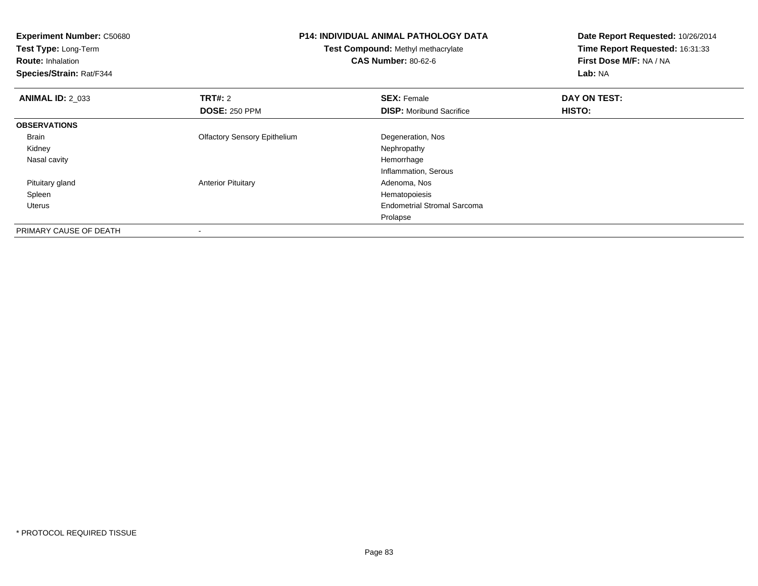| <b>Experiment Number: C50680</b><br>Test Type: Long-Term<br><b>Route: Inhalation</b><br>Species/Strain: Rat/F344 | <b>P14: INDIVIDUAL ANIMAL PATHOLOGY DATA</b><br><b>Test Compound: Methyl methacrylate</b><br><b>CAS Number: 80-62-6</b> |                                    | Date Report Requested: 10/26/2014<br>Time Report Requested: 16:31:33<br>First Dose M/F: NA / NA<br>Lab: NA |
|------------------------------------------------------------------------------------------------------------------|-------------------------------------------------------------------------------------------------------------------------|------------------------------------|------------------------------------------------------------------------------------------------------------|
| <b>ANIMAL ID: 2_033</b>                                                                                          | <b>TRT#:</b> 2                                                                                                          | <b>SEX: Female</b>                 | DAY ON TEST:                                                                                               |
|                                                                                                                  | <b>DOSE: 250 PPM</b>                                                                                                    | <b>DISP:</b> Moribund Sacrifice    | HISTO:                                                                                                     |
| <b>OBSERVATIONS</b>                                                                                              |                                                                                                                         |                                    |                                                                                                            |
| Brain                                                                                                            | <b>Olfactory Sensory Epithelium</b>                                                                                     | Degeneration, Nos                  |                                                                                                            |
| Kidney                                                                                                           |                                                                                                                         | Nephropathy                        |                                                                                                            |
| Nasal cavity                                                                                                     |                                                                                                                         | Hemorrhage                         |                                                                                                            |
|                                                                                                                  |                                                                                                                         | Inflammation, Serous               |                                                                                                            |
| Pituitary gland                                                                                                  | <b>Anterior Pituitary</b>                                                                                               | Adenoma, Nos                       |                                                                                                            |
| Spleen                                                                                                           |                                                                                                                         | Hematopoiesis                      |                                                                                                            |
| Uterus                                                                                                           |                                                                                                                         | <b>Endometrial Stromal Sarcoma</b> |                                                                                                            |
|                                                                                                                  |                                                                                                                         | Prolapse                           |                                                                                                            |
| PRIMARY CAUSE OF DEATH                                                                                           |                                                                                                                         |                                    |                                                                                                            |

-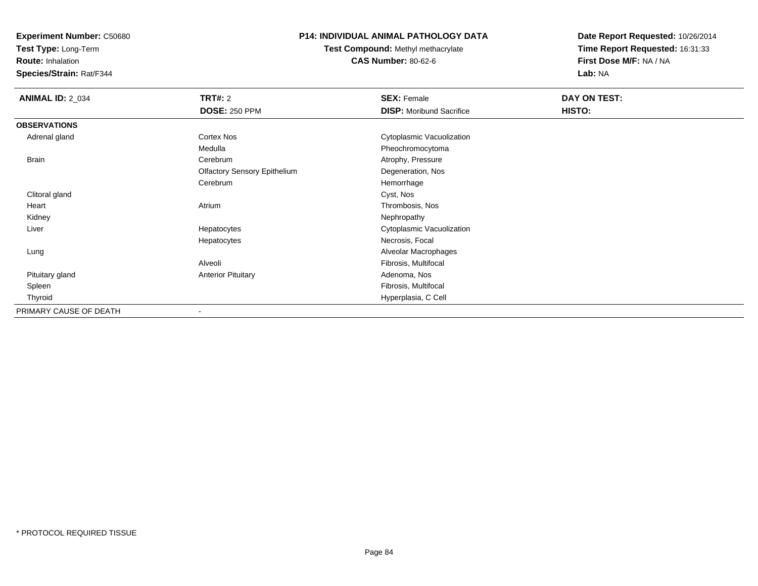**Test Type:** Long-Term

**Route:** Inhalation

**Species/Strain:** Rat/F344

# **P14: INDIVIDUAL ANIMAL PATHOLOGY DATA**

**Test Compound:** Methyl methacrylate**CAS Number:** 80-62-6

| <b>ANIMAL ID: 2_034</b> | TRT#: 2                             | <b>SEX: Female</b>              | DAY ON TEST: |  |
|-------------------------|-------------------------------------|---------------------------------|--------------|--|
|                         | <b>DOSE: 250 PPM</b>                | <b>DISP:</b> Moribund Sacrifice | HISTO:       |  |
| <b>OBSERVATIONS</b>     |                                     |                                 |              |  |
| Adrenal gland           | Cortex Nos                          | Cytoplasmic Vacuolization       |              |  |
|                         | Medulla                             | Pheochromocytoma                |              |  |
| Brain                   | Cerebrum                            | Atrophy, Pressure               |              |  |
|                         | <b>Olfactory Sensory Epithelium</b> | Degeneration, Nos               |              |  |
|                         | Cerebrum                            | Hemorrhage                      |              |  |
| Clitoral gland          |                                     | Cyst, Nos                       |              |  |
| Heart                   | Atrium                              | Thrombosis, Nos                 |              |  |
| Kidney                  |                                     | Nephropathy                     |              |  |
| Liver                   | Hepatocytes                         | Cytoplasmic Vacuolization       |              |  |
|                         | Hepatocytes                         | Necrosis, Focal                 |              |  |
| Lung                    |                                     | Alveolar Macrophages            |              |  |
|                         | Alveoli                             | Fibrosis, Multifocal            |              |  |
| Pituitary gland         | <b>Anterior Pituitary</b>           | Adenoma, Nos                    |              |  |
| Spleen                  |                                     | Fibrosis, Multifocal            |              |  |
| Thyroid                 |                                     | Hyperplasia, C Cell             |              |  |
| PRIMARY CAUSE OF DEATH  |                                     |                                 |              |  |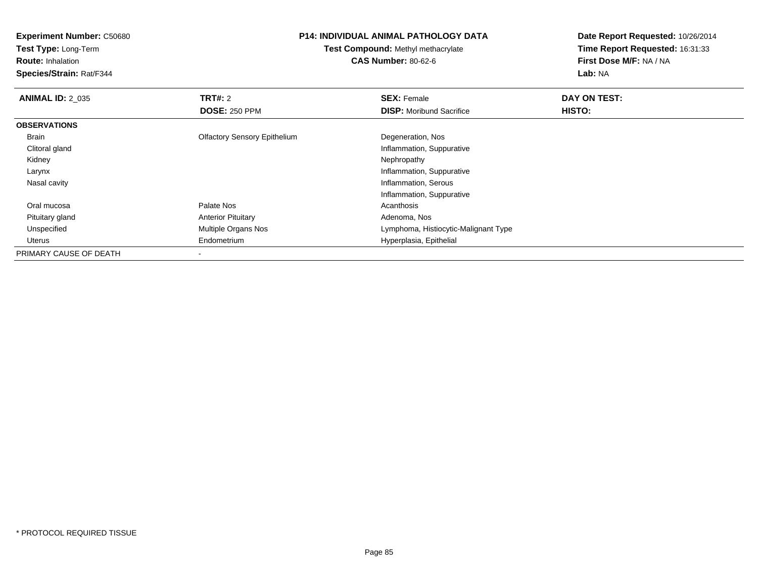**Experiment Number:** C50680**Test Type:** Long-Term**Route:** Inhalation **Species/Strain:** Rat/F344**P14: INDIVIDUAL ANIMAL PATHOLOGY DATATest Compound:** Methyl methacrylate**CAS Number:** 80-62-6**Date Report Requested:** 10/26/2014**Time Report Requested:** 16:31:33**First Dose M/F:** NA / NA**Lab:** NA**ANIMAL ID: 2 035 TRT#:** 2 **SEX:** Female **DAY ON TEST: DOSE:** 250 PPM**DISP:** Moribund Sacrifice **HISTO: OBSERVATIONS** Brain Olfactory Sensory Epithelium Degeneration, Nos Clitoral gland Inflammation, Suppurative Kidneyy the control of the control of the control of the control of the control of the control of the control of the control of the control of the control of the control of the control of the control of the control of the contro Larynx Inflammation, Suppurative Nasal cavity Inflammation, Serous Inflammation, Suppurative Oral mucosa Palate Nos Acanthosis Pituitary glandAnterior Pituitary **Adenoma, Nos**<br>
Multiple Organs Nos<br>
Multiple Organs Nos UnspecifiedLymphoma, Histiocytic-Malignant Type Uterus Endometrium Hyperplasia, Epithelial PRIMARY CAUSE OF DEATH

-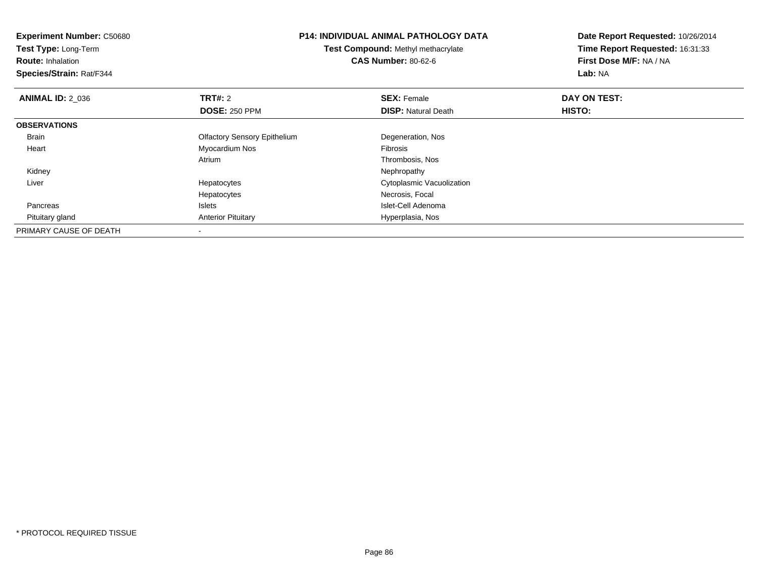| <b>P14: INDIVIDUAL ANIMAL PATHOLOGY DATA</b><br><b>Experiment Number: C50680</b> |                                     | Date Report Requested: 10/26/2014 |                                 |  |
|----------------------------------------------------------------------------------|-------------------------------------|-----------------------------------|---------------------------------|--|
| Test Type: Long-Term                                                             | Test Compound: Methyl methacrylate  |                                   | Time Report Requested: 16:31:33 |  |
| <b>Route: Inhalation</b>                                                         |                                     | <b>CAS Number: 80-62-6</b>        | First Dose M/F: NA / NA         |  |
| Species/Strain: Rat/F344                                                         |                                     |                                   |                                 |  |
| <b>ANIMAL ID: 2 036</b>                                                          | <b>TRT#: 2</b>                      | <b>SEX: Female</b>                | DAY ON TEST:                    |  |
|                                                                                  | <b>DOSE: 250 PPM</b>                | <b>DISP:</b> Natural Death        | HISTO:                          |  |
| <b>OBSERVATIONS</b>                                                              |                                     |                                   |                                 |  |
| Brain                                                                            | <b>Olfactory Sensory Epithelium</b> | Degeneration, Nos                 |                                 |  |
| Heart                                                                            | Myocardium Nos                      | Fibrosis                          |                                 |  |
|                                                                                  | Atrium                              | Thrombosis, Nos                   |                                 |  |
| Kidney                                                                           |                                     | Nephropathy                       |                                 |  |
| Liver                                                                            | Hepatocytes                         | Cytoplasmic Vacuolization         |                                 |  |
|                                                                                  | Hepatocytes                         | Necrosis, Focal                   |                                 |  |
| Pancreas                                                                         | Islets                              | Islet-Cell Adenoma                |                                 |  |
| Pituitary gland                                                                  | <b>Anterior Pituitary</b>           | Hyperplasia, Nos                  |                                 |  |
| PRIMARY CAUSE OF DEATH                                                           |                                     |                                   |                                 |  |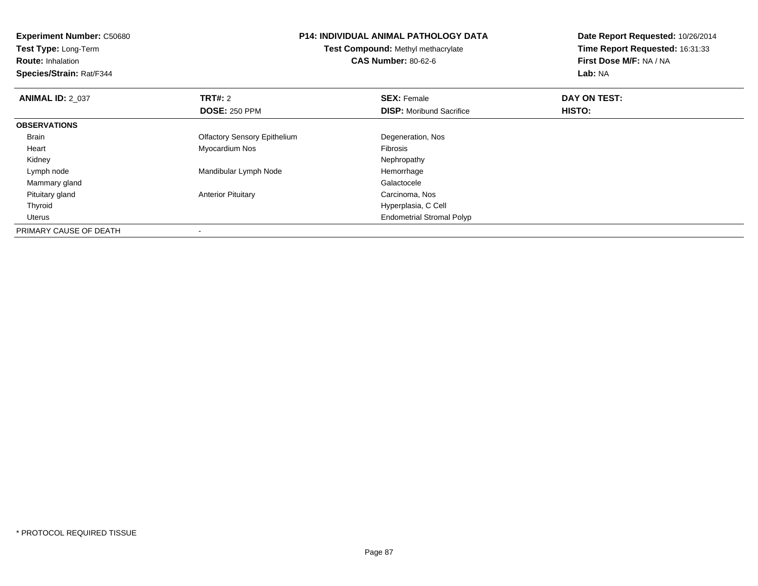| <b>Experiment Number: C50680</b><br><b>Test Type: Long-Term</b><br><b>Route: Inhalation</b><br>Species/Strain: Rat/F344 | <b>P14: INDIVIDUAL ANIMAL PATHOLOGY DATA</b><br>Test Compound: Methyl methacrylate<br><b>CAS Number: 80-62-6</b> |                                  | Date Report Requested: 10/26/2014<br>Time Report Requested: 16:31:33<br>First Dose M/F: NA / NA<br>Lab: NA |
|-------------------------------------------------------------------------------------------------------------------------|------------------------------------------------------------------------------------------------------------------|----------------------------------|------------------------------------------------------------------------------------------------------------|
| <b>ANIMAL ID: 2 037</b>                                                                                                 | <b>TRT#: 2</b>                                                                                                   | <b>SEX: Female</b>               | DAY ON TEST:                                                                                               |
|                                                                                                                         | <b>DOSE: 250 PPM</b>                                                                                             | <b>DISP:</b> Moribund Sacrifice  | <b>HISTO:</b>                                                                                              |
| <b>OBSERVATIONS</b>                                                                                                     |                                                                                                                  |                                  |                                                                                                            |
| <b>Brain</b>                                                                                                            | <b>Olfactory Sensory Epithelium</b>                                                                              | Degeneration, Nos                |                                                                                                            |
| Heart                                                                                                                   | Myocardium Nos                                                                                                   | Fibrosis                         |                                                                                                            |
| Kidney                                                                                                                  |                                                                                                                  | Nephropathy                      |                                                                                                            |
| Lymph node                                                                                                              | Mandibular Lymph Node                                                                                            | Hemorrhage                       |                                                                                                            |
| Mammary gland                                                                                                           |                                                                                                                  | Galactocele                      |                                                                                                            |
| Pituitary gland                                                                                                         | <b>Anterior Pituitary</b>                                                                                        | Carcinoma, Nos                   |                                                                                                            |
| Thyroid                                                                                                                 |                                                                                                                  | Hyperplasia, C Cell              |                                                                                                            |
| <b>Uterus</b>                                                                                                           |                                                                                                                  | <b>Endometrial Stromal Polyp</b> |                                                                                                            |
| PRIMARY CAUSE OF DEATH                                                                                                  | $\,$                                                                                                             |                                  |                                                                                                            |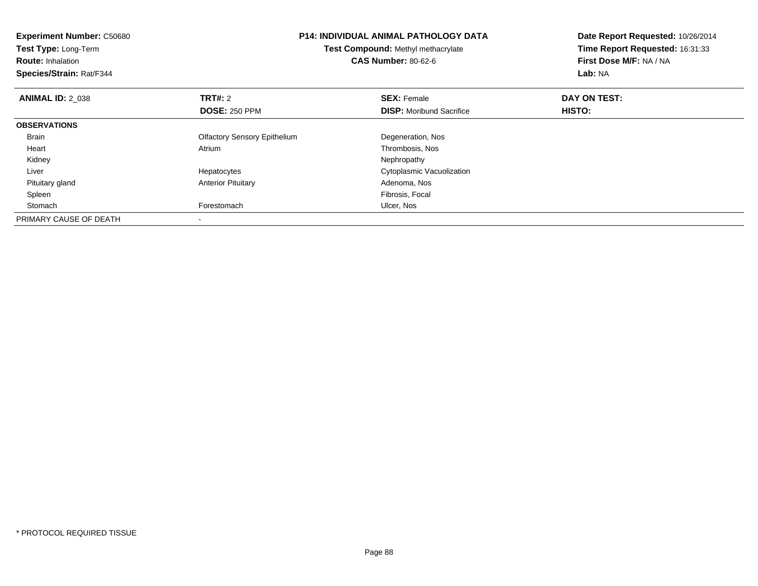| <b>Experiment Number: C50680</b><br>Test Type: Long-Term<br><b>Route: Inhalation</b><br>Species/Strain: Rat/F344 | <b>P14: INDIVIDUAL ANIMAL PATHOLOGY DATA</b><br>Test Compound: Methyl methacrylate<br><b>CAS Number: 80-62-6</b> |                                 | Date Report Requested: 10/26/2014<br>Time Report Requested: 16:31:33<br>First Dose M/F: NA / NA<br>Lab: NA |
|------------------------------------------------------------------------------------------------------------------|------------------------------------------------------------------------------------------------------------------|---------------------------------|------------------------------------------------------------------------------------------------------------|
| <b>ANIMAL ID: 2 038</b>                                                                                          | <b>TRT#: 2</b>                                                                                                   | <b>SEX: Female</b>              | DAY ON TEST:                                                                                               |
|                                                                                                                  | <b>DOSE: 250 PPM</b>                                                                                             | <b>DISP:</b> Moribund Sacrifice | HISTO:                                                                                                     |
| <b>OBSERVATIONS</b>                                                                                              |                                                                                                                  |                                 |                                                                                                            |
| <b>Brain</b>                                                                                                     | <b>Olfactory Sensory Epithelium</b>                                                                              | Degeneration, Nos               |                                                                                                            |
| Heart                                                                                                            | Atrium                                                                                                           | Thrombosis, Nos                 |                                                                                                            |
| Kidney                                                                                                           |                                                                                                                  | Nephropathy                     |                                                                                                            |
| Liver                                                                                                            | Hepatocytes                                                                                                      | Cytoplasmic Vacuolization       |                                                                                                            |
| Pituitary gland                                                                                                  | <b>Anterior Pituitary</b>                                                                                        | Adenoma, Nos                    |                                                                                                            |
| Spleen                                                                                                           |                                                                                                                  | Fibrosis, Focal                 |                                                                                                            |
| Stomach                                                                                                          | Forestomach                                                                                                      | Ulcer, Nos                      |                                                                                                            |
| PRIMARY CAUSE OF DEATH                                                                                           |                                                                                                                  |                                 |                                                                                                            |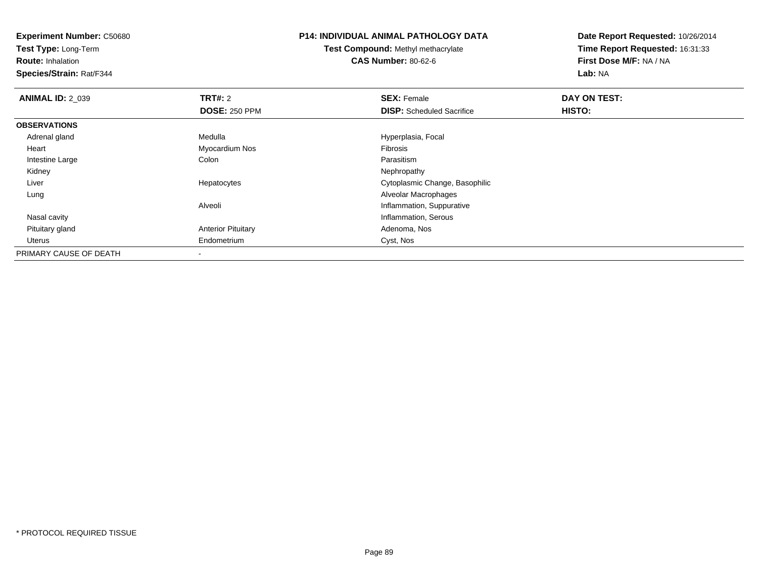**Test Type:** Long-Term

**Route:** Inhalation

**Species/Strain:** Rat/F344

#### **P14: INDIVIDUAL ANIMAL PATHOLOGY DATA**

**Test Compound:** Methyl methacrylate**CAS Number:** 80-62-6

| <b>ANIMAL ID: 2 039</b> | TRT#: 2                   | <b>SEX: Female</b>               | DAY ON TEST: |  |
|-------------------------|---------------------------|----------------------------------|--------------|--|
|                         | <b>DOSE: 250 PPM</b>      | <b>DISP:</b> Scheduled Sacrifice | HISTO:       |  |
| <b>OBSERVATIONS</b>     |                           |                                  |              |  |
| Adrenal gland           | Medulla                   | Hyperplasia, Focal               |              |  |
| Heart                   | Myocardium Nos            | Fibrosis                         |              |  |
| Intestine Large         | Colon                     | Parasitism                       |              |  |
| Kidney                  |                           | Nephropathy                      |              |  |
| Liver                   | Hepatocytes               | Cytoplasmic Change, Basophilic   |              |  |
| Lung                    |                           | Alveolar Macrophages             |              |  |
|                         | Alveoli                   | Inflammation, Suppurative        |              |  |
| Nasal cavity            |                           | Inflammation, Serous             |              |  |
| Pituitary gland         | <b>Anterior Pituitary</b> | Adenoma, Nos                     |              |  |
| Uterus                  | Endometrium               | Cyst, Nos                        |              |  |
| PRIMARY CAUSE OF DEATH  |                           |                                  |              |  |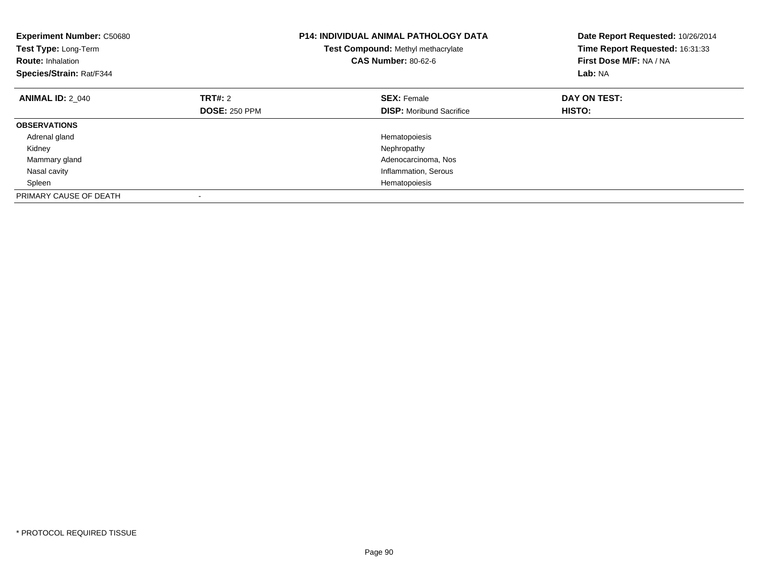| <b>Experiment Number: C50680</b><br>Test Type: Long-Term<br><b>Route: Inhalation</b><br>Species/Strain: Rat/F344 |                      | <b>P14: INDIVIDUAL ANIMAL PATHOLOGY DATA</b><br>Test Compound: Methyl methacrylate<br><b>CAS Number: 80-62-6</b> | Date Report Requested: 10/26/2014<br>Time Report Requested: 16:31:33<br>First Dose M/F: NA / NA<br>Lab: NA |
|------------------------------------------------------------------------------------------------------------------|----------------------|------------------------------------------------------------------------------------------------------------------|------------------------------------------------------------------------------------------------------------|
| <b>ANIMAL ID: 2 040</b>                                                                                          | TRT#: 2              | <b>SEX: Female</b>                                                                                               | DAY ON TEST:                                                                                               |
|                                                                                                                  | <b>DOSE: 250 PPM</b> | <b>DISP:</b> Moribund Sacrifice                                                                                  | HISTO:                                                                                                     |
| <b>OBSERVATIONS</b>                                                                                              |                      |                                                                                                                  |                                                                                                            |
| Adrenal gland                                                                                                    |                      | Hematopoiesis                                                                                                    |                                                                                                            |
| Kidney                                                                                                           |                      | Nephropathy                                                                                                      |                                                                                                            |
| Mammary gland                                                                                                    |                      | Adenocarcinoma, Nos                                                                                              |                                                                                                            |
| Nasal cavity                                                                                                     |                      | Inflammation, Serous                                                                                             |                                                                                                            |
| Spleen                                                                                                           |                      | Hematopoiesis                                                                                                    |                                                                                                            |
| PRIMARY CAUSE OF DEATH                                                                                           |                      |                                                                                                                  |                                                                                                            |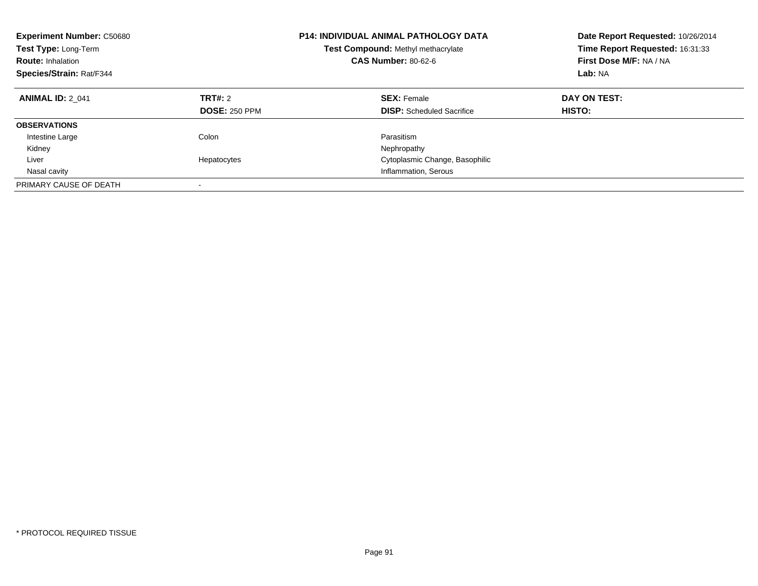| <b>Experiment Number: C50680</b><br>Test Type: Long-Term<br><b>Route: Inhalation</b><br>Species/Strain: Rat/F344 |                                 | <b>P14: INDIVIDUAL ANIMAL PATHOLOGY DATA</b><br><b>Test Compound: Methyl methacrylate</b><br><b>CAS Number: 80-62-6</b> | Date Report Requested: 10/26/2014<br>Time Report Requested: 16:31:33<br>First Dose M/F: NA / NA<br>Lab: NA |  |
|------------------------------------------------------------------------------------------------------------------|---------------------------------|-------------------------------------------------------------------------------------------------------------------------|------------------------------------------------------------------------------------------------------------|--|
| <b>ANIMAL ID: 2 041</b>                                                                                          | TRT#: 2<br><b>DOSE: 250 PPM</b> | <b>SEX: Female</b><br><b>DISP:</b> Scheduled Sacrifice                                                                  | DAY ON TEST:<br><b>HISTO:</b>                                                                              |  |
| <b>OBSERVATIONS</b>                                                                                              |                                 |                                                                                                                         |                                                                                                            |  |
| Intestine Large                                                                                                  | Colon                           | Parasitism                                                                                                              |                                                                                                            |  |
| Kidney                                                                                                           |                                 | Nephropathy                                                                                                             |                                                                                                            |  |
| Liver                                                                                                            | Hepatocytes                     | Cytoplasmic Change, Basophilic                                                                                          |                                                                                                            |  |
| Nasal cavity                                                                                                     |                                 | Inflammation, Serous                                                                                                    |                                                                                                            |  |
| PRIMARY CAUSE OF DEATH                                                                                           | $\overline{\phantom{a}}$        |                                                                                                                         |                                                                                                            |  |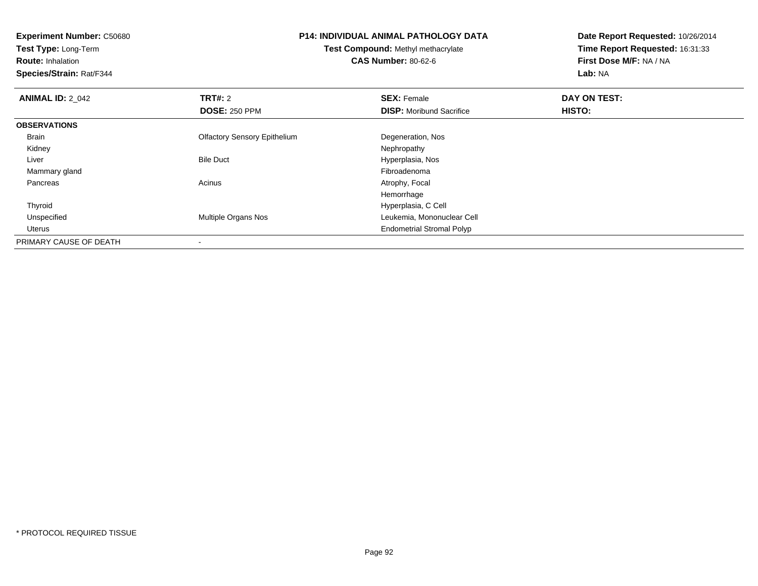| <b>Experiment Number: C50680</b><br>Test Type: Long-Term<br><b>Route: Inhalation</b><br>Species/Strain: Rat/F344 |                                     | <b>P14: INDIVIDUAL ANIMAL PATHOLOGY DATA</b><br><b>Test Compound: Methyl methacrylate</b><br><b>CAS Number: 80-62-6</b> | Date Report Requested: 10/26/2014<br>Time Report Requested: 16:31:33<br>First Dose M/F: NA / NA<br>Lab: NA |  |
|------------------------------------------------------------------------------------------------------------------|-------------------------------------|-------------------------------------------------------------------------------------------------------------------------|------------------------------------------------------------------------------------------------------------|--|
| <b>ANIMAL ID: 2 042</b>                                                                                          | <b>TRT#: 2</b>                      | <b>SEX: Female</b>                                                                                                      | DAY ON TEST:                                                                                               |  |
|                                                                                                                  | <b>DOSE: 250 PPM</b>                | <b>DISP:</b> Moribund Sacrifice                                                                                         | <b>HISTO:</b>                                                                                              |  |
| <b>OBSERVATIONS</b>                                                                                              |                                     |                                                                                                                         |                                                                                                            |  |
| Brain                                                                                                            | <b>Olfactory Sensory Epithelium</b> | Degeneration, Nos                                                                                                       |                                                                                                            |  |
| Kidney                                                                                                           |                                     | Nephropathy                                                                                                             |                                                                                                            |  |
| Liver                                                                                                            | <b>Bile Duct</b>                    | Hyperplasia, Nos                                                                                                        |                                                                                                            |  |
| Mammary gland                                                                                                    |                                     | Fibroadenoma                                                                                                            |                                                                                                            |  |
| Pancreas                                                                                                         | Acinus                              | Atrophy, Focal                                                                                                          |                                                                                                            |  |
|                                                                                                                  |                                     | Hemorrhage                                                                                                              |                                                                                                            |  |
| Thyroid                                                                                                          |                                     | Hyperplasia, C Cell                                                                                                     |                                                                                                            |  |
| Unspecified                                                                                                      | Multiple Organs Nos                 | Leukemia, Mononuclear Cell                                                                                              |                                                                                                            |  |
| Uterus                                                                                                           |                                     | <b>Endometrial Stromal Polyp</b>                                                                                        |                                                                                                            |  |
| PRIMARY CAUSE OF DEATH                                                                                           |                                     |                                                                                                                         |                                                                                                            |  |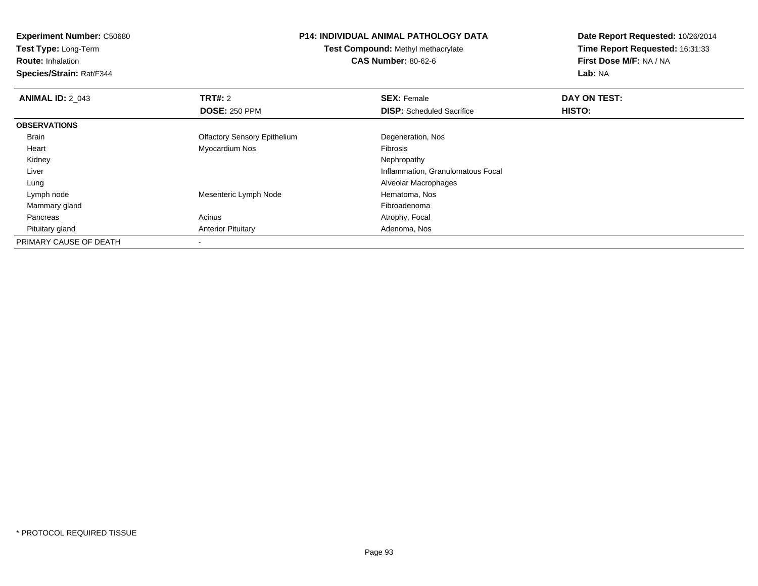**Experiment Number:** C50680**Test Type:** Long-Term**Route:** Inhalation **Species/Strain:** Rat/F344**P14: INDIVIDUAL ANIMAL PATHOLOGY DATATest Compound:** Methyl methacrylate**CAS Number:** 80-62-6**Date Report Requested:** 10/26/2014**Time Report Requested:** 16:31:33**First Dose M/F:** NA / NA**Lab:** NA**ANIMAL ID: 2 043 TRT#:** 2 **SEX:** Female **DAY ON TEST: DOSE:** 250 PPM**DISP:** Scheduled Sacrifice **HISTO: OBSERVATIONS** Brain Olfactory Sensory Epithelium Degeneration, Nos Heart Myocardium Nos Fibrosis Kidneyy the control of the control of the control of the control of the control of the control of the control of the control of the control of the control of the control of the control of the control of the control of the contro Liver Inflammation, Granulomatous Focal Lung Alveolar Macrophages Lymph nodeMesenteric Lymph Node<br>
Fibroadenoma<br>
Fibroadenoma Mammary glandd and the control of the control of the control of the control of the control of the control of the control of the control of the control of the control of the control of the control of the control of the control of the co PancreasAcinus **Acinus** Atrophy, Focal Pituitary glandAnterior Pituitary **Adenoma, Nos** Adenoma, Nos PRIMARY CAUSE OF DEATH

-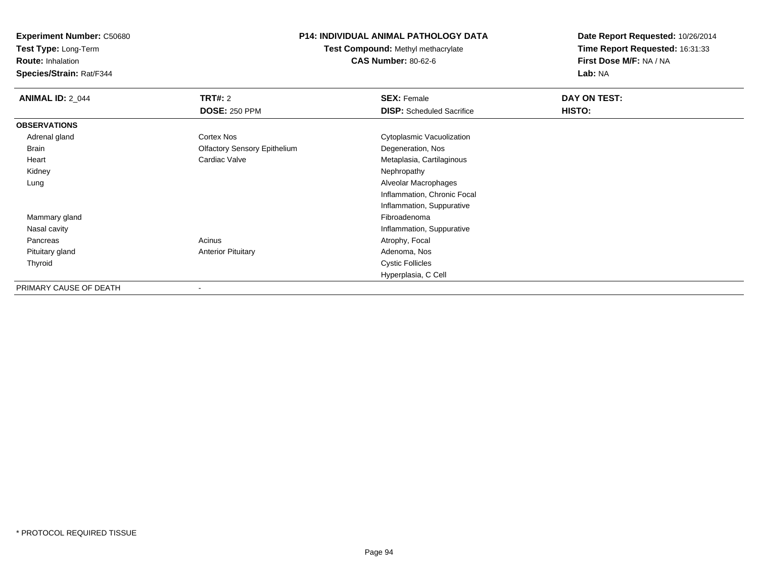**Test Type:** Long-Term

**Route:** Inhalation

**Species/Strain:** Rat/F344

## **P14: INDIVIDUAL ANIMAL PATHOLOGY DATA**

**Test Compound:** Methyl methacrylate**CAS Number:** 80-62-6

| <b>ANIMAL ID: 2_044</b> | TRT#: 2                             | <b>SEX: Female</b>               | DAY ON TEST: |  |
|-------------------------|-------------------------------------|----------------------------------|--------------|--|
|                         | <b>DOSE: 250 PPM</b>                | <b>DISP:</b> Scheduled Sacrifice | HISTO:       |  |
| <b>OBSERVATIONS</b>     |                                     |                                  |              |  |
| Adrenal gland           | <b>Cortex Nos</b>                   | Cytoplasmic Vacuolization        |              |  |
| Brain                   | <b>Olfactory Sensory Epithelium</b> | Degeneration, Nos                |              |  |
| Heart                   | Cardiac Valve                       | Metaplasia, Cartilaginous        |              |  |
| Kidney                  |                                     | Nephropathy                      |              |  |
| Lung                    |                                     | Alveolar Macrophages             |              |  |
|                         |                                     | Inflammation, Chronic Focal      |              |  |
|                         |                                     | Inflammation, Suppurative        |              |  |
| Mammary gland           |                                     | Fibroadenoma                     |              |  |
| Nasal cavity            |                                     | Inflammation, Suppurative        |              |  |
| Pancreas                | Acinus                              | Atrophy, Focal                   |              |  |
| Pituitary gland         | <b>Anterior Pituitary</b>           | Adenoma, Nos                     |              |  |
| Thyroid                 |                                     | <b>Cystic Follicles</b>          |              |  |
|                         |                                     | Hyperplasia, C Cell              |              |  |
| PRIMARY CAUSE OF DEATH  |                                     |                                  |              |  |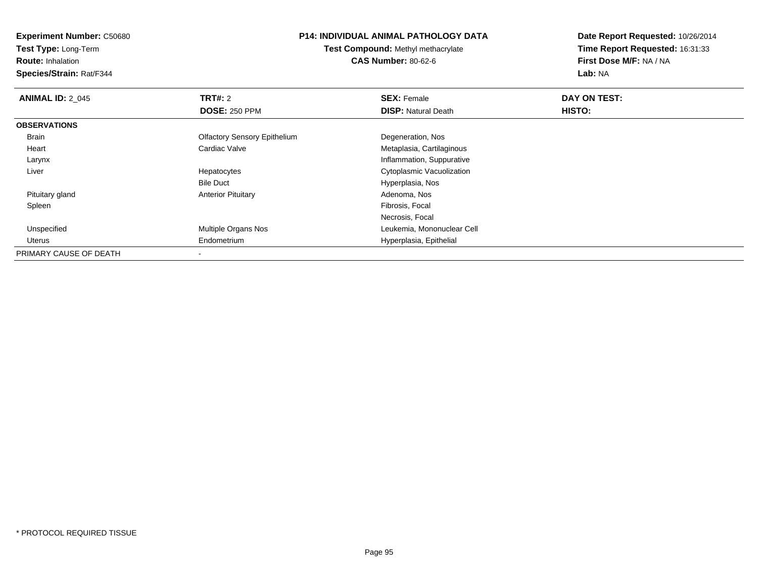**Experiment Number:** C50680**Test Type:** Long-Term**Route:** Inhalation **Species/Strain:** Rat/F344**P14: INDIVIDUAL ANIMAL PATHOLOGY DATATest Compound:** Methyl methacrylate**CAS Number:** 80-62-6**Date Report Requested:** 10/26/2014**Time Report Requested:** 16:31:33**First Dose M/F:** NA / NA**Lab:** NA**ANIMAL ID: 2 045 TRT#:** 2 **SEX:** Female **DAY ON TEST: DOSE:** 250 PPM**DISP:** Natural Death **HISTO: OBSERVATIONS** Brain Olfactory Sensory Epithelium Degeneration, Nos Heart Cardiac Valve Metaplasia, Cartilaginous Larynx Inflammation, Suppuratives **Subset Constructs** Cytoplasmic Vacuolization Liver HepatocytesBile Duct Hyperplasia, Nos Pituitary glandAnterior Pituitary **Adenoma, Nosting Community** Adenoma, Nosting Pibrosis, Focal Spleenn and the control of the control of the control of the control of the control of the control of the control of the control of the control of the control of the control of the control of the control of the control of the co Necrosis, Focal Unspecified Multiple Organs Nos Leukemia, Mononuclear Cell Uterus Endometrium Hyperplasia, Epithelial PRIMARY CAUSE OF DEATH-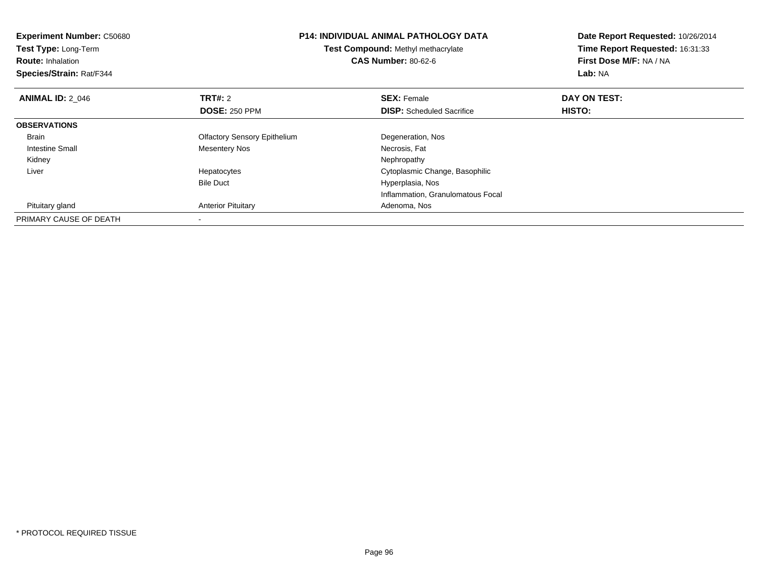| <b>Experiment Number: C50680</b><br>Test Type: Long-Term<br><b>Route: Inhalation</b><br>Species/Strain: Rat/F344 | <b>P14: INDIVIDUAL ANIMAL PATHOLOGY DATA</b><br>Test Compound: Methyl methacrylate<br><b>CAS Number: 80-62-6</b> |                                   | Date Report Requested: 10/26/2014<br>Time Report Requested: 16:31:33<br>First Dose M/F: NA / NA<br>Lab: NA |
|------------------------------------------------------------------------------------------------------------------|------------------------------------------------------------------------------------------------------------------|-----------------------------------|------------------------------------------------------------------------------------------------------------|
| <b>ANIMAL ID: 2 046</b>                                                                                          | TRT#: 2                                                                                                          | <b>SEX: Female</b>                | DAY ON TEST:                                                                                               |
|                                                                                                                  | <b>DOSE: 250 PPM</b>                                                                                             | <b>DISP:</b> Scheduled Sacrifice  | <b>HISTO:</b>                                                                                              |
| <b>OBSERVATIONS</b>                                                                                              |                                                                                                                  |                                   |                                                                                                            |
| Brain                                                                                                            | <b>Olfactory Sensory Epithelium</b>                                                                              | Degeneration, Nos                 |                                                                                                            |
| Intestine Small                                                                                                  | Mesentery Nos                                                                                                    | Necrosis, Fat                     |                                                                                                            |
| Kidney                                                                                                           |                                                                                                                  | Nephropathy                       |                                                                                                            |
| Liver                                                                                                            | Hepatocytes                                                                                                      | Cytoplasmic Change, Basophilic    |                                                                                                            |
|                                                                                                                  | <b>Bile Duct</b>                                                                                                 | Hyperplasia, Nos                  |                                                                                                            |
|                                                                                                                  |                                                                                                                  | Inflammation, Granulomatous Focal |                                                                                                            |
| Pituitary gland                                                                                                  | <b>Anterior Pituitary</b>                                                                                        | Adenoma, Nos                      |                                                                                                            |
| PRIMARY CAUSE OF DEATH                                                                                           |                                                                                                                  |                                   |                                                                                                            |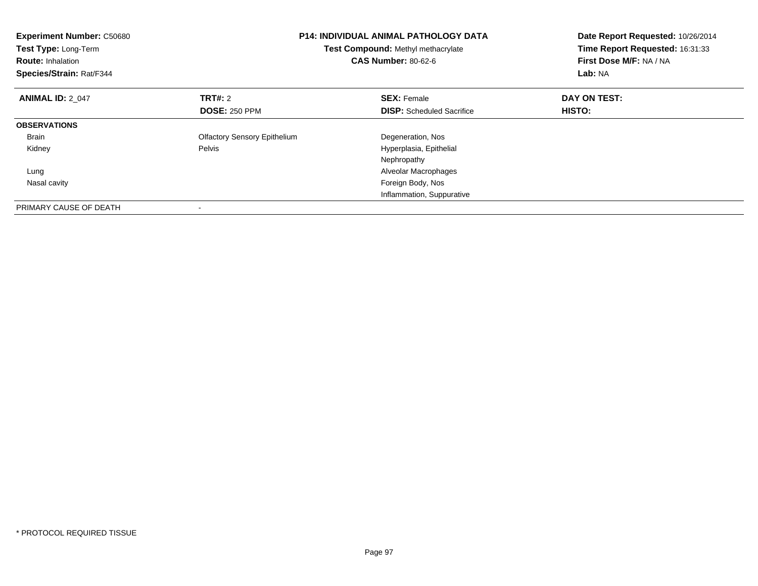| <b>Experiment Number: C50680</b><br>Test Type: Long-Term<br><b>Route: Inhalation</b><br>Species/Strain: Rat/F344 |                                     | <b>P14: INDIVIDUAL ANIMAL PATHOLOGY DATA</b><br>Test Compound: Methyl methacrylate<br><b>CAS Number: 80-62-6</b> | Date Report Requested: 10/26/2014<br>Time Report Requested: 16:31:33<br>First Dose M/F: NA / NA<br>Lab: NA |
|------------------------------------------------------------------------------------------------------------------|-------------------------------------|------------------------------------------------------------------------------------------------------------------|------------------------------------------------------------------------------------------------------------|
| <b>ANIMAL ID: 2 047</b>                                                                                          | <b>TRT#: 2</b>                      | <b>SEX: Female</b>                                                                                               | DAY ON TEST:                                                                                               |
|                                                                                                                  | <b>DOSE: 250 PPM</b>                | <b>DISP:</b> Scheduled Sacrifice                                                                                 | <b>HISTO:</b>                                                                                              |
| <b>OBSERVATIONS</b>                                                                                              |                                     |                                                                                                                  |                                                                                                            |
| <b>Brain</b>                                                                                                     | <b>Olfactory Sensory Epithelium</b> | Degeneration, Nos                                                                                                |                                                                                                            |
| Kidney                                                                                                           | Pelvis                              | Hyperplasia, Epithelial                                                                                          |                                                                                                            |
|                                                                                                                  |                                     | Nephropathy                                                                                                      |                                                                                                            |
| Lung                                                                                                             |                                     | Alveolar Macrophages                                                                                             |                                                                                                            |
| Nasal cavity                                                                                                     |                                     | Foreign Body, Nos                                                                                                |                                                                                                            |
|                                                                                                                  |                                     | Inflammation, Suppurative                                                                                        |                                                                                                            |
| PRIMARY CAUSE OF DEATH                                                                                           |                                     |                                                                                                                  |                                                                                                            |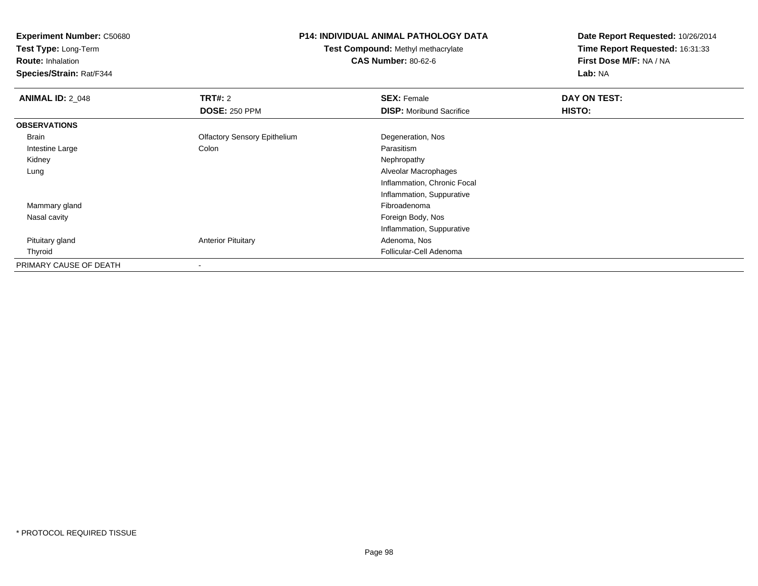**Test Type:** Long-Term

**Route:** Inhalation

**Species/Strain:** Rat/F344

## **P14: INDIVIDUAL ANIMAL PATHOLOGY DATA**

**Test Compound:** Methyl methacrylate**CAS Number:** 80-62-6

| <b>ANIMAL ID: 2_048</b> | TRT#: 2                             | <b>SEX: Female</b>              | DAY ON TEST: |  |
|-------------------------|-------------------------------------|---------------------------------|--------------|--|
|                         | <b>DOSE: 250 PPM</b>                | <b>DISP:</b> Moribund Sacrifice | HISTO:       |  |
| <b>OBSERVATIONS</b>     |                                     |                                 |              |  |
| Brain                   | <b>Olfactory Sensory Epithelium</b> | Degeneration, Nos               |              |  |
| Intestine Large         | Colon                               | Parasitism                      |              |  |
| Kidney                  |                                     | Nephropathy                     |              |  |
| Lung                    |                                     | Alveolar Macrophages            |              |  |
|                         |                                     | Inflammation, Chronic Focal     |              |  |
|                         |                                     | Inflammation, Suppurative       |              |  |
| Mammary gland           |                                     | Fibroadenoma                    |              |  |
| Nasal cavity            |                                     | Foreign Body, Nos               |              |  |
|                         |                                     | Inflammation, Suppurative       |              |  |
| Pituitary gland         | <b>Anterior Pituitary</b>           | Adenoma, Nos                    |              |  |
| Thyroid                 |                                     | Follicular-Cell Adenoma         |              |  |
| PRIMARY CAUSE OF DEATH  |                                     |                                 |              |  |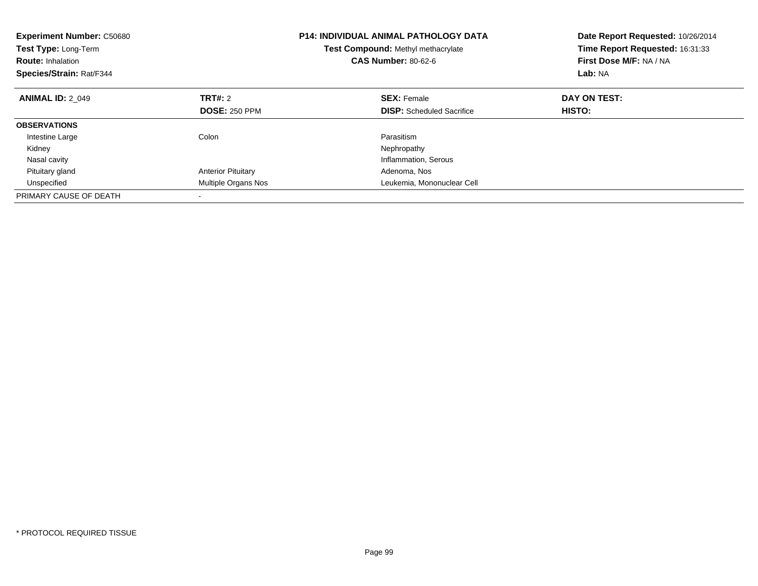| <b>P14: INDIVIDUAL ANIMAL PATHOLOGY DATA</b><br><b>Experiment Number: C50680</b><br><b>Test Type: Long-Term</b><br><b>Test Compound: Methyl methacrylate</b><br><b>CAS Number: 80-62-6</b><br><b>Route: Inhalation</b><br>Species/Strain: Rat/F344 |                           |                                  | Date Report Requested: 10/26/2014<br>Time Report Requested: 16:31:33<br>First Dose M/F: NA / NA<br>Lab: NA |
|----------------------------------------------------------------------------------------------------------------------------------------------------------------------------------------------------------------------------------------------------|---------------------------|----------------------------------|------------------------------------------------------------------------------------------------------------|
| <b>ANIMAL ID: 2 049</b>                                                                                                                                                                                                                            | TRT#: 2                   | <b>SEX: Female</b>               | DAY ON TEST:                                                                                               |
|                                                                                                                                                                                                                                                    | <b>DOSE: 250 PPM</b>      | <b>DISP:</b> Scheduled Sacrifice | HISTO:                                                                                                     |
| <b>OBSERVATIONS</b>                                                                                                                                                                                                                                |                           |                                  |                                                                                                            |
| Intestine Large                                                                                                                                                                                                                                    | Colon                     | Parasitism                       |                                                                                                            |
| Kidney                                                                                                                                                                                                                                             |                           | Nephropathy                      |                                                                                                            |
| Nasal cavity                                                                                                                                                                                                                                       |                           | Inflammation, Serous             |                                                                                                            |
| Pituitary gland                                                                                                                                                                                                                                    | <b>Anterior Pituitary</b> | Adenoma, Nos                     |                                                                                                            |
| Unspecified                                                                                                                                                                                                                                        | Multiple Organs Nos       | Leukemia, Mononuclear Cell       |                                                                                                            |
| PRIMARY CAUSE OF DEATH                                                                                                                                                                                                                             |                           |                                  |                                                                                                            |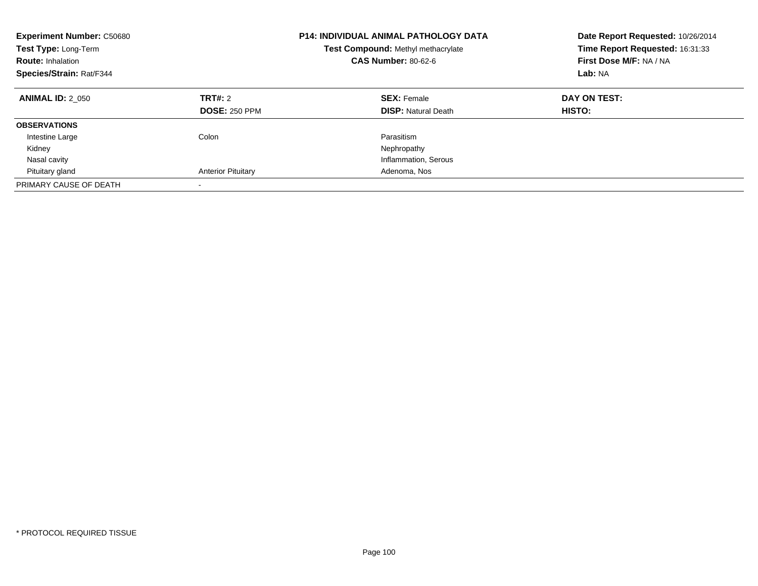| <b>Experiment Number: C50680</b><br><b>Test Type: Long-Term</b><br><b>Route: Inhalation</b><br>Species/Strain: Rat/F344 |                                 | <b>P14: INDIVIDUAL ANIMAL PATHOLOGY DATA</b><br>Test Compound: Methyl methacrylate<br><b>CAS Number: 80-62-6</b> | Date Report Requested: 10/26/2014<br>Time Report Requested: 16:31:33<br>First Dose M/F: NA / NA<br>Lab: NA |
|-------------------------------------------------------------------------------------------------------------------------|---------------------------------|------------------------------------------------------------------------------------------------------------------|------------------------------------------------------------------------------------------------------------|
| <b>ANIMAL ID: 2 050</b>                                                                                                 | TRT#: 2<br><b>DOSE: 250 PPM</b> | <b>SEX: Female</b><br><b>DISP:</b> Natural Death                                                                 | DAY ON TEST:<br>HISTO:                                                                                     |
| <b>OBSERVATIONS</b>                                                                                                     |                                 |                                                                                                                  |                                                                                                            |
| Intestine Large                                                                                                         | Colon                           | Parasitism                                                                                                       |                                                                                                            |
| Kidney                                                                                                                  |                                 | Nephropathy                                                                                                      |                                                                                                            |
| Nasal cavity                                                                                                            |                                 | Inflammation, Serous                                                                                             |                                                                                                            |
| Pituitary gland                                                                                                         | <b>Anterior Pituitary</b>       | Adenoma, Nos                                                                                                     |                                                                                                            |
| PRIMARY CAUSE OF DEATH                                                                                                  |                                 |                                                                                                                  |                                                                                                            |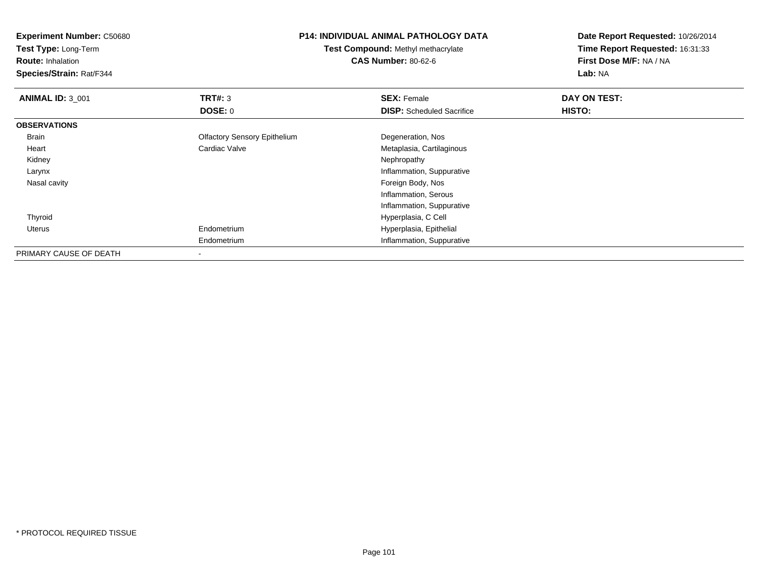| <b>Experiment Number: C50680</b> |                                     | <b>P14: INDIVIDUAL ANIMAL PATHOLOGY DATA</b> | Date Report Requested: 10/26/2014 |  |
|----------------------------------|-------------------------------------|----------------------------------------------|-----------------------------------|--|
| Test Type: Long-Term             | Test Compound: Methyl methacrylate  |                                              | Time Report Requested: 16:31:33   |  |
| <b>Route: Inhalation</b>         |                                     | <b>CAS Number: 80-62-6</b>                   | First Dose M/F: NA / NA           |  |
| Species/Strain: Rat/F344         |                                     |                                              | Lab: NA                           |  |
| <b>ANIMAL ID: 3 001</b>          | <b>TRT#: 3</b>                      | <b>SEX: Female</b>                           | DAY ON TEST:                      |  |
|                                  | <b>DOSE: 0</b>                      | <b>DISP:</b> Scheduled Sacrifice             | HISTO:                            |  |
| <b>OBSERVATIONS</b>              |                                     |                                              |                                   |  |
| Brain                            | <b>Olfactory Sensory Epithelium</b> | Degeneration, Nos                            |                                   |  |
| Heart                            | Cardiac Valve                       | Metaplasia, Cartilaginous                    |                                   |  |
| Kidney                           |                                     | Nephropathy                                  |                                   |  |
| Larynx                           |                                     | Inflammation, Suppurative                    |                                   |  |
| Nasal cavity                     |                                     | Foreign Body, Nos                            |                                   |  |
|                                  |                                     | Inflammation, Serous                         |                                   |  |
|                                  |                                     | Inflammation, Suppurative                    |                                   |  |
| Thyroid                          |                                     | Hyperplasia, C Cell                          |                                   |  |
| Uterus                           | Endometrium                         | Hyperplasia, Epithelial                      |                                   |  |
|                                  | Endometrium                         | Inflammation, Suppurative                    |                                   |  |
| PRIMARY CAUSE OF DEATH           |                                     |                                              |                                   |  |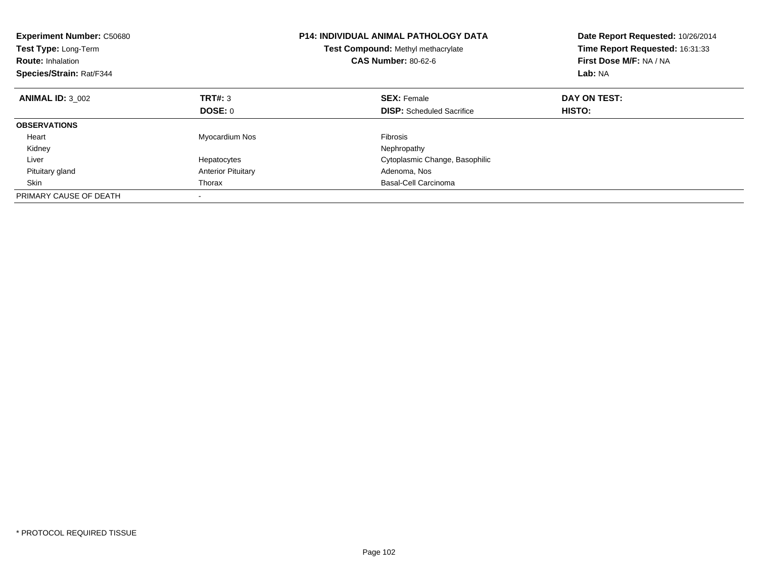| <b>Experiment Number: C50680</b><br><b>Test Type: Long-Term</b><br><b>Route: Inhalation</b><br>Species/Strain: Rat/F344 |                           | <b>P14: INDIVIDUAL ANIMAL PATHOLOGY DATA</b><br>Test Compound: Methyl methacrylate<br><b>CAS Number: 80-62-6</b> | Date Report Requested: 10/26/2014<br>Time Report Requested: 16:31:33<br>First Dose M/F: NA / NA<br>Lab: NA |
|-------------------------------------------------------------------------------------------------------------------------|---------------------------|------------------------------------------------------------------------------------------------------------------|------------------------------------------------------------------------------------------------------------|
| <b>ANIMAL ID: 3 002</b>                                                                                                 | TRT#: 3                   | <b>SEX: Female</b>                                                                                               | DAY ON TEST:                                                                                               |
|                                                                                                                         | DOSE: 0                   | <b>DISP:</b> Scheduled Sacrifice                                                                                 | <b>HISTO:</b>                                                                                              |
| <b>OBSERVATIONS</b>                                                                                                     |                           |                                                                                                                  |                                                                                                            |
| Heart                                                                                                                   | Myocardium Nos            | <b>Fibrosis</b>                                                                                                  |                                                                                                            |
| Kidney                                                                                                                  |                           | Nephropathy                                                                                                      |                                                                                                            |
| Liver                                                                                                                   | Hepatocytes               | Cytoplasmic Change, Basophilic                                                                                   |                                                                                                            |
| Pituitary gland                                                                                                         | <b>Anterior Pituitary</b> | Adenoma, Nos                                                                                                     |                                                                                                            |
| Skin                                                                                                                    | Thorax                    | Basal-Cell Carcinoma                                                                                             |                                                                                                            |
| PRIMARY CAUSE OF DEATH                                                                                                  |                           |                                                                                                                  |                                                                                                            |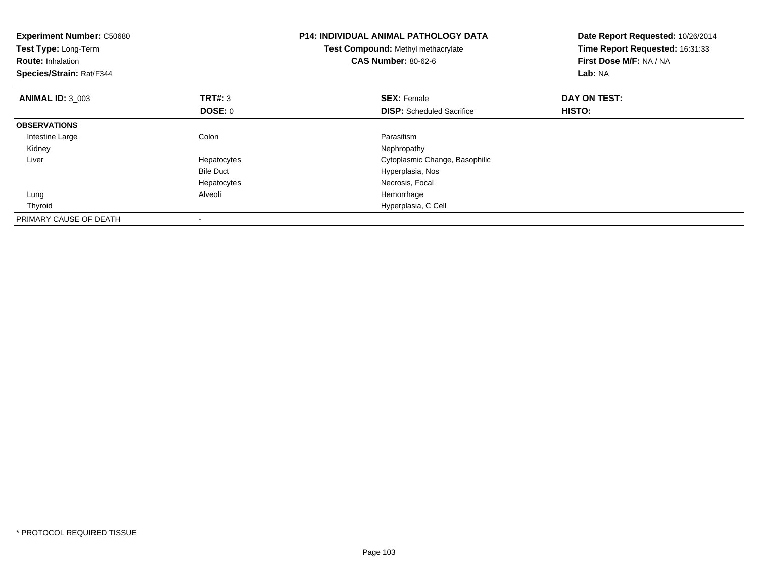| <b>Experiment Number: C50680</b><br>Test Type: Long-Term<br><b>Route: Inhalation</b><br>Species/Strain: Rat/F344 |                  | <b>P14: INDIVIDUAL ANIMAL PATHOLOGY DATA</b><br>Test Compound: Methyl methacrylate<br><b>CAS Number: 80-62-6</b> | Date Report Requested: 10/26/2014<br>Time Report Requested: 16:31:33<br>First Dose M/F: NA / NA<br>Lab: NA |
|------------------------------------------------------------------------------------------------------------------|------------------|------------------------------------------------------------------------------------------------------------------|------------------------------------------------------------------------------------------------------------|
| <b>ANIMAL ID: 3 003</b>                                                                                          | <b>TRT#: 3</b>   | <b>SEX: Female</b>                                                                                               | DAY ON TEST:                                                                                               |
|                                                                                                                  | <b>DOSE: 0</b>   | <b>DISP:</b> Scheduled Sacrifice                                                                                 | HISTO:                                                                                                     |
| <b>OBSERVATIONS</b>                                                                                              |                  |                                                                                                                  |                                                                                                            |
| Intestine Large                                                                                                  | Colon            | Parasitism                                                                                                       |                                                                                                            |
| Kidney                                                                                                           |                  | Nephropathy                                                                                                      |                                                                                                            |
| Liver                                                                                                            | Hepatocytes      | Cytoplasmic Change, Basophilic                                                                                   |                                                                                                            |
|                                                                                                                  | <b>Bile Duct</b> | Hyperplasia, Nos                                                                                                 |                                                                                                            |
|                                                                                                                  | Hepatocytes      | Necrosis, Focal                                                                                                  |                                                                                                            |
| Lung                                                                                                             | Alveoli          | Hemorrhage                                                                                                       |                                                                                                            |
| Thyroid                                                                                                          |                  | Hyperplasia, C Cell                                                                                              |                                                                                                            |
| PRIMARY CAUSE OF DEATH                                                                                           |                  |                                                                                                                  |                                                                                                            |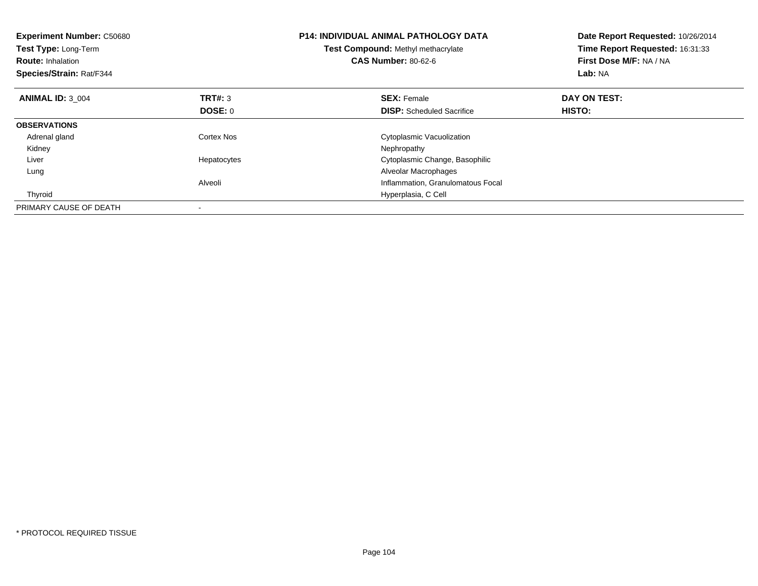| <b>Experiment Number: C50680</b><br>Test Type: Long-Term<br><b>Route: Inhalation</b><br>Species/Strain: Rat/F344 |                | <b>P14: INDIVIDUAL ANIMAL PATHOLOGY DATA</b><br>Test Compound: Methyl methacrylate<br><b>CAS Number: 80-62-6</b> | Date Report Requested: 10/26/2014<br>Time Report Requested: 16:31:33<br>First Dose M/F: NA / NA<br>Lab: NA |
|------------------------------------------------------------------------------------------------------------------|----------------|------------------------------------------------------------------------------------------------------------------|------------------------------------------------------------------------------------------------------------|
| <b>ANIMAL ID: 3 004</b>                                                                                          | <b>TRT#: 3</b> | <b>SEX: Female</b>                                                                                               | DAY ON TEST:                                                                                               |
|                                                                                                                  | DOSE: 0        | <b>DISP:</b> Scheduled Sacrifice                                                                                 | HISTO:                                                                                                     |
| <b>OBSERVATIONS</b>                                                                                              |                |                                                                                                                  |                                                                                                            |
| Adrenal gland                                                                                                    | Cortex Nos     | Cytoplasmic Vacuolization                                                                                        |                                                                                                            |
| Kidney                                                                                                           |                | Nephropathy                                                                                                      |                                                                                                            |
| Liver                                                                                                            | Hepatocytes    | Cytoplasmic Change, Basophilic                                                                                   |                                                                                                            |
| Lung                                                                                                             |                | Alveolar Macrophages                                                                                             |                                                                                                            |
|                                                                                                                  | Alveoli        | Inflammation, Granulomatous Focal                                                                                |                                                                                                            |
| Thyroid                                                                                                          |                | Hyperplasia, C Cell                                                                                              |                                                                                                            |
| PRIMARY CAUSE OF DEATH                                                                                           |                |                                                                                                                  |                                                                                                            |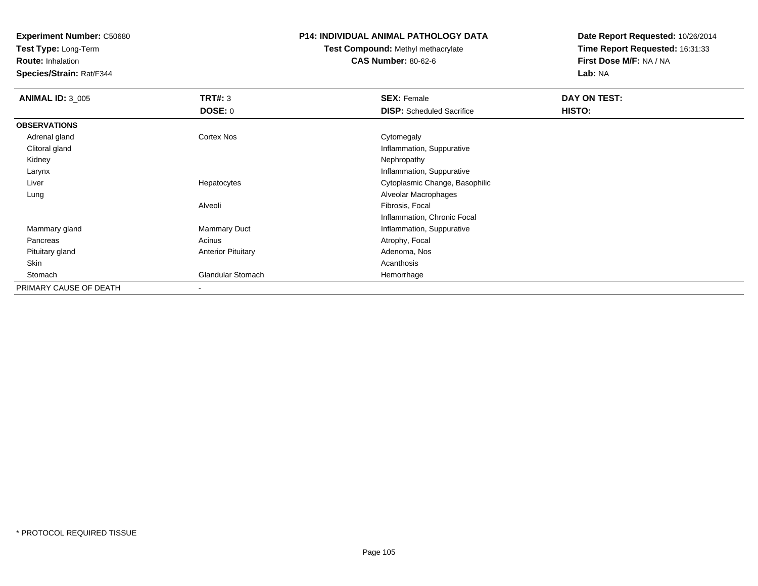**Test Type:** Long-Term

**Route:** Inhalation

**Species/Strain:** Rat/F344

## **P14: INDIVIDUAL ANIMAL PATHOLOGY DATA**

**Test Compound:** Methyl methacrylate**CAS Number:** 80-62-6

| <b>ANIMAL ID: 3_005</b> | TRT#: 3                   | <b>SEX: Female</b>               | DAY ON TEST: |  |
|-------------------------|---------------------------|----------------------------------|--------------|--|
|                         | <b>DOSE: 0</b>            | <b>DISP:</b> Scheduled Sacrifice | HISTO:       |  |
| <b>OBSERVATIONS</b>     |                           |                                  |              |  |
| Adrenal gland           | <b>Cortex Nos</b>         | Cytomegaly                       |              |  |
| Clitoral gland          |                           | Inflammation, Suppurative        |              |  |
| Kidney                  |                           | Nephropathy                      |              |  |
| Larynx                  |                           | Inflammation, Suppurative        |              |  |
| Liver                   | Hepatocytes               | Cytoplasmic Change, Basophilic   |              |  |
| Lung                    |                           | Alveolar Macrophages             |              |  |
|                         | Alveoli                   | Fibrosis, Focal                  |              |  |
|                         |                           | Inflammation, Chronic Focal      |              |  |
| Mammary gland           | <b>Mammary Duct</b>       | Inflammation, Suppurative        |              |  |
| Pancreas                | Acinus                    | Atrophy, Focal                   |              |  |
| Pituitary gland         | <b>Anterior Pituitary</b> | Adenoma, Nos                     |              |  |
| Skin                    |                           | Acanthosis                       |              |  |
| Stomach                 | <b>Glandular Stomach</b>  | Hemorrhage                       |              |  |
| PRIMARY CAUSE OF DEATH  |                           |                                  |              |  |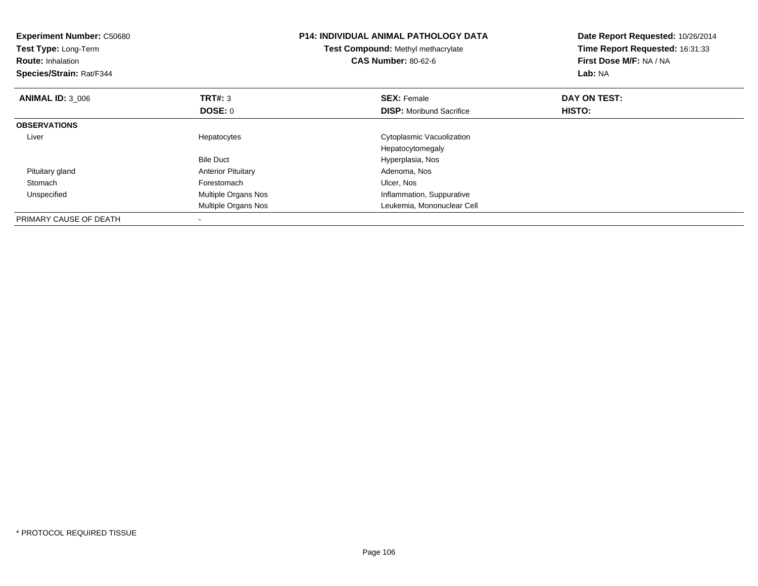| <b>Experiment Number: C50680</b><br>Test Type: Long-Term<br><b>Route: Inhalation</b><br>Species/Strain: Rat/F344 |                           | <b>P14: INDIVIDUAL ANIMAL PATHOLOGY DATA</b><br>Test Compound: Methyl methacrylate<br><b>CAS Number: 80-62-6</b> | Date Report Requested: 10/26/2014<br>Time Report Requested: 16:31:33<br>First Dose M/F: NA / NA<br>Lab: NA |
|------------------------------------------------------------------------------------------------------------------|---------------------------|------------------------------------------------------------------------------------------------------------------|------------------------------------------------------------------------------------------------------------|
| <b>ANIMAL ID: 3 006</b>                                                                                          | TRT#: 3                   | <b>SEX: Female</b>                                                                                               | DAY ON TEST:                                                                                               |
|                                                                                                                  | <b>DOSE: 0</b>            | <b>DISP:</b> Moribund Sacrifice                                                                                  | <b>HISTO:</b>                                                                                              |
| <b>OBSERVATIONS</b>                                                                                              |                           |                                                                                                                  |                                                                                                            |
| Liver                                                                                                            | Hepatocytes               | Cytoplasmic Vacuolization                                                                                        |                                                                                                            |
|                                                                                                                  |                           | Hepatocytomegaly                                                                                                 |                                                                                                            |
|                                                                                                                  | <b>Bile Duct</b>          | Hyperplasia, Nos                                                                                                 |                                                                                                            |
| Pituitary gland                                                                                                  | <b>Anterior Pituitary</b> | Adenoma, Nos                                                                                                     |                                                                                                            |
| Stomach                                                                                                          | Forestomach               | Ulcer, Nos                                                                                                       |                                                                                                            |
| Unspecified                                                                                                      | Multiple Organs Nos       | Inflammation, Suppurative                                                                                        |                                                                                                            |
|                                                                                                                  | Multiple Organs Nos       | Leukemia, Mononuclear Cell                                                                                       |                                                                                                            |
| PRIMARY CAUSE OF DEATH                                                                                           |                           |                                                                                                                  |                                                                                                            |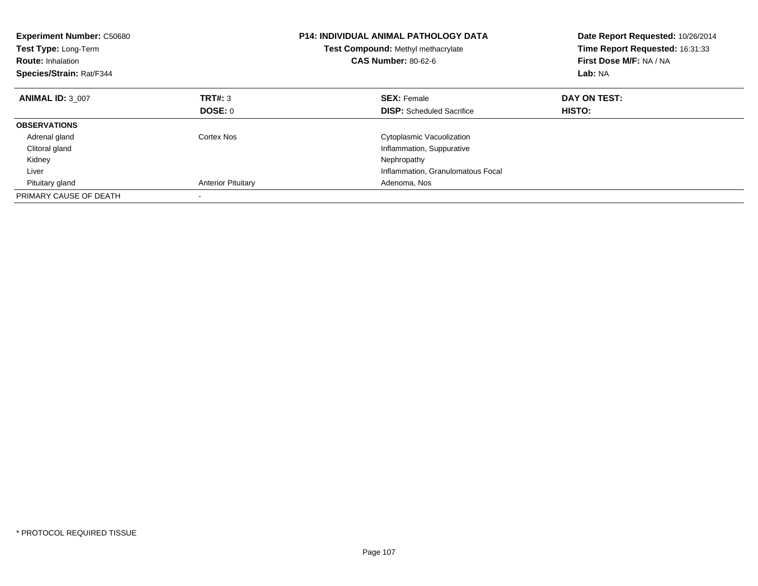| <b>Experiment Number: C50680</b><br>Test Type: Long-Term<br><b>Route: Inhalation</b><br>Species/Strain: Rat/F344 |                           | <b>P14: INDIVIDUAL ANIMAL PATHOLOGY DATA</b><br>Test Compound: Methyl methacrylate<br><b>CAS Number: 80-62-6</b> | Date Report Requested: 10/26/2014<br>Time Report Requested: 16:31:33<br>First Dose M/F: NA / NA<br>Lab: NA |
|------------------------------------------------------------------------------------------------------------------|---------------------------|------------------------------------------------------------------------------------------------------------------|------------------------------------------------------------------------------------------------------------|
| <b>ANIMAL ID: 3 007</b>                                                                                          | <b>TRT#: 3</b>            | <b>SEX: Female</b>                                                                                               | DAY ON TEST:                                                                                               |
|                                                                                                                  | DOSE: 0                   | <b>DISP:</b> Scheduled Sacrifice                                                                                 | <b>HISTO:</b>                                                                                              |
| <b>OBSERVATIONS</b>                                                                                              |                           |                                                                                                                  |                                                                                                            |
| Adrenal gland                                                                                                    | Cortex Nos                | Cytoplasmic Vacuolization                                                                                        |                                                                                                            |
| Clitoral gland                                                                                                   |                           | Inflammation, Suppurative                                                                                        |                                                                                                            |
| Kidney                                                                                                           |                           | Nephropathy                                                                                                      |                                                                                                            |
| Liver                                                                                                            |                           | Inflammation, Granulomatous Focal                                                                                |                                                                                                            |
| Pituitary gland                                                                                                  | <b>Anterior Pituitary</b> | Adenoma, Nos                                                                                                     |                                                                                                            |
| PRIMARY CAUSE OF DEATH                                                                                           |                           |                                                                                                                  |                                                                                                            |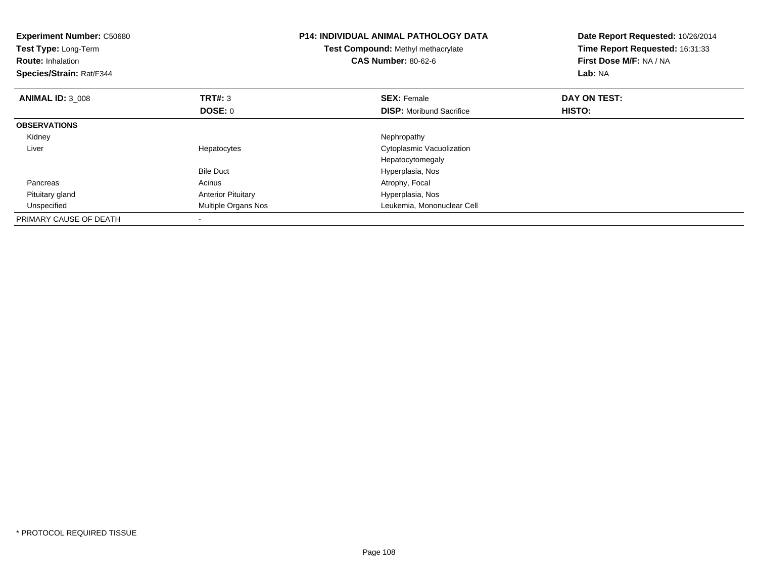| Experiment Number: C50680<br>Test Type: Long-Term<br><b>Route: Inhalation</b><br>Species/Strain: Rat/F344 |                           | <b>P14: INDIVIDUAL ANIMAL PATHOLOGY DATA</b><br>Test Compound: Methyl methacrylate<br><b>CAS Number: 80-62-6</b> | Date Report Requested: 10/26/2014<br>Time Report Requested: 16:31:33<br>First Dose M/F: NA / NA<br>Lab: NA |
|-----------------------------------------------------------------------------------------------------------|---------------------------|------------------------------------------------------------------------------------------------------------------|------------------------------------------------------------------------------------------------------------|
| <b>ANIMAL ID: 3 008</b>                                                                                   | <b>TRT#: 3</b>            | <b>SEX: Female</b>                                                                                               | DAY ON TEST:                                                                                               |
|                                                                                                           | DOSE: 0                   | <b>DISP:</b> Moribund Sacrifice                                                                                  | HISTO:                                                                                                     |
| <b>OBSERVATIONS</b>                                                                                       |                           |                                                                                                                  |                                                                                                            |
| Kidney                                                                                                    |                           | Nephropathy                                                                                                      |                                                                                                            |
| Liver                                                                                                     | Hepatocytes               | Cytoplasmic Vacuolization                                                                                        |                                                                                                            |
|                                                                                                           |                           | Hepatocytomegaly                                                                                                 |                                                                                                            |
|                                                                                                           | <b>Bile Duct</b>          | Hyperplasia, Nos                                                                                                 |                                                                                                            |
| Pancreas                                                                                                  | Acinus                    | Atrophy, Focal                                                                                                   |                                                                                                            |
| Pituitary gland                                                                                           | <b>Anterior Pituitary</b> | Hyperplasia, Nos                                                                                                 |                                                                                                            |
| Unspecified                                                                                               | Multiple Organs Nos       | Leukemia, Mononuclear Cell                                                                                       |                                                                                                            |
| PRIMARY CAUSE OF DEATH                                                                                    |                           |                                                                                                                  |                                                                                                            |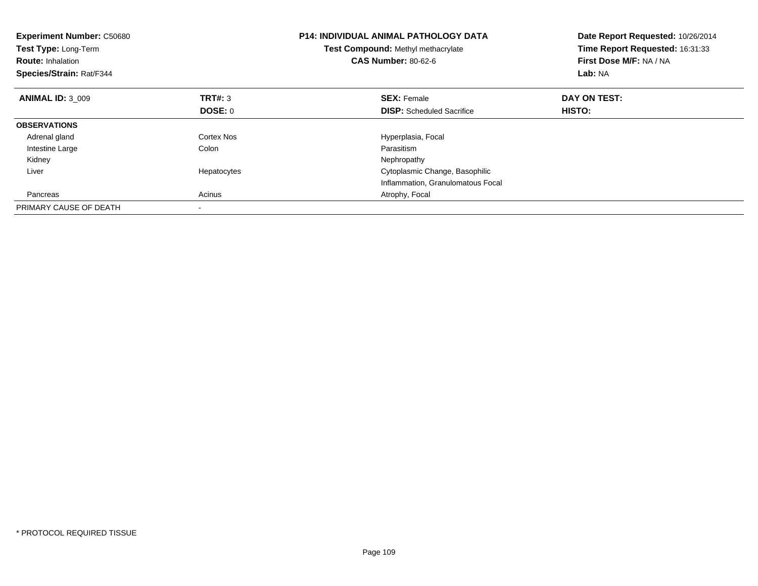| <b>Experiment Number: C50680</b><br>Test Type: Long-Term<br><b>Route: Inhalation</b><br>Species/Strain: Rat/F344 |                | <b>P14: INDIVIDUAL ANIMAL PATHOLOGY DATA</b><br>Test Compound: Methyl methacrylate<br><b>CAS Number: 80-62-6</b> | Date Report Requested: 10/26/2014<br>Time Report Requested: 16:31:33<br>First Dose M/F: NA / NA<br>Lab: NA |
|------------------------------------------------------------------------------------------------------------------|----------------|------------------------------------------------------------------------------------------------------------------|------------------------------------------------------------------------------------------------------------|
| <b>ANIMAL ID: 3 009</b>                                                                                          | TRT#: 3        | <b>SEX: Female</b>                                                                                               | DAY ON TEST:                                                                                               |
|                                                                                                                  | <b>DOSE: 0</b> | <b>DISP:</b> Scheduled Sacrifice                                                                                 | HISTO:                                                                                                     |
| <b>OBSERVATIONS</b>                                                                                              |                |                                                                                                                  |                                                                                                            |
| Adrenal gland                                                                                                    | Cortex Nos     | Hyperplasia, Focal                                                                                               |                                                                                                            |
| Intestine Large                                                                                                  | Colon          | Parasitism                                                                                                       |                                                                                                            |
| Kidney                                                                                                           |                | Nephropathy                                                                                                      |                                                                                                            |
| Liver                                                                                                            | Hepatocytes    | Cytoplasmic Change, Basophilic                                                                                   |                                                                                                            |
|                                                                                                                  |                | Inflammation, Granulomatous Focal                                                                                |                                                                                                            |
| Pancreas                                                                                                         | Acinus         | Atrophy, Focal                                                                                                   |                                                                                                            |
| PRIMARY CAUSE OF DEATH                                                                                           |                |                                                                                                                  |                                                                                                            |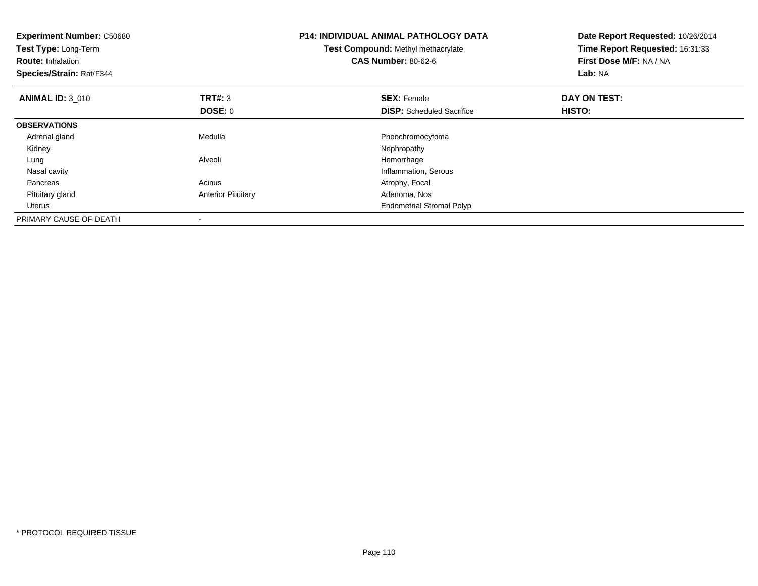| <b>Experiment Number: C50680</b><br>Test Type: Long-Term<br><b>Route: Inhalation</b><br>Species/Strain: Rat/F344 |                           | <b>P14: INDIVIDUAL ANIMAL PATHOLOGY DATA</b><br>Test Compound: Methyl methacrylate<br><b>CAS Number: 80-62-6</b> | Date Report Requested: 10/26/2014<br>Time Report Requested: 16:31:33<br>First Dose M/F: NA / NA<br>Lab: NA |
|------------------------------------------------------------------------------------------------------------------|---------------------------|------------------------------------------------------------------------------------------------------------------|------------------------------------------------------------------------------------------------------------|
| <b>ANIMAL ID: 3 010</b>                                                                                          | <b>TRT#: 3</b>            | <b>SEX: Female</b>                                                                                               | DAY ON TEST:                                                                                               |
|                                                                                                                  | DOSE: 0                   | <b>DISP:</b> Scheduled Sacrifice                                                                                 | HISTO:                                                                                                     |
| <b>OBSERVATIONS</b>                                                                                              |                           |                                                                                                                  |                                                                                                            |
| Adrenal gland                                                                                                    | Medulla                   | Pheochromocytoma                                                                                                 |                                                                                                            |
| Kidney                                                                                                           |                           | Nephropathy                                                                                                      |                                                                                                            |
| Lung                                                                                                             | Alveoli                   | Hemorrhage                                                                                                       |                                                                                                            |
| Nasal cavity                                                                                                     |                           | Inflammation, Serous                                                                                             |                                                                                                            |
| Pancreas                                                                                                         | Acinus                    | Atrophy, Focal                                                                                                   |                                                                                                            |
| Pituitary gland                                                                                                  | <b>Anterior Pituitary</b> | Adenoma, Nos                                                                                                     |                                                                                                            |
| Uterus                                                                                                           |                           | <b>Endometrial Stromal Polyp</b>                                                                                 |                                                                                                            |
| PRIMARY CAUSE OF DEATH                                                                                           |                           |                                                                                                                  |                                                                                                            |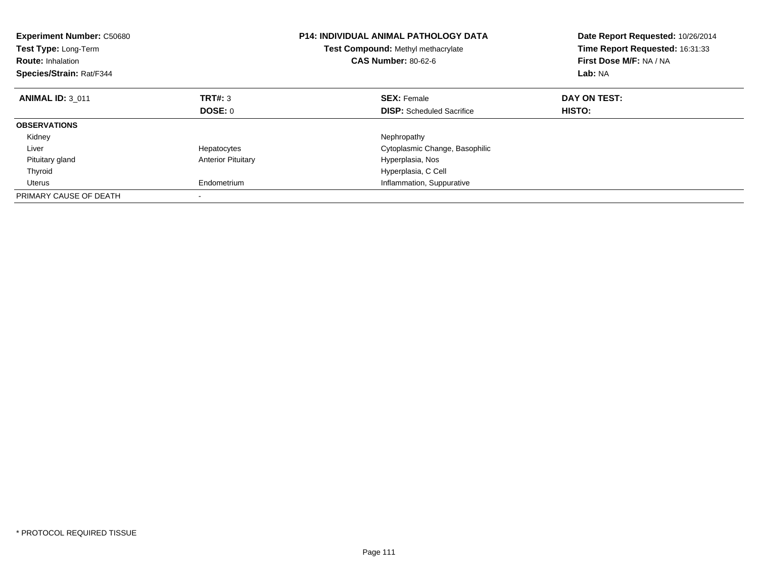| <b>Experiment Number: C50680</b><br>Test Type: Long-Term<br><b>Route: Inhalation</b><br>Species/Strain: Rat/F344 |                           | <b>P14: INDIVIDUAL ANIMAL PATHOLOGY DATA</b><br>Test Compound: Methyl methacrylate<br><b>CAS Number: 80-62-6</b> | Date Report Requested: 10/26/2014<br>Time Report Requested: 16:31:33<br>First Dose M/F: NA / NA<br>Lab: NA |
|------------------------------------------------------------------------------------------------------------------|---------------------------|------------------------------------------------------------------------------------------------------------------|------------------------------------------------------------------------------------------------------------|
| <b>ANIMAL ID: 3 011</b>                                                                                          | TRT#: 3                   | <b>SEX: Female</b>                                                                                               | DAY ON TEST:                                                                                               |
|                                                                                                                  | <b>DOSE: 0</b>            | <b>DISP:</b> Scheduled Sacrifice                                                                                 | <b>HISTO:</b>                                                                                              |
| <b>OBSERVATIONS</b>                                                                                              |                           |                                                                                                                  |                                                                                                            |
| Kidney                                                                                                           |                           | Nephropathy                                                                                                      |                                                                                                            |
| Liver                                                                                                            | Hepatocytes               | Cytoplasmic Change, Basophilic                                                                                   |                                                                                                            |
| Pituitary gland                                                                                                  | <b>Anterior Pituitary</b> | Hyperplasia, Nos                                                                                                 |                                                                                                            |
| Thyroid                                                                                                          |                           | Hyperplasia, C Cell                                                                                              |                                                                                                            |
| Uterus                                                                                                           | Endometrium               | Inflammation, Suppurative                                                                                        |                                                                                                            |
| PRIMARY CAUSE OF DEATH                                                                                           |                           |                                                                                                                  |                                                                                                            |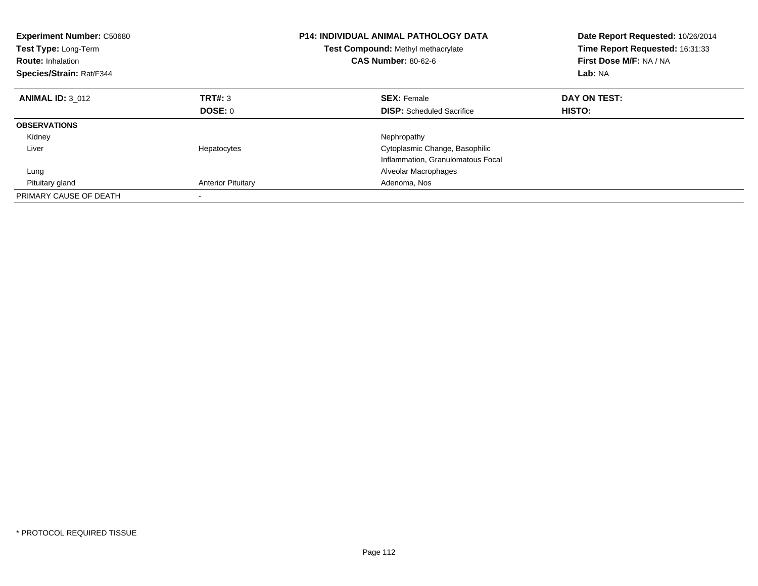| <b>Experiment Number: C50680</b><br>Test Type: Long-Term<br><b>Route: Inhalation</b><br>Species/Strain: Rat/F344 |                           | <b>P14: INDIVIDUAL ANIMAL PATHOLOGY DATA</b><br>Test Compound: Methyl methacrylate<br><b>CAS Number: 80-62-6</b> | Date Report Requested: 10/26/2014<br>Time Report Requested: 16:31:33<br>First Dose M/F: NA / NA<br>Lab: NA |
|------------------------------------------------------------------------------------------------------------------|---------------------------|------------------------------------------------------------------------------------------------------------------|------------------------------------------------------------------------------------------------------------|
| <b>ANIMAL ID: 3_012</b>                                                                                          | TRT#: 3                   | <b>SEX: Female</b>                                                                                               | DAY ON TEST:                                                                                               |
|                                                                                                                  | DOSE: 0                   | <b>DISP:</b> Scheduled Sacrifice                                                                                 | HISTO:                                                                                                     |
| <b>OBSERVATIONS</b>                                                                                              |                           |                                                                                                                  |                                                                                                            |
| Kidney                                                                                                           |                           | Nephropathy                                                                                                      |                                                                                                            |
| Liver                                                                                                            | Hepatocytes               | Cytoplasmic Change, Basophilic                                                                                   |                                                                                                            |
|                                                                                                                  |                           | Inflammation, Granulomatous Focal                                                                                |                                                                                                            |
| Lung                                                                                                             |                           | Alveolar Macrophages                                                                                             |                                                                                                            |
| Pituitary gland                                                                                                  | <b>Anterior Pituitary</b> | Adenoma, Nos                                                                                                     |                                                                                                            |
| PRIMARY CAUSE OF DEATH                                                                                           |                           |                                                                                                                  |                                                                                                            |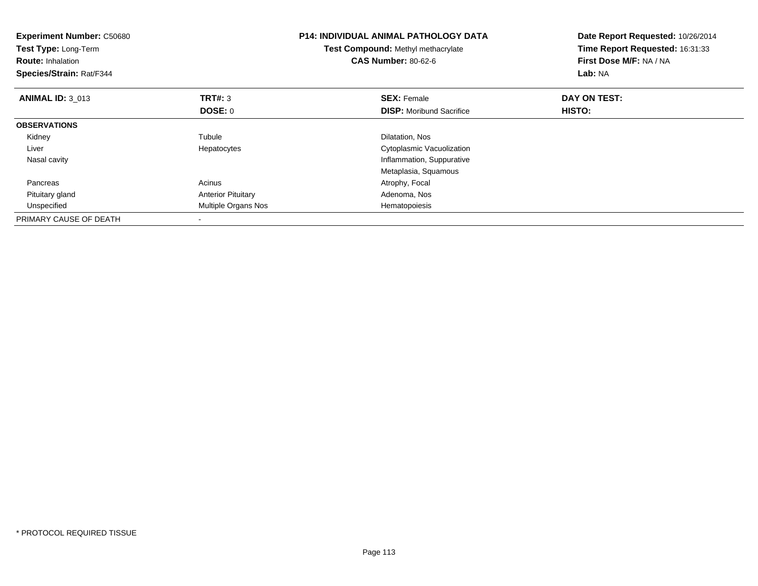| <b>Experiment Number: C50680</b><br>Test Type: Long-Term<br><b>Route: Inhalation</b><br>Species/Strain: Rat/F344 |                           | <b>P14: INDIVIDUAL ANIMAL PATHOLOGY DATA</b><br>Test Compound: Methyl methacrylate<br><b>CAS Number: 80-62-6</b> | Date Report Requested: 10/26/2014<br>Time Report Requested: 16:31:33<br>First Dose M/F: NA / NA<br>Lab: NA |
|------------------------------------------------------------------------------------------------------------------|---------------------------|------------------------------------------------------------------------------------------------------------------|------------------------------------------------------------------------------------------------------------|
| <b>ANIMAL ID: 3 013</b>                                                                                          | <b>TRT#: 3</b>            | <b>SEX: Female</b>                                                                                               | DAY ON TEST:                                                                                               |
|                                                                                                                  | <b>DOSE: 0</b>            | <b>DISP:</b> Moribund Sacrifice                                                                                  | HISTO:                                                                                                     |
| <b>OBSERVATIONS</b>                                                                                              |                           |                                                                                                                  |                                                                                                            |
| Kidney                                                                                                           | Tubule                    | Dilatation, Nos                                                                                                  |                                                                                                            |
| Liver                                                                                                            | Hepatocytes               | Cytoplasmic Vacuolization                                                                                        |                                                                                                            |
| Nasal cavity                                                                                                     |                           | Inflammation, Suppurative                                                                                        |                                                                                                            |
|                                                                                                                  |                           | Metaplasia, Squamous                                                                                             |                                                                                                            |
| Pancreas                                                                                                         | Acinus                    | Atrophy, Focal                                                                                                   |                                                                                                            |
| Pituitary gland                                                                                                  | <b>Anterior Pituitary</b> | Adenoma, Nos                                                                                                     |                                                                                                            |
| Unspecified                                                                                                      | Multiple Organs Nos       | Hematopoiesis                                                                                                    |                                                                                                            |
| PRIMARY CAUSE OF DEATH                                                                                           |                           |                                                                                                                  |                                                                                                            |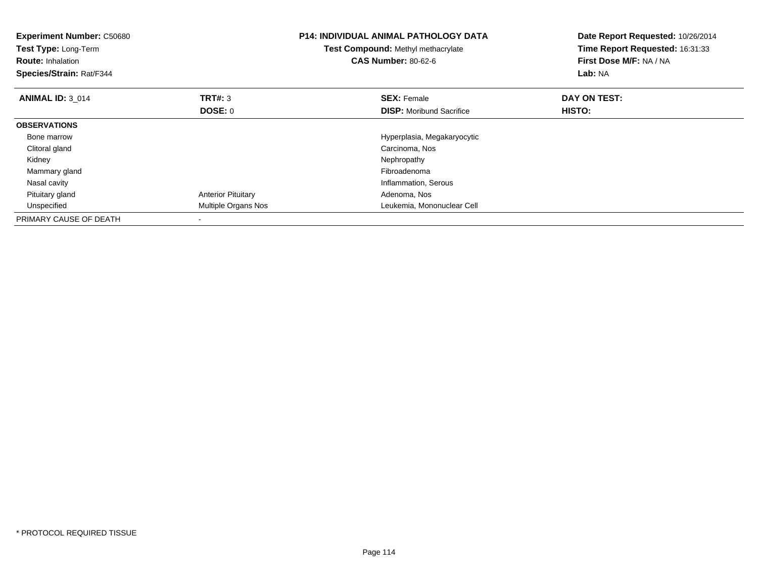| <b>Experiment Number: C50680</b><br>Test Type: Long-Term<br><b>Route: Inhalation</b><br>Species/Strain: Rat/F344 |                           | <b>P14: INDIVIDUAL ANIMAL PATHOLOGY DATA</b><br>Test Compound: Methyl methacrylate<br><b>CAS Number: 80-62-6</b> | Date Report Requested: 10/26/2014<br>Time Report Requested: 16:31:33<br>First Dose M/F: NA / NA<br>Lab: NA |
|------------------------------------------------------------------------------------------------------------------|---------------------------|------------------------------------------------------------------------------------------------------------------|------------------------------------------------------------------------------------------------------------|
| <b>ANIMAL ID: 3 014</b>                                                                                          | TRT#: 3                   | <b>SEX: Female</b>                                                                                               | DAY ON TEST:                                                                                               |
|                                                                                                                  | DOSE: 0                   | <b>DISP:</b> Moribund Sacrifice                                                                                  | HISTO:                                                                                                     |
| <b>OBSERVATIONS</b>                                                                                              |                           |                                                                                                                  |                                                                                                            |
| Bone marrow                                                                                                      |                           | Hyperplasia, Megakaryocytic                                                                                      |                                                                                                            |
| Clitoral gland                                                                                                   |                           | Carcinoma, Nos                                                                                                   |                                                                                                            |
| Kidney                                                                                                           |                           | Nephropathy                                                                                                      |                                                                                                            |
| Mammary gland                                                                                                    |                           | Fibroadenoma                                                                                                     |                                                                                                            |
| Nasal cavity                                                                                                     |                           | Inflammation, Serous                                                                                             |                                                                                                            |
| Pituitary gland                                                                                                  | <b>Anterior Pituitary</b> | Adenoma, Nos                                                                                                     |                                                                                                            |
| Unspecified                                                                                                      | Multiple Organs Nos       | Leukemia, Mononuclear Cell                                                                                       |                                                                                                            |
| PRIMARY CAUSE OF DEATH                                                                                           | $\overline{\phantom{a}}$  |                                                                                                                  |                                                                                                            |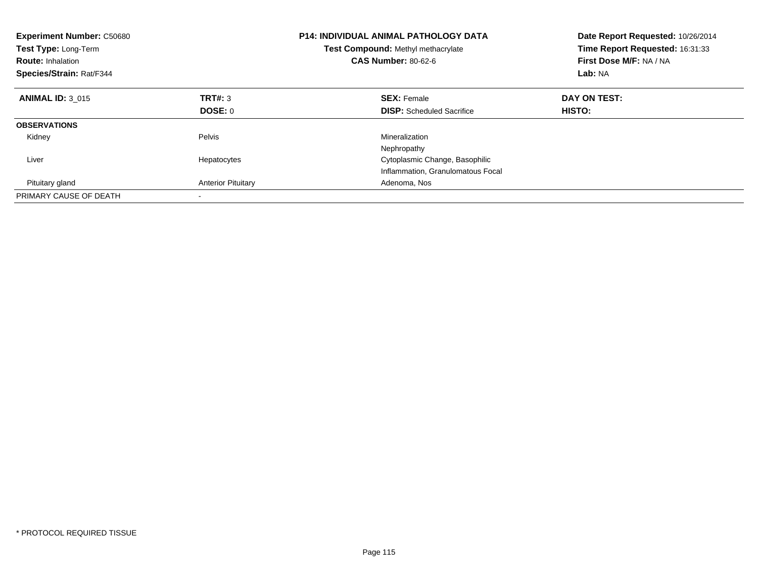| <b>Experiment Number: C50680</b><br>Test Type: Long-Term<br><b>Route: Inhalation</b><br>Species/Strain: Rat/F344 |                           | <b>P14: INDIVIDUAL ANIMAL PATHOLOGY DATA</b><br>Test Compound: Methyl methacrylate<br><b>CAS Number: 80-62-6</b> | Date Report Requested: 10/26/2014<br>Time Report Requested: 16:31:33<br>First Dose M/F: NA / NA<br>Lab: NA |
|------------------------------------------------------------------------------------------------------------------|---------------------------|------------------------------------------------------------------------------------------------------------------|------------------------------------------------------------------------------------------------------------|
| <b>ANIMAL ID: 3 015</b>                                                                                          | TRT#: 3                   | <b>SEX: Female</b>                                                                                               | DAY ON TEST:                                                                                               |
|                                                                                                                  | DOSE: 0                   | <b>DISP:</b> Scheduled Sacrifice                                                                                 | HISTO:                                                                                                     |
| <b>OBSERVATIONS</b>                                                                                              |                           |                                                                                                                  |                                                                                                            |
| Kidney                                                                                                           | Pelvis                    | Mineralization                                                                                                   |                                                                                                            |
|                                                                                                                  |                           | Nephropathy                                                                                                      |                                                                                                            |
| Liver                                                                                                            | Hepatocytes               | Cytoplasmic Change, Basophilic                                                                                   |                                                                                                            |
|                                                                                                                  |                           | Inflammation, Granulomatous Focal                                                                                |                                                                                                            |
| Pituitary gland                                                                                                  | <b>Anterior Pituitary</b> | Adenoma, Nos                                                                                                     |                                                                                                            |
| PRIMARY CAUSE OF DEATH                                                                                           |                           |                                                                                                                  |                                                                                                            |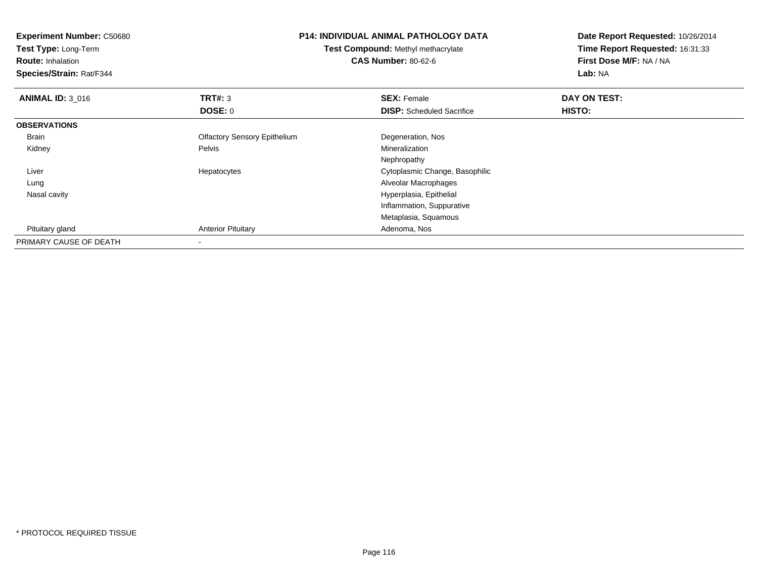| <b>Experiment Number: C50680</b><br><b>Test Type: Long-Term</b><br><b>Route: Inhalation</b><br>Species/Strain: Rat/F344 |                                     | <b>P14: INDIVIDUAL ANIMAL PATHOLOGY DATA</b><br><b>Test Compound: Methyl methacrylate</b><br><b>CAS Number: 80-62-6</b> | Date Report Requested: 10/26/2014<br>Time Report Requested: 16:31:33<br>First Dose M/F: NA / NA<br>Lab: NA |
|-------------------------------------------------------------------------------------------------------------------------|-------------------------------------|-------------------------------------------------------------------------------------------------------------------------|------------------------------------------------------------------------------------------------------------|
| <b>ANIMAL ID: 3_016</b>                                                                                                 | TRT#: 3                             | <b>SEX: Female</b>                                                                                                      | DAY ON TEST:                                                                                               |
|                                                                                                                         | <b>DOSE: 0</b>                      | <b>DISP:</b> Scheduled Sacrifice                                                                                        | HISTO:                                                                                                     |
| <b>OBSERVATIONS</b>                                                                                                     |                                     |                                                                                                                         |                                                                                                            |
| Brain                                                                                                                   | <b>Olfactory Sensory Epithelium</b> | Degeneration, Nos                                                                                                       |                                                                                                            |
| Kidney                                                                                                                  | Pelvis                              | <b>Mineralization</b>                                                                                                   |                                                                                                            |
|                                                                                                                         |                                     | Nephropathy                                                                                                             |                                                                                                            |
| Liver                                                                                                                   | Hepatocytes                         | Cytoplasmic Change, Basophilic                                                                                          |                                                                                                            |
| Lung                                                                                                                    |                                     | Alveolar Macrophages                                                                                                    |                                                                                                            |
| Nasal cavity                                                                                                            |                                     | Hyperplasia, Epithelial                                                                                                 |                                                                                                            |
|                                                                                                                         |                                     | Inflammation, Suppurative                                                                                               |                                                                                                            |
|                                                                                                                         |                                     | Metaplasia, Squamous                                                                                                    |                                                                                                            |
| Pituitary gland                                                                                                         | <b>Anterior Pituitary</b>           | Adenoma, Nos                                                                                                            |                                                                                                            |
| PRIMARY CAUSE OF DEATH                                                                                                  |                                     |                                                                                                                         |                                                                                                            |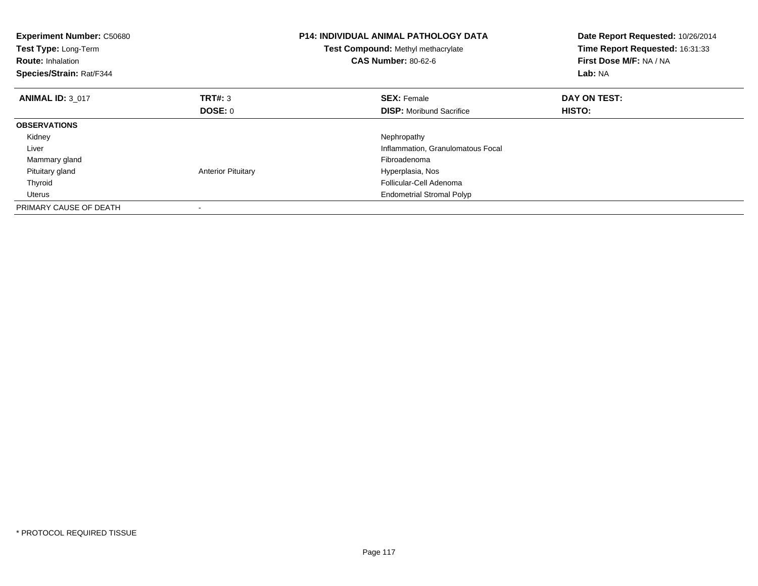| <b>Experiment Number: C50680</b><br>Test Type: Long-Term<br><b>Route: Inhalation</b><br>Species/Strain: Rat/F344 |                           | <b>P14: INDIVIDUAL ANIMAL PATHOLOGY DATA</b><br>Test Compound: Methyl methacrylate<br><b>CAS Number: 80-62-6</b> | Date Report Requested: 10/26/2014<br>Time Report Requested: 16:31:33<br>First Dose M/F: NA / NA<br>Lab: NA |
|------------------------------------------------------------------------------------------------------------------|---------------------------|------------------------------------------------------------------------------------------------------------------|------------------------------------------------------------------------------------------------------------|
| <b>ANIMAL ID: 3 017</b>                                                                                          | <b>TRT#: 3</b>            | <b>SEX: Female</b>                                                                                               | DAY ON TEST:                                                                                               |
|                                                                                                                  | DOSE: 0                   | <b>DISP:</b> Moribund Sacrifice                                                                                  | HISTO:                                                                                                     |
| <b>OBSERVATIONS</b>                                                                                              |                           |                                                                                                                  |                                                                                                            |
| Kidney                                                                                                           |                           | Nephropathy                                                                                                      |                                                                                                            |
| Liver                                                                                                            |                           | Inflammation, Granulomatous Focal                                                                                |                                                                                                            |
| Mammary gland                                                                                                    |                           | Fibroadenoma                                                                                                     |                                                                                                            |
| Pituitary gland                                                                                                  | <b>Anterior Pituitary</b> | Hyperplasia, Nos                                                                                                 |                                                                                                            |
| Thyroid                                                                                                          |                           | Follicular-Cell Adenoma                                                                                          |                                                                                                            |
| Uterus                                                                                                           |                           | <b>Endometrial Stromal Polyp</b>                                                                                 |                                                                                                            |
| PRIMARY CAUSE OF DEATH                                                                                           |                           |                                                                                                                  |                                                                                                            |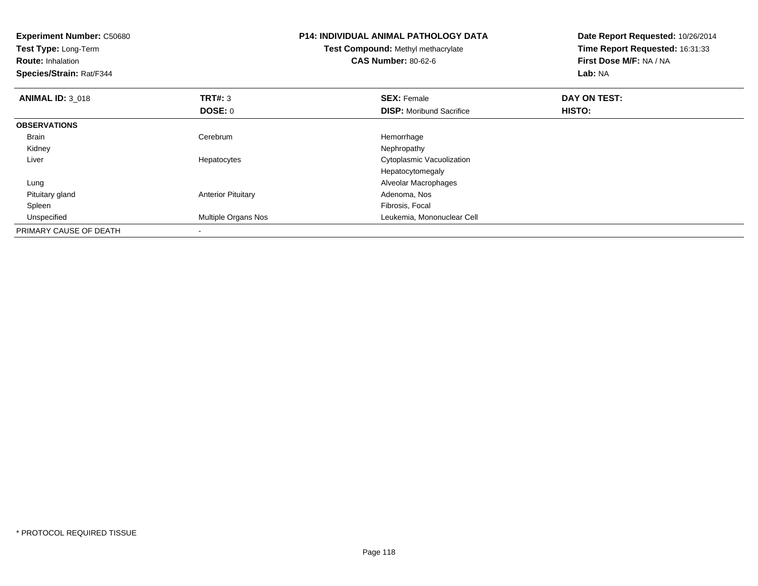| <b>Experiment Number: C50680</b><br>Test Type: Long-Term<br><b>Route: Inhalation</b><br>Species/Strain: Rat/F344 |                            | <b>P14: INDIVIDUAL ANIMAL PATHOLOGY DATA</b><br>Test Compound: Methyl methacrylate<br><b>CAS Number: 80-62-6</b> | Date Report Requested: 10/26/2014<br>Time Report Requested: 16:31:33<br>First Dose M/F: NA / NA<br>Lab: NA |
|------------------------------------------------------------------------------------------------------------------|----------------------------|------------------------------------------------------------------------------------------------------------------|------------------------------------------------------------------------------------------------------------|
| <b>ANIMAL ID: 3 018</b>                                                                                          | TRT#: 3                    | <b>SEX: Female</b>                                                                                               | DAY ON TEST:                                                                                               |
|                                                                                                                  | <b>DOSE: 0</b>             | <b>DISP:</b> Moribund Sacrifice                                                                                  | <b>HISTO:</b>                                                                                              |
| <b>OBSERVATIONS</b>                                                                                              |                            |                                                                                                                  |                                                                                                            |
| <b>Brain</b>                                                                                                     | Cerebrum                   | Hemorrhage                                                                                                       |                                                                                                            |
| Kidney                                                                                                           |                            | Nephropathy                                                                                                      |                                                                                                            |
| Liver                                                                                                            | Hepatocytes                | Cytoplasmic Vacuolization                                                                                        |                                                                                                            |
|                                                                                                                  |                            | Hepatocytomegaly                                                                                                 |                                                                                                            |
| Lung                                                                                                             |                            | Alveolar Macrophages                                                                                             |                                                                                                            |
| Pituitary gland                                                                                                  | <b>Anterior Pituitary</b>  | Adenoma, Nos                                                                                                     |                                                                                                            |
| Spleen                                                                                                           |                            | Fibrosis, Focal                                                                                                  |                                                                                                            |
| Unspecified                                                                                                      | <b>Multiple Organs Nos</b> | Leukemia, Mononuclear Cell                                                                                       |                                                                                                            |
| PRIMARY CAUSE OF DEATH                                                                                           |                            |                                                                                                                  |                                                                                                            |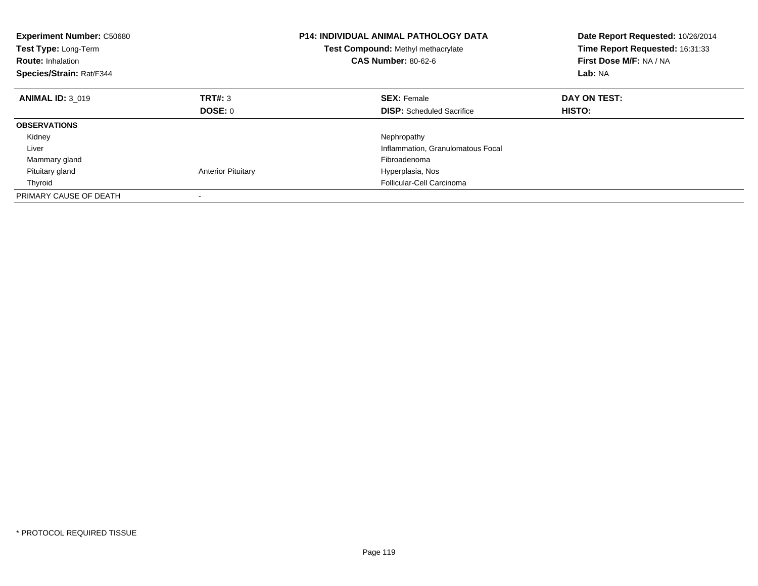| <b>Experiment Number: C50680</b><br>Test Type: Long-Term<br><b>Route: Inhalation</b><br>Species/Strain: Rat/F344 |                           | <b>P14: INDIVIDUAL ANIMAL PATHOLOGY DATA</b><br>Test Compound: Methyl methacrylate<br><b>CAS Number: 80-62-6</b> | Date Report Requested: 10/26/2014<br>Time Report Requested: 16:31:33<br>First Dose M/F: NA / NA<br>Lab: NA |
|------------------------------------------------------------------------------------------------------------------|---------------------------|------------------------------------------------------------------------------------------------------------------|------------------------------------------------------------------------------------------------------------|
| <b>ANIMAL ID: 3 019</b>                                                                                          | TRT#: 3                   | <b>SEX: Female</b>                                                                                               | DAY ON TEST:                                                                                               |
|                                                                                                                  | DOSE: 0                   | <b>DISP:</b> Scheduled Sacrifice                                                                                 | <b>HISTO:</b>                                                                                              |
| <b>OBSERVATIONS</b>                                                                                              |                           |                                                                                                                  |                                                                                                            |
| Kidney                                                                                                           |                           | Nephropathy                                                                                                      |                                                                                                            |
| Liver                                                                                                            |                           | Inflammation, Granulomatous Focal                                                                                |                                                                                                            |
| Mammary gland                                                                                                    |                           | Fibroadenoma                                                                                                     |                                                                                                            |
| Pituitary gland                                                                                                  | <b>Anterior Pituitary</b> | Hyperplasia, Nos                                                                                                 |                                                                                                            |
| Thyroid                                                                                                          |                           | Follicular-Cell Carcinoma                                                                                        |                                                                                                            |
| PRIMARY CAUSE OF DEATH                                                                                           |                           |                                                                                                                  |                                                                                                            |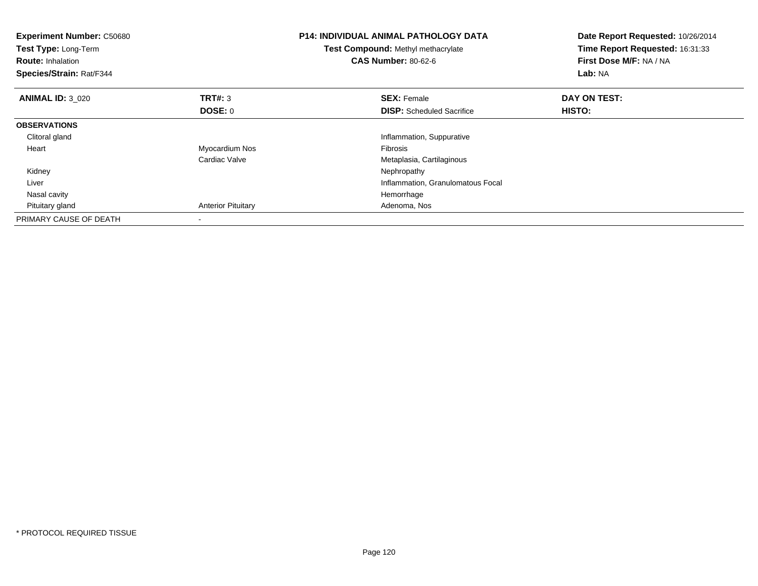| <b>Experiment Number: C50680</b><br>Test Type: Long-Term<br><b>Route: Inhalation</b><br>Species/Strain: Rat/F344 |                           | <b>P14: INDIVIDUAL ANIMAL PATHOLOGY DATA</b><br>Test Compound: Methyl methacrylate<br><b>CAS Number: 80-62-6</b> | Date Report Requested: 10/26/2014<br>Time Report Requested: 16:31:33<br>First Dose M/F: NA / NA<br>Lab: NA |
|------------------------------------------------------------------------------------------------------------------|---------------------------|------------------------------------------------------------------------------------------------------------------|------------------------------------------------------------------------------------------------------------|
| <b>ANIMAL ID: 3 020</b>                                                                                          | <b>TRT#: 3</b>            | <b>SEX: Female</b>                                                                                               | DAY ON TEST:                                                                                               |
|                                                                                                                  | DOSE: 0                   | <b>DISP:</b> Scheduled Sacrifice                                                                                 | HISTO:                                                                                                     |
| <b>OBSERVATIONS</b>                                                                                              |                           |                                                                                                                  |                                                                                                            |
| Clitoral gland                                                                                                   |                           | Inflammation, Suppurative                                                                                        |                                                                                                            |
| Heart                                                                                                            | Myocardium Nos            | <b>Fibrosis</b>                                                                                                  |                                                                                                            |
|                                                                                                                  | Cardiac Valve             | Metaplasia, Cartilaginous                                                                                        |                                                                                                            |
| Kidney                                                                                                           |                           | Nephropathy                                                                                                      |                                                                                                            |
| Liver                                                                                                            |                           | Inflammation, Granulomatous Focal                                                                                |                                                                                                            |
| Nasal cavity                                                                                                     |                           | Hemorrhage                                                                                                       |                                                                                                            |
| Pituitary gland                                                                                                  | <b>Anterior Pituitary</b> | Adenoma, Nos                                                                                                     |                                                                                                            |
| PRIMARY CAUSE OF DEATH                                                                                           |                           |                                                                                                                  |                                                                                                            |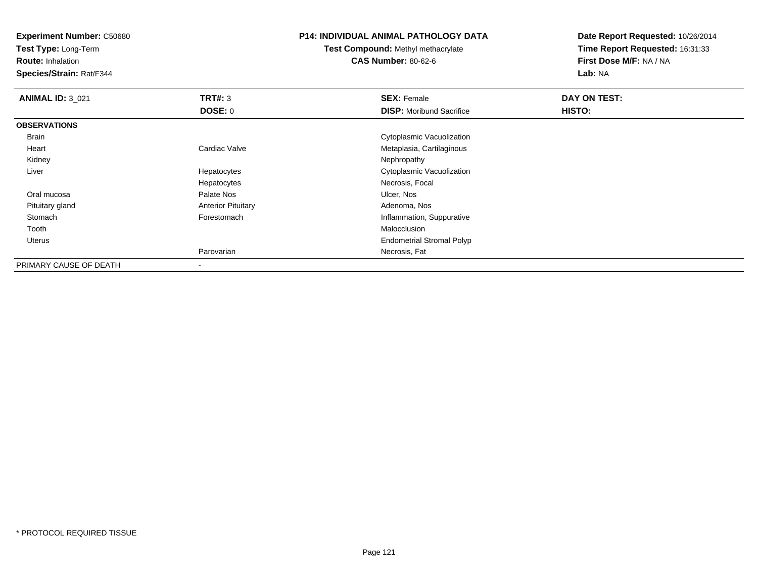**Experiment Number:** C50680

**Test Type:** Long-Term

**Route:** Inhalation

**Species/Strain:** Rat/F344

## **P14: INDIVIDUAL ANIMAL PATHOLOGY DATA**

**Test Compound:** Methyl methacrylate**CAS Number:** 80-62-6

**Date Report Requested:** 10/26/2014**Time Report Requested:** 16:31:33**First Dose M/F:** NA / NA**Lab:** NA

| <b>ANIMAL ID: 3_021</b> | TRT#: 3                   | <b>SEX: Female</b>               | DAY ON TEST: |  |
|-------------------------|---------------------------|----------------------------------|--------------|--|
|                         | DOSE: 0                   | <b>DISP:</b> Moribund Sacrifice  | HISTO:       |  |
| <b>OBSERVATIONS</b>     |                           |                                  |              |  |
| Brain                   |                           | Cytoplasmic Vacuolization        |              |  |
| Heart                   | Cardiac Valve             | Metaplasia, Cartilaginous        |              |  |
| Kidney                  |                           | Nephropathy                      |              |  |
| Liver                   | Hepatocytes               | Cytoplasmic Vacuolization        |              |  |
|                         | Hepatocytes               | Necrosis, Focal                  |              |  |
| Oral mucosa             | Palate Nos                | Ulcer, Nos                       |              |  |
| Pituitary gland         | <b>Anterior Pituitary</b> | Adenoma, Nos                     |              |  |
| Stomach                 | Forestomach               | Inflammation, Suppurative        |              |  |
| Tooth                   |                           | Malocclusion                     |              |  |
| Uterus                  |                           | <b>Endometrial Stromal Polyp</b> |              |  |
|                         | Parovarian                | Necrosis, Fat                    |              |  |
| PRIMARY CAUSE OF DEATH  |                           |                                  |              |  |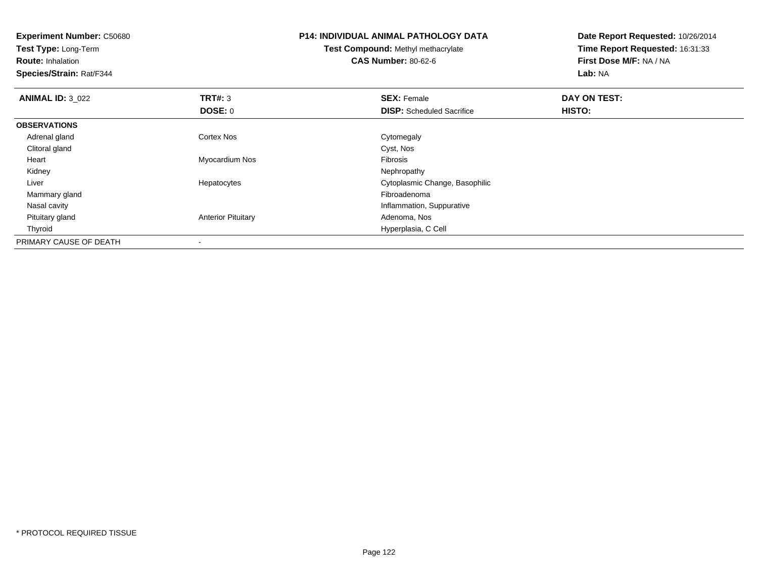| <b>Experiment Number: C50680</b><br>Test Type: Long-Term<br><b>Route: Inhalation</b><br>Species/Strain: Rat/F344 |                           | <b>P14: INDIVIDUAL ANIMAL PATHOLOGY DATA</b><br>Test Compound: Methyl methacrylate<br><b>CAS Number: 80-62-6</b> | Date Report Requested: 10/26/2014<br>Time Report Requested: 16:31:33<br>First Dose M/F: NA / NA<br>Lab: NA |
|------------------------------------------------------------------------------------------------------------------|---------------------------|------------------------------------------------------------------------------------------------------------------|------------------------------------------------------------------------------------------------------------|
| <b>ANIMAL ID: 3_022</b>                                                                                          | <b>TRT#: 3</b>            | <b>SEX: Female</b>                                                                                               | DAY ON TEST:                                                                                               |
|                                                                                                                  | <b>DOSE: 0</b>            | <b>DISP:</b> Scheduled Sacrifice                                                                                 | HISTO:                                                                                                     |
| <b>OBSERVATIONS</b>                                                                                              |                           |                                                                                                                  |                                                                                                            |
| Adrenal gland                                                                                                    | <b>Cortex Nos</b>         | Cytomegaly                                                                                                       |                                                                                                            |
| Clitoral gland                                                                                                   |                           | Cyst, Nos                                                                                                        |                                                                                                            |
| Heart                                                                                                            | Myocardium Nos            | Fibrosis                                                                                                         |                                                                                                            |
| Kidney                                                                                                           |                           | Nephropathy                                                                                                      |                                                                                                            |
| Liver                                                                                                            | Hepatocytes               | Cytoplasmic Change, Basophilic                                                                                   |                                                                                                            |
| Mammary gland                                                                                                    |                           | Fibroadenoma                                                                                                     |                                                                                                            |
| Nasal cavity                                                                                                     |                           | Inflammation, Suppurative                                                                                        |                                                                                                            |
| Pituitary gland                                                                                                  | <b>Anterior Pituitary</b> | Adenoma, Nos                                                                                                     |                                                                                                            |
| Thyroid                                                                                                          |                           | Hyperplasia, C Cell                                                                                              |                                                                                                            |
| PRIMARY CAUSE OF DEATH                                                                                           |                           |                                                                                                                  |                                                                                                            |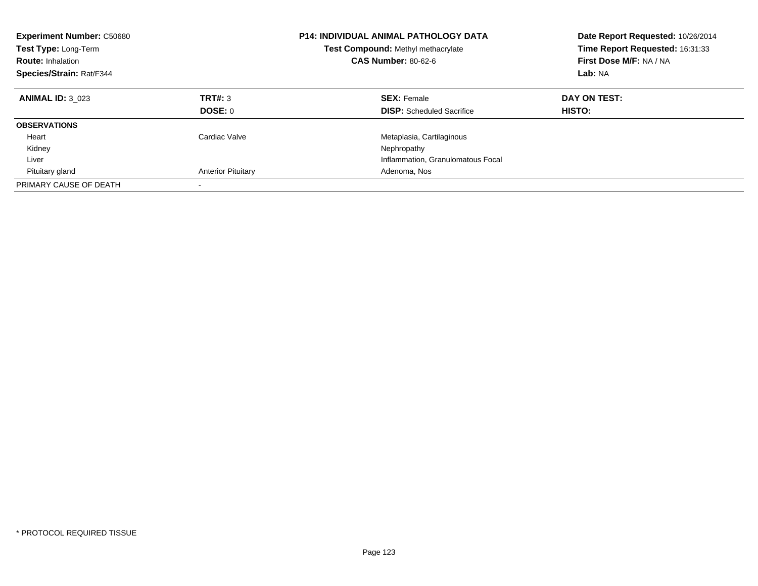| <b>Experiment Number: C50680</b><br><b>Test Type: Long-Term</b><br><b>Route: Inhalation</b><br>Species/Strain: Rat/F344 |                           | <b>P14: INDIVIDUAL ANIMAL PATHOLOGY DATA</b><br><b>Test Compound: Methyl methacrylate</b><br><b>CAS Number: 80-62-6</b> | Date Report Requested: 10/26/2014<br>Time Report Requested: 16:31:33<br>First Dose M/F: NA / NA<br>Lab: NA |
|-------------------------------------------------------------------------------------------------------------------------|---------------------------|-------------------------------------------------------------------------------------------------------------------------|------------------------------------------------------------------------------------------------------------|
| <b>ANIMAL ID: 3 023</b>                                                                                                 | TRT#: 3<br>DOSE: 0        | <b>SEX: Female</b><br><b>DISP:</b> Scheduled Sacrifice                                                                  | DAY ON TEST:<br><b>HISTO:</b>                                                                              |
| <b>OBSERVATIONS</b>                                                                                                     |                           |                                                                                                                         |                                                                                                            |
| Heart<br>Kidney                                                                                                         | Cardiac Valve             | Metaplasia, Cartilaginous<br>Nephropathy                                                                                |                                                                                                            |
| Liver                                                                                                                   |                           | Inflammation, Granulomatous Focal                                                                                       |                                                                                                            |
| Pituitary gland                                                                                                         | <b>Anterior Pituitary</b> | Adenoma, Nos                                                                                                            |                                                                                                            |
| PRIMARY CAUSE OF DEATH                                                                                                  |                           |                                                                                                                         |                                                                                                            |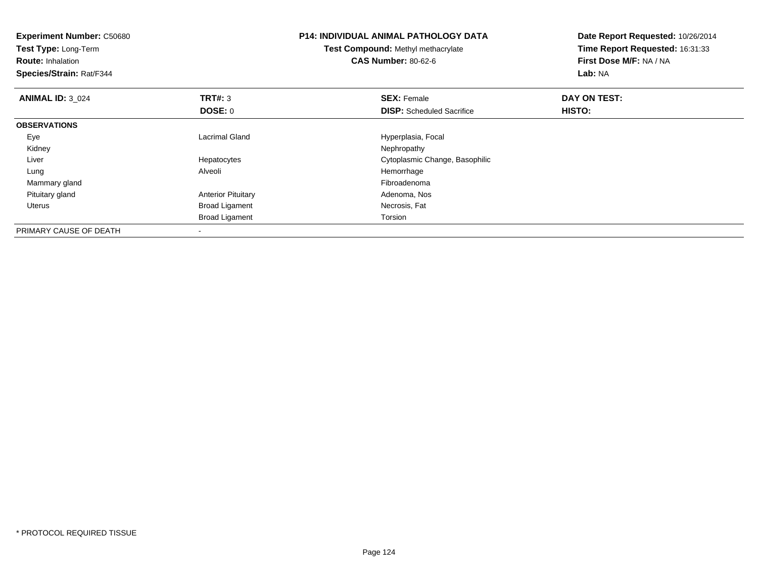| <b>Experiment Number: C50680</b><br>Test Type: Long-Term<br><b>Route: Inhalation</b><br>Species/Strain: Rat/F344 |                           | <b>P14: INDIVIDUAL ANIMAL PATHOLOGY DATA</b><br>Test Compound: Methyl methacrylate<br><b>CAS Number: 80-62-6</b> | Date Report Requested: 10/26/2014<br>Time Report Requested: 16:31:33<br>First Dose M/F: NA / NA<br><b>Lab: NA</b> |
|------------------------------------------------------------------------------------------------------------------|---------------------------|------------------------------------------------------------------------------------------------------------------|-------------------------------------------------------------------------------------------------------------------|
| <b>ANIMAL ID: 3 024</b>                                                                                          | <b>TRT#: 3</b>            | <b>SEX: Female</b>                                                                                               | DAY ON TEST:                                                                                                      |
|                                                                                                                  | DOSE: 0                   | <b>DISP:</b> Scheduled Sacrifice                                                                                 | HISTO:                                                                                                            |
| <b>OBSERVATIONS</b>                                                                                              |                           |                                                                                                                  |                                                                                                                   |
| Eye                                                                                                              | <b>Lacrimal Gland</b>     | Hyperplasia, Focal                                                                                               |                                                                                                                   |
| Kidney                                                                                                           |                           | Nephropathy                                                                                                      |                                                                                                                   |
| Liver                                                                                                            | Hepatocytes               | Cytoplasmic Change, Basophilic                                                                                   |                                                                                                                   |
| Lung                                                                                                             | Alveoli                   | Hemorrhage                                                                                                       |                                                                                                                   |
| Mammary gland                                                                                                    |                           | Fibroadenoma                                                                                                     |                                                                                                                   |
| Pituitary gland                                                                                                  | <b>Anterior Pituitary</b> | Adenoma, Nos                                                                                                     |                                                                                                                   |
| Uterus                                                                                                           | <b>Broad Ligament</b>     | Necrosis, Fat                                                                                                    |                                                                                                                   |
|                                                                                                                  | <b>Broad Ligament</b>     | Torsion                                                                                                          |                                                                                                                   |
| PRIMARY CAUSE OF DEATH                                                                                           |                           |                                                                                                                  |                                                                                                                   |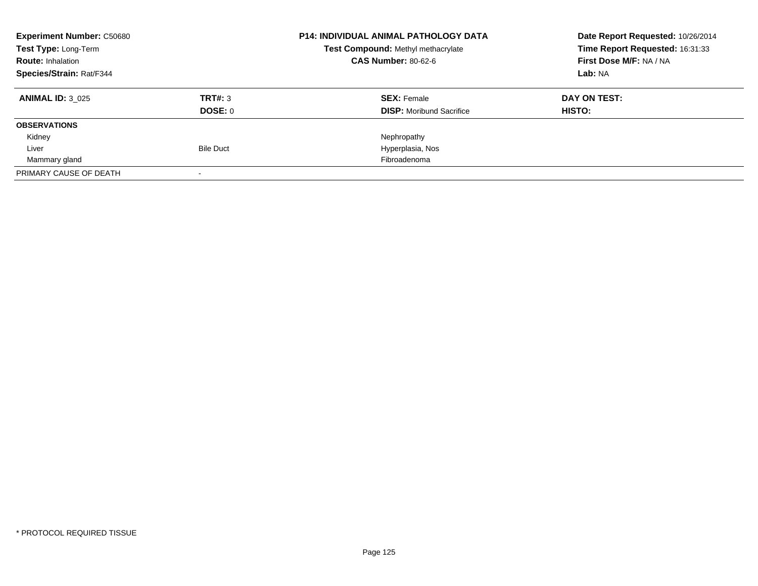| <b>Experiment Number: C50680</b> |                  | <b>P14: INDIVIDUAL ANIMAL PATHOLOGY DATA</b> | Date Report Requested: 10/26/2014 |
|----------------------------------|------------------|----------------------------------------------|-----------------------------------|
| Test Type: Long-Term             |                  | Test Compound: Methyl methacrylate           | Time Report Requested: 16:31:33   |
| <b>Route: Inhalation</b>         |                  | <b>CAS Number: 80-62-6</b>                   | First Dose M/F: NA / NA           |
| <b>Species/Strain: Rat/F344</b>  |                  |                                              | Lab: NA                           |
| <b>ANIMAL ID: 3 025</b>          | TRT#: 3          | <b>SEX: Female</b>                           | DAY ON TEST:                      |
|                                  | DOSE: 0          | <b>DISP:</b> Moribund Sacrifice              | HISTO:                            |
| <b>OBSERVATIONS</b>              |                  |                                              |                                   |
| Kidney                           |                  | Nephropathy                                  |                                   |
| Liver                            | <b>Bile Duct</b> | Hyperplasia, Nos                             |                                   |
| Mammary gland                    |                  | Fibroadenoma                                 |                                   |
| PRIMARY CAUSE OF DEATH           |                  |                                              |                                   |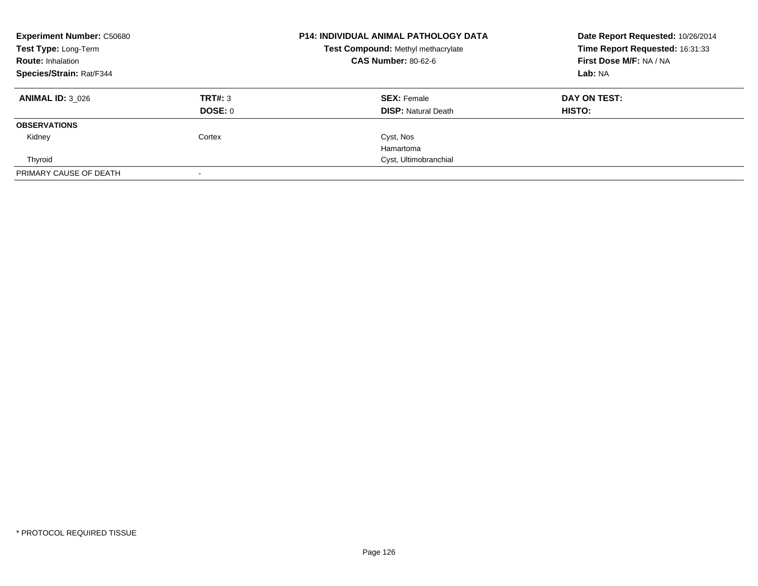| <b>Experiment Number: C50680</b><br>Test Type: Long-Term<br><b>Route: Inhalation</b> |                | <b>P14: INDIVIDUAL ANIMAL PATHOLOGY DATA</b><br>Test Compound: Methyl methacrylate<br><b>CAS Number: 80-62-6</b> | Date Report Requested: 10/26/2014<br>Time Report Requested: 16:31:33<br>First Dose M/F: NA / NA |
|--------------------------------------------------------------------------------------|----------------|------------------------------------------------------------------------------------------------------------------|-------------------------------------------------------------------------------------------------|
| Species/Strain: Rat/F344                                                             |                |                                                                                                                  | Lab: NA                                                                                         |
| <b>ANIMAL ID: 3 026</b>                                                              | TRT#: 3        | <b>SEX: Female</b>                                                                                               | DAY ON TEST:                                                                                    |
|                                                                                      | <b>DOSE: 0</b> | <b>DISP: Natural Death</b>                                                                                       | HISTO:                                                                                          |
| <b>OBSERVATIONS</b>                                                                  |                |                                                                                                                  |                                                                                                 |
| Kidney                                                                               | Cortex         | Cyst, Nos                                                                                                        |                                                                                                 |
|                                                                                      |                | Hamartoma                                                                                                        |                                                                                                 |
| Thyroid                                                                              |                | Cyst, Ultimobranchial                                                                                            |                                                                                                 |
| PRIMARY CAUSE OF DEATH                                                               |                |                                                                                                                  |                                                                                                 |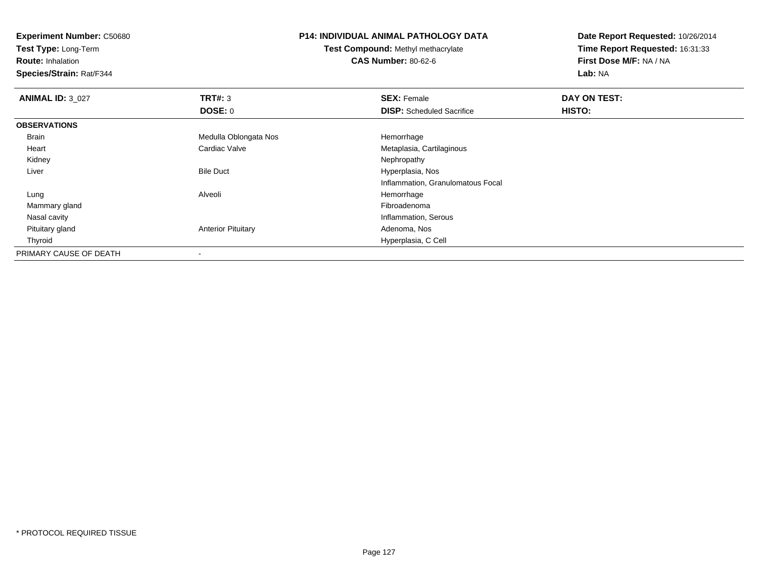**Experiment Number:** C50680

**Test Type:** Long-Term

**Route:** Inhalation

**Species/Strain:** Rat/F344

## **P14: INDIVIDUAL ANIMAL PATHOLOGY DATA**

**Test Compound:** Methyl methacrylate**CAS Number:** 80-62-6

**Date Report Requested:** 10/26/2014**Time Report Requested:** 16:31:33**First Dose M/F:** NA / NA**Lab:** NA

| <b>ANIMAL ID: 3_027</b> | TRT#: 3                   | <b>SEX: Female</b>                | DAY ON TEST: |  |
|-------------------------|---------------------------|-----------------------------------|--------------|--|
|                         | DOSE: 0                   | <b>DISP:</b> Scheduled Sacrifice  | HISTO:       |  |
| <b>OBSERVATIONS</b>     |                           |                                   |              |  |
| Brain                   | Medulla Oblongata Nos     | Hemorrhage                        |              |  |
| Heart                   | Cardiac Valve             | Metaplasia, Cartilaginous         |              |  |
| Kidney                  |                           | Nephropathy                       |              |  |
| Liver                   | <b>Bile Duct</b>          | Hyperplasia, Nos                  |              |  |
|                         |                           | Inflammation, Granulomatous Focal |              |  |
| Lung                    | Alveoli                   | Hemorrhage                        |              |  |
| Mammary gland           |                           | Fibroadenoma                      |              |  |
| Nasal cavity            |                           | Inflammation, Serous              |              |  |
| Pituitary gland         | <b>Anterior Pituitary</b> | Adenoma, Nos                      |              |  |
| Thyroid                 |                           | Hyperplasia, C Cell               |              |  |
| PRIMARY CAUSE OF DEATH  |                           |                                   |              |  |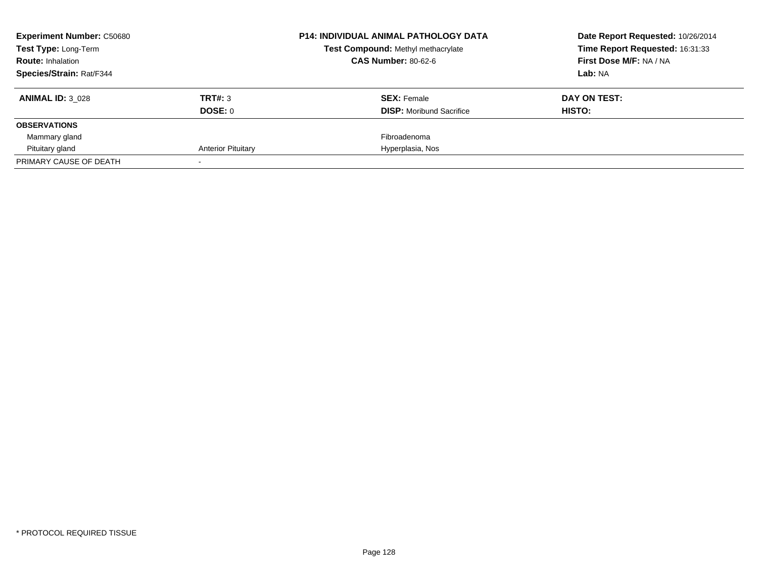| <b>Experiment Number: C50680</b> |                           | <b>P14: INDIVIDUAL ANIMAL PATHOLOGY DATA</b> | Date Report Requested: 10/26/2014 |
|----------------------------------|---------------------------|----------------------------------------------|-----------------------------------|
| Test Type: Long-Term             |                           | Test Compound: Methyl methacrylate           | Time Report Requested: 16:31:33   |
| <b>Route: Inhalation</b>         |                           | <b>CAS Number: 80-62-6</b>                   | First Dose M/F: NA / NA           |
| <b>Species/Strain: Rat/F344</b>  |                           |                                              | Lab: NA                           |
| <b>ANIMAL ID: 3 028</b>          | TRT#: 3                   | <b>SEX: Female</b>                           | DAY ON TEST:                      |
|                                  | DOSE: 0                   | <b>DISP:</b> Moribund Sacrifice              | HISTO:                            |
| <b>OBSERVATIONS</b>              |                           |                                              |                                   |
| Mammary gland                    |                           | Fibroadenoma                                 |                                   |
| Pituitary gland                  | <b>Anterior Pituitary</b> | Hyperplasia, Nos                             |                                   |
| PRIMARY CAUSE OF DEATH           |                           |                                              |                                   |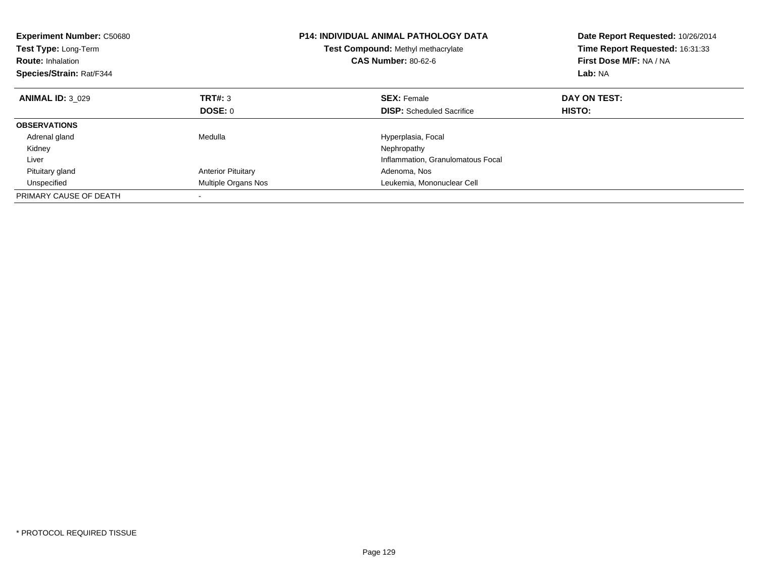| <b>Experiment Number: C50680</b><br><b>Test Type: Long-Term</b><br><b>Route: Inhalation</b><br>Species/Strain: Rat/F344 |                           | <b>P14: INDIVIDUAL ANIMAL PATHOLOGY DATA</b><br><b>Test Compound: Methyl methacrylate</b><br><b>CAS Number: 80-62-6</b> | Date Report Requested: 10/26/2014<br>Time Report Requested: 16:31:33<br>First Dose M/F: NA / NA<br>Lab: NA |
|-------------------------------------------------------------------------------------------------------------------------|---------------------------|-------------------------------------------------------------------------------------------------------------------------|------------------------------------------------------------------------------------------------------------|
| <b>ANIMAL ID: 3 029</b>                                                                                                 | TRT#: 3                   | <b>SEX: Female</b>                                                                                                      | DAY ON TEST:                                                                                               |
|                                                                                                                         | DOSE: 0                   | <b>DISP:</b> Scheduled Sacrifice                                                                                        | HISTO:                                                                                                     |
| <b>OBSERVATIONS</b>                                                                                                     |                           |                                                                                                                         |                                                                                                            |
| Adrenal gland                                                                                                           | Medulla                   | Hyperplasia, Focal                                                                                                      |                                                                                                            |
| Kidney                                                                                                                  |                           | Nephropathy                                                                                                             |                                                                                                            |
| Liver                                                                                                                   |                           | Inflammation, Granulomatous Focal                                                                                       |                                                                                                            |
| Pituitary gland                                                                                                         | <b>Anterior Pituitary</b> | Adenoma, Nos                                                                                                            |                                                                                                            |
| Unspecified                                                                                                             | Multiple Organs Nos       | Leukemia, Mononuclear Cell                                                                                              |                                                                                                            |
| PRIMARY CAUSE OF DEATH                                                                                                  |                           |                                                                                                                         |                                                                                                            |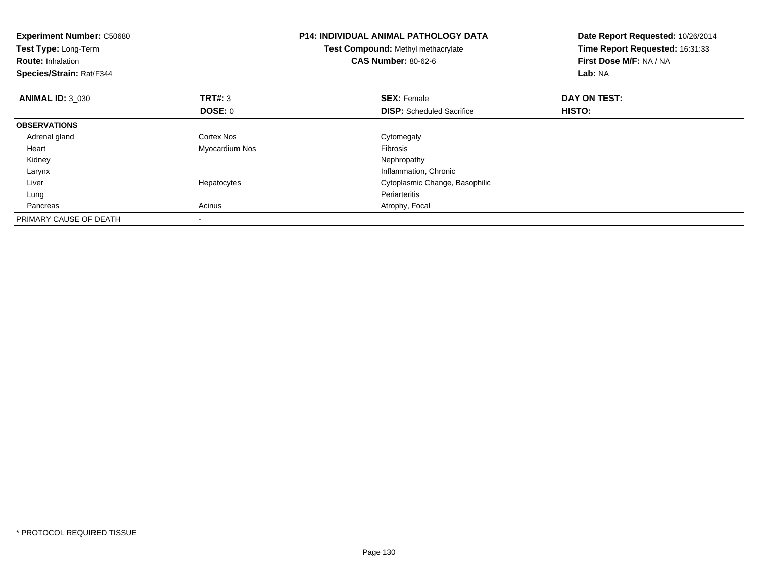| <b>Experiment Number: C50680</b><br>Test Type: Long-Term<br><b>Route: Inhalation</b><br>Species/Strain: Rat/F344 |                | <b>P14: INDIVIDUAL ANIMAL PATHOLOGY DATA</b><br>Test Compound: Methyl methacrylate<br><b>CAS Number: 80-62-6</b> | Date Report Requested: 10/26/2014<br>Time Report Requested: 16:31:33<br>First Dose M/F: NA / NA<br>Lab: NA |
|------------------------------------------------------------------------------------------------------------------|----------------|------------------------------------------------------------------------------------------------------------------|------------------------------------------------------------------------------------------------------------|
| <b>ANIMAL ID: 3 030</b>                                                                                          | <b>TRT#: 3</b> | <b>SEX: Female</b>                                                                                               | DAY ON TEST:                                                                                               |
|                                                                                                                  | DOSE: 0        | <b>DISP:</b> Scheduled Sacrifice                                                                                 | HISTO:                                                                                                     |
| <b>OBSERVATIONS</b>                                                                                              |                |                                                                                                                  |                                                                                                            |
| Adrenal gland                                                                                                    | Cortex Nos     | Cytomegaly                                                                                                       |                                                                                                            |
| Heart                                                                                                            | Myocardium Nos | Fibrosis                                                                                                         |                                                                                                            |
| Kidney                                                                                                           |                | Nephropathy                                                                                                      |                                                                                                            |
| Larynx                                                                                                           |                | Inflammation, Chronic                                                                                            |                                                                                                            |
| Liver                                                                                                            | Hepatocytes    | Cytoplasmic Change, Basophilic                                                                                   |                                                                                                            |
| Lung                                                                                                             |                | Periarteritis                                                                                                    |                                                                                                            |
| Pancreas                                                                                                         | Acinus         | Atrophy, Focal                                                                                                   |                                                                                                            |
| PRIMARY CAUSE OF DEATH                                                                                           |                |                                                                                                                  |                                                                                                            |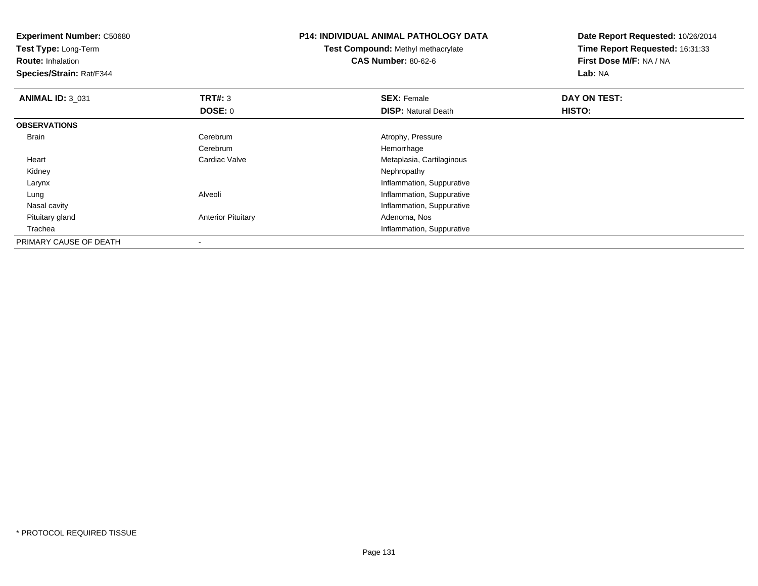| <b>Experiment Number: C50680</b> |                           | <b>P14: INDIVIDUAL ANIMAL PATHOLOGY DATA</b> | Date Report Requested: 10/26/2014 |  |
|----------------------------------|---------------------------|----------------------------------------------|-----------------------------------|--|
| Test Type: Long-Term             |                           | <b>Test Compound: Methyl methacrylate</b>    | Time Report Requested: 16:31:33   |  |
| <b>Route: Inhalation</b>         |                           | <b>CAS Number: 80-62-6</b>                   | First Dose M/F: NA / NA           |  |
| Species/Strain: Rat/F344         |                           |                                              | Lab: NA                           |  |
| <b>ANIMAL ID: 3 031</b>          | <b>TRT#: 3</b>            | <b>SEX: Female</b>                           | DAY ON TEST:                      |  |
|                                  | DOSE: 0                   | <b>DISP: Natural Death</b>                   | HISTO:                            |  |
| <b>OBSERVATIONS</b>              |                           |                                              |                                   |  |
| Brain                            | Cerebrum                  | Atrophy, Pressure                            |                                   |  |
|                                  | Cerebrum                  | Hemorrhage                                   |                                   |  |
| Heart                            | Cardiac Valve             | Metaplasia, Cartilaginous                    |                                   |  |
| Kidney                           |                           | Nephropathy                                  |                                   |  |
| Larynx                           |                           | Inflammation, Suppurative                    |                                   |  |
| Lung                             | Alveoli                   | Inflammation, Suppurative                    |                                   |  |
| Nasal cavity                     |                           | Inflammation, Suppurative                    |                                   |  |
| Pituitary gland                  | <b>Anterior Pituitary</b> | Adenoma, Nos                                 |                                   |  |
| Trachea                          |                           | Inflammation, Suppurative                    |                                   |  |
| PRIMARY CAUSE OF DEATH           |                           |                                              |                                   |  |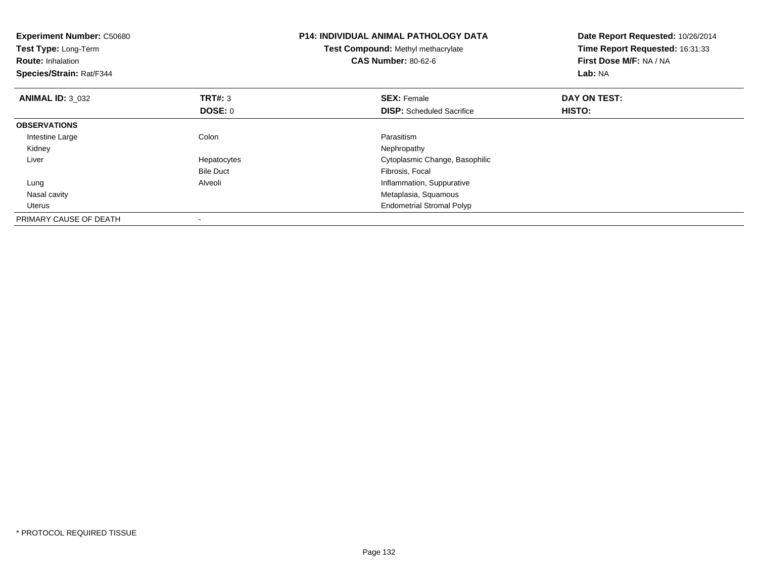| <b>Experiment Number: C50680</b><br>Test Type: Long-Term<br><b>Route: Inhalation</b><br>Species/Strain: Rat/F344 |                  | <b>P14: INDIVIDUAL ANIMAL PATHOLOGY DATA</b><br><b>Test Compound: Methyl methacrylate</b><br><b>CAS Number: 80-62-6</b> | Date Report Requested: 10/26/2014<br>Time Report Requested: 16:31:33<br>First Dose M/F: NA / NA<br>Lab: NA |
|------------------------------------------------------------------------------------------------------------------|------------------|-------------------------------------------------------------------------------------------------------------------------|------------------------------------------------------------------------------------------------------------|
| <b>ANIMAL ID: 3 032</b>                                                                                          | <b>TRT#: 3</b>   | <b>SEX: Female</b>                                                                                                      | DAY ON TEST:                                                                                               |
|                                                                                                                  | DOSE: 0          | <b>DISP:</b> Scheduled Sacrifice                                                                                        | HISTO:                                                                                                     |
| <b>OBSERVATIONS</b>                                                                                              |                  |                                                                                                                         |                                                                                                            |
| Intestine Large                                                                                                  | Colon            | Parasitism                                                                                                              |                                                                                                            |
| Kidney                                                                                                           |                  | Nephropathy                                                                                                             |                                                                                                            |
| Liver                                                                                                            | Hepatocytes      | Cytoplasmic Change, Basophilic                                                                                          |                                                                                                            |
|                                                                                                                  | <b>Bile Duct</b> | Fibrosis, Focal                                                                                                         |                                                                                                            |
| Lung                                                                                                             | Alveoli          | Inflammation, Suppurative                                                                                               |                                                                                                            |
| Nasal cavity                                                                                                     |                  | Metaplasia, Squamous                                                                                                    |                                                                                                            |
| Uterus                                                                                                           |                  | <b>Endometrial Stromal Polyp</b>                                                                                        |                                                                                                            |
| PRIMARY CAUSE OF DEATH                                                                                           |                  |                                                                                                                         |                                                                                                            |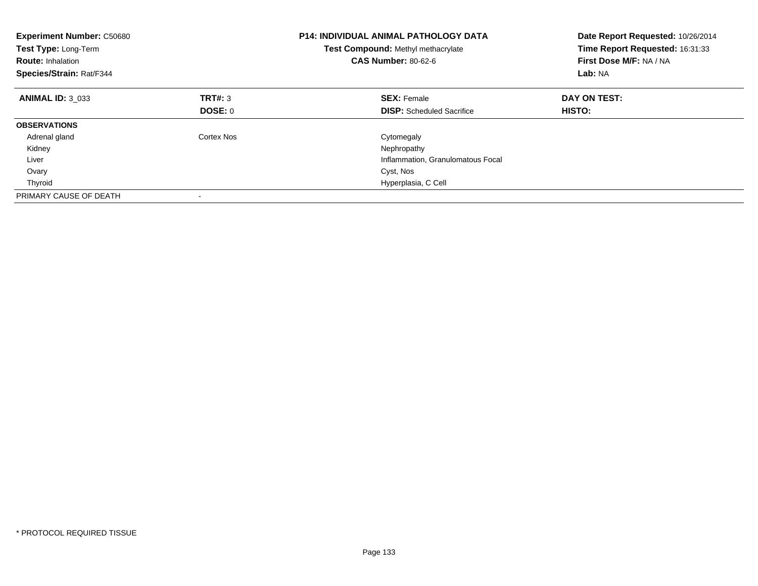| <b>Experiment Number: C50680</b><br>Test Type: Long-Term<br><b>Route: Inhalation</b><br>Species/Strain: Rat/F344 |            | <b>P14: INDIVIDUAL ANIMAL PATHOLOGY DATA</b><br>Test Compound: Methyl methacrylate<br><b>CAS Number: 80-62-6</b> | Date Report Requested: 10/26/2014<br>Time Report Requested: 16:31:33<br>First Dose M/F: NA / NA<br>Lab: NA |
|------------------------------------------------------------------------------------------------------------------|------------|------------------------------------------------------------------------------------------------------------------|------------------------------------------------------------------------------------------------------------|
| <b>ANIMAL ID: 3 033</b>                                                                                          | TRT#: 3    | <b>SEX: Female</b>                                                                                               | DAY ON TEST:                                                                                               |
|                                                                                                                  | DOSE: 0    | <b>DISP:</b> Scheduled Sacrifice                                                                                 | <b>HISTO:</b>                                                                                              |
| <b>OBSERVATIONS</b>                                                                                              |            |                                                                                                                  |                                                                                                            |
| Adrenal gland                                                                                                    | Cortex Nos | Cytomegaly                                                                                                       |                                                                                                            |
| Kidney                                                                                                           |            | Nephropathy                                                                                                      |                                                                                                            |
| Liver                                                                                                            |            | Inflammation, Granulomatous Focal                                                                                |                                                                                                            |
| Ovary                                                                                                            |            | Cyst, Nos                                                                                                        |                                                                                                            |
| Thyroid                                                                                                          |            | Hyperplasia, C Cell                                                                                              |                                                                                                            |
| PRIMARY CAUSE OF DEATH                                                                                           |            |                                                                                                                  |                                                                                                            |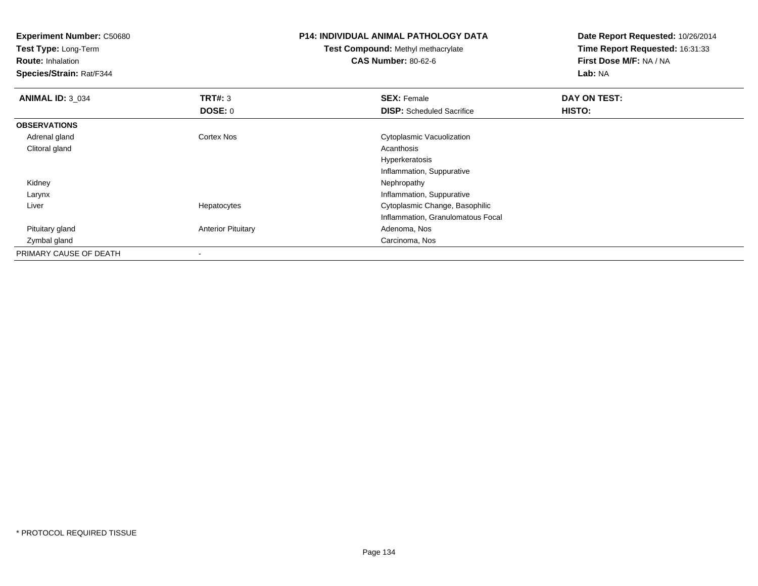**Experiment Number:** C50680**Test Type:** Long-Term**Route:** Inhalation **Species/Strain:** Rat/F344**P14: INDIVIDUAL ANIMAL PATHOLOGY DATATest Compound:** Methyl methacrylate**CAS Number:** 80-62-6**Date Report Requested:** 10/26/2014**Time Report Requested:** 16:31:33**First Dose M/F:** NA / NA**Lab:** NA**ANIMAL ID:** 3\_034**TRT#:** 3 **SEX:** Female **DAY ON TEST: DOSE:** 0**DISP:** Scheduled Sacrifice **HISTO: OBSERVATIONS** Adrenal gland Cortex Nos Cytoplasmic Vacuolization Clitoral glandd and the control of the control of the control of the control of the control of the control of the control of the control of the control of the control of the control of the control of the control of the control of the co Hyperkeratosis Inflammation, Suppurative Kidneyy the control of the control of the control of the control of the control of the control of the control of the control of the control of the control of the control of the control of the control of the control of the contro Larynx Inflammation, Suppuratives Cytoplasmic Change, Basophilic Liver HepatocytesInflammation, Granulomatous Focal Pituitary glandAnterior Pituitary **Adenoma, Nos** Adenoma, Nos Zymbal gland Carcinoma, Nos PRIMARY CAUSE OF DEATH-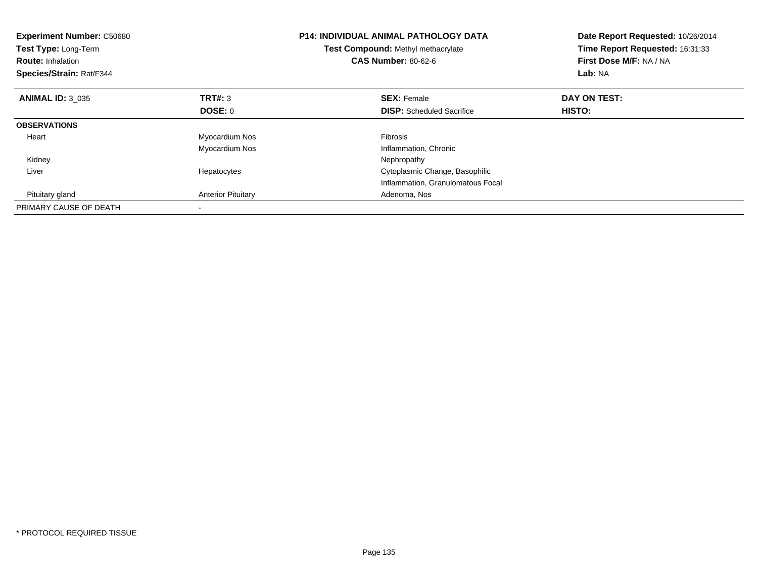| <b>Experiment Number: C50680</b><br>Test Type: Long-Term<br><b>Route: Inhalation</b><br>Species/Strain: Rat/F344 |                           | <b>P14: INDIVIDUAL ANIMAL PATHOLOGY DATA</b><br>Test Compound: Methyl methacrylate<br><b>CAS Number: 80-62-6</b> | Date Report Requested: 10/26/2014<br>Time Report Requested: 16:31:33<br>First Dose M/F: NA / NA<br>Lab: NA |
|------------------------------------------------------------------------------------------------------------------|---------------------------|------------------------------------------------------------------------------------------------------------------|------------------------------------------------------------------------------------------------------------|
| <b>ANIMAL ID: 3 035</b>                                                                                          | TRT#: 3                   | <b>SEX: Female</b>                                                                                               | DAY ON TEST:                                                                                               |
|                                                                                                                  | DOSE: 0                   | <b>DISP:</b> Scheduled Sacrifice                                                                                 | HISTO:                                                                                                     |
| <b>OBSERVATIONS</b>                                                                                              |                           |                                                                                                                  |                                                                                                            |
| Heart                                                                                                            | Myocardium Nos            | <b>Fibrosis</b>                                                                                                  |                                                                                                            |
|                                                                                                                  | Myocardium Nos            | Inflammation, Chronic                                                                                            |                                                                                                            |
| Kidney                                                                                                           |                           | Nephropathy                                                                                                      |                                                                                                            |
| Liver                                                                                                            | Hepatocytes               | Cytoplasmic Change, Basophilic                                                                                   |                                                                                                            |
|                                                                                                                  |                           | Inflammation, Granulomatous Focal                                                                                |                                                                                                            |
| Pituitary gland                                                                                                  | <b>Anterior Pituitary</b> | Adenoma, Nos                                                                                                     |                                                                                                            |
| PRIMARY CAUSE OF DEATH                                                                                           |                           |                                                                                                                  |                                                                                                            |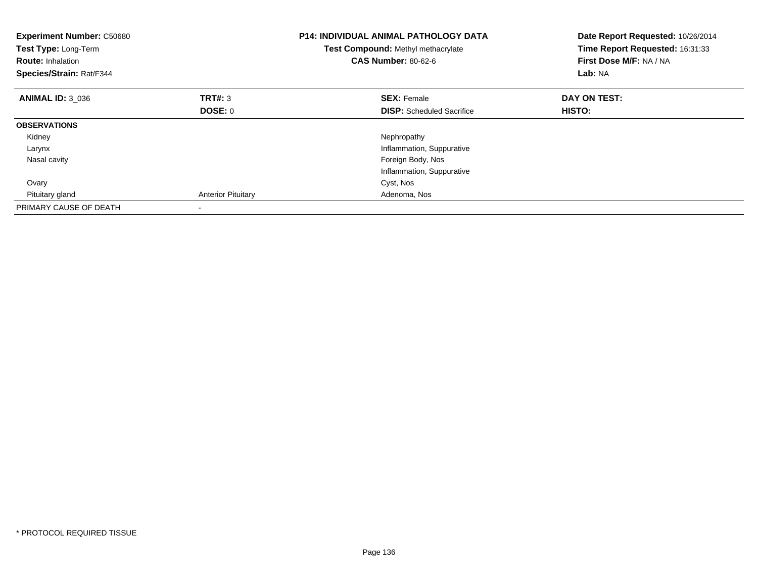| <b>Experiment Number: C50680</b><br>Test Type: Long-Term<br><b>Route: Inhalation</b><br>Species/Strain: Rat/F344 |                           | <b>P14: INDIVIDUAL ANIMAL PATHOLOGY DATA</b><br>Test Compound: Methyl methacrylate<br><b>CAS Number: 80-62-6</b> | Date Report Requested: 10/26/2014<br>Time Report Requested: 16:31:33<br>First Dose M/F: NA / NA<br>Lab: NA |
|------------------------------------------------------------------------------------------------------------------|---------------------------|------------------------------------------------------------------------------------------------------------------|------------------------------------------------------------------------------------------------------------|
| <b>ANIMAL ID: 3 036</b>                                                                                          | TRT#: 3                   | <b>SEX: Female</b>                                                                                               | DAY ON TEST:                                                                                               |
|                                                                                                                  | DOSE: 0                   | <b>DISP:</b> Scheduled Sacrifice                                                                                 | <b>HISTO:</b>                                                                                              |
| <b>OBSERVATIONS</b>                                                                                              |                           |                                                                                                                  |                                                                                                            |
| Kidney                                                                                                           |                           | Nephropathy                                                                                                      |                                                                                                            |
| Larynx                                                                                                           |                           | Inflammation, Suppurative                                                                                        |                                                                                                            |
| Nasal cavity                                                                                                     |                           | Foreign Body, Nos                                                                                                |                                                                                                            |
|                                                                                                                  |                           | Inflammation, Suppurative                                                                                        |                                                                                                            |
| Ovary                                                                                                            |                           | Cyst, Nos                                                                                                        |                                                                                                            |
| Pituitary gland                                                                                                  | <b>Anterior Pituitary</b> | Adenoma, Nos                                                                                                     |                                                                                                            |
| PRIMARY CAUSE OF DEATH                                                                                           |                           |                                                                                                                  |                                                                                                            |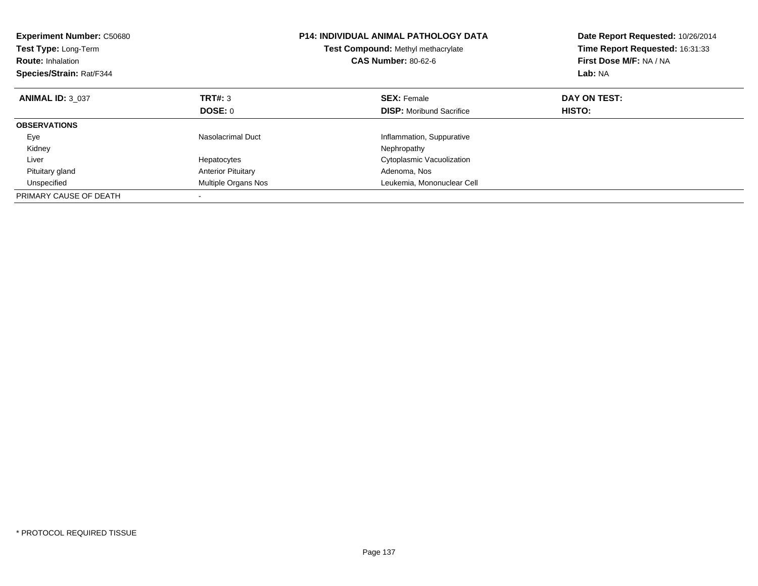| <b>Experiment Number: C50680</b><br>Test Type: Long-Term<br><b>Route: Inhalation</b><br>Species/Strain: Rat/F344 |                           | <b>P14: INDIVIDUAL ANIMAL PATHOLOGY DATA</b><br>Test Compound: Methyl methacrylate<br><b>CAS Number: 80-62-6</b> | Date Report Requested: 10/26/2014<br>Time Report Requested: 16:31:33<br>First Dose M/F: NA / NA<br>Lab: NA |
|------------------------------------------------------------------------------------------------------------------|---------------------------|------------------------------------------------------------------------------------------------------------------|------------------------------------------------------------------------------------------------------------|
| <b>ANIMAL ID: 3 037</b>                                                                                          | TRT#: 3                   | <b>SEX: Female</b>                                                                                               | DAY ON TEST:                                                                                               |
|                                                                                                                  | <b>DOSE: 0</b>            | <b>DISP:</b> Moribund Sacrifice                                                                                  | HISTO:                                                                                                     |
| <b>OBSERVATIONS</b>                                                                                              |                           |                                                                                                                  |                                                                                                            |
| Eye                                                                                                              | Nasolacrimal Duct         | Inflammation, Suppurative                                                                                        |                                                                                                            |
| Kidney                                                                                                           |                           | Nephropathy                                                                                                      |                                                                                                            |
| Liver                                                                                                            | Hepatocytes               | Cytoplasmic Vacuolization                                                                                        |                                                                                                            |
| Pituitary gland                                                                                                  | <b>Anterior Pituitary</b> | Adenoma, Nos                                                                                                     |                                                                                                            |
| Unspecified                                                                                                      | Multiple Organs Nos       | Leukemia, Mononuclear Cell                                                                                       |                                                                                                            |
| PRIMARY CAUSE OF DEATH                                                                                           |                           |                                                                                                                  |                                                                                                            |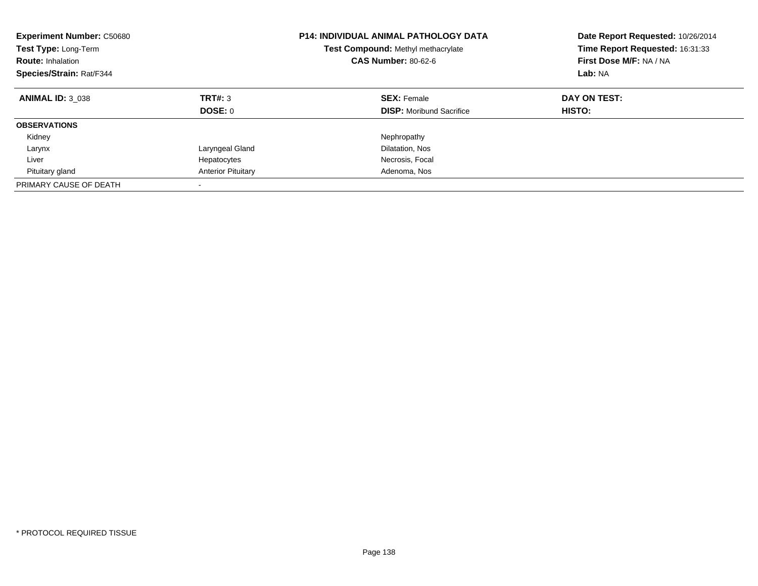| <b>Experiment Number: C50680</b><br><b>Test Type: Long-Term</b><br><b>Route: Inhalation</b><br>Species/Strain: Rat/F344 |                           | <b>P14: INDIVIDUAL ANIMAL PATHOLOGY DATA</b><br>Test Compound: Methyl methacrylate<br><b>CAS Number: 80-62-6</b> | Date Report Requested: 10/26/2014<br>Time Report Requested: 16:31:33<br>First Dose M/F: NA / NA<br>Lab: NA |
|-------------------------------------------------------------------------------------------------------------------------|---------------------------|------------------------------------------------------------------------------------------------------------------|------------------------------------------------------------------------------------------------------------|
| <b>ANIMAL ID: 3 038</b>                                                                                                 | TRT#: 3<br>DOSE: 0        | <b>SEX: Female</b><br><b>DISP:</b> Moribund Sacrifice                                                            | DAY ON TEST:<br><b>HISTO:</b>                                                                              |
| <b>OBSERVATIONS</b>                                                                                                     |                           |                                                                                                                  |                                                                                                            |
| Kidney                                                                                                                  |                           | Nephropathy                                                                                                      |                                                                                                            |
| Larynx                                                                                                                  | Laryngeal Gland           | Dilatation, Nos                                                                                                  |                                                                                                            |
| Liver                                                                                                                   | Hepatocytes               | Necrosis, Focal                                                                                                  |                                                                                                            |
| Pituitary gland                                                                                                         | <b>Anterior Pituitary</b> | Adenoma, Nos                                                                                                     |                                                                                                            |
| PRIMARY CAUSE OF DEATH                                                                                                  |                           |                                                                                                                  |                                                                                                            |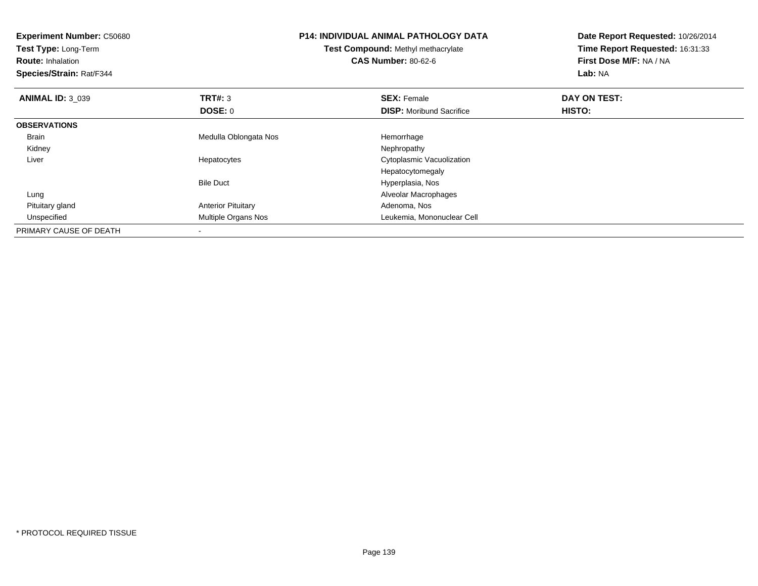| <b>Experiment Number: C50680</b><br>Test Type: Long-Term<br><b>Route: Inhalation</b><br>Species/Strain: Rat/F344 |                           | <b>P14: INDIVIDUAL ANIMAL PATHOLOGY DATA</b><br>Test Compound: Methyl methacrylate<br><b>CAS Number: 80-62-6</b> | Date Report Requested: 10/26/2014<br>Time Report Requested: 16:31:33<br>First Dose M/F: NA / NA<br>Lab: NA |
|------------------------------------------------------------------------------------------------------------------|---------------------------|------------------------------------------------------------------------------------------------------------------|------------------------------------------------------------------------------------------------------------|
| <b>ANIMAL ID: 3 039</b>                                                                                          | <b>TRT#: 3</b>            | <b>SEX: Female</b>                                                                                               | DAY ON TEST:                                                                                               |
|                                                                                                                  | DOSE: 0                   | <b>DISP:</b> Moribund Sacrifice                                                                                  | <b>HISTO:</b>                                                                                              |
| <b>OBSERVATIONS</b>                                                                                              |                           |                                                                                                                  |                                                                                                            |
| <b>Brain</b>                                                                                                     | Medulla Oblongata Nos     | Hemorrhage                                                                                                       |                                                                                                            |
| Kidney                                                                                                           |                           | Nephropathy                                                                                                      |                                                                                                            |
| Liver                                                                                                            | Hepatocytes               | Cytoplasmic Vacuolization                                                                                        |                                                                                                            |
|                                                                                                                  |                           | Hepatocytomegaly                                                                                                 |                                                                                                            |
|                                                                                                                  | <b>Bile Duct</b>          | Hyperplasia, Nos                                                                                                 |                                                                                                            |
| Lung                                                                                                             |                           | Alveolar Macrophages                                                                                             |                                                                                                            |
| Pituitary gland                                                                                                  | <b>Anterior Pituitary</b> | Adenoma, Nos                                                                                                     |                                                                                                            |
| Unspecified                                                                                                      | Multiple Organs Nos       | Leukemia, Mononuclear Cell                                                                                       |                                                                                                            |
| PRIMARY CAUSE OF DEATH                                                                                           |                           |                                                                                                                  |                                                                                                            |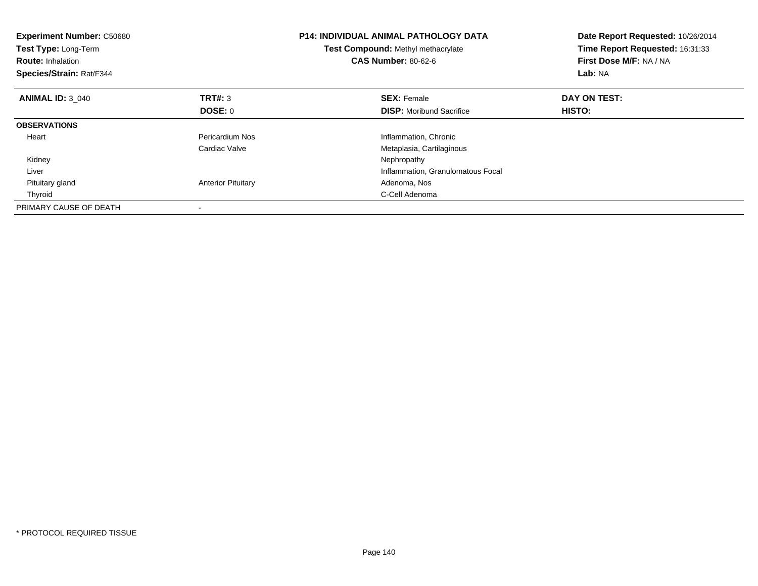| <b>Experiment Number: C50680</b><br>Test Type: Long-Term<br><b>Route: Inhalation</b><br>Species/Strain: Rat/F344 |                           | <b>P14: INDIVIDUAL ANIMAL PATHOLOGY DATA</b><br>Test Compound: Methyl methacrylate<br><b>CAS Number: 80-62-6</b> | Date Report Requested: 10/26/2014<br>Time Report Requested: 16:31:33<br>First Dose M/F: NA / NA<br>Lab: NA |
|------------------------------------------------------------------------------------------------------------------|---------------------------|------------------------------------------------------------------------------------------------------------------|------------------------------------------------------------------------------------------------------------|
| <b>ANIMAL ID: 3 040</b>                                                                                          | <b>TRT#: 3</b>            | <b>SEX: Female</b>                                                                                               | DAY ON TEST:                                                                                               |
|                                                                                                                  | DOSE: 0                   | <b>DISP:</b> Moribund Sacrifice                                                                                  | HISTO:                                                                                                     |
| <b>OBSERVATIONS</b>                                                                                              |                           |                                                                                                                  |                                                                                                            |
| Heart                                                                                                            | Pericardium Nos           | Inflammation, Chronic                                                                                            |                                                                                                            |
|                                                                                                                  | Cardiac Valve             | Metaplasia, Cartilaginous                                                                                        |                                                                                                            |
| Kidney                                                                                                           |                           | Nephropathy                                                                                                      |                                                                                                            |
| Liver                                                                                                            |                           | Inflammation, Granulomatous Focal                                                                                |                                                                                                            |
| Pituitary gland                                                                                                  | <b>Anterior Pituitary</b> | Adenoma, Nos                                                                                                     |                                                                                                            |
| Thyroid                                                                                                          |                           | C-Cell Adenoma                                                                                                   |                                                                                                            |
| PRIMARY CAUSE OF DEATH                                                                                           |                           |                                                                                                                  |                                                                                                            |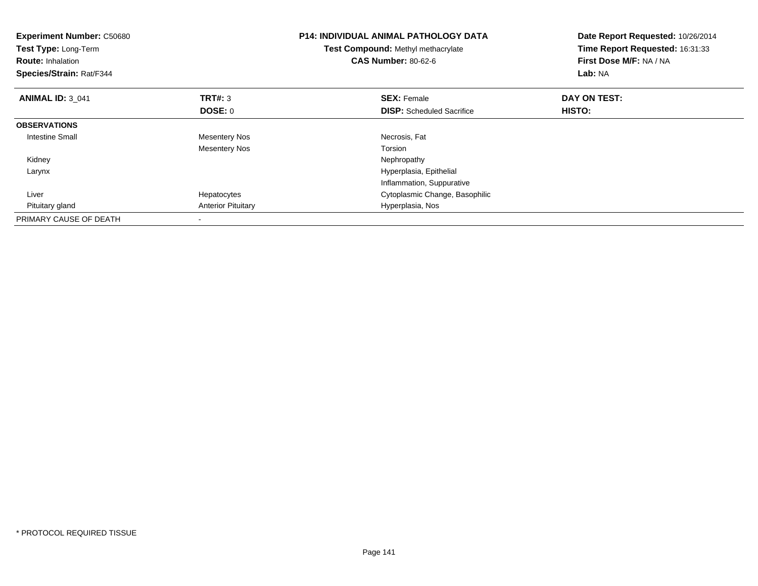| <b>Experiment Number: C50680</b><br>Test Type: Long-Term<br><b>Route: Inhalation</b><br>Species/Strain: Rat/F344 |                           | <b>P14: INDIVIDUAL ANIMAL PATHOLOGY DATA</b><br>Test Compound: Methyl methacrylate<br><b>CAS Number: 80-62-6</b> | Date Report Requested: 10/26/2014<br>Time Report Requested: 16:31:33<br>First Dose M/F: NA / NA<br>Lab: NA |
|------------------------------------------------------------------------------------------------------------------|---------------------------|------------------------------------------------------------------------------------------------------------------|------------------------------------------------------------------------------------------------------------|
| <b>ANIMAL ID: 3 041</b>                                                                                          | <b>TRT#: 3</b>            | <b>SEX: Female</b>                                                                                               | DAY ON TEST:                                                                                               |
|                                                                                                                  | DOSE: 0                   | <b>DISP:</b> Scheduled Sacrifice                                                                                 | HISTO:                                                                                                     |
| <b>OBSERVATIONS</b>                                                                                              |                           |                                                                                                                  |                                                                                                            |
| <b>Intestine Small</b>                                                                                           | <b>Mesentery Nos</b>      | Necrosis, Fat                                                                                                    |                                                                                                            |
|                                                                                                                  | <b>Mesentery Nos</b>      | Torsion                                                                                                          |                                                                                                            |
| Kidney                                                                                                           |                           | Nephropathy                                                                                                      |                                                                                                            |
| Larynx                                                                                                           |                           | Hyperplasia, Epithelial                                                                                          |                                                                                                            |
|                                                                                                                  |                           | Inflammation, Suppurative                                                                                        |                                                                                                            |
| Liver                                                                                                            | Hepatocytes               | Cytoplasmic Change, Basophilic                                                                                   |                                                                                                            |
| Pituitary gland                                                                                                  | <b>Anterior Pituitary</b> | Hyperplasia, Nos                                                                                                 |                                                                                                            |
| PRIMARY CAUSE OF DEATH                                                                                           |                           |                                                                                                                  |                                                                                                            |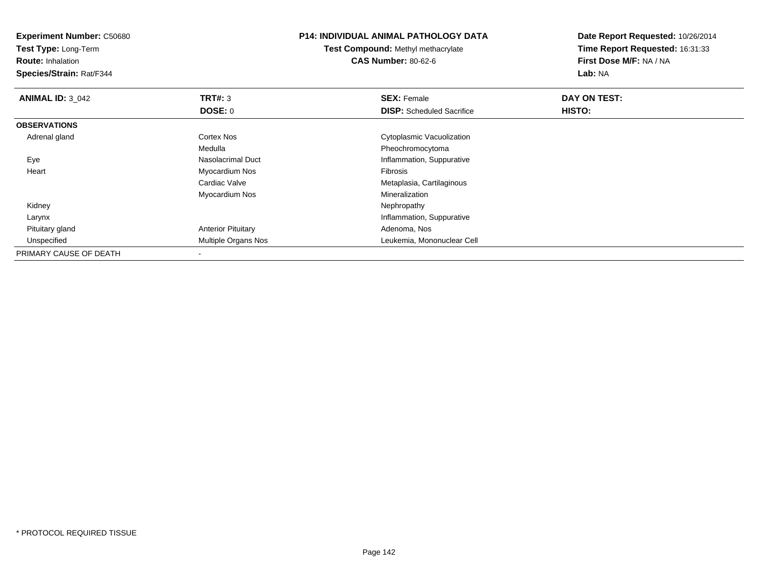**Experiment Number:** C50680**Test Type:** Long-Term**Route:** Inhalation **Species/Strain:** Rat/F344**P14: INDIVIDUAL ANIMAL PATHOLOGY DATATest Compound:** Methyl methacrylate**CAS Number:** 80-62-6**Date Report Requested:** 10/26/2014**Time Report Requested:** 16:31:33**First Dose M/F:** NA / NA**Lab:** NA**ANIMAL ID: 3 042 TRT#:** <sup>3</sup> **SEX:** Female **DAY ON TEST: DOSE:** 0**DISP:** Scheduled Sacrifice **HISTO: OBSERVATIONS** Adrenal glandCortex Nos **Cytoplasmic Vacuolization** MedullaMedulla **Medulla**<br>
Nasolacrimal Duct **Nasolacrimal Duct Pheochromocytoma**<br>
Inflammation, Suppu EyeInflammation, Suppurative Heart Myocardium Nos Fibrosis Cardiac Valve Metaplasia, Cartilaginous Myocardium Nos MineralizationNephropathy Kidneyy the control of the control of the control of the control of the control of the control of the control of the control of the control of the control of the control of the control of the control of the control of the contro Larynx Inflammation, Suppurative Pituitary glandAnterior Pituitary **Adenoma, Nos**<br>
Multiple Organs Nos **Adenoma, Northuman Adenoma, Northuman Adenoma, Northuman Adenoma, Northuman Adenoma, Nor**  UnspecifiedLeukemia, Mononuclear Cell PRIMARY CAUSE OF DEATH-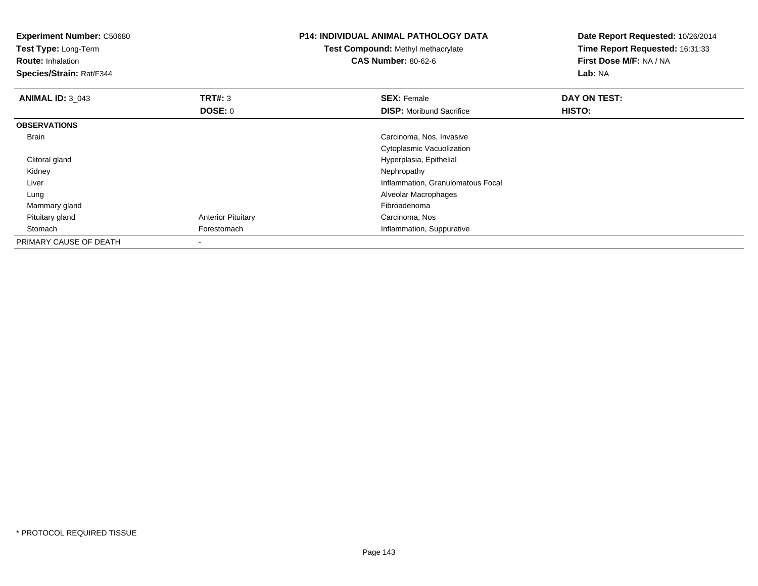| <b>Experiment Number: C50680</b><br>Test Type: Long-Term<br><b>Route: Inhalation</b><br>Species/Strain: Rat/F344 |                           | <b>P14: INDIVIDUAL ANIMAL PATHOLOGY DATA</b><br>Test Compound: Methyl methacrylate<br><b>CAS Number: 80-62-6</b> | Date Report Requested: 10/26/2014<br>Time Report Requested: 16:31:33<br>First Dose M/F: NA / NA<br>Lab: NA |
|------------------------------------------------------------------------------------------------------------------|---------------------------|------------------------------------------------------------------------------------------------------------------|------------------------------------------------------------------------------------------------------------|
| <b>ANIMAL ID: 3 043</b>                                                                                          | TRT#: 3                   | <b>SEX: Female</b>                                                                                               | DAY ON TEST:                                                                                               |
|                                                                                                                  | <b>DOSE: 0</b>            | <b>DISP:</b> Moribund Sacrifice                                                                                  | HISTO:                                                                                                     |
| <b>OBSERVATIONS</b>                                                                                              |                           |                                                                                                                  |                                                                                                            |
| Brain                                                                                                            |                           | Carcinoma, Nos, Invasive                                                                                         |                                                                                                            |
|                                                                                                                  |                           | Cytoplasmic Vacuolization                                                                                        |                                                                                                            |
| Clitoral gland                                                                                                   |                           | Hyperplasia, Epithelial                                                                                          |                                                                                                            |
| Kidney                                                                                                           |                           | Nephropathy                                                                                                      |                                                                                                            |
| Liver                                                                                                            |                           | Inflammation, Granulomatous Focal                                                                                |                                                                                                            |
| Lung                                                                                                             |                           | Alveolar Macrophages                                                                                             |                                                                                                            |
| Mammary gland                                                                                                    |                           | Fibroadenoma                                                                                                     |                                                                                                            |
| Pituitary gland                                                                                                  | <b>Anterior Pituitary</b> | Carcinoma, Nos                                                                                                   |                                                                                                            |
| Stomach                                                                                                          | Forestomach               | Inflammation, Suppurative                                                                                        |                                                                                                            |
| PRIMARY CAUSE OF DEATH                                                                                           |                           |                                                                                                                  |                                                                                                            |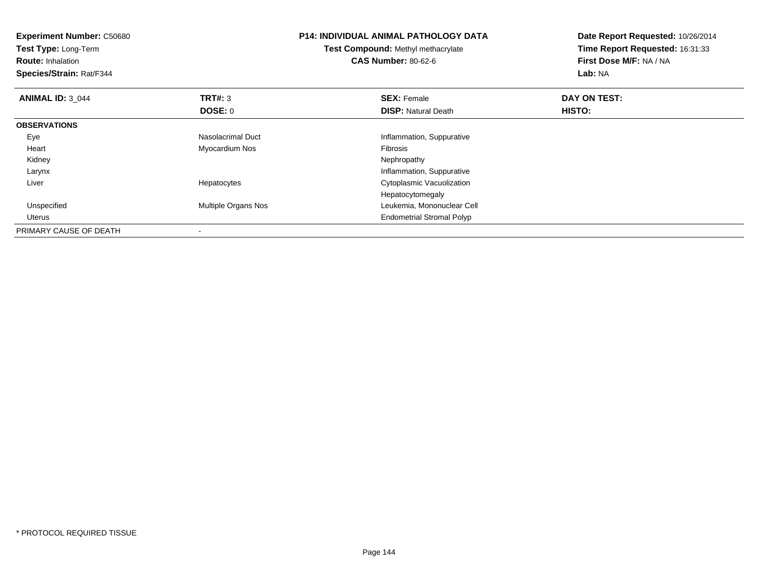| <b>Experiment Number: C50680</b><br>Test Type: Long-Term<br><b>Route: Inhalation</b><br>Species/Strain: Rat/F344 |                     | <b>P14: INDIVIDUAL ANIMAL PATHOLOGY DATA</b><br><b>Test Compound: Methyl methacrylate</b><br><b>CAS Number: 80-62-6</b> | Date Report Requested: 10/26/2014<br>Time Report Requested: 16:31:33<br>First Dose M/F: NA / NA<br>Lab: NA |
|------------------------------------------------------------------------------------------------------------------|---------------------|-------------------------------------------------------------------------------------------------------------------------|------------------------------------------------------------------------------------------------------------|
| <b>ANIMAL ID: 3 044</b>                                                                                          | TRT#: 3             | <b>SEX: Female</b>                                                                                                      | DAY ON TEST:                                                                                               |
|                                                                                                                  | DOSE: 0             | <b>DISP:</b> Natural Death                                                                                              | HISTO:                                                                                                     |
| <b>OBSERVATIONS</b>                                                                                              |                     |                                                                                                                         |                                                                                                            |
| Eye                                                                                                              | Nasolacrimal Duct   | Inflammation, Suppurative                                                                                               |                                                                                                            |
| Heart                                                                                                            | Myocardium Nos      | <b>Fibrosis</b>                                                                                                         |                                                                                                            |
| Kidney                                                                                                           |                     | Nephropathy                                                                                                             |                                                                                                            |
| Larynx                                                                                                           |                     | Inflammation, Suppurative                                                                                               |                                                                                                            |
| Liver                                                                                                            | Hepatocytes         | Cytoplasmic Vacuolization                                                                                               |                                                                                                            |
|                                                                                                                  |                     | Hepatocytomegaly                                                                                                        |                                                                                                            |
| Unspecified                                                                                                      | Multiple Organs Nos | Leukemia, Mononuclear Cell                                                                                              |                                                                                                            |
| Uterus                                                                                                           |                     | <b>Endometrial Stromal Polyp</b>                                                                                        |                                                                                                            |
| PRIMARY CAUSE OF DEATH                                                                                           |                     |                                                                                                                         |                                                                                                            |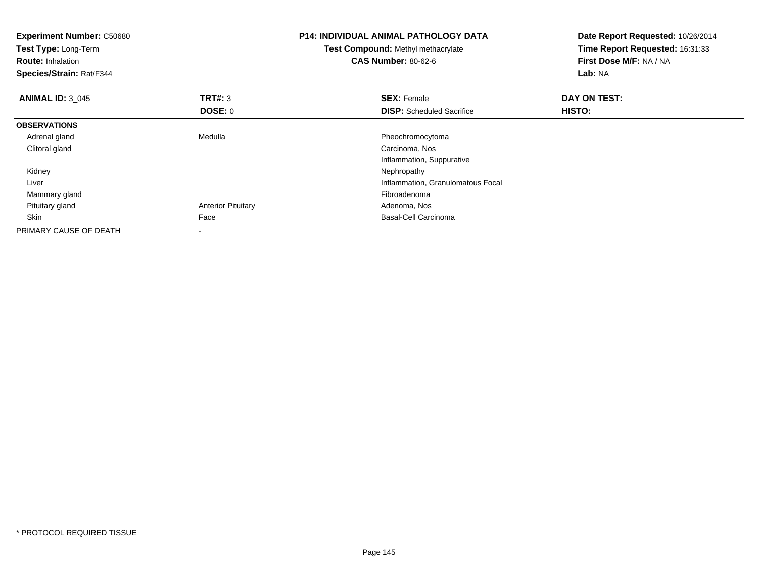| <b>Experiment Number: C50680</b><br>Test Type: Long-Term<br><b>Route: Inhalation</b><br>Species/Strain: Rat/F344 |                           | <b>P14: INDIVIDUAL ANIMAL PATHOLOGY DATA</b><br>Test Compound: Methyl methacrylate<br><b>CAS Number: 80-62-6</b> | Date Report Requested: 10/26/2014<br>Time Report Requested: 16:31:33<br>First Dose M/F: NA / NA<br>Lab: NA |
|------------------------------------------------------------------------------------------------------------------|---------------------------|------------------------------------------------------------------------------------------------------------------|------------------------------------------------------------------------------------------------------------|
| <b>ANIMAL ID: 3 045</b>                                                                                          | <b>TRT#: 3</b>            | <b>SEX: Female</b>                                                                                               | DAY ON TEST:                                                                                               |
|                                                                                                                  | DOSE: 0                   | <b>DISP:</b> Scheduled Sacrifice                                                                                 | HISTO:                                                                                                     |
| <b>OBSERVATIONS</b>                                                                                              |                           |                                                                                                                  |                                                                                                            |
| Adrenal gland                                                                                                    | Medulla                   | Pheochromocytoma                                                                                                 |                                                                                                            |
| Clitoral gland                                                                                                   |                           | Carcinoma, Nos                                                                                                   |                                                                                                            |
|                                                                                                                  |                           | Inflammation, Suppurative                                                                                        |                                                                                                            |
| Kidney                                                                                                           |                           | Nephropathy                                                                                                      |                                                                                                            |
| Liver                                                                                                            |                           | Inflammation, Granulomatous Focal                                                                                |                                                                                                            |
| Mammary gland                                                                                                    |                           | Fibroadenoma                                                                                                     |                                                                                                            |
| Pituitary gland                                                                                                  | <b>Anterior Pituitary</b> | Adenoma, Nos                                                                                                     |                                                                                                            |
| Skin                                                                                                             | Face                      | Basal-Cell Carcinoma                                                                                             |                                                                                                            |
| PRIMARY CAUSE OF DEATH                                                                                           | $\overline{\phantom{a}}$  |                                                                                                                  |                                                                                                            |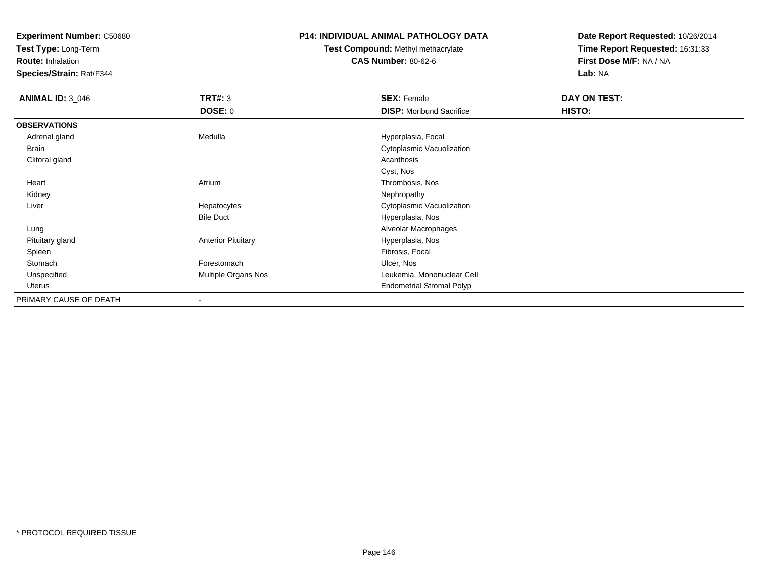**Experiment Number:** C50680

**Test Type:** Long-Term

**Route:** Inhalation

**Species/Strain:** Rat/F344

## **P14: INDIVIDUAL ANIMAL PATHOLOGY DATA**

**Test Compound:** Methyl methacrylate**CAS Number:** 80-62-6

**Date Report Requested:** 10/26/2014**Time Report Requested:** 16:31:33**First Dose M/F:** NA / NA**Lab:** NA

| <b>ANIMAL ID: 3_046</b> | <b>TRT#: 3</b>            | <b>SEX: Female</b>               | DAY ON TEST: |
|-------------------------|---------------------------|----------------------------------|--------------|
|                         | DOSE: 0                   | <b>DISP:</b> Moribund Sacrifice  | HISTO:       |
| <b>OBSERVATIONS</b>     |                           |                                  |              |
| Adrenal gland           | Medulla                   | Hyperplasia, Focal               |              |
| Brain                   |                           | Cytoplasmic Vacuolization        |              |
| Clitoral gland          |                           | Acanthosis                       |              |
|                         |                           | Cyst, Nos                        |              |
| Heart                   | Atrium                    | Thrombosis, Nos                  |              |
| Kidney                  |                           | Nephropathy                      |              |
| Liver                   | Hepatocytes               | Cytoplasmic Vacuolization        |              |
|                         | <b>Bile Duct</b>          | Hyperplasia, Nos                 |              |
| Lung                    |                           | Alveolar Macrophages             |              |
| Pituitary gland         | <b>Anterior Pituitary</b> | Hyperplasia, Nos                 |              |
| Spleen                  |                           | Fibrosis, Focal                  |              |
| Stomach                 | Forestomach               | Ulcer, Nos                       |              |
| Unspecified             | Multiple Organs Nos       | Leukemia, Mononuclear Cell       |              |
| Uterus                  |                           | <b>Endometrial Stromal Polyp</b> |              |
| PRIMARY CAUSE OF DEATH  | $\overline{\phantom{a}}$  |                                  |              |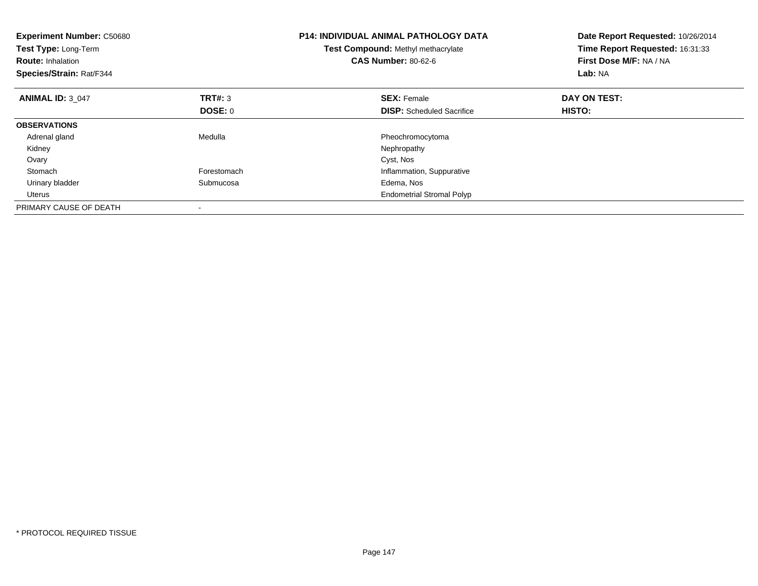| <b>Experiment Number: C50680</b><br>Test Type: Long-Term<br><b>Route: Inhalation</b><br>Species/Strain: Rat/F344 |                | P14: INDIVIDUAL ANIMAL PATHOLOGY DATA<br>Test Compound: Methyl methacrylate<br><b>CAS Number: 80-62-6</b> | Date Report Requested: 10/26/2014<br>Time Report Requested: 16:31:33<br>First Dose M/F: NA / NA<br>Lab: NA |
|------------------------------------------------------------------------------------------------------------------|----------------|-----------------------------------------------------------------------------------------------------------|------------------------------------------------------------------------------------------------------------|
| <b>ANIMAL ID: 3 047</b>                                                                                          | <b>TRT#: 3</b> | <b>SEX: Female</b>                                                                                        | DAY ON TEST:                                                                                               |
|                                                                                                                  | <b>DOSE: 0</b> | <b>DISP:</b> Scheduled Sacrifice                                                                          | HISTO:                                                                                                     |
| <b>OBSERVATIONS</b>                                                                                              |                |                                                                                                           |                                                                                                            |
| Adrenal gland                                                                                                    | Medulla        | Pheochromocytoma                                                                                          |                                                                                                            |
| Kidney                                                                                                           |                | Nephropathy                                                                                               |                                                                                                            |
| Ovary                                                                                                            |                | Cyst, Nos                                                                                                 |                                                                                                            |
| Stomach                                                                                                          | Forestomach    | Inflammation, Suppurative                                                                                 |                                                                                                            |
| Urinary bladder                                                                                                  | Submucosa      | Edema, Nos                                                                                                |                                                                                                            |
| Uterus                                                                                                           |                | <b>Endometrial Stromal Polyp</b>                                                                          |                                                                                                            |
| PRIMARY CAUSE OF DEATH                                                                                           |                |                                                                                                           |                                                                                                            |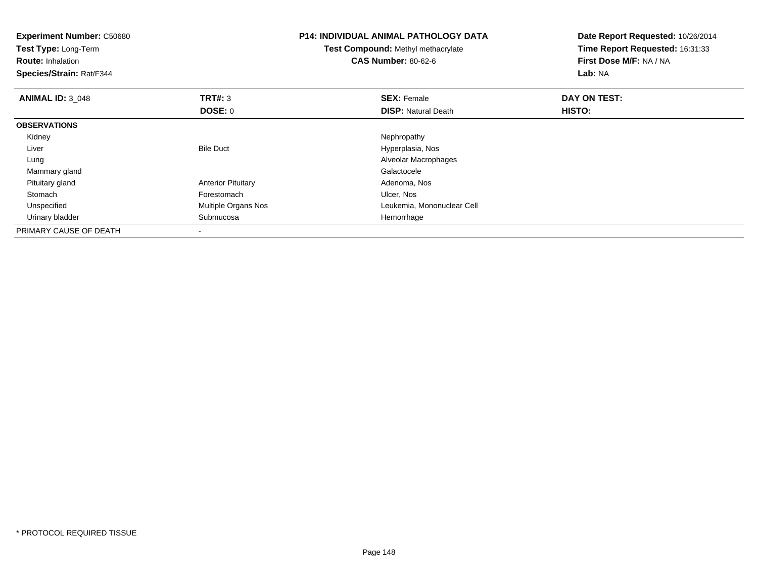| <b>Experiment Number: C50680</b><br>Test Type: Long-Term<br><b>Route: Inhalation</b><br>Species/Strain: Rat/F344 |                           | <b>P14: INDIVIDUAL ANIMAL PATHOLOGY DATA</b><br>Test Compound: Methyl methacrylate<br><b>CAS Number: 80-62-6</b> | Date Report Requested: 10/26/2014<br>Time Report Requested: 16:31:33<br><b>First Dose M/F: NA / NA</b><br>Lab: NA |
|------------------------------------------------------------------------------------------------------------------|---------------------------|------------------------------------------------------------------------------------------------------------------|-------------------------------------------------------------------------------------------------------------------|
| <b>ANIMAL ID: 3 048</b>                                                                                          | <b>TRT#: 3</b>            | <b>SEX: Female</b>                                                                                               | DAY ON TEST:                                                                                                      |
|                                                                                                                  | DOSE: 0                   | <b>DISP:</b> Natural Death                                                                                       | HISTO:                                                                                                            |
| <b>OBSERVATIONS</b>                                                                                              |                           |                                                                                                                  |                                                                                                                   |
| Kidney                                                                                                           |                           | Nephropathy                                                                                                      |                                                                                                                   |
| Liver                                                                                                            | <b>Bile Duct</b>          | Hyperplasia, Nos                                                                                                 |                                                                                                                   |
| Lung                                                                                                             |                           | Alveolar Macrophages                                                                                             |                                                                                                                   |
| Mammary gland                                                                                                    |                           | Galactocele                                                                                                      |                                                                                                                   |
| Pituitary gland                                                                                                  | <b>Anterior Pituitary</b> | Adenoma, Nos                                                                                                     |                                                                                                                   |
| Stomach                                                                                                          | Forestomach               | Ulcer, Nos                                                                                                       |                                                                                                                   |
| Unspecified                                                                                                      | Multiple Organs Nos       | Leukemia, Mononuclear Cell                                                                                       |                                                                                                                   |
| Urinary bladder                                                                                                  | Submucosa                 | Hemorrhage                                                                                                       |                                                                                                                   |
| PRIMARY CAUSE OF DEATH                                                                                           |                           |                                                                                                                  |                                                                                                                   |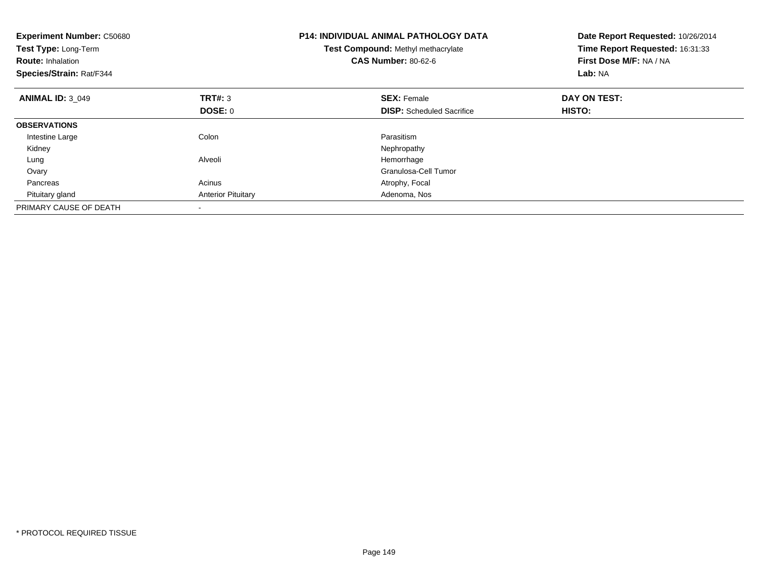| <b>Experiment Number: C50680</b><br>Test Type: Long-Term<br><b>Route: Inhalation</b><br>Species/Strain: Rat/F344 |                           | P14: INDIVIDUAL ANIMAL PATHOLOGY DATA<br>Test Compound: Methyl methacrylate<br><b>CAS Number: 80-62-6</b> | Date Report Requested: 10/26/2014<br>Time Report Requested: 16:31:33<br>First Dose M/F: NA / NA<br>Lab: NA |
|------------------------------------------------------------------------------------------------------------------|---------------------------|-----------------------------------------------------------------------------------------------------------|------------------------------------------------------------------------------------------------------------|
| <b>ANIMAL ID: 3 049</b>                                                                                          | TRT#: 3                   | <b>SEX: Female</b>                                                                                        | DAY ON TEST:                                                                                               |
|                                                                                                                  | <b>DOSE: 0</b>            | <b>DISP:</b> Scheduled Sacrifice                                                                          | HISTO:                                                                                                     |
| <b>OBSERVATIONS</b>                                                                                              |                           |                                                                                                           |                                                                                                            |
| Intestine Large                                                                                                  | Colon                     | Parasitism                                                                                                |                                                                                                            |
| Kidney                                                                                                           |                           | Nephropathy                                                                                               |                                                                                                            |
| Lung                                                                                                             | Alveoli                   | Hemorrhage                                                                                                |                                                                                                            |
| Ovary                                                                                                            |                           | Granulosa-Cell Tumor                                                                                      |                                                                                                            |
| Pancreas                                                                                                         | Acinus                    | Atrophy, Focal                                                                                            |                                                                                                            |
| Pituitary gland                                                                                                  | <b>Anterior Pituitary</b> | Adenoma, Nos                                                                                              |                                                                                                            |
| PRIMARY CAUSE OF DEATH                                                                                           |                           |                                                                                                           |                                                                                                            |